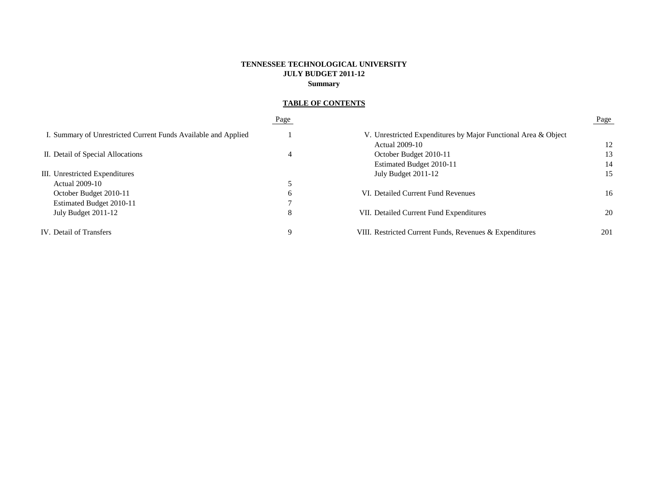# **TENNESSEE TECHNOLOGICAL UNIVERSITY JULY BUDGET 2011-12 Summary**

# **TABLE OF CONTENTS**

|                                                                | Page |                                                                | Page |
|----------------------------------------------------------------|------|----------------------------------------------------------------|------|
| I. Summary of Unrestricted Current Funds Available and Applied |      | V. Unrestricted Expenditures by Major Functional Area & Object |      |
|                                                                |      | Actual 2009-10                                                 | 12   |
| II. Detail of Special Allocations                              | 4    | October Budget 2010-11                                         | 13   |
|                                                                |      | Estimated Budget 2010-11                                       | 14   |
| III. Unrestricted Expenditures                                 |      | July Budget 2011-12                                            | 15   |
| Actual 2009-10                                                 |      |                                                                |      |
| October Budget 2010-11                                         | 6    | VI. Detailed Current Fund Revenues                             | 16   |
| Estimated Budget 2010-11                                       | ⇁    |                                                                |      |
| July Budget 2011-12                                            | 8    | VII. Detailed Current Fund Expenditures                        | 20   |
| IV. Detail of Transfers                                        | 9    | VIII. Restricted Current Funds, Revenues & Expenditures        | 201  |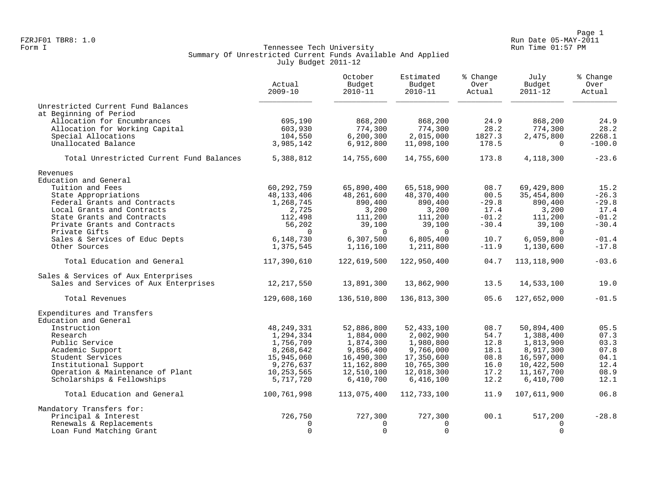Page 1<br>Run Date 05-MAY-2011 Run Date 05-MAY-2011 Run Date 05-MAY-2011 FZRJF01 TBR8: 1.0 Run Date 05-MAY-2011

# Form I Georgian Communication of the Communication of Tennessee Tech University Communication Run Time 01:57 PM Summary Of Unrestricted Current Funds Available And Applied July Budget 2011-12

|                                          | Actual<br>$2009 - 10$ | October<br>Budget<br>$2010 - 11$ | Estimated<br>Budget<br>$2010 - 11$ | % Change<br>Over<br>Actual | July<br>Budget<br>$2011 - 12$ | % Change<br>Over<br>Actual |
|------------------------------------------|-----------------------|----------------------------------|------------------------------------|----------------------------|-------------------------------|----------------------------|
| Unrestricted Current Fund Balances       |                       |                                  |                                    |                            |                               |                            |
| at Beginning of Period                   |                       |                                  |                                    |                            |                               |                            |
| Allocation for Encumbrances              | 695,190               | 868,200                          | 868,200                            | 24.9                       | 868,200                       | 24.9                       |
| Allocation for Working Capital           | 603,930               | 774,300                          | 774,300                            | 28.2                       | 774,300                       | 28.2                       |
| Special Allocations                      | 104,550               | 6, 200, 300                      | 2,015,000                          | 1827.3                     | 2,475,800                     | 2268.1                     |
| Unallocated Balance                      | 3,985,142             | 6,912,800                        | 11,098,100                         | 178.5                      | $\Omega$                      | $-100.0$                   |
| Total Unrestricted Current Fund Balances | 5,388,812             | 14,755,600                       | 14,755,600                         | 173.8                      | 4,118,300                     | $-23.6$                    |
| Revenues                                 |                       |                                  |                                    |                            |                               |                            |
| Education and General                    |                       |                                  |                                    |                            |                               |                            |
| Tuition and Fees                         | 60,292,759            | 65,890,400                       | 65,518,900                         | 08.7                       | 69,429,800                    | 15.2                       |
| State Appropriations                     | 48,133,406            | 48,261,600                       | 48,370,400                         | 00.5                       | 35,454,800                    | $-26.3$                    |
| Federal Grants and Contracts             | 1,268,745             | 890,400                          | 890,400                            | $-29.8$                    | 890,400                       | $-29.8$                    |
| Local Grants and Contracts               | 2,725                 | 3,200                            | 3,200                              | 17.4                       | 3,200                         | 17.4                       |
| State Grants and Contracts               | 112,498               | 111,200                          | 111,200                            | $-01.2$                    | 111,200                       | $-01.2$                    |
| Private Grants and Contracts             | 56,202                | 39,100                           | 39,100                             | $-30.4$                    | 39,100                        | $-30.4$                    |
| Private Gifts                            | $\Omega$              | $\Omega$                         | $\Omega$                           |                            | $\Omega$                      |                            |
| Sales & Services of Educ Depts           | 6,148,730             | 6,307,500                        | 6,805,400                          | 10.7                       | 6,059,800                     | $-01.4$                    |
| Other Sources                            | 1,375,545             | 1,116,100                        | 1,211,800                          | $-11.9$                    | 1,130,600                     | $-17.8$                    |
| Total Education and General              | 117,390,610           | 122,619,500                      | 122,950,400                        | 04.7                       | 113,118,900                   | $-03.6$                    |
| Sales & Services of Aux Enterprises      |                       |                                  |                                    |                            |                               |                            |
| Sales and Services of Aux Enterprises    | 12, 217, 550          | 13,891,300                       | 13,862,900                         | 13.5                       | 14,533,100                    | 19.0                       |
| Total Revenues                           | 129,608,160           | 136,510,800                      | 136,813,300                        | 05.6                       | 127,652,000                   | $-01.5$                    |
| Expenditures and Transfers               |                       |                                  |                                    |                            |                               |                            |
| Education and General                    |                       |                                  |                                    |                            |                               |                            |
| Instruction                              | 48, 249, 331          | 52,886,800                       | 52, 433, 100                       | 08.7                       | 50,894,400                    | 05.5                       |
| Research                                 | 1,294,334             | 1,884,000                        | 2,002,900                          | 54.7                       | 1,388,400                     | 07.3                       |
| Public Service                           | 1,756,709             | 1,874,300                        | 1,980,800                          | 12.8                       | 1,813,900                     | 03.3                       |
| Academic Support                         | 8,268,642             | 9,856,400                        | 9,766,000                          | 18.1                       | 8,917,300                     | 07.8                       |
| Student Services                         | 15,945,060            | 16,490,300                       | 17,350,600                         | 08.8                       | 16,597,000                    | 04.1                       |
| Institutional Support                    | 9,276,637             | 11,162,800                       | 10,765,300                         | 16.0                       | 10,422,500                    | 12.4                       |
| Operation & Maintenance of Plant         | 10,253,565            | 12,510,100                       | 12,018,300                         | 17.2                       | 11,167,700                    | 08.9                       |
| Scholarships & Fellowships               | 5,717,720             | 6,410,700                        | 6,416,100                          | 12.2                       | 6,410,700                     | 12.1                       |
| Total Education and General              | 100,761,998           | 113,075,400                      | 112,733,100                        | 11.9                       | 107,611,900                   | 06.8                       |
| Mandatory Transfers for:                 |                       |                                  |                                    |                            |                               |                            |
| Principal & Interest                     | 726,750               | 727,300                          | 727,300                            | 00.1                       | 517,200                       | $-28.8$                    |
| Renewals & Replacements                  | $\Omega$              | $\Omega$                         | $\Omega$                           |                            | $\Omega$                      |                            |
| Loan Fund Matching Grant                 | $\Omega$              | $\Omega$                         | $\Omega$                           |                            | $\Omega$                      |                            |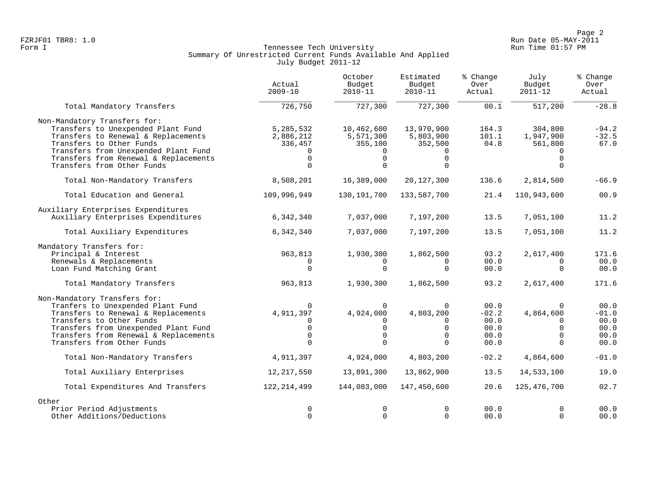Page 2<br>Run Date 05-MAY-2011 Run Date 05-MAY-2011 Run Date 05-MAY-2011 FZRJF01 TBR8: 1.0 Run Date 05-MAY-2011

# Form I Georgian Communication of the Communication of Tennessee Tech University Communication Run Time 01:57 PM Summary Of Unrestricted Current Funds Available And Applied July Budget 2011-12

|                                       | Actual<br>$2009 - 10$ | October<br>Budget<br>$2010 - 11$ | Estimated<br>Budget<br>$2010 - 11$ | % Change<br>Over<br>Actual | July<br>Budget<br>$2011 - 12$ | % Change<br>Over<br>Actual |
|---------------------------------------|-----------------------|----------------------------------|------------------------------------|----------------------------|-------------------------------|----------------------------|
| Total Mandatory Transfers             | 726,750               | 727,300                          | 727,300                            | 00.1                       | 517,200                       | $-28.8$                    |
| Non-Mandatory Transfers for:          |                       |                                  |                                    |                            |                               |                            |
| Transfers to Unexpended Plant Fund    | 5,285,532             | 10,462,600                       | 13,970,900                         | 164.3                      | 304,800                       | $-94.2$                    |
| Transfers to Renewal & Replacements   | 2,886,212             | 5,571,300                        | 5,803,900                          | 101.1                      | 1,947,900                     | $-32.5$                    |
| Transfers to Other Funds              | 336,457               | 355,100                          | 352,500                            | 04.8                       | 561,800                       | 67.0                       |
| Transfers from Unexpended Plant Fund  | $\Omega$              | 0                                | 0                                  |                            |                               |                            |
| Transfers from Renewal & Replacements | $\Omega$              | $\Omega$                         | $\Omega$                           |                            | $\cap$                        |                            |
| Transfers from Other Funds            | $\Omega$              | $\Omega$                         | $\Omega$                           |                            | $\Omega$                      |                            |
| Total Non-Mandatory Transfers         | 8,508,201             | 16,389,000                       | 20, 127, 300                       | 136.6                      | 2,814,500                     | $-66.9$                    |
| Total Education and General           | 109,996,949           | 130, 191, 700                    | 133,587,700                        | 21.4                       | 110,943,600                   | 00.9                       |
| Auxiliary Enterprises Expenditures    |                       |                                  |                                    |                            |                               |                            |
| Auxiliary Enterprises Expenditures    | 6,342,340             | 7,037,000                        | 7,197,200                          | 13.5                       | 7,051,100                     | 11.2                       |
| Total Auxiliary Expenditures          | 6,342,340             | 7,037,000                        | 7,197,200                          | 13.5                       | 7,051,100                     | 11.2                       |
| Mandatory Transfers for:              |                       |                                  |                                    |                            |                               |                            |
| Principal & Interest                  | 963,813               | 1,930,300                        | 1,862,500                          | 93.2                       | 2,617,400                     | 171.6                      |
| Renewals & Replacements               |                       |                                  | 0                                  | 00.0                       |                               | 00.0                       |
| Loan Fund Matching Grant              | $\Omega$              | $\Omega$                         | $\Omega$                           | 00.0                       | $\Omega$                      | 00.0                       |
| Total Mandatory Transfers             | 963,813               | 1,930,300                        | 1,862,500                          | 93.2                       | 2,617,400                     | 171.6                      |
| Non-Mandatory Transfers for:          |                       |                                  |                                    |                            |                               |                            |
| Tranfers to Unexpended Plant Fund     | $\Omega$              | $\Omega$                         | $\mathbf 0$                        | 00.0                       | $\Omega$                      | 00.0                       |
| Transfers to Renewal & Replacements   | 4,911,397             | 4,924,000                        | 4,803,200                          | $-02.2$                    | 4,864,600                     | $-01.0$                    |
| Transfers to Other Funds              | $\Omega$              | 0                                | 0                                  | 00.0                       | $\Omega$                      | 00.0                       |
| Transfers from Unexpended Plant Fund  | 0                     | 0                                | $\Omega$                           | 00.0                       | $\Omega$                      | 00.0                       |
| Transfers from Renewal & Replacements | $\Omega$<br>$\Omega$  | $\Omega$<br>$\Omega$             | $\Omega$                           | 00.0                       | $\cap$                        | 00.0                       |
| Transfers from Other Funds            |                       |                                  | $\Omega$                           | 00.0                       | $\Omega$                      | 00.0                       |
| Total Non-Mandatory Transfers         | 4,911,397             | 4,924,000                        | 4,803,200                          | $-02.2$                    | 4,864,600                     | $-01.0$                    |
| Total Auxiliary Enterprises           | 12, 217, 550          | 13,891,300                       | 13,862,900                         | 13.5                       | 14,533,100                    | 19.0                       |
| Total Expenditures And Transfers      | 122,214,499           | 144,083,000                      | 147,450,600                        | 20.6                       | 125,476,700                   | 02.7                       |
| Other                                 |                       |                                  |                                    |                            |                               |                            |
| Prior Period Adjustments              | 0                     | $\Omega$                         | $\Omega$                           | 00.0                       | $\Omega$                      | 00.0                       |
| Other Additions/Deductions            | $\Omega$              | $\Omega$                         | $\Omega$                           | 00.0                       | $\Omega$                      | 00.0                       |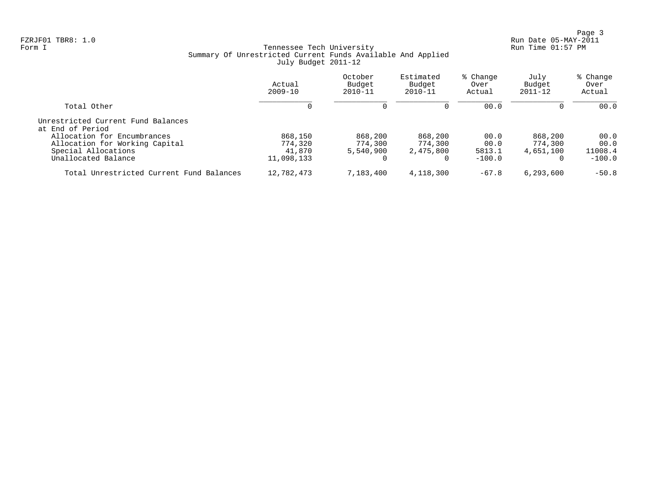Page 3<br>Run Date 05-MAY-2011 Run Date 05-MAY-2011 Run Date 05-MAY-2011 FZRJF01 TBR8: 1.0 Run Date 05-MAY-2011

# Form I Georgian Communication of the Communication of Tennessee Tech University Communication Run Time 01:57 PM Summary Of Unrestricted Current Funds Available And Applied July Budget 2011-12

|                                                        | Actual<br>$2009 - 10$ | October<br>Budget<br>$2010 - 11$ | Estimated<br>Budget<br>$2010 - 11$ | % Change<br>Over<br>Actual | July<br>Budget<br>$2011 - 12$ | % Change<br>Over<br>Actual |
|--------------------------------------------------------|-----------------------|----------------------------------|------------------------------------|----------------------------|-------------------------------|----------------------------|
| Total Other                                            |                       | 0                                | $\Omega$                           | 00.0                       | $\Omega$                      | 00.0                       |
| Unrestricted Current Fund Balances<br>at End of Period |                       |                                  |                                    |                            |                               |                            |
| Allocation for Encumbrances                            | 868,150               | 868,200                          | 868,200                            | 00.0                       | 868,200                       | 00.0                       |
| Allocation for Working Capital                         | 774,320               | 774,300                          | 774,300                            | 00.0                       | 774,300                       | 00.0                       |
| Special Allocations                                    | 41,870                | 5,540,900                        | 2,475,800                          | 5813.1                     | 4,651,100                     | 11008.4                    |
| Unallocated Balance                                    | 11,098,133            |                                  |                                    | $-100.0$                   |                               | $-100.0$                   |
| Total Unrestricted Current Fund Balances               | 12,782,473            | 7,183,400                        | 4,118,300                          | $-67.8$                    | 6, 293, 600                   | $-50.8$                    |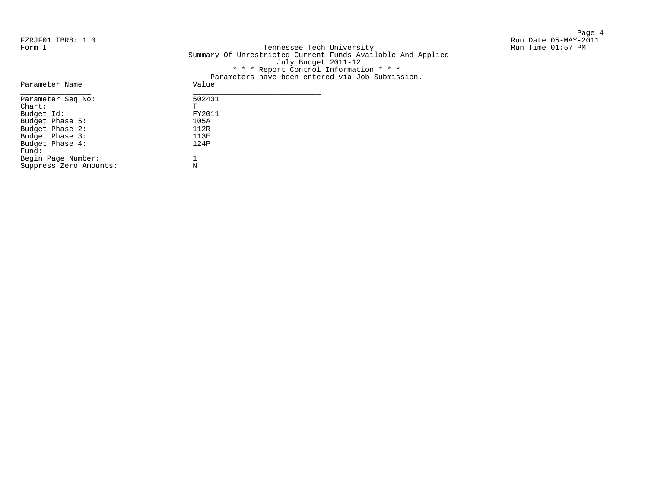Page 4 FZRJF01 TBR8: 1.0 Run Date 05-MAY-2011

Form I Georgian Communication of the Communication of Tennessee Tech University Communication Run Time 01:57 PM Summary Of Unrestricted Current Funds Available And Applied July Budget 2011-12 \* \* \* Report Control Information \* \* \* Parameters have been entered via Job Submission.

| Parameter Name         | caramcecto nave been checitea via oob pabmioo.<br>Value |
|------------------------|---------------------------------------------------------|
| Parameter Seq No:      | 502431                                                  |
| $chart$ :              | т                                                       |
| Budget Id:             | FY2011                                                  |
| Budget Phase 5:        | 105A                                                    |
| Budget Phase 2:        | 112R                                                    |
| Budget Phase 3:        | 113E                                                    |
| Budget Phase 4:        | 124P                                                    |
| Fund:                  |                                                         |
| Begin Page Number:     |                                                         |
| Suppress Zero Amounts: | N                                                       |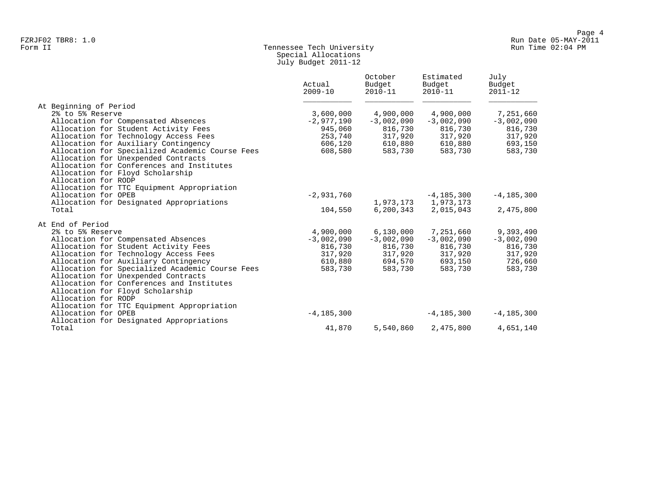# Form II Tennessee Tech University Run Time 02:04 PM Special Allocations July Budget 2011-12

|                                                 | Actual<br>$2009 - 10$ | October<br>Budget<br>$2010 - 11$ | Estimated<br>Budget<br>$2010 - 11$ | July<br>Budget<br>$2011 - 12$ |
|-------------------------------------------------|-----------------------|----------------------------------|------------------------------------|-------------------------------|
| At Beginning of Period                          |                       |                                  |                                    |                               |
| 2% to 5% Reserve                                | 3,600,000             | 4,900,000                        | 4,900,000                          | 7,251,660                     |
| Allocation for Compensated Absences             | $-2,977,190$          | $-3,002,090$                     | $-3,002,090$                       | $-3,002,090$                  |
| Allocation for Student Activity Fees            | 945,060               | 816,730                          | 816,730                            | 816,730                       |
| Allocation for Technology Access Fees           | 253,740               | 317,920                          | 317,920                            | 317,920                       |
| Allocation for Auxiliary Contingency            | 606,120               | 610,880                          | 610,880                            | 693,150                       |
| Allocation for Specialized Academic Course Fees | 608,580               | 583,730                          | 583,730                            | 583,730                       |
| Allocation for Unexpended Contracts             |                       |                                  |                                    |                               |
| Allocation for Conferences and Institutes       |                       |                                  |                                    |                               |
| Allocation for Floyd Scholarship                |                       |                                  |                                    |                               |
| Allocation for RODP                             |                       |                                  |                                    |                               |
| Allocation for TTC Equipment Appropriation      |                       |                                  |                                    |                               |
| Allocation for OPEB                             | $-2,931,760$          |                                  | $-4,185,300$                       | $-4, 185, 300$                |
| Allocation for Designated Appropriations        |                       |                                  | 1,973,173 1,973,173                |                               |
| Total                                           | 104,550               |                                  | 6,200,343 2,015,043                | 2,475,800                     |
| At End of Period                                |                       |                                  |                                    |                               |
| 2% to 5% Reserve                                | 4,900,000             | 6,130,000                        | 7,251,660                          | 9,393,490                     |
| Allocation for Compensated Absences             | $-3,002,090$          | $-3,002,090$                     | $-3,002,090$                       | $-3,002,090$                  |
| Allocation for Student Activity Fees            | 816,730               | 816,730                          | 816,730                            | 816,730                       |
| Allocation for Technology Access Fees           | 317,920               | 317,920                          | 317,920                            | 317,920                       |
| Allocation for Auxiliary Contingency            | 610,880               | 694,570                          | 693,150                            | 726,660                       |
| Allocation for Specialized Academic Course Fees | 583,730               | 583,730                          | 583,730                            | 583,730                       |
| Allocation for Unexpended Contracts             |                       |                                  |                                    |                               |
| Allocation for Conferences and Institutes       |                       |                                  |                                    |                               |
| Allocation for Floyd Scholarship                |                       |                                  |                                    |                               |
| Allocation for RODP                             |                       |                                  |                                    |                               |
| Allocation for TTC Equipment Appropriation      |                       |                                  |                                    |                               |
| Allocation for OPEB                             | $-4, 185, 300$        |                                  | $-4, 185, 300$                     | $-4, 185, 300$                |
| Allocation for Designated Appropriations        |                       |                                  |                                    |                               |
| Total                                           | 41,870                | 5,540,860                        | 2,475,800                          | 4,651,140                     |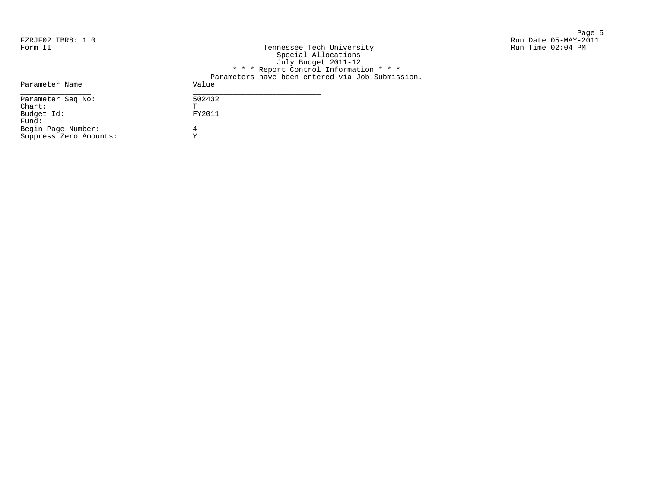en de la provincia de la provincia de la provincia de la provincia de la provincia de la provincia de la provi<br>Page 5 FZRJF02 TBR8: 1.0 Run Date 05-MAY-2011 Run Time 02:04 PM

| Form II                | Tennessee Tech University                        |
|------------------------|--------------------------------------------------|
|                        | Special Allocations                              |
|                        | July Budget 2011-12                              |
|                        | * * * Report Control Information * * *           |
|                        | Parameters have been entered via Job Submission. |
| Parameter Name         | Value                                            |
| Parameter Seq No:      | 502432                                           |
| $chart$ :              | Ͳ                                                |
| Budget Id:             | FY2011                                           |
| Fund:                  |                                                  |
| Begin Page Number:     | 4                                                |
| Suppress Zero Amounts: | ٦7                                               |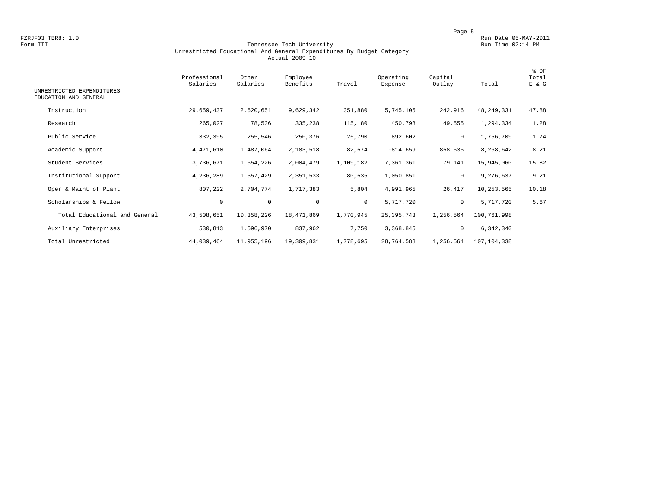#### Form III Tennessee Tech University Run Time 02:14 PM Unrestricted Educational And General Expenditures By Budget Category Actual 2009-10

| UNRESTRICTED EXPENDITURES<br>EDUCATION AND GENERAL | Professional<br>Salaries | Other<br>Salaries | Employee<br>Benefits | Travel    | Operating<br>Expense | Capital<br>Outlay | Total        | % OF<br>Total<br>E & G |
|----------------------------------------------------|--------------------------|-------------------|----------------------|-----------|----------------------|-------------------|--------------|------------------------|
| Instruction                                        | 29,659,437               | 2,620,651         | 9,629,342            | 351,880   | 5,745,105            | 242,916           | 48, 249, 331 | 47.88                  |
| Research                                           | 265,027                  | 78,536            | 335,238              | 115,180   | 450,798              | 49,555            | 1,294,334    | 1.28                   |
| Public Service                                     | 332,395                  | 255,546           | 250,376              | 25,790    | 892,602              | $\mathbf 0$       | 1,756,709    | 1.74                   |
| Academic Support                                   | 4,471,610                | 1,487,064         | 2,183,518            | 82,574    | $-814,659$           | 858,535           | 8,268,642    | 8.21                   |
| Student Services                                   | 3,736,671                | 1,654,226         | 2,004,479            | 1,109,182 | 7,361,361            | 79,141            | 15,945,060   | 15.82                  |
| Institutional Support                              | 4,236,289                | 1,557,429         | 2,351,533            | 80,535    | 1,050,851            | $\mathbf 0$       | 9,276,637    | 9.21                   |
| Oper & Maint of Plant                              | 807,222                  | 2,704,774         | 1,717,383            | 5,804     | 4,991,965            | 26,417            | 10,253,565   | 10.18                  |
| Scholarships & Fellow                              | 0                        | $\circ$           | $\mathbf{0}$         | $\circ$   | 5,717,720            | $\circ$           | 5,717,720    | 5.67                   |
| Total Educational and General                      | 43,508,651               | 10,358,226        | 18,471,869           | 1,770,945 | 25, 395, 743         | 1,256,564         | 100,761,998  |                        |
| Auxiliary Enterprises                              | 530,813                  | 1,596,970         | 837,962              | 7,750     | 3,368,845            | $\circ$           | 6,342,340    |                        |
| Total Unrestricted                                 | 44,039,464               | 11,955,196        | 19,309,831           | 1,778,695 | 28,764,588           | 1,256,564         | 107,104,338  |                        |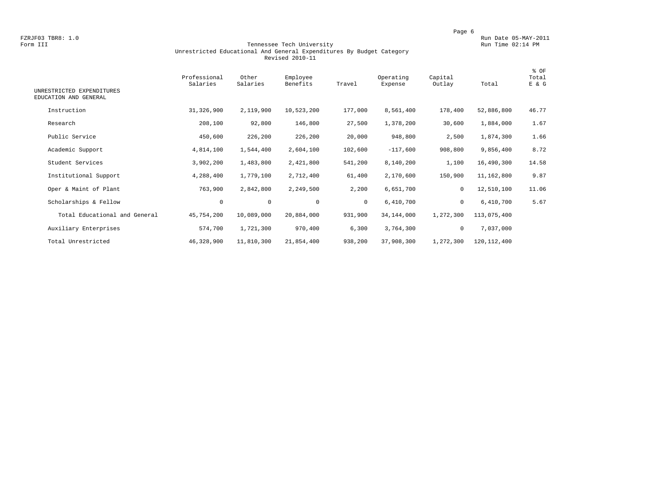#### Form III Tennessee Tech University Run Time 02:14 PM Unrestricted Educational And General Expenditures By Budget Category Revised 2010-11

| UNRESTRICTED EXPENDITURES<br>EDUCATION AND GENERAL | Professional<br>Salaries | Other<br>Salaries | Employee<br>Benefits | Travel       | Operating<br>Expense | Capital<br>Outlay | Total         | % OF<br>Total<br>E & G |
|----------------------------------------------------|--------------------------|-------------------|----------------------|--------------|----------------------|-------------------|---------------|------------------------|
| Instruction                                        | 31,326,900               | 2,119,900         | 10,523,200           | 177,000      | 8,561,400            | 178,400           | 52,886,800    | 46.77                  |
| Research                                           | 208,100                  | 92,800            | 146,800              | 27,500       | 1,378,200            | 30,600            | 1,884,000     | 1.67                   |
| Public Service                                     | 450,600                  | 226,200           | 226,200              | 20,000       | 948,800              | 2,500             | 1,874,300     | 1.66                   |
| Academic Support                                   | 4,814,100                | 1,544,400         | 2,604,100            | 102,600      | $-117,600$           | 908,800           | 9,856,400     | 8.72                   |
| Student Services                                   | 3,902,200                | 1,483,800         | 2,421,800            | 541,200      | 8,140,200            | 1,100             | 16,490,300    | 14.58                  |
| Institutional Support                              | 4,288,400                | 1,779,100         | 2,712,400            | 61,400       | 2,170,600            | 150,900           | 11,162,800    | 9.87                   |
| Oper & Maint of Plant                              | 763,900                  | 2,842,800         | 2,249,500            | 2,200        | 6,651,700            | $\mathbf 0$       | 12,510,100    | 11.06                  |
| Scholarships & Fellow                              | $\mathbf 0$              | $\circ$           | $\mathbf 0$          | $\mathbf{0}$ | 6,410,700            | $\mathbf 0$       | 6,410,700     | 5.67                   |
| Total Educational and General                      | 45,754,200               | 10,089,000        | 20,884,000           | 931,900      | 34,144,000           | 1,272,300         | 113,075,400   |                        |
| Auxiliary Enterprises                              | 574,700                  | 1,721,300         | 970,400              | 6,300        | 3,764,300            | $\mathbf 0$       | 7,037,000     |                        |
| Total Unrestricted                                 | 46,328,900               | 11,810,300        | 21,854,400           | 938,200      | 37,908,300           | 1,272,300         | 120, 112, 400 |                        |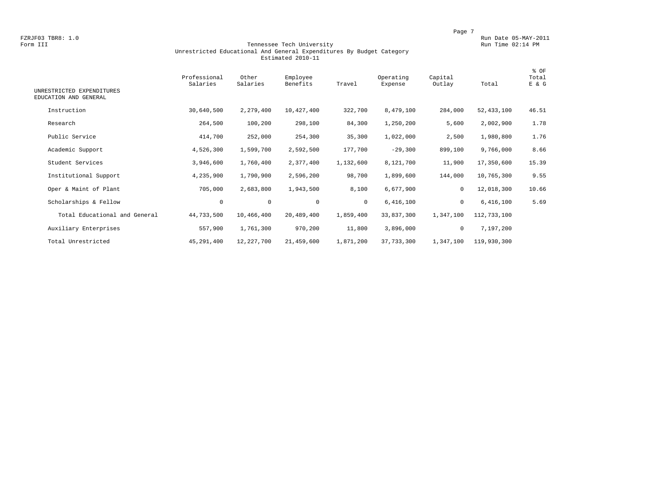#### Form III Tennessee Tech University Run Time 02:14 PM Unrestricted Educational And General Expenditures By Budget Category Estimated 2010-11

| UNRESTRICTED EXPENDITURES<br>EDUCATION AND GENERAL | Professional<br>Salaries | Other<br>Salaries | Employee<br>Benefits | Travel    | Operating<br>Expense | Capital<br>Outlay | Total        | % OF<br>Total<br>E & G |
|----------------------------------------------------|--------------------------|-------------------|----------------------|-----------|----------------------|-------------------|--------------|------------------------|
| Instruction                                        | 30,640,500               | 2,279,400         | 10,427,400           | 322,700   | 8,479,100            | 284,000           | 52, 433, 100 | 46.51                  |
| Research                                           | 264,500                  | 100,200           | 298,100              | 84,300    | 1,250,200            | 5,600             | 2,002,900    | 1.78                   |
| Public Service                                     | 414,700                  | 252,000           | 254,300              | 35,300    | 1,022,000            | 2,500             | 1,980,800    | 1.76                   |
| Academic Support                                   | 4,526,300                | 1,599,700         | 2,592,500            | 177,700   | $-29,300$            | 899,100           | 9,766,000    | 8.66                   |
| Student Services                                   | 3,946,600                | 1,760,400         | 2,377,400            | 1,132,600 | 8,121,700            | 11,900            | 17,350,600   | 15.39                  |
| Institutional Support                              | 4,235,900                | 1,790,900         | 2,596,200            | 98,700    | 1,899,600            | 144,000           | 10,765,300   | 9.55                   |
| Oper & Maint of Plant                              | 705,000                  | 2,683,800         | 1,943,500            | 8,100     | 6,677,900            | 0                 | 12,018,300   | 10.66                  |
| Scholarships & Fellow                              | $\circ$                  | $\mathsf{O}$      | 0                    | $\circ$   | 6,416,100            | $\mathbf 0$       | 6,416,100    | 5.69                   |
| Total Educational and General                      | 44,733,500               | 10,466,400        | 20,489,400           | 1,859,400 | 33,837,300           | 1,347,100         | 112,733,100  |                        |
| Auxiliary Enterprises                              | 557,900                  | 1,761,300         | 970,200              | 11,800    | 3,896,000            | $\mathbf 0$       | 7,197,200    |                        |
| Total Unrestricted                                 | 45,291,400               | 12,227,700        | 21,459,600           | 1,871,200 | 37,733,300           | 1,347,100         | 119,930,300  |                        |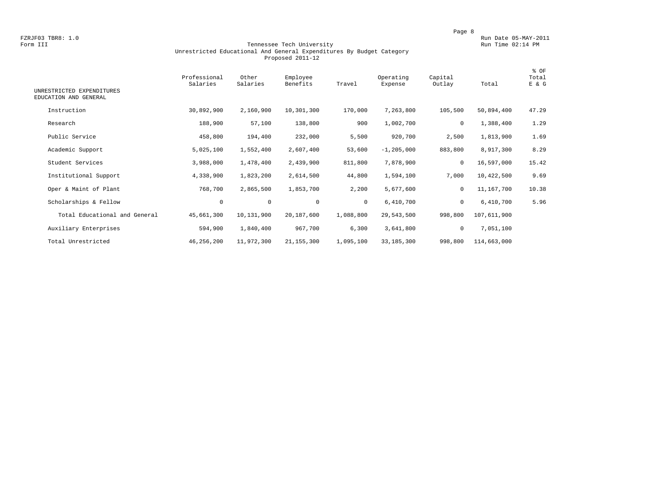#### Form III Tennessee Tech University Run Time 02:14 PM Unrestricted Educational And General Expenditures By Budget Category Proposed 2011-12

| UNRESTRICTED EXPENDITURES<br>EDUCATION AND GENERAL | Professional<br>Salaries | Other<br>Salaries | Employee<br>Benefits | Travel       | Operating<br>Expense | Capital<br>Outlay | Total       | % OF<br>Total<br>E & G |
|----------------------------------------------------|--------------------------|-------------------|----------------------|--------------|----------------------|-------------------|-------------|------------------------|
| Instruction                                        | 30,892,900               | 2,160,900         | 10,301,300           | 170,000      | 7,263,800            | 105,500           | 50,894,400  | 47.29                  |
|                                                    |                          |                   |                      |              |                      |                   |             |                        |
| Research                                           | 188,900                  | 57,100            | 138,800              | 900          | 1,002,700            | 0                 | 1,388,400   | 1.29                   |
| Public Service                                     | 458,800                  | 194,400           | 232,000              | 5,500        | 920,700              | 2,500             | 1,813,900   | 1.69                   |
| Academic Support                                   | 5,025,100                | 1,552,400         | 2,607,400            | 53,600       | $-1, 205, 000$       | 883,800           | 8,917,300   | 8.29                   |
| Student Services                                   | 3,988,000                | 1,478,400         | 2,439,900            | 811,800      | 7,878,900            | $\mathbf 0$       | 16,597,000  | 15.42                  |
| Institutional Support                              | 4,338,900                | 1,823,200         | 2,614,500            | 44,800       | 1,594,100            | 7,000             | 10,422,500  | 9.69                   |
| Oper & Maint of Plant                              | 768,700                  | 2,865,500         | 1,853,700            | 2,200        | 5,677,600            | $\mathbf 0$       | 11,167,700  | 10.38                  |
| Scholarships & Fellow                              | 0                        | $\circ$           | $\mathbf 0$          | $\mathbf{0}$ | 6,410,700            | 0                 | 6,410,700   | 5.96                   |
| Total Educational and General                      | 45,661,300               | 10,131,900        | 20,187,600           | 1,088,800    | 29,543,500           | 998,800           | 107,611,900 |                        |
| Auxiliary Enterprises                              | 594,900                  | 1,840,400         | 967,700              | 6,300        | 3,641,800            | 0                 | 7,051,100   |                        |
| Total Unrestricted                                 | 46,256,200               | 11,972,300        | 21, 155, 300         | 1,095,100    | 33, 185, 300         | 998,800           | 114,663,000 |                        |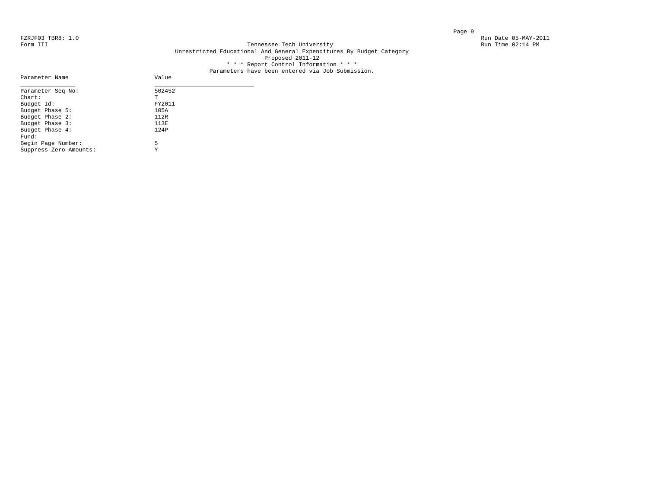Parameter Name

#### FZRJF03 TBR8: 1.0<br>Form III Run Date 05-MAY-2011<br>Form III Run Time 02:14 PM Tennessee Tech University Unrestricted Educational And General Expenditures By Budget Category Proposed 2011-12 \* \* \* Report Control Information \* \* \*

# Parameters have been entered via Job Submission.<br>Value

| Parameter Seq No:      | 502452 |
|------------------------|--------|
| $Chart$ :              | T      |
| Budget Id:             | FY2011 |
| Budget Phase 5:        | 105A   |
| Budget Phase 2:        | 112R   |
| Budget Phase 3:        | 113E   |
| Budget Phase 4:        | 124P   |
| Fund:                  |        |
| Begin Page Number:     | 5      |
| Suppress Zero Amounts: | Y      |
|                        |        |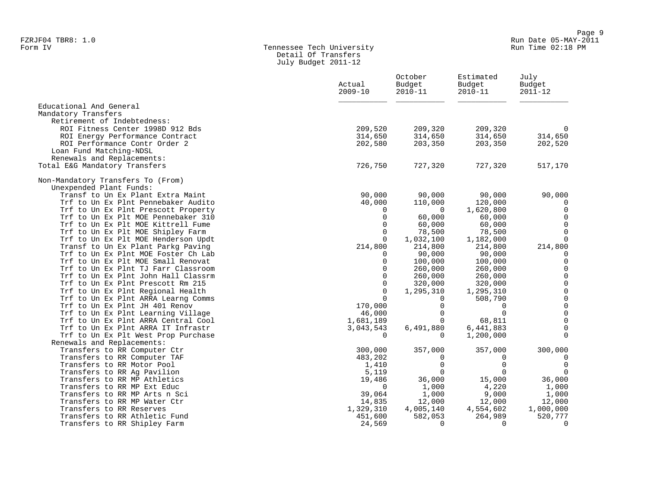### Form IV Tennessee Tech University Run Time 02:18 PM Detail Of Transfers July Budget 2011-12

|                                                                           | Actual<br>$2009 - 10$ | October<br>Budget<br>$2010 - 11$ | Estimated<br>Budget<br>$2010 - 11$ | July<br>Budget<br>$2011 - 12$ |
|---------------------------------------------------------------------------|-----------------------|----------------------------------|------------------------------------|-------------------------------|
| Educational And General                                                   |                       |                                  |                                    |                               |
| Mandatory Transfers                                                       |                       |                                  |                                    |                               |
| Retirement of Indebtedness:                                               |                       |                                  |                                    |                               |
| ROI Fitness Center 1998D 912 Bds                                          | 209,520               | 209,320                          | 209,320                            | $\Omega$                      |
| ROI Energy Performance Contract                                           | 314,650               | 314,650                          | 314,650                            | 314,650                       |
| ROI Performance Contr Order 2                                             | 202,580               | 203,350                          | 203,350                            | 202,520                       |
| Loan Fund Matching-NDSL                                                   |                       |                                  |                                    |                               |
| Renewals and Replacements:                                                | 726,750               | 727,320                          | 727,320                            |                               |
| Total E&G Mandatory Transfers                                             |                       |                                  |                                    | 517,170                       |
| Non-Mandatory Transfers To (From)                                         |                       |                                  |                                    |                               |
| Unexpended Plant Funds:                                                   |                       |                                  |                                    |                               |
| Transf to Un Ex Plant Extra Maint                                         | 90,000                | 90,000                           | 90,000                             | 90,000                        |
| Trf to Un Ex Plnt Pennebaker Audito                                       | 40,000                | 110,000                          | 120,000                            |                               |
| Trf to Un Ex Plnt Prescott Property                                       | 0                     | $\Omega$                         | 1,620,800                          | $\mathbf 0$                   |
| Trf to Un Ex Plt MOE Pennebaker 310                                       | 0                     | 60,000                           | 60,000                             | $\mathbf 0$                   |
| Trf to Un Ex Plt MOE Kittrell Fume                                        | 0                     | 60,000                           | 60,000                             | $\mathbf 0$                   |
| Trf to Un Ex Plt MOE Shipley Farm                                         | $\Omega$              | 78,500                           | 78,500                             | $\Omega$                      |
| Trf to Un Ex Plt MOE Henderson Updt                                       | $\Omega$              | 1,032,100                        | 1,182,000                          | $\Omega$                      |
| Transf to Un Ex Plant Parkg Paving                                        | 214,800               | 214,800                          | 214,800                            | 214,800                       |
| Trf to Un Ex Plnt MOE Foster Ch Lab                                       | $\Omega$              | 90,000                           | 90,000                             | $\mathbf 0$                   |
| Trf to Un Ex Plt MOE Small Renovat                                        | $\Omega$              | 100,000                          | 100,000                            | $\mathbf 0$                   |
| Trf to Un Ex Plnt TJ Farr Classroom                                       | $\Omega$              | 260,000                          | 260,000                            | $\mathbf 0$                   |
| Trf to Un Ex Plnt John Hall Classrm                                       | $\Omega$              | 260,000                          | 260,000                            | $\mathsf 0$                   |
| Trf to Un Ex Plnt Prescott Rm 215                                         | $\Omega$              | 320,000                          | 320,000                            | $\mathbb O$                   |
| Trf to Un Ex Plnt Regional Health                                         | $\mathbf 0$           | 1,295,310                        | 1,295,310                          | $\mathsf 0$                   |
| Trf to Un Ex Plnt ARRA Learng Comms                                       | $\Omega$              | $\Omega$<br>$\Omega$             | 508,790                            | $\mathsf 0$<br>$\mathsf 0$    |
| Trf to Un Ex Plnt JH 401 Renov                                            | 170,000<br>46,000     | $\Omega$                         | 0<br>$\Omega$                      | $\mathsf 0$                   |
| Trf to Un Ex Plnt Learning Village<br>Trf to Un Ex Plnt ARRA Central Cool | 1,681,189             | $\Omega$                         | 68,811                             | $\overline{0}$                |
| Trf to Un Ex Plnt ARRA IT Infrastr                                        | 3,043,543             | 6,491,880                        | 6,441,883                          | $\mathbf 0$                   |
| Trf to Un Ex Plt West Prop Purchase                                       | $\Omega$              | $\Omega$                         | 1,200,000                          | $\Omega$                      |
| Renewals and Replacements:                                                |                       |                                  |                                    |                               |
| Transfers to RR Computer Ctr                                              | 300,000               | 357,000                          | 357,000                            | 300,000                       |
| Transfers to RR Computer TAF                                              | 483,202               | $\mathbf 0$                      | 0                                  | $\overline{0}$                |
| Transfers to RR Motor Pool                                                | 1,410                 | $\mathbf 0$                      | $\mathbf 0$                        | $\overline{0}$                |
| Transfers to RR Ag Pavilion                                               | 5,119                 | $\mathbf 0$                      | $\mathbf 0$                        | $\Omega$                      |
| Transfers to RR MP Athletics                                              | 19,486                | 36,000                           | 15,000                             | 36,000                        |
| Transfers to RR MP Ext Educ                                               | 0                     | 1,000                            | 4,220                              | 1,000                         |
| Transfers to RR MP Arts n Sci                                             | 39,064                | 1,000                            | 9,000                              | 1,000                         |
| Transfers to RR MP Water Ctr                                              | 14,835                | 12,000                           | 12,000                             | 12,000                        |
| Transfers to RR Reserves                                                  | 1,329,310             | 4,005,140                        | 4,554,602                          | 1,000,000                     |
| Transfers to RR Athletic Fund                                             | 451,600               | 582,053                          | 264,989                            | 520,777                       |
| Transfers to RR Shipley Farm                                              | 24,569                | $\Omega$                         | $\Omega$                           | $\Omega$                      |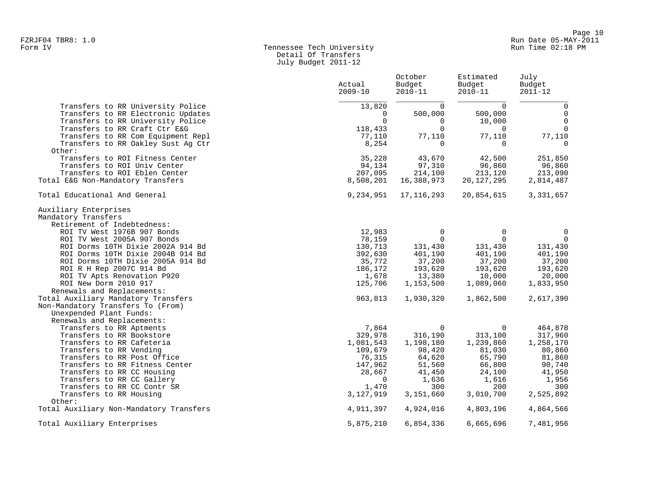# Form IV Tennessee Tech University Run Time 02:18 PM Detail Of Transfers July Budget 2011-12

|                                         | Actual<br>$2009 - 10$ | October<br>Budget<br>$2010 - 11$ | Estimated<br>Budget<br>$2010 - 11$ | July<br>Budget<br>$2011 - 12$ |
|-----------------------------------------|-----------------------|----------------------------------|------------------------------------|-------------------------------|
| Transfers to RR University Police       | 13,820                | $\Omega$                         | $\Omega$                           | $\mathbf 0$                   |
| Transfers to RR Electronic Updates      | $\Omega$              | 500,000                          | 500,000                            | 0                             |
| Transfers to RR University Police       | $\Omega$              | $\overline{0}$                   | 10,000                             | $\mathbf 0$                   |
| Transfers to RR Craft Ctr E&G           | 118,433               | $\Omega$                         | $\overline{0}$                     | $\mathbf 0$                   |
| Transfers to RR Com Equipment Repl      | 77,110                | 77,110                           | 77,110                             | 77,110                        |
| Transfers to RR Oakley Sust Aq Ctr      | 8,254                 | $\mathbf 0$                      | $\Omega$                           | $\mathbf 0$                   |
| Other:                                  |                       |                                  |                                    |                               |
| Transfers to ROI Fitness Center         | 35,228                | 43,670                           | 42,500                             | 251,850                       |
| Transfers to ROI Univ Center            | 94,134                | 97,310                           | 96,860                             | 96,860                        |
| Transfers to ROI Eblen Center           | 207,095               | 214,100                          | 213,120                            | 213,090                       |
| Total E&G Non-Mandatory Transfers       | 8,508,201             | 16,388,973                       | 20,127,295                         | 2,814,487                     |
| Total Educational And General           | 9,234,951             | 17, 116, 293                     | 20,854,615                         | 3, 331, 657                   |
| Auxiliary Enterprises                   |                       |                                  |                                    |                               |
| Mandatory Transfers                     |                       |                                  |                                    |                               |
| Retirement of Indebtedness:             |                       |                                  |                                    |                               |
| ROI TV West 1976B 907 Bonds             | 12,983                | $\mathbf 0$                      | $\mathbf 0$                        | 0                             |
| ROI TV West 2005A 907 Bonds             | 78,159                | $\Omega$                         | $\Omega$                           | $\Omega$                      |
| ROI Dorms 10TH Dixie 2002A 914 Bd       | 130,713               | 131,430                          | 131,430                            | 131,430                       |
| ROI Dorms 10TH Dixie 2004B 914 Bd       | 392,630               | 401,190                          | 401,190                            | 401,190                       |
| ROI Dorms 10TH Dixie 2005A 914 Bd       | 35,772                | 37,200                           | 37,200                             | 37,200                        |
| ROI R H Rep 2007C 914 Bd                | 186,172               | 193,620                          | 193,620                            | 193,620                       |
| ROI TV Apts Renovation P920             | 1,678                 | 13,380                           | 10,000                             | 20,000                        |
| ROI New Dorm 2010 917                   | 125,706               | 1,153,500                        | 1,089,060                          | 1,833,950                     |
| Renewals and Replacements:              |                       |                                  |                                    |                               |
| Total Auxiliary Mandatory Transfers     | 963,813               | 1,930,320                        | 1,862,500                          | 2,617,390                     |
| Non-Mandatory Transfers To (From)       |                       |                                  |                                    |                               |
| Unexpended Plant Funds:                 |                       |                                  |                                    |                               |
| Renewals and Replacements:              |                       |                                  |                                    |                               |
| Transfers to RR Aptments                | 7,864                 | $\mathbf 0$                      | $\mathbf 0$                        | 464,878                       |
| Transfers to RR Bookstore               | 329,978               | 316,190                          | 313,100                            | 317,960                       |
| Transfers to RR Cafeteria               | 1,081,543             | 1,198,180                        | 1,239,860                          | 1,258,170                     |
| Transfers to RR Vending                 | 109,679               | 98,420                           | 81,030                             | 80,860                        |
| Transfers to RR Post Office             | 76,315                | 64,620                           | 65,790                             | 81,860                        |
| Transfers to RR Fitness Center          | 147,962               | 51,560                           | 66,800                             | 90,740                        |
| Transfers to RR CC Housing              | 28,667                | 41,450                           | 24,100                             | 41,950                        |
| Transfers to RR CC Gallery              | $\Omega$              | 1,636                            | 1,616                              | 1,956                         |
| Transfers to RR CC Contr SR             | 1,470                 | 300                              | 200                                | 300                           |
| Transfers to RR Housing                 | 3,127,919             | 3,151,660                        | 3,010,700                          | 2,525,892                     |
| Other:                                  |                       |                                  |                                    |                               |
| Total Auxiliary Non-Mandatory Transfers | 4,911,397             | 4,924,016                        | 4,803,196                          | 4,864,566                     |
| Total Auxiliary Enterprises             | 5,875,210             | 6,854,336                        | 6,665,696                          | 7,481,956                     |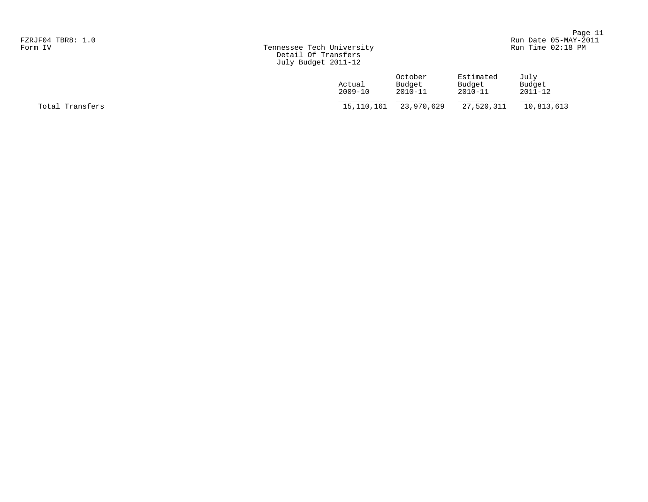|                   |                           | Page 11                    |
|-------------------|---------------------------|----------------------------|
| FZRJF04 TBR8: 1.0 |                           | Run Date 05-MAY-2011       |
| Form TV           | Tennessee Tech University | $R_{11}$ n Time $02:18$ DM |

|                   |                           | $  -$                |
|-------------------|---------------------------|----------------------|
| FZRJF04 TBR8: 1.0 |                           | Run Date 05-MAY-2011 |
| Form IV           | Tennessee Tech University | Run Time 02:18 PM    |

|                 | Actual<br>$2009 - 10$ | October<br>Budget<br>$2010 - 11$ | Estimated<br>Budget<br>$2010 - 11$ | July<br>Budget<br>$2011 - 12$ |
|-----------------|-----------------------|----------------------------------|------------------------------------|-------------------------------|
| Total Transfers | 15,110,161            | 23,970,629                       | 27,520,311                         | 10,813,613                    |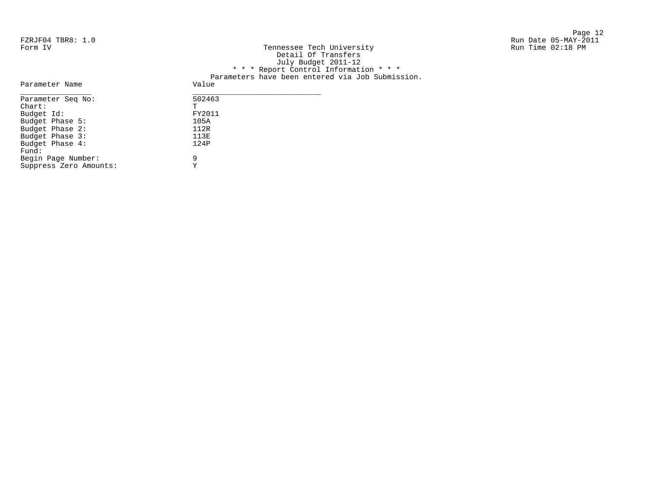| FZRJF04 TBR8: 1.0               |                                                  | Run Date 05-MAY-2011 |
|---------------------------------|--------------------------------------------------|----------------------|
| Form IV                         | Tennessee Tech University                        | Run Time 02:18 PM    |
|                                 | Detail Of Transfers                              |                      |
|                                 | July Budget 2011-12                              |                      |
|                                 | * * * Report Control Information * * *           |                      |
|                                 | Parameters have been entered via Job Submission. |                      |
| Parameter Name                  | Value                                            |                      |
| Parameter Seg No:               | 502463                                           |                      |
| $dh$ <sub>2</sub> $h$ + $\cdot$ | m.                                               |                      |

-<br>FY2011<br>105A

| Parameter Seg No:      | 502463 |
|------------------------|--------|
| $chart$ :              | Ͳ      |
| Budget Id:             | FY2011 |
| Budget Phase 5:        | 105A   |
| Budget Phase 2:        | 112R   |
| Budget Phase 3:        | 113E   |
| Budget Phase 4:        | 124P   |
| Fund:                  |        |
| Begin Page Number:     | 9      |
| Suppress Zero Amounts: | v      |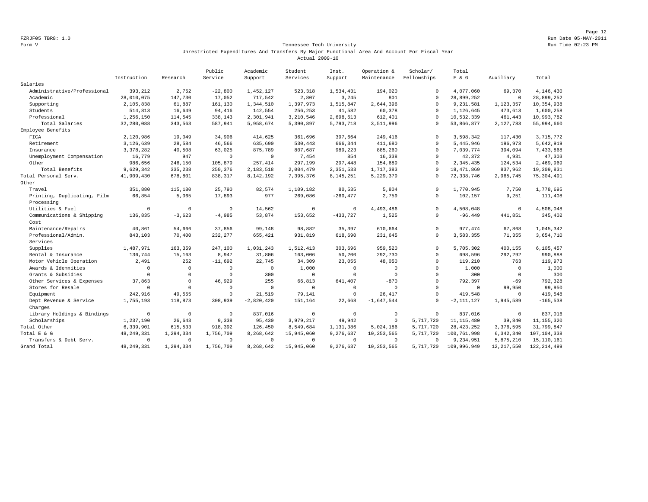Page 12 FZRJF05 TBR8: 1.0 Run Date 05-MAY-2011

#### Form V Tennessee Tech University **Form Constant Constant Constant Constant Constant Constant Constant Constant** Run Time 02:23 PM Unrestricted Expenditures And Transfers By Major Functional Area And Account For Fiscal Year Actual 2009-10

|                             |              |              | Public       | Academic     | Student     | Inst.       | Operation &  | Scholar/    | Total          |              |               |
|-----------------------------|--------------|--------------|--------------|--------------|-------------|-------------|--------------|-------------|----------------|--------------|---------------|
|                             | Instruction  | Research     | Service      | Support      | Services    | Support     | Maintenance  | Fellowships | $E$ & $G$      | Auxiliary    | Total         |
| Salaries                    |              |              |              |              |             |             |              |             |                |              |               |
| Administrative/Professional | 393,212      | 2,752        | $-22,800$    | 1,452,127    | 523,318     | 1,534,431   | 194,020      | $\mathbf 0$ | 4,077,060      | 69,370       | 4,146,430     |
| Academic                    | 28,010,075   | 147,730      | 17,052       | 717,542      | 2,807       | 3,245       | 801          | $\mathbf 0$ | 28,899,252     | $\mathbb O$  | 28,899,252    |
| Supporting                  | 2,105,838    | 61,887       | 161,130      | 1,344,510    | 1,397,973   | 1,515,847   | 2,644,396    | $\Omega$    | 9,231,581      | 1,123,357    | 10,354,938    |
| Students                    | 514,813      | 16,649       | 94,416       | 142,554      | 256,253     | 41,582      | 60,378       | $\Omega$    | 1,126,645      | 473,613      | 1,600,258     |
| Professional                | 1,256,150    | 114,545      | 338,143      | 2,301,941    | 3,210,546   | 2,698,613   | 612,401      | $\mathbf 0$ | 10,532,339     | 461,443      | 10,993,782    |
| Total Salaries              | 32,280,088   | 343,563      | 587,941      | 5,958,674    | 5,390,897   | 5,793,718   | 3,511,996    | $\Omega$    | 53,866,877     | 2,127,783    | 55,994,660    |
| Employee Benefits           |              |              |              |              |             |             |              |             |                |              |               |
| FICA                        | 2,120,986    | 19,049       | 34,906       | 414,625      | 361,696     | 397,664     | 249,416      | $^{\circ}$  | 3,598,342      | 117,430      | 3,715,772     |
| Retirement                  | 3,126,639    | 28,584       | 46,566       | 635,690      | 530,443     | 666,344     | 411,680      | $\circ$     | 5,445,946      | 196,973      | 5,642,919     |
| Insurance                   | 3, 378, 282  | 40,508       | 63,025       | 875,789      | 807,687     | 989,223     | 885,260      | $\Omega$    | 7,039,774      | 394,094      | 7,433,868     |
| Unemployment Compensation   | 16,779       | 947          | $\Omega$     | $\Omega$     | 7,454       | 854         | 16,338       | $\mathbf 0$ | 42.372         | 4,931        | 47,303        |
| Other                       | 986,656      | 246,150      | 105,879      | 257,414      | 297,199     | 297,448     | 154,689      | $\Omega$    | 2,345,435      | 124,534      | 2,469,969     |
| Total Benefits              | 9,629,342    | 335,238      | 250,376      | 2,183,518    | 2,004,479   | 2,351,533   | 1,717,383    | $\Omega$    | 18, 471, 869   | 837,962      | 19,309,831    |
| Total Personal Serv.        | 41,909,430   | 678,801      | 838,317      | 8,142,192    | 7,395,376   | 8, 145, 251 | 5,229,379    | $\Omega$    | 72, 338, 746   | 2,965,745    | 75, 304, 491  |
| Other                       |              |              |              |              |             |             |              |             |                |              |               |
| Travel                      | 351,880      | 115,180      | 25,790       | 82,574       | 1,109,182   | 80,535      | 5,804        | $\Omega$    | 1,770,945      | 7.750        | 1,778,695     |
| Printing, Duplicating, Film | 66,854       | 5,065        | 17,893       | 977          | 269,086     | $-260, 477$ | 2,759        | $\Omega$    | 102,157        | 9,251        | 111,408       |
| Processing                  |              |              |              |              |             |             |              |             |                |              |               |
| Utilities & Fuel            | $\circ$      | $\mathbf 0$  | $\mathbf{0}$ | 14.562       | $\mathbf 0$ | $\circ$     | 4,493,486    | $\mathbf 0$ | 4.508.048      | $\circ$      | 4,508,048     |
| Communications & Shipping   | 136,835      | $-3,623$     | $-4,985$     | 53,874       | 153,652     | $-433,727$  | 1,525        | $\mathbf 0$ | $-96, 449$     | 441,851      | 345,402       |
| Cost                        |              |              |              |              |             |             |              |             |                |              |               |
| Maintenance/Repairs         | 40,861       | 54,666       | 37,856       | 99,148       | 98,882      | 35,397      | 610,664      | $\mathbf 0$ | 977, 474       | 67,868       | 1,045,342     |
| Professional/Admin.         | 843,103      | 70,400       | 232,277      | 655,421      | 931,819     | 618,690     | 231,645      | $\Omega$    | 3,583,355      | 71,355       | 3,654,710     |
| Services                    |              |              |              |              |             |             |              |             |                |              |               |
| Supplies                    | 1,487,971    | 163,359      | 247,100      | 1,031,243    | 1,512,413   | 303,696     | 959,520      | $\Omega$    | 5,705,302      | 400,155      | 6,105,457     |
| Rental & Insurance          | 136.744      | 15,163       | 8,947        | 31,806       | 163,006     | 50,200      | 292,730      | $\circ$     | 698,596        | 292,292      | 990,888       |
| Motor Vehicle Operation     | 2,491        | 252          | $-11,692$    | 22,745       | 34,309      | 23,055      | 48,050       | $\mathbf 0$ | 119,210        | 763          | 119,973       |
| Awards & Idemnities         | $\mathbf 0$  | $\mathbf 0$  | $\Omega$     | $\mathbf 0$  | 1,000       | $\mathbf 0$ | $\mathbb O$  | $\mathbf 0$ | 1,000          | 0            | 1,000         |
| Grants & Subsidies          | $\circ$      | $\circ$      | $\mathbf{0}$ | 300          | $\mathbf 0$ | $\circ$     | $\mathbf{0}$ | $\circ$     | 300            | $\mathbb O$  | 300           |
| Other Services & Expenses   | 37.863       | $\mathbf 0$  | 46,929       | 255          | 66,813      | 641,407     | $-870$       | $\mathbf 0$ | 792.397        | $-69$        | 792,328       |
| Stores for Resale           | $^{\circ}$   | $\Omega$     | $\Omega$     | $\mathbf 0$  | $\Omega$    | $^{\circ}$  | $\Omega$     | $\Omega$    | $^{\circ}$     | 99,950       | 99,950        |
| Equipment                   | 242,916      | 49,555       | $\Omega$     | 21,519       | 79,141      | $\mathbf 0$ | 26, 417      | $\Omega$    | 419,548        | $\circ$      | 419,548       |
| Dept Revenue & Service      | 1,755,193    | 118,873      | 308,939      | $-2,820,420$ | 151,164     | 22,668      | $-1,647,544$ | $^{\circ}$  | $-2, 111, 127$ | 1,945,589    | $-165,538$    |
| Charges                     |              |              |              |              |             |             |              |             |                |              |               |
| Library Holdings & Bindings | $\mathbf 0$  | $\mathbf{0}$ | $\Omega$     | 837,016      | $\Omega$    | $\circ$     | $\mathbb O$  | $\Omega$    | 837,016        | $\mathbb O$  | 837,016       |
| Scholarships                | 1,237,190    | 26,643       | 9,338        | 95,430       | 3,979,217   | 49,942      | $\mathbf 0$  | 5,717,720   | 11, 115, 480   | 39,840       | 11, 155, 320  |
| Total Other                 | 6,339,901    | 615,533      | 918,392      | 126,450      | 8,549,684   | 1,131,386   | 5,024,186    | 5,717,720   | 28, 423, 252   | 3,376,595    | 31,799,847    |
| Total E & G                 | 48, 249, 331 | 1,294,334    | 1,756,709    | 8,268,642    | 15,945,060  | 9,276,637   | 10,253,565   | 5,717,720   | 100,761,998    | 6,342,340    | 107, 104, 338 |
| Transfers & Debt Serv.      | $\mathbf 0$  | $\mathbf 0$  | $\Omega$     | $\mathbf 0$  | $\Omega$    | $\circ$     | $^{\circ}$   | $\Omega$    | 9,234,951      | 5,875,210    | 15, 110, 161  |
| Grand Total                 | 48, 249, 331 | 1,294,334    | 1,756,709    | 8,268,642    | 15,945,060  | 9,276,637   | 10,253,565   | 5,717,720   | 109,996,949    | 12, 217, 550 | 122, 214, 499 |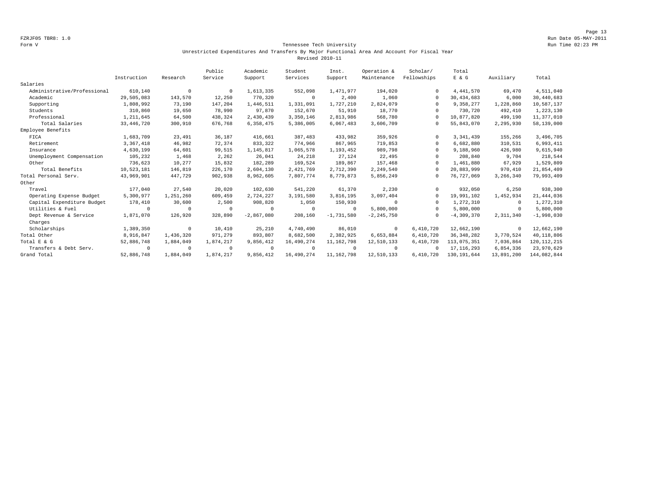Page 13 FZRJF05 TBR8: 1.0 Run Date 05-MAY-2011

#### Form V Tennessee Tech University Run Time 02:23 PM Unrestricted Expenditures And Transfers By Major Functional Area And Account For Fiscal Year Revised 2010-11

|                             |              |            | Public     | Academic     | Student    | Inst.        | Operation &    | Scholar/    | Total         |            |               |
|-----------------------------|--------------|------------|------------|--------------|------------|--------------|----------------|-------------|---------------|------------|---------------|
|                             | Instruction  | Research   | Service    | Support      | Services   | Support      | Maintenance    | Fellowships | E & G         | Auxiliary  | Total         |
| Salaries                    |              |            |            |              |            |              |                |             |               |            |               |
| Administrative/Professional | 610,140      | $^{\circ}$ | $^{\circ}$ | 1,613,335    | 552,098    | 1,471,977    | 194,020        | $\Omega$    | 4, 441, 570   | 69,470     | 4,511,040     |
| Academic                    | 29,505,083   | 143,570    | 12,250     | 770,320      | $\circ$    | 2,400        | 1,060          | $\Omega$    | 30,434,683    | 6,000      | 30,440,683    |
| Supporting                  | 1,808,992    | 73,190     | 147,204    | 1,446,511    | 1,331,091  | 1,727,210    | 2,824,079      | $\Omega$    | 9,358,277     | 1,228,860  | 10,587,137    |
| Students                    | 310,860      | 19,650     | 78,990     | 97,870       | 152,670    | 51,910       | 18,770         | $\cap$      | 730,720       | 492,410    | 1,223,130     |
| Professional                | 1,211,645    | 64,500     | 438,324    | 2,430,439    | 3,350,146  | 2,813,986    | 568,780        | $\cap$      | 10,877,820    | 499,190    | 11,377,010    |
| Total Salaries              | 33, 446, 720 | 300,910    | 676,768    | 6,358,475    | 5,386,005  | 6,067,483    | 3,606,709      | $\Omega$    | 55,843,070    | 2,295,930  | 58,139,000    |
| Employee Benefits           |              |            |            |              |            |              |                |             |               |            |               |
| FICA                        | 1,683,709    | 23,491     | 36,187     | 416,661      | 387,483    | 433,982      | 359,926        | $\Omega$    | 3, 341, 439   | 155,266    | 3,496,705     |
| Retirement                  | 3, 367, 418  | 46,982     | 72,374     | 833,322      | 774,966    | 867,965      | 719,853        | $\Omega$    | 6,682,880     | 310,531    | 6,993,411     |
| Insurance                   | 4,630,199    | 64,601     | 99,515     | 1,145,817    | 1,065,578  | 1,193,452    | 989,798        | $\Omega$    | 9,188,960     | 426,980    | 9,615,940     |
| Unemployment Compensation   | 105,232      | 1,468      | 2,262      | 26,041       | 24,218     | 27,124       | 22,495         | $\cap$      | 208,840       | 9,704      | 218,544       |
| Other                       | 736,623      | 10,277     | 15,832     | 182,289      | 169,524    | 189,867      | 157,468        | $\Omega$    | 1,461,880     | 67,929     | 1,529,809     |
| Total Benefits              | 10,523,181   | 146,819    | 226,170    | 2,604,130    | 2,421,769  | 2,712,390    | 2,249,540      | $\Omega$    | 20,883,999    | 970,410    | 21,854,409    |
| Total Personal Serv.        | 43,969,901   | 447,729    | 902,938    | 8,962,605    | 7,807,774  | 8,779,873    | 5,856,249      | $\Omega$    | 76,727,069    | 3,266,340  | 79,993,409    |
| Other                       |              |            |            |              |            |              |                |             |               |            |               |
| Travel                      | 177,040      | 27,540     | 20,020     | 102,630      | 541,220    | 61,370       | 2,230          | $\Omega$    | 932,050       | 6,250      | 938,300       |
| Operating Expense Budget    | 5,300,977    | 1,251,260  | 609,459    | 2,724,227    | 3,191,580  | 3,816,195    | 3,097,404      | $\Omega$    | 19,991,102    | 1,452,934  | 21, 444, 036  |
| Capital Expenditure Budget  | 178,410      | 30,600     | 2,500      | 908,820      | 1,050      | 150,930      | $^{\circ}$     | $\Omega$    | 1,272,310     | $^{\circ}$ | 1,272,310     |
| Utilities & Fuel            | $\Omega$     | $^{\circ}$ | $\cup$     | $^{\circ}$   | $\circ$    | $\Omega$     | 5,800,000      | $\Omega$    | 5,800,000     | $\circ$    | 5,800,000     |
| Dept Revenue & Service      | 1,871,070    | 126,920    | 328,890    | $-2,867,080$ | 208,160    | $-1,731,580$ | $-2, 245, 750$ | $\Omega$    | $-4,309,370$  | 2,311,340  | $-1,998,030$  |
| Charges                     |              |            |            |              |            |              |                |             |               |            |               |
| Scholarships                | 1,389,350    | $^{\circ}$ | 10,410     | 25,210       | 4,740,490  | 86,010       | $^{\circ}$     | 6,410,720   | 12,662,190    | $\circ$    | 12,662,190    |
| Total Other                 | 8,916,847    | 1,436,320  | 971,279    | 893,807      | 8,682,500  | 2,382,925    | 6,653,884      | 6,410,720   | 36, 348, 282  | 3,770,524  | 40,118,806    |
| Total E & G                 | 52,886,748   | 1,884,049  | 1,874,217  | 9,856,412    | 16,490,274 | 11, 162, 798 | 12,510,133     | 6,410,720   | 113,075,351   | 7,036,864  | 120, 112, 215 |
| Transfers & Debt Serv.      | $\Omega$     | $^{\circ}$ | $\Omega$   | $^{\circ}$   | $\Omega$   | $\Omega$     | $^{\circ}$     | $\Omega$    | 17, 116, 293  | 6,854,336  | 23,970,629    |
| Grand Total                 | 52,886,748   | 1,884,049  | 1,874,217  | 9,856,412    | 16,490,274 | 11, 162, 798 | 12,510,133     | 6,410,720   | 130, 191, 644 | 13,891,200 | 144,082,844   |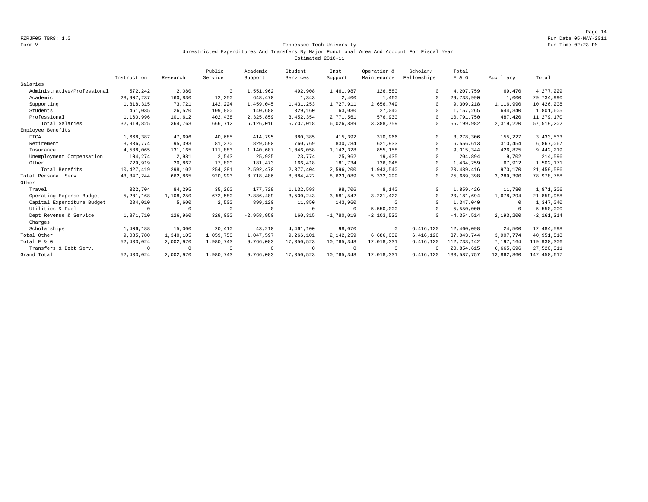Page 14 FZRJF05 TBR8: 1.0 Run Date 05-MAY-2011

#### Form V Tennessee Tech University Run Time 02:23 PM Unrestricted Expenditures And Transfers By Major Functional Area And Account For Fiscal Year Estimated 2010-11

|                             |              |            | Public    | Academic     | Student     | Inst.        | Operation &  | Scholar/    | Total          |            |                |
|-----------------------------|--------------|------------|-----------|--------------|-------------|--------------|--------------|-------------|----------------|------------|----------------|
|                             | Instruction  | Research   | Service   | Support      | Services    | Support      | Maintenance  | Fellowships | $E$ & $G$      | Auxiliary  | Total          |
| Salaries                    |              |            |           |              |             |              |              |             |                |            |                |
| Administrative/Professional | 572,242      | 2,080      | $\Omega$  | 1,551,962    | 492,908     | 1,461,987    | 126,580      | $\Omega$    | 4,207,759      | 69,470     | 4,277,229      |
| Academic                    | 28,907,237   | 160,830    | 12,250    | 648,470      | 1,343       | 2,400        | 1,460        | $\Omega$    | 29,733,990     | 1,000      | 29,734,990     |
| Supporting                  | 1,818,315    | 73,721     | 142,224   | 1,459,045    | 1,431,253   | 1,727,911    | 2,656,749    | $\cap$      | 9,309,218      | 1,116,990  | 10,426,208     |
| Students                    | 461,035      | 26,520     | 109,800   | 140,680      | 329,160     | 63,030       | 27,040       | $\Omega$    | 1,157,265      | 644,340    | 1,801,605      |
| Professional                | 1,160,996    | 101,612    | 402,438   | 2,325,859    | 3, 452, 354 | 2,771,561    | 576,930      | $\cap$      | 10,791,750     | 487.420    | 11, 279, 170   |
| Total Salaries              | 32, 919, 825 | 364,763    | 666,712   | 6, 126, 016  | 5,707,018   | 6,026,889    | 3,388,759    | $\Omega$    | 55,199,982     | 2,319,220  | 57, 519, 202   |
| Employee Benefits           |              |            |           |              |             |              |              |             |                |            |                |
| FICA                        | 1,668,387    | 47,696     | 40,685    | 414,795      | 380,385     | 415,392      | 310,966      | $\Omega$    | 3,278,306      | 155,227    | 3, 433, 533    |
| Retirement                  | 3,336,774    | 95,393     | 81,370    | 829,590      | 760,769     | 830,784      | 621,933      | $\Omega$    | 6,556,613      | 310,454    | 6,867,067      |
| Insurance                   | 4,588,065    | 131,165    | 111,883   | 1,140,687    | 1,046,058   | 1,142,328    | 855,158      | $\Omega$    | 9,015,344      | 426,875    | 9,442,219      |
| Unemployment Compensation   | 104,274      | 2,981      | 2,543     | 25,925       | 23,774      | 25,962       | 19,435       | $\Omega$    | 204,894        | 9,702      | 214,596        |
| Other                       | 729,919      | 20,867     | 17,800    | 181,473      | 166,418     | 181,734      | 136,048      | $\Omega$    | 1,434,259      | 67,912     | 1,502,171      |
| Total Benefits              | 10,427,419   | 298,102    | 254,281   | 2,592,470    | 2,377,404   | 2,596,200    | 1,943,540    | $\Omega$    | 20,489,416     | 970,170    | 21, 459, 586   |
| Total Personal Serv.        | 43, 347, 244 | 662,865    | 920,993   | 8,718,486    | 8,084,422   | 8,623,089    | 5,332,299    | 0           | 75,689,398     | 3,289,390  | 78,978,788     |
| Other                       |              |            |           |              |             |              |              |             |                |            |                |
| Travel                      | 322,704      | 84,295     | 35,260    | 177.728      | 1,132,593   | 98,706       | 8,140        | $\cap$      | 1,859,426      | 11,780     | 1,871,206      |
| Operating Expense Budget    | 5,201,168    | 1,108,250  | 672,580   | 2,886,489    | 3,500,243   | 3,581,542    | 3, 231, 422  | $\Omega$    | 20,181,694     | 1,678,294  | 21,859,988     |
| Capital Expenditure Budget  | 284,010      | 5,600      | 2,500     | 899,120      | 11,850      | 143,960      | $\Omega$     | $\Omega$    | 1,347,040      | $^{\circ}$ | 1,347,040      |
| Utilities & Fuel            | $\Omega$     | $\Omega$   | $\Omega$  | 0            | $\mathbf 0$ | $\Omega$     | 5,550,000    | $\Omega$    | 5,550,000      | 0          | 5,550,000      |
| Dept Revenue & Service      | 1,871,710    | 126,960    | 329,000   | $-2,958,950$ | 160,315     | $-1,780,019$ | $-2,103,530$ | $\Omega$    | $-4, 354, 514$ | 2,193,200  | $-2, 161, 314$ |
| Charges                     |              |            |           |              |             |              |              |             |                |            |                |
| Scholarships                | 1,406,188    | 15,000     | 20,410    | 43,210       | 4,461,100   | 98,070       | $\circ$      | 6,416,120   | 12,460,098     | 24,500     | 12,484,598     |
| Total Other                 | 9,085,780    | 1,340,105  | 1,059,750 | 1,047,597    | 9,266,101   | 2,142,259    | 6,686,032    | 6,416,120   | 37,043,744     | 3,907,774  | 40,951,518     |
| Total E & G                 | 52, 433, 024 | 2,002,970  | 1,980,743 | 9,766,083    | 17,350,523  | 10,765,348   | 12,018,331   | 6,416,120   | 112,733,142    | 7,197,164  | 119,930,306    |
| Transfers & Debt Serv.      | $\Omega$     | $^{\circ}$ | $\Omega$  | $^{\circ}$   | $\circ$     | $^{\circ}$   | $^{\circ}$   | $\cap$      | 20,854,615     | 6,665,696  | 27,520,311     |
| Grand Total                 | 52, 433, 024 | 2,002,970  | 1,980,743 | 9,766,083    | 17,350,523  | 10,765,348   | 12,018,331   | 6,416,120   | 133, 587, 757  | 13,862,860 | 147, 450, 617  |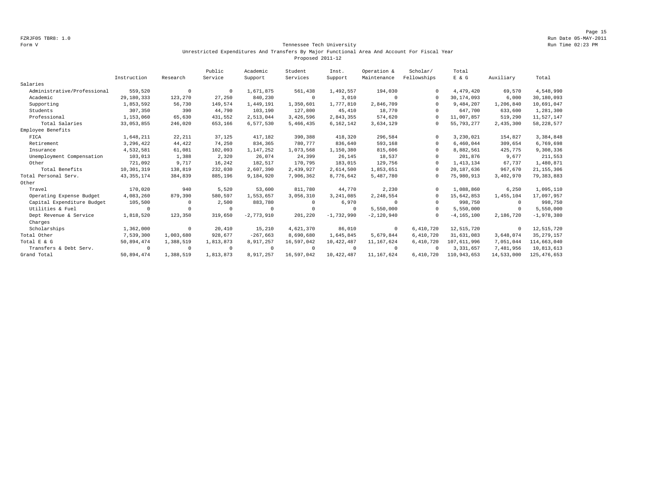Page 15 FZRJF05 TBR8: 1.0 Run Date 05-MAY-2011

#### Form V Tennessee Tech University Run Time 02:23 PM Unrestricted Expenditures And Transfers By Major Functional Area And Account For Fiscal Year Proposed 2011-12

|                             |              |            | Public    | Academic     | Student     | Inst.        | Operation &  | Scholar/    | Total          |            |               |
|-----------------------------|--------------|------------|-----------|--------------|-------------|--------------|--------------|-------------|----------------|------------|---------------|
|                             | Instruction  | Research   | Service   | Support      | Services    | Support      | Maintenance  | Fellowships | $E$ & $G$      | Auxiliary  | Total         |
| Salaries                    |              |            |           |              |             |              |              |             |                |            |               |
| Administrative/Professional | 559,520      | $^{\circ}$ | $\Omega$  | 1,671,875    | 561,438     | 1,492,557    | 194,030      | $\Omega$    | 4,479,420      | 69,570     | 4,548,990     |
| Academic                    | 29,180,333   | 123,270    | 27,250    | 840,230      | $\circ$     | 3,010        | $\Omega$     | $\Omega$    | 30, 174, 093   | 6,000      | 30,180,093    |
| Supporting                  | 1,853,592    | 56,730     | 149,574   | 1,449,191    | 1,350,601   | 1,777,810    | 2,846,709    | $\cap$      | 9,484,207      | 1,206,840  | 10,691,047    |
| Students                    | 307,350      | 390        | 44,790    | 103,190      | 127,800     | 45,410       | 18,770       |             | 647,700        | 633,600    | 1,281,300     |
| Professional                | 1,153,060    | 65,630     | 431,552   | 2,513,044    | 3,426,596   | 2,843,355    | 574.620      | $\cap$      | 11,007,857     | 519,290    | 11,527,147    |
| Total Salaries              | 33,053,855   | 246,020    | 653,166   | 6,577,530    | 5,466,435   | 6,162,142    | 3,634,129    | 0           | 55, 793, 277   | 2,435,300  | 58, 228, 577  |
| Employee Benefits           |              |            |           |              |             |              |              |             |                |            |               |
| FICA                        | 1,648,211    | 22,211     | 37,125    | 417,182      | 390,388     | 418,320      | 296,584      | $\Omega$    | 3,230,021      | 154,827    | 3,384,848     |
| Retirement                  | 3,296,422    | 44,422     | 74,250    | 834,365      | 780,777     | 836,640      | 593,168      | $\Omega$    | 6,460,044      | 309,654    | 6,769,698     |
| Insurance                   | 4,532,581    | 61,081     | 102,093   | 1,147,252    | 1,073,568   | 1,150,380    | 815,606      | $\Omega$    | 8,882,561      | 425,775    | 9,308,336     |
| Unemployment Compensation   | 103,013      | 1,388      | 2,320     | 26,074       | 24,399      | 26,145       | 18,537       | $\cap$      | 201,876        | 9,677      | 211,553       |
| Other                       | 721,092      | 9,717      | 16,242    | 182,517      | 170,795     | 183,015      | 129,756      | $\Omega$    | 1, 413, 134    | 67,737     | 1,480,871     |
| Total Benefits              | 10,301,319   | 138,819    | 232,030   | 2,607,390    | 2,439,927   | 2,614,500    | 1,853,651    | $\Omega$    | 20,187,636     | 967,670    | 21, 155, 306  |
| Total Personal Serv.        | 43, 355, 174 | 384,839    | 885,196   | 9,184,920    | 7,906,362   | 8,776,642    | 5,487,780    | 0           | 75,980,913     | 3,402,970  | 79, 383, 883  |
| Other                       |              |            |           |              |             |              |              |             |                |            |               |
| Travel                      | 170,020      | 940        | 5,520     | 53,600       | 811,780     | 44,770       | 2,230        | $\Omega$    | 1,088,860      | 6,250      | 1,095,110     |
| Operating Expense Budget    | 4,083,260    | 879,390    | 580,597   | 1,553,657    | 3,056,310   | 3, 241, 085  | 2,248,554    | $\Omega$    | 15,642,853     | 1,455,104  | 17,097,957    |
| Capital Expenditure Budget  | 105,500      | 0          | 2,500     | 883,780      | $\mathbf 0$ | 6,970        | $\Omega$     | $\Omega$    | 998,750        | $^{\circ}$ | 998,750       |
| Utilities & Fuel            | $\Omega$     | $\Omega$   | $\Omega$  | 0            | $\circ$     | $\Omega$     | 5,550,000    | $\cap$      | 5,550,000      | 0          | 5,550,000     |
| Dept Revenue & Service      | 1,818,520    | 123,350    | 319,650   | $-2,773,910$ | 201,220     | $-1,732,990$ | $-2,120,940$ | $\Omega$    | $-4, 165, 100$ | 2,186,720  | $-1,978,380$  |
| Charges                     |              |            |           |              |             |              |              |             |                |            |               |
| Scholarships                | 1,362,000    | $\circ$    | 20,410    | 15,210       | 4,621,370   | 86,010       | $\circ$      | 6,410,720   | 12,515,720     | 0          | 12,515,720    |
| Total Other                 | 7,539,300    | 1,003,680  | 928.677   | $-267,663$   | 8,690,680   | 1,645,845    | 5,679,844    | 6,410,720   | 31,631,083     | 3,648,074  | 35, 279, 157  |
| Total E & G                 | 50,894,474   | 1,388,519  | 1,813,873 | 8,917,257    | 16,597,042  | 10,422,487   | 11, 167, 624 | 6,410,720   | 107,611,996    | 7,051,044  | 114,663,040   |
| Transfers & Debt Serv.      | $\Omega$     | $^{\circ}$ | $\Omega$  | $^{\circ}$   | $\circ$     | $\Omega$     | $^{\circ}$   | $\Omega$    | 3, 331, 657    | 7,481,956  | 10,813,613    |
| Grand Total                 | 50,894,474   | 1,388,519  | 1,813,873 | 8,917,257    | 16,597,042  | 10,422,487   | 11,167,624   | 6,410,720   | 110,943,653    | 14,533,000 | 125, 476, 653 |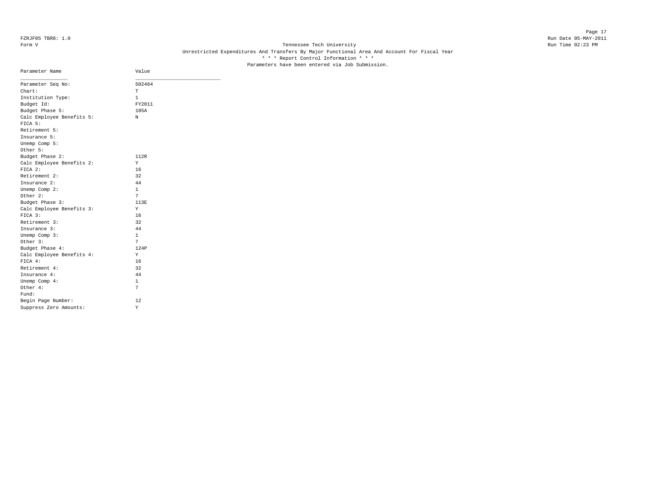# Form V Tennessee Tech University **Tennessee Tech University** Run Time 02:23 PM Unrestricted Expenditures And Transfers By Major Functional Area And Account For Fiscal Year \* \* \* Report Control Information \* \* \* Parameters have been entered via Job Submission.

| Parameter Name            | Value  |
|---------------------------|--------|
| Parameter Seq No:         | 502464 |
| Chart:                    | T      |
| Institution Type:         | 1      |
| Budget Id:                | FY2011 |
| Budget Phase 5:           | 105A   |
| Calc Employee Benefits 5: | N      |
| FICA 5:                   |        |
| Retirement 5:             |        |
| Insurance 5:              |        |
| Unemp Comp 5:             |        |
| Other 5:                  |        |
| Budget Phase 2:           | 112R   |
| Calc Employee Benefits 2: | Y      |
| $FTCA$ 2:                 | 16     |
| Retirement 2:             | 32     |
| Insurance 2:              | 44     |
| Unemp Comp 2:             | 1      |
| Other 2:                  | 7      |
| Budget Phase 3:           | 113E   |
| Calc Employee Benefits 3: | Y      |
| FICA 3:                   | 16     |
| Retirement 3:             | 32     |
| Insurance 3:              | 44     |
| Unemp Comp 3:             | 1      |
| Other 3:                  | 7      |
| Budget Phase 4:           | 124P   |
| Calc Employee Benefits 4: | Y      |
| FICA 4:                   | 16     |
| Retirement 4:             | 32     |
| Insurance 4:              | 44     |
| Unemp Comp 4:             | 1      |
| Other 4:                  | 7      |
| Fund:                     |        |
| Begin Page Number:        | 12     |
| Suppress Zero Amounts:    | Υ      |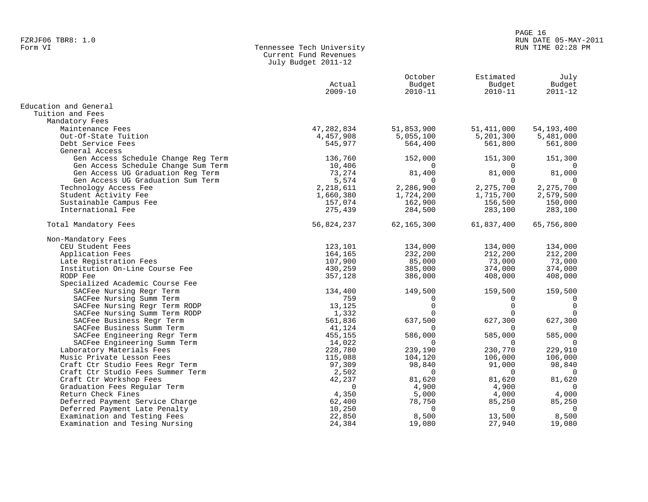#### PAGE 16 FZRJF06 TBR8: 1.0<br>Form VI RUN DATE 05-MAY-2011 RUN DATE 05-MAY-2011 RUN TIME 02:28 PM

| Form VI | Tennessee Tech University |
|---------|---------------------------|
|         | Current Fund Revenues     |
|         | July Budget 2011-12       |

|                                     | Actual<br>$2009 - 10$ | October<br>Budget<br>2010-11 | Estimated<br>Budget<br>$2010 - 11$ | July<br>Budget<br>$2011 - 12$ |
|-------------------------------------|-----------------------|------------------------------|------------------------------------|-------------------------------|
| Education and General               |                       |                              |                                    |                               |
| Tuition and Fees                    |                       |                              |                                    |                               |
| Mandatory Fees                      |                       |                              |                                    |                               |
| Maintenance Fees                    | 47,282,834            | 51,853,900                   | 51,411,000                         | 54,193,400                    |
| Out-Of-State Tuition                | 4,457,908             | 5,055,100                    | 5,201,300                          | 5,481,000                     |
| Debt Service Fees                   | 545,977               | 564,400                      | 561,800                            | 561,800                       |
| General Access                      |                       |                              |                                    |                               |
| Gen Access Schedule Change Reg Term | 136,760               | 152,000                      | 151,300                            | 151,300                       |
| Gen Access Schedule Change Sum Term | 10,406                | $\Omega$                     | $\Omega$                           | 0                             |
| Gen Access UG Graduation Reg Term   | 73,274                | 81,400                       | 81,000                             | 81,000                        |
| Gen Access UG Graduation Sum Term   | 5,574                 | $\Omega$                     | $\Omega$                           | $\Omega$                      |
| Technology Access Fee               | 2,218,611             | 2,286,900                    | 2,275,700                          | 2,275,700                     |
| Student Activity Fee                | 1,660,380             | 1,724,200                    | 1,715,700                          | 2,579,500                     |
| Sustainable Campus Fee              | 157,074               | 162,900                      | 156,500                            | 150,000                       |
| International Fee                   | 275,439               | 284,500                      | 283,100                            | 283,100                       |
| Total Mandatory Fees                | 56,824,237            | 62,165,300                   | 61,837,400                         | 65,756,800                    |
| Non-Mandatory Fees                  |                       |                              |                                    |                               |
| CEU Student Fees                    | 123,101               | 134,000                      | 134,000                            | 134,000                       |
| Application Fees                    | 164,165               | 232,200                      | 212,200                            | 212,200                       |
| Late Registration Fees              | 107,900               | 85,000                       | 73,000                             | 73,000                        |
| Institution On-Line Course Fee      | 430,259               | 385,000                      | 374,000                            | 374,000                       |
| RODP Fee                            | 357,128               | 386,000                      | 408,000                            | 408,000                       |
| Specialized Academic Course Fee     |                       |                              |                                    |                               |
| SACFee Nursing Regr Term            | 134,400               | 149,500                      | 159,500                            | 159,500                       |
| SACFee Nursing Summ Term            | 759                   | $\Omega$                     | 0                                  | $\overline{0}$                |
| SACFee Nursing Regr Term RODP       | 13,125                | $\Omega$                     | $\Omega$                           | $\mathbf 0$                   |
| SACFee Nursing Summ Term RODP       | 1,332                 | 0                            | 0                                  | $\mathbf 0$                   |
| SACFee Business Regr Term           | 561,836               | 637,500                      | 627,300                            | 627,300                       |
| SACFee Business Summ Term           | 41,124                | $\Omega$                     | $\Omega$                           | $\overline{0}$                |
| SACFee Engineering Regr Term        | 455,155               | 586,000                      | 585,000                            | 585,000                       |
| SACFee Engineering Summ Term        | 14,022                | $\Omega$                     | $\Omega$                           | $\Omega$                      |
| Laboratory Materials Fees           | 228,780               | 239,190                      | 230,770                            | 229,910                       |
| Music Private Lesson Fees           | 115,088               | 104,120                      | 106,000                            | 106,000                       |
| Craft Ctr Studio Fees Regr Term     | 97,309                | 98,840                       | 91,000                             | 98,840                        |
| Craft Ctr Studio Fees Summer Term   | 2,502                 | $\Omega$                     | $\Omega$                           | $\Omega$                      |
| Craft Ctr Workshop Fees             | 42,237                | 81,620                       | 81,620                             | 81,620                        |
| Graduation Fees Regular Term        | 0                     | 4,900                        | 4,900                              | 0                             |
| Return Check Fines                  | 4,350                 | 5,000                        | 4,000                              | 4,000                         |
| Deferred Payment Service Charge     | 62,400                | 78,750                       | 85,250                             | 85,250                        |
| Deferred Payment Late Penalty       | 10,250                | $\Omega$                     | $\Omega$                           | $\Omega$                      |
| Examination and Testing Fees        | 22,850                | 8,500                        | 13,500                             | 8,500                         |
| Examination and Tesing Nursing      | 24,384                | 19,080                       | 27,940                             | 19,080                        |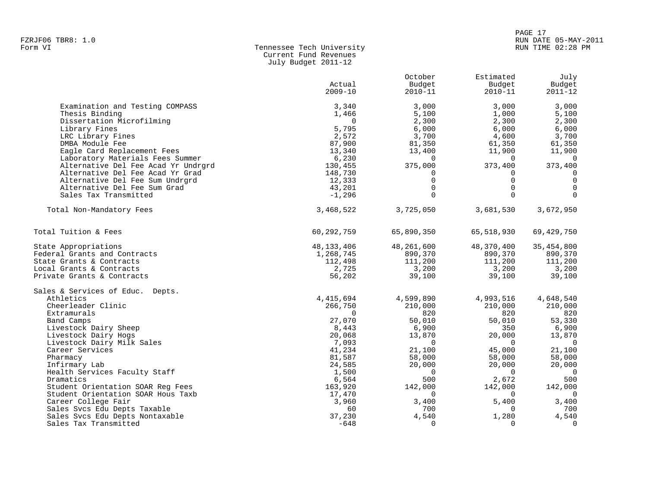#### PAGE 17 FZRJF06 TBR8: 1.0<br>Form VI RUN DATE 05-MAY-2011 RUN DATE 05-MAY-2011 RUN TIME 02:28 PM

| Form VI | Tennessee Tech University |
|---------|---------------------------|
|         | Current Fund Revenues     |
|         | July Budget 2011-12       |

| Budget<br>Actual<br>Budget<br>Budget<br>$2009 - 10$<br>$2010 - 11$<br>$2010 - 11$<br>$2011 - 12$<br>Examination and Testing COMPASS<br>3,000<br>3,000<br>3,340<br>3,000<br>Thesis Binding<br>5,100<br>1,000<br>5,100<br>1,466<br>Dissertation Microfilming<br>2,300<br>$\Omega$<br>2,300<br>2,300<br>5,795<br>6,000<br>6,000<br>Library Fines<br>6,000<br>3,700<br>2,572<br>3,700<br>LRC Library Fines<br>4,600<br>87,900<br>61,350<br>DMBA Module Fee<br>81,350<br>61,350<br>13,340<br>11,900<br>Eagle Card Replacement Fees<br>13,400<br>11,900<br>Laboratory Materials Fees Summer<br>6,230<br>$\Omega$<br>$\Omega$<br>$\Omega$<br>Alternative Del Fee Acad Yr Undrgrd<br>130,455<br>375,000<br>373,400<br>373,400<br>Alternative Del Fee Acad Yr Grad<br>148,730<br>$\mathbf 0$<br>0<br>0<br>0<br>$\mathbf 0$<br>Alternative Del Fee Sum Undrgrd<br>12,333<br>$\Omega$<br>$\mathbf{0}$<br>$\Omega$<br>$\Omega$<br>Alternative Del Fee Sum Grad<br>43,201<br>$\Omega$<br>$-1,296$<br>$\Omega$<br>Sales Tax Transmitted<br>$\Omega$<br>Total Non-Mandatory Fees<br>3,468,522<br>3,725,050<br>3,681,530<br>3,672,950<br>Total Tuition & Fees<br>60,292,759<br>65,890,350<br>65,518,930<br>69, 429, 750<br>48,370,400<br>35, 454, 800<br>State Appropriations<br>48, 133, 406<br>48,261,600<br>Federal Grants and Contracts<br>890,370<br>890,370<br>1,268,745<br>890,370<br>111,200<br>State Grants & Contracts<br>112,498<br>111,200<br>111,200<br>3,200<br>Local Grants & Contracts<br>2,725<br>3,200<br>3,200<br>Private Grants & Contracts<br>56,202<br>39,100<br>39,100<br>39,100<br>Sales & Services of Educ. Depts.<br>Athletics<br>4, 415, 694<br>4,599,890<br>4,993,516<br>4,648,540<br>Cheerleader Clinic<br>266,750<br>210,000<br>210,000<br>210,000<br>Extramurals<br>820<br>820<br>820<br>$\Omega$<br>Band Camps<br>27,070<br>50,010<br>50,010<br>53,330<br>Livestock Dairy Sheep<br>8,443<br>6,900<br>350<br>6,900<br>13,870<br>20,000<br>13,870<br>Livestock Dairy Hogs<br>20,068<br>7,093<br>$\Omega$<br>$\overline{0}$<br>Livestock Dairy Milk Sales<br>$\mathbf 0$<br>Career Services<br>45,000<br>21,100<br>41,234<br>21,100<br>58,000<br>58,000<br>58,000<br>Pharmacy<br>81,587<br>24,585<br>20,000<br>20,000<br>20,000<br>Infirmary Lab<br>Health Services Faculty Staff<br>1,500<br>$\Omega$<br>$\Omega$<br>$\overline{0}$<br>Dramatics<br>500<br>2,672<br>500<br>6,564<br>142,000<br>142,000<br>Student Orientation SOAR Req Fees<br>163,920<br>142,000<br>Student Orientation SOAR Hous Taxb<br>17,470<br>$\Omega$<br>$\overline{0}$<br>$\Omega$<br>3,400<br>Career College Fair<br>3,960<br>3,400<br>5,400<br>Sales Svcs Edu Depts Taxable<br>60<br>700<br>$\Omega$<br>700<br>4,540<br>Sales Svcs Edu Depts Nontaxable<br>4,540<br>1,280<br>37,230<br>$\overline{0}$<br>Sales Tax Transmitted<br>$-648$<br>0<br>$\Omega$ |  | October | Estimated | July |
|----------------------------------------------------------------------------------------------------------------------------------------------------------------------------------------------------------------------------------------------------------------------------------------------------------------------------------------------------------------------------------------------------------------------------------------------------------------------------------------------------------------------------------------------------------------------------------------------------------------------------------------------------------------------------------------------------------------------------------------------------------------------------------------------------------------------------------------------------------------------------------------------------------------------------------------------------------------------------------------------------------------------------------------------------------------------------------------------------------------------------------------------------------------------------------------------------------------------------------------------------------------------------------------------------------------------------------------------------------------------------------------------------------------------------------------------------------------------------------------------------------------------------------------------------------------------------------------------------------------------------------------------------------------------------------------------------------------------------------------------------------------------------------------------------------------------------------------------------------------------------------------------------------------------------------------------------------------------------------------------------------------------------------------------------------------------------------------------------------------------------------------------------------------------------------------------------------------------------------------------------------------------------------------------------------------------------------------------------------------------------------------------------------------------------------------------------------------------------------------------------------------------------------------------------------------------------------------------------------------------------------------------------------------------------------------------------------------------------------------------------------------------------------------------------------------------------------------------------|--|---------|-----------|------|
|                                                                                                                                                                                                                                                                                                                                                                                                                                                                                                                                                                                                                                                                                                                                                                                                                                                                                                                                                                                                                                                                                                                                                                                                                                                                                                                                                                                                                                                                                                                                                                                                                                                                                                                                                                                                                                                                                                                                                                                                                                                                                                                                                                                                                                                                                                                                                                                                                                                                                                                                                                                                                                                                                                                                                                                                                                                    |  |         |           |      |
|                                                                                                                                                                                                                                                                                                                                                                                                                                                                                                                                                                                                                                                                                                                                                                                                                                                                                                                                                                                                                                                                                                                                                                                                                                                                                                                                                                                                                                                                                                                                                                                                                                                                                                                                                                                                                                                                                                                                                                                                                                                                                                                                                                                                                                                                                                                                                                                                                                                                                                                                                                                                                                                                                                                                                                                                                                                    |  |         |           |      |
|                                                                                                                                                                                                                                                                                                                                                                                                                                                                                                                                                                                                                                                                                                                                                                                                                                                                                                                                                                                                                                                                                                                                                                                                                                                                                                                                                                                                                                                                                                                                                                                                                                                                                                                                                                                                                                                                                                                                                                                                                                                                                                                                                                                                                                                                                                                                                                                                                                                                                                                                                                                                                                                                                                                                                                                                                                                    |  |         |           |      |
|                                                                                                                                                                                                                                                                                                                                                                                                                                                                                                                                                                                                                                                                                                                                                                                                                                                                                                                                                                                                                                                                                                                                                                                                                                                                                                                                                                                                                                                                                                                                                                                                                                                                                                                                                                                                                                                                                                                                                                                                                                                                                                                                                                                                                                                                                                                                                                                                                                                                                                                                                                                                                                                                                                                                                                                                                                                    |  |         |           |      |
|                                                                                                                                                                                                                                                                                                                                                                                                                                                                                                                                                                                                                                                                                                                                                                                                                                                                                                                                                                                                                                                                                                                                                                                                                                                                                                                                                                                                                                                                                                                                                                                                                                                                                                                                                                                                                                                                                                                                                                                                                                                                                                                                                                                                                                                                                                                                                                                                                                                                                                                                                                                                                                                                                                                                                                                                                                                    |  |         |           |      |
|                                                                                                                                                                                                                                                                                                                                                                                                                                                                                                                                                                                                                                                                                                                                                                                                                                                                                                                                                                                                                                                                                                                                                                                                                                                                                                                                                                                                                                                                                                                                                                                                                                                                                                                                                                                                                                                                                                                                                                                                                                                                                                                                                                                                                                                                                                                                                                                                                                                                                                                                                                                                                                                                                                                                                                                                                                                    |  |         |           |      |
|                                                                                                                                                                                                                                                                                                                                                                                                                                                                                                                                                                                                                                                                                                                                                                                                                                                                                                                                                                                                                                                                                                                                                                                                                                                                                                                                                                                                                                                                                                                                                                                                                                                                                                                                                                                                                                                                                                                                                                                                                                                                                                                                                                                                                                                                                                                                                                                                                                                                                                                                                                                                                                                                                                                                                                                                                                                    |  |         |           |      |
|                                                                                                                                                                                                                                                                                                                                                                                                                                                                                                                                                                                                                                                                                                                                                                                                                                                                                                                                                                                                                                                                                                                                                                                                                                                                                                                                                                                                                                                                                                                                                                                                                                                                                                                                                                                                                                                                                                                                                                                                                                                                                                                                                                                                                                                                                                                                                                                                                                                                                                                                                                                                                                                                                                                                                                                                                                                    |  |         |           |      |
|                                                                                                                                                                                                                                                                                                                                                                                                                                                                                                                                                                                                                                                                                                                                                                                                                                                                                                                                                                                                                                                                                                                                                                                                                                                                                                                                                                                                                                                                                                                                                                                                                                                                                                                                                                                                                                                                                                                                                                                                                                                                                                                                                                                                                                                                                                                                                                                                                                                                                                                                                                                                                                                                                                                                                                                                                                                    |  |         |           |      |
|                                                                                                                                                                                                                                                                                                                                                                                                                                                                                                                                                                                                                                                                                                                                                                                                                                                                                                                                                                                                                                                                                                                                                                                                                                                                                                                                                                                                                                                                                                                                                                                                                                                                                                                                                                                                                                                                                                                                                                                                                                                                                                                                                                                                                                                                                                                                                                                                                                                                                                                                                                                                                                                                                                                                                                                                                                                    |  |         |           |      |
|                                                                                                                                                                                                                                                                                                                                                                                                                                                                                                                                                                                                                                                                                                                                                                                                                                                                                                                                                                                                                                                                                                                                                                                                                                                                                                                                                                                                                                                                                                                                                                                                                                                                                                                                                                                                                                                                                                                                                                                                                                                                                                                                                                                                                                                                                                                                                                                                                                                                                                                                                                                                                                                                                                                                                                                                                                                    |  |         |           |      |
|                                                                                                                                                                                                                                                                                                                                                                                                                                                                                                                                                                                                                                                                                                                                                                                                                                                                                                                                                                                                                                                                                                                                                                                                                                                                                                                                                                                                                                                                                                                                                                                                                                                                                                                                                                                                                                                                                                                                                                                                                                                                                                                                                                                                                                                                                                                                                                                                                                                                                                                                                                                                                                                                                                                                                                                                                                                    |  |         |           |      |
|                                                                                                                                                                                                                                                                                                                                                                                                                                                                                                                                                                                                                                                                                                                                                                                                                                                                                                                                                                                                                                                                                                                                                                                                                                                                                                                                                                                                                                                                                                                                                                                                                                                                                                                                                                                                                                                                                                                                                                                                                                                                                                                                                                                                                                                                                                                                                                                                                                                                                                                                                                                                                                                                                                                                                                                                                                                    |  |         |           |      |
|                                                                                                                                                                                                                                                                                                                                                                                                                                                                                                                                                                                                                                                                                                                                                                                                                                                                                                                                                                                                                                                                                                                                                                                                                                                                                                                                                                                                                                                                                                                                                                                                                                                                                                                                                                                                                                                                                                                                                                                                                                                                                                                                                                                                                                                                                                                                                                                                                                                                                                                                                                                                                                                                                                                                                                                                                                                    |  |         |           |      |
|                                                                                                                                                                                                                                                                                                                                                                                                                                                                                                                                                                                                                                                                                                                                                                                                                                                                                                                                                                                                                                                                                                                                                                                                                                                                                                                                                                                                                                                                                                                                                                                                                                                                                                                                                                                                                                                                                                                                                                                                                                                                                                                                                                                                                                                                                                                                                                                                                                                                                                                                                                                                                                                                                                                                                                                                                                                    |  |         |           |      |
|                                                                                                                                                                                                                                                                                                                                                                                                                                                                                                                                                                                                                                                                                                                                                                                                                                                                                                                                                                                                                                                                                                                                                                                                                                                                                                                                                                                                                                                                                                                                                                                                                                                                                                                                                                                                                                                                                                                                                                                                                                                                                                                                                                                                                                                                                                                                                                                                                                                                                                                                                                                                                                                                                                                                                                                                                                                    |  |         |           |      |
|                                                                                                                                                                                                                                                                                                                                                                                                                                                                                                                                                                                                                                                                                                                                                                                                                                                                                                                                                                                                                                                                                                                                                                                                                                                                                                                                                                                                                                                                                                                                                                                                                                                                                                                                                                                                                                                                                                                                                                                                                                                                                                                                                                                                                                                                                                                                                                                                                                                                                                                                                                                                                                                                                                                                                                                                                                                    |  |         |           |      |
|                                                                                                                                                                                                                                                                                                                                                                                                                                                                                                                                                                                                                                                                                                                                                                                                                                                                                                                                                                                                                                                                                                                                                                                                                                                                                                                                                                                                                                                                                                                                                                                                                                                                                                                                                                                                                                                                                                                                                                                                                                                                                                                                                                                                                                                                                                                                                                                                                                                                                                                                                                                                                                                                                                                                                                                                                                                    |  |         |           |      |
|                                                                                                                                                                                                                                                                                                                                                                                                                                                                                                                                                                                                                                                                                                                                                                                                                                                                                                                                                                                                                                                                                                                                                                                                                                                                                                                                                                                                                                                                                                                                                                                                                                                                                                                                                                                                                                                                                                                                                                                                                                                                                                                                                                                                                                                                                                                                                                                                                                                                                                                                                                                                                                                                                                                                                                                                                                                    |  |         |           |      |
|                                                                                                                                                                                                                                                                                                                                                                                                                                                                                                                                                                                                                                                                                                                                                                                                                                                                                                                                                                                                                                                                                                                                                                                                                                                                                                                                                                                                                                                                                                                                                                                                                                                                                                                                                                                                                                                                                                                                                                                                                                                                                                                                                                                                                                                                                                                                                                                                                                                                                                                                                                                                                                                                                                                                                                                                                                                    |  |         |           |      |
|                                                                                                                                                                                                                                                                                                                                                                                                                                                                                                                                                                                                                                                                                                                                                                                                                                                                                                                                                                                                                                                                                                                                                                                                                                                                                                                                                                                                                                                                                                                                                                                                                                                                                                                                                                                                                                                                                                                                                                                                                                                                                                                                                                                                                                                                                                                                                                                                                                                                                                                                                                                                                                                                                                                                                                                                                                                    |  |         |           |      |
|                                                                                                                                                                                                                                                                                                                                                                                                                                                                                                                                                                                                                                                                                                                                                                                                                                                                                                                                                                                                                                                                                                                                                                                                                                                                                                                                                                                                                                                                                                                                                                                                                                                                                                                                                                                                                                                                                                                                                                                                                                                                                                                                                                                                                                                                                                                                                                                                                                                                                                                                                                                                                                                                                                                                                                                                                                                    |  |         |           |      |
|                                                                                                                                                                                                                                                                                                                                                                                                                                                                                                                                                                                                                                                                                                                                                                                                                                                                                                                                                                                                                                                                                                                                                                                                                                                                                                                                                                                                                                                                                                                                                                                                                                                                                                                                                                                                                                                                                                                                                                                                                                                                                                                                                                                                                                                                                                                                                                                                                                                                                                                                                                                                                                                                                                                                                                                                                                                    |  |         |           |      |
|                                                                                                                                                                                                                                                                                                                                                                                                                                                                                                                                                                                                                                                                                                                                                                                                                                                                                                                                                                                                                                                                                                                                                                                                                                                                                                                                                                                                                                                                                                                                                                                                                                                                                                                                                                                                                                                                                                                                                                                                                                                                                                                                                                                                                                                                                                                                                                                                                                                                                                                                                                                                                                                                                                                                                                                                                                                    |  |         |           |      |
|                                                                                                                                                                                                                                                                                                                                                                                                                                                                                                                                                                                                                                                                                                                                                                                                                                                                                                                                                                                                                                                                                                                                                                                                                                                                                                                                                                                                                                                                                                                                                                                                                                                                                                                                                                                                                                                                                                                                                                                                                                                                                                                                                                                                                                                                                                                                                                                                                                                                                                                                                                                                                                                                                                                                                                                                                                                    |  |         |           |      |
|                                                                                                                                                                                                                                                                                                                                                                                                                                                                                                                                                                                                                                                                                                                                                                                                                                                                                                                                                                                                                                                                                                                                                                                                                                                                                                                                                                                                                                                                                                                                                                                                                                                                                                                                                                                                                                                                                                                                                                                                                                                                                                                                                                                                                                                                                                                                                                                                                                                                                                                                                                                                                                                                                                                                                                                                                                                    |  |         |           |      |
|                                                                                                                                                                                                                                                                                                                                                                                                                                                                                                                                                                                                                                                                                                                                                                                                                                                                                                                                                                                                                                                                                                                                                                                                                                                                                                                                                                                                                                                                                                                                                                                                                                                                                                                                                                                                                                                                                                                                                                                                                                                                                                                                                                                                                                                                                                                                                                                                                                                                                                                                                                                                                                                                                                                                                                                                                                                    |  |         |           |      |
|                                                                                                                                                                                                                                                                                                                                                                                                                                                                                                                                                                                                                                                                                                                                                                                                                                                                                                                                                                                                                                                                                                                                                                                                                                                                                                                                                                                                                                                                                                                                                                                                                                                                                                                                                                                                                                                                                                                                                                                                                                                                                                                                                                                                                                                                                                                                                                                                                                                                                                                                                                                                                                                                                                                                                                                                                                                    |  |         |           |      |
|                                                                                                                                                                                                                                                                                                                                                                                                                                                                                                                                                                                                                                                                                                                                                                                                                                                                                                                                                                                                                                                                                                                                                                                                                                                                                                                                                                                                                                                                                                                                                                                                                                                                                                                                                                                                                                                                                                                                                                                                                                                                                                                                                                                                                                                                                                                                                                                                                                                                                                                                                                                                                                                                                                                                                                                                                                                    |  |         |           |      |
|                                                                                                                                                                                                                                                                                                                                                                                                                                                                                                                                                                                                                                                                                                                                                                                                                                                                                                                                                                                                                                                                                                                                                                                                                                                                                                                                                                                                                                                                                                                                                                                                                                                                                                                                                                                                                                                                                                                                                                                                                                                                                                                                                                                                                                                                                                                                                                                                                                                                                                                                                                                                                                                                                                                                                                                                                                                    |  |         |           |      |
|                                                                                                                                                                                                                                                                                                                                                                                                                                                                                                                                                                                                                                                                                                                                                                                                                                                                                                                                                                                                                                                                                                                                                                                                                                                                                                                                                                                                                                                                                                                                                                                                                                                                                                                                                                                                                                                                                                                                                                                                                                                                                                                                                                                                                                                                                                                                                                                                                                                                                                                                                                                                                                                                                                                                                                                                                                                    |  |         |           |      |
|                                                                                                                                                                                                                                                                                                                                                                                                                                                                                                                                                                                                                                                                                                                                                                                                                                                                                                                                                                                                                                                                                                                                                                                                                                                                                                                                                                                                                                                                                                                                                                                                                                                                                                                                                                                                                                                                                                                                                                                                                                                                                                                                                                                                                                                                                                                                                                                                                                                                                                                                                                                                                                                                                                                                                                                                                                                    |  |         |           |      |
|                                                                                                                                                                                                                                                                                                                                                                                                                                                                                                                                                                                                                                                                                                                                                                                                                                                                                                                                                                                                                                                                                                                                                                                                                                                                                                                                                                                                                                                                                                                                                                                                                                                                                                                                                                                                                                                                                                                                                                                                                                                                                                                                                                                                                                                                                                                                                                                                                                                                                                                                                                                                                                                                                                                                                                                                                                                    |  |         |           |      |
|                                                                                                                                                                                                                                                                                                                                                                                                                                                                                                                                                                                                                                                                                                                                                                                                                                                                                                                                                                                                                                                                                                                                                                                                                                                                                                                                                                                                                                                                                                                                                                                                                                                                                                                                                                                                                                                                                                                                                                                                                                                                                                                                                                                                                                                                                                                                                                                                                                                                                                                                                                                                                                                                                                                                                                                                                                                    |  |         |           |      |
|                                                                                                                                                                                                                                                                                                                                                                                                                                                                                                                                                                                                                                                                                                                                                                                                                                                                                                                                                                                                                                                                                                                                                                                                                                                                                                                                                                                                                                                                                                                                                                                                                                                                                                                                                                                                                                                                                                                                                                                                                                                                                                                                                                                                                                                                                                                                                                                                                                                                                                                                                                                                                                                                                                                                                                                                                                                    |  |         |           |      |
|                                                                                                                                                                                                                                                                                                                                                                                                                                                                                                                                                                                                                                                                                                                                                                                                                                                                                                                                                                                                                                                                                                                                                                                                                                                                                                                                                                                                                                                                                                                                                                                                                                                                                                                                                                                                                                                                                                                                                                                                                                                                                                                                                                                                                                                                                                                                                                                                                                                                                                                                                                                                                                                                                                                                                                                                                                                    |  |         |           |      |
|                                                                                                                                                                                                                                                                                                                                                                                                                                                                                                                                                                                                                                                                                                                                                                                                                                                                                                                                                                                                                                                                                                                                                                                                                                                                                                                                                                                                                                                                                                                                                                                                                                                                                                                                                                                                                                                                                                                                                                                                                                                                                                                                                                                                                                                                                                                                                                                                                                                                                                                                                                                                                                                                                                                                                                                                                                                    |  |         |           |      |
|                                                                                                                                                                                                                                                                                                                                                                                                                                                                                                                                                                                                                                                                                                                                                                                                                                                                                                                                                                                                                                                                                                                                                                                                                                                                                                                                                                                                                                                                                                                                                                                                                                                                                                                                                                                                                                                                                                                                                                                                                                                                                                                                                                                                                                                                                                                                                                                                                                                                                                                                                                                                                                                                                                                                                                                                                                                    |  |         |           |      |
|                                                                                                                                                                                                                                                                                                                                                                                                                                                                                                                                                                                                                                                                                                                                                                                                                                                                                                                                                                                                                                                                                                                                                                                                                                                                                                                                                                                                                                                                                                                                                                                                                                                                                                                                                                                                                                                                                                                                                                                                                                                                                                                                                                                                                                                                                                                                                                                                                                                                                                                                                                                                                                                                                                                                                                                                                                                    |  |         |           |      |
|                                                                                                                                                                                                                                                                                                                                                                                                                                                                                                                                                                                                                                                                                                                                                                                                                                                                                                                                                                                                                                                                                                                                                                                                                                                                                                                                                                                                                                                                                                                                                                                                                                                                                                                                                                                                                                                                                                                                                                                                                                                                                                                                                                                                                                                                                                                                                                                                                                                                                                                                                                                                                                                                                                                                                                                                                                                    |  |         |           |      |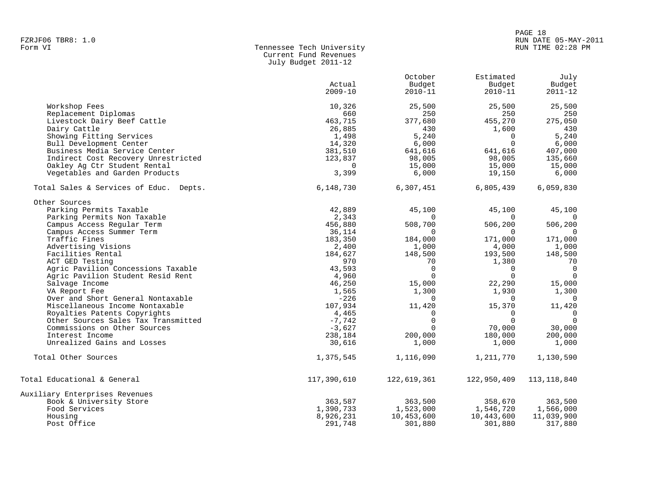# PAGE 18 FZRJF06 TBR8: 1.0 RUN DATE 05-MAY-2011

# Form VI Tennessee Tech University RUN TIME 02:28 PM Current Fund Revenues July Budget 2011-12

|                                        |             | October     | Estimated   | July           |
|----------------------------------------|-------------|-------------|-------------|----------------|
|                                        | Actual      | Budget      | Budget      | Budget         |
|                                        | $2009 - 10$ | $2010 - 11$ | $2010 - 11$ | $2011 - 12$    |
| Workshop Fees                          | 10,326      | 25,500      | 25,500      | 25,500         |
| Replacement Diplomas                   | 660         | 250         | 250         | 250            |
| Livestock Dairy Beef Cattle            | 463,715     | 377,680     | 455,270     | 275,050        |
| Dairy Cattle                           | 26,885      | 430         | 1,600       | 430            |
| Showing Fitting Services               | 1,498       | 5,240       | $\mathbf 0$ | 5,240          |
| Bull Development Center                | 14,320      | 6,000       | $\mathbf 0$ | 6,000          |
| Business Media Service Center          | 381,510     | 641,616     | 641,616     | 407,000        |
| Indirect Cost Recovery Unrestricted    | 123,837     | 98,005      | 98,005      | 135,660        |
| Oakley Ag Ctr Student Rental           | $\Omega$    | 15,000      | 15,000      | 15,000         |
| Vegetables and Garden Products         | 3,399       | 6,000       | 19,150      | 6,000          |
| Total Sales & Services of Educ. Depts. | 6,148,730   | 6,307,451   | 6,805,439   | 6,059,830      |
| Other Sources                          |             |             |             |                |
| Parking Permits Taxable                | 42,889      | 45,100      | 45,100      | 45,100         |
| Parking Permits Non Taxable            | 2,343       | $\Omega$    | $\Omega$    |                |
| Campus Access Regular Term             | 456,880     | 508,700     | 506,200     | 506,200        |
| Campus Access Summer Term              | 36,114      | $\Omega$    | $\Omega$    |                |
| Traffic Fines                          | 183,350     | 184,000     | 171,000     | 171,000        |
| Advertising Visions                    | 2,400       | 1,000       | 4,000       | 1,000          |
| Facilities Rental                      | 184,627     | 148,500     | 193,500     | 148,500        |
| ACT GED Testing                        | 970         | 70          | 1,380       | 70             |
| Agric Pavilion Concessions Taxable     | 43,593      | $\Omega$    | $\mathbf 0$ | $\overline{0}$ |
| Agric Pavilion Student Resid Rent      | 4,960       | $\Omega$    | $\Omega$    | $\Omega$       |
| Salvage Income                         | 46,250      | 15,000      | 22,290      | 15,000         |
| VA Report Fee                          | 1,565       | 1,300       | 1,930       | 1,300          |
| Over and Short General Nontaxable      | $-226$      | $\Omega$    | $\Omega$    | $\Omega$       |
| Miscellaneous Income Nontaxable        | 107,934     | 11,420      | 15,370      | 11,420         |
| Royalties Patents Copyrights           | 4,465       | $\Omega$    | $\Omega$    | $\Omega$       |
| Other Sources Sales Tax Transmitted    | $-7,742$    | $\Omega$    | $\Omega$    | $\Omega$       |
| Commissions on Other Sources           | $-3,627$    | $\Omega$    | 70,000      | 30,000         |
| Interest Income                        | 238,184     | 200,000     | 180,000     | 200,000        |
| Unrealized Gains and Losses            | 30,616      | 1,000       | 1,000       | 1,000          |
| Total Other Sources                    | 1,375,545   | 1,116,090   | 1,211,770   | 1,130,590      |
| Total Educational & General            | 117,390,610 | 122,619,361 | 122,950,409 | 113, 118, 840  |
| Auxiliary Enterprises Revenues         |             |             |             |                |
| Book & University Store                | 363,587     | 363,500     | 358,670     | 363,500        |
| Food Services                          | 1,390,733   | 1,523,000   | 1,546,720   | 1,566,000      |
| Housing                                | 8,926,231   | 10,453,600  | 10,443,600  | 11,039,900     |
| Post Office                            | 291,748     | 301,880     | 301,880     | 317,880        |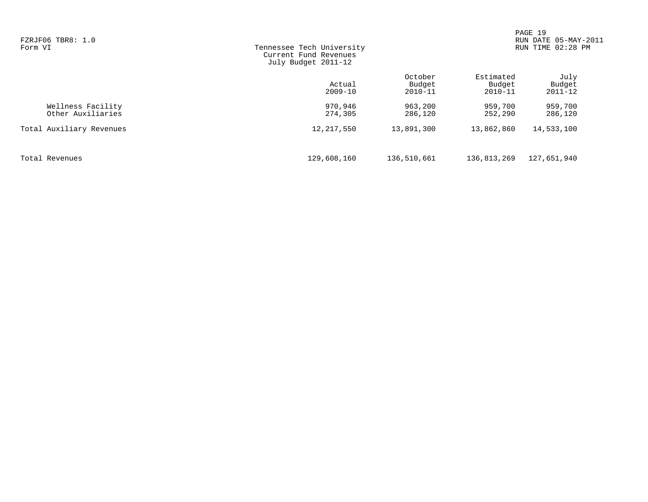| FZRJF06 TBR8: 1.0<br>Form VI           | Tennessee Tech University<br>Current Fund Revenues<br>July Budget 2011-12 |                                  |                                    | PAGE 19<br>DATE 05-MAY-2011<br><b>RUN</b><br>TIME 02:28 PM<br><b>RUN</b> |  |
|----------------------------------------|---------------------------------------------------------------------------|----------------------------------|------------------------------------|--------------------------------------------------------------------------|--|
|                                        | Actual<br>$2009 - 10$                                                     | October<br>Budget<br>$2010 - 11$ | Estimated<br>Budget<br>$2010 - 11$ | July<br>Budget<br>$2011 - 12$                                            |  |
| Wellness Facility<br>Other Auxiliaries | 970,946<br>274,305                                                        | 963,200<br>286,120               | 959,700<br>252,290                 | 959,700<br>286,120                                                       |  |
| Total Auxiliary Revenues               | 12, 217, 550                                                              | 13,891,300                       | 13,862,860                         | 14,533,100                                                               |  |
| Total Revenues                         | 129,608,160                                                               | 136,510,661                      | 136,813,269                        | 127,651,940                                                              |  |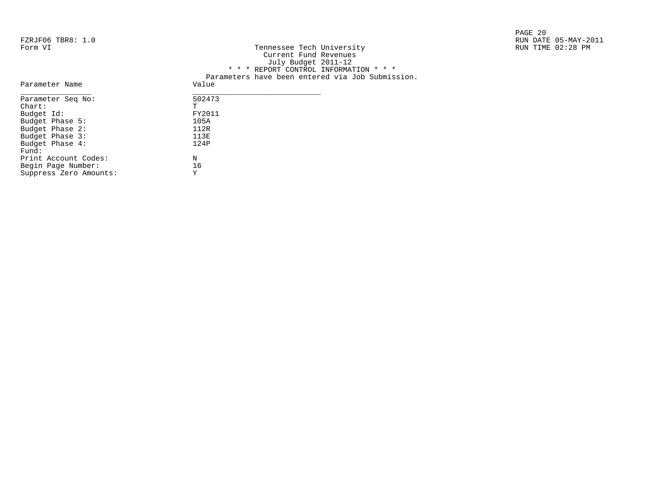|                   |                           | PAGE 20              |
|-------------------|---------------------------|----------------------|
| FZRJF06 TBR8: 1.0 |                           | RUN DATE 05-MAY-2011 |
| Form VI           | Tennessee Tech University | RUN TIME 02:28 PM    |

| FZKJFU0 IBK8: I.U |                                                  | RUN DAIE US-MAY-Z |
|-------------------|--------------------------------------------------|-------------------|
| Form VI           | Tennessee Tech University                        | RUN TIME 02:28 PM |
|                   | Current Fund Revenues                            |                   |
|                   | July Budget 2011-12                              |                   |
|                   | * * * REPORT CONTROL INFORMATION * * *           |                   |
|                   | Parameters have been entered via Job Submission. |                   |
| Parameter Name    | Value                                            |                   |
| Parameter Seq No: | 502473                                           |                   |
| Chart:            |                                                  |                   |
| Budget Id:        | FY2011                                           |                   |
| Budget Phase 5:   | 105A                                             |                   |
| Budget Phase 2:   | 112R                                             |                   |
| Budget Phase 3:   | 113E                                             |                   |
|                   |                                                  |                   |

| Parameter Seg No:      | 502473 |
|------------------------|--------|
| $chart$ :              | Ͳ      |
| Budget Id:             | FY2011 |
| Budget Phase 5:        | 105A   |
| Budget Phase 2:        | 112R   |
| Budget Phase 3:        | 113E   |
| Budget Phase 4:        | 124P   |
| Fund:                  |        |
| Print Account Codes:   | N      |
| Begin Page Number:     | 16     |
| Suppress Zero Amounts: | Y      |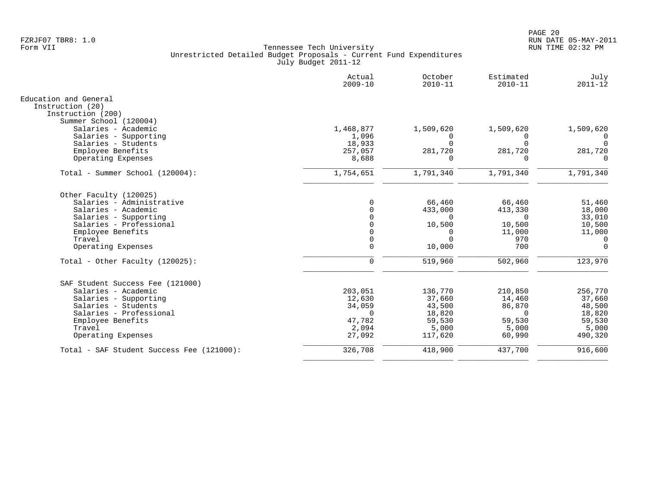|                                           | Actual<br>$2009 - 10$ | October<br>$2010 - 11$ | Estimated<br>$2010 - 11$ | July<br>$2011 - 12$ |
|-------------------------------------------|-----------------------|------------------------|--------------------------|---------------------|
| Education and General                     |                       |                        |                          |                     |
| Instruction (20)<br>Instruction (200)     |                       |                        |                          |                     |
| Summer School (120004)                    |                       |                        |                          |                     |
| Salaries - Academic                       | 1,468,877             | 1,509,620              | 1,509,620                | 1,509,620           |
| Salaries - Supporting                     | 1,096                 | $\Omega$               | $\Omega$                 | $\Omega$            |
| Salaries - Students                       | 18,933                |                        | $\Omega$                 | $\Omega$            |
| Employee Benefits                         | 257,057               | 281,720                | 281,720                  | 281,720             |
| Operating Expenses                        | 8,688                 | $\Omega$               | $\Omega$                 | $\Omega$            |
| Total - Summer School (120004):           | 1,754,651             | 1,791,340              | 1,791,340                | 1,791,340           |
| Other Faculty (120025)                    |                       |                        |                          |                     |
| Salaries - Administrative                 | $\Omega$              | 66,460                 | 66,460                   | 51,460              |
| Salaries - Academic                       | $\Omega$              | 433,000                | 413,330                  | 18,000              |
| Salaries - Supporting                     |                       | $\Omega$               | $\Omega$                 | 33,010              |
| Salaries - Professional                   |                       | 10,500                 | 10,500                   | 10,500              |
| Employee Benefits                         |                       | <sup>0</sup>           | 11,000                   | 11,000              |
| Travel                                    | $\Omega$              | $\Omega$               | 970                      | 0                   |
| Operating Expenses                        | $\Omega$              | 10,000                 | 700                      | $\Omega$            |
| Total - Other Faculty $(120025)$ :        | $\Omega$              | 519,960                | 502,960                  | 123,970             |
| SAF Student Success Fee (121000)          |                       |                        |                          |                     |
| Salaries - Academic                       | 203,051               | 136,770                | 210,850                  | 256,770             |
| Salaries - Supporting                     | 12,630                | 37,660                 | 14,460                   | 37,660              |
| Salaries - Students                       | 34,059                | 43,500                 | 86,870                   | 48,500              |
| Salaries - Professional                   | $\Omega$              | 18,820                 | $\Omega$                 | 18,820              |
| Employee Benefits                         | 47.782                | 59,530                 | 59,530                   | 59,530              |
| Travel                                    | 2,094                 | 5,000                  | 5,000                    | 5,000               |
| Operating Expenses                        | 27,092                | 117,620                | 60,990                   | 490,320             |
| Total - SAF Student Success Fee (121000): | 326,708               | 418,900                | 437,700                  | 916,600             |
|                                           |                       |                        |                          |                     |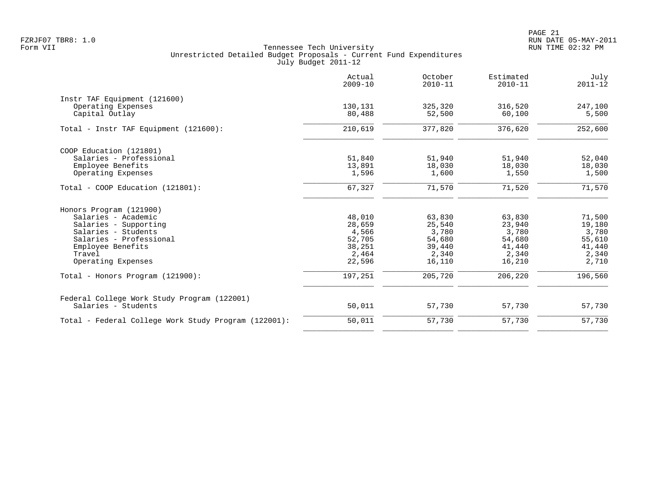|                                                      | Actual<br>$2009 - 10$ | October<br>$2010 - 11$ | Estimated<br>$2010 - 11$ | July<br>$2011 - 12$ |
|------------------------------------------------------|-----------------------|------------------------|--------------------------|---------------------|
| Instr TAF Equipment (121600)                         |                       |                        |                          |                     |
| Operating Expenses                                   | 130,131               | 325,320                | 316,520                  | 247,100             |
| Capital Outlay                                       | 80,488                | 52,500                 | 60,100                   | 5,500               |
| Total - Instr TAF Equipment (121600):                | 210,619               | 377,820                | 376,620                  | 252,600             |
| COOP Education (121801)                              |                       |                        |                          |                     |
| Salaries - Professional                              | 51,840                | 51,940                 | 51,940                   | 52,040              |
| Employee Benefits                                    | 13,891                | 18,030                 | 18,030                   | 18,030              |
| Operating Expenses                                   | 1,596                 | 1,600                  | 1,550                    | 1,500               |
| $Total - COOP Education (121801):$                   | 67,327                | 71,570                 | 71,520                   | 71,570              |
| Honors Program (121900)                              |                       |                        |                          |                     |
| Salaries - Academic                                  | 48,010                | 63,830                 | 63,830                   | 71,500              |
| Salaries - Supporting                                | 28,659                | 25,540                 | 23,940                   | 19,180              |
| Salaries - Students                                  | 4,566                 | 3,780                  | 3,780                    | 3,780               |
| Salaries - Professional                              | 52,705                | 54,680                 | 54,680                   | 55,610              |
| Employee Benefits                                    | 38,251                | 39,440                 | 41,440                   | 41,440              |
| Travel                                               | 2,464                 | 2,340                  | 2,340                    | 2,340               |
| Operating Expenses                                   | 22,596                | 16,110                 | 16,210                   | 2,710               |
| Total - Honors Program (121900):                     | 197,251               | 205,720                | 206,220                  | 196,560             |
| Federal College Work Study Program (122001)          |                       |                        |                          |                     |
| Salaries - Students                                  | 50,011                | 57,730                 | 57,730                   | 57,730              |
| Total - Federal College Work Study Program (122001): | 50,011                | 57,730                 | 57,730                   | 57,730              |
|                                                      |                       |                        |                          |                     |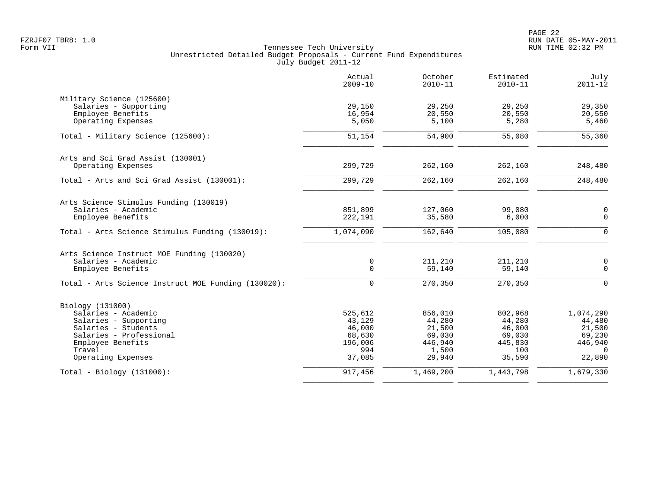|                                                     | Actual<br>$2009 - 10$ | October<br>$2010 - 11$ | Estimated<br>$2010 - 11$ | July<br>$2011 - 12$ |
|-----------------------------------------------------|-----------------------|------------------------|--------------------------|---------------------|
| Military Science (125600)                           |                       |                        |                          |                     |
| Salaries - Supporting                               | 29,150                | 29,250                 | 29,250                   | 29,350              |
| Employee Benefits                                   | 16,954                | 20,550                 | 20,550                   | 20,550              |
| Operating Expenses                                  | 5,050                 | 5,100                  | 5,280                    | 5,460               |
| Total - Military Science (125600):                  | 51,154                | 54,900                 | 55,080                   | 55,360              |
| Arts and Sci Grad Assist (130001)                   |                       |                        |                          |                     |
| Operating Expenses                                  | 299,729               | 262,160                | 262,160                  | 248,480             |
| Total - Arts and Sci Grad Assist (130001):          | 299,729               | 262,160                | 262,160                  | 248,480             |
| Arts Science Stimulus Funding (130019)              |                       |                        |                          |                     |
| Salaries - Academic                                 | 851,899               | 127,060                | 99,080                   | $\mathsf 0$         |
| Employee Benefits                                   | 222,191               | 35,580                 | 6,000                    | $\mathbf 0$         |
| Total - Arts Science Stimulus Funding (130019):     | 1,074,090             | 162,640                | 105,080                  | $\Omega$            |
| Arts Science Instruct MOE Funding (130020)          |                       |                        |                          |                     |
| Salaries - Academic                                 | 0                     | 211,210                | 211,210                  | $\mathsf{O}$        |
| Employee Benefits                                   | $\mathbf 0$           | 59,140                 | 59,140                   | $\mathbf 0$         |
| Total - Arts Science Instruct MOE Funding (130020): | $\Omega$              | 270,350                | 270,350                  | $\Omega$            |
| Biology (131000)                                    |                       |                        |                          |                     |
| Salaries - Academic                                 | 525,612               | 856,010                | 802,968                  | 1,074,290           |
| Salaries - Supporting                               | 43,129                | 44,280                 | 44,280                   | 44,480              |
| Salaries - Students                                 | 46,000                | 21,500                 | 46,000                   | 21,500              |
| Salaries - Professional                             | 68,630                | 69,030                 | 69,030                   | 69,230              |
| Employee Benefits                                   | 196,006               | 446,940                | 445,830                  | 446,940             |
| Travel                                              | 994                   | 1,500                  | 100                      | $\Omega$            |
| Operating Expenses                                  | 37,085                | 29,940                 | 35,590                   | 22,890              |
| $Total - Biology (131000):$                         | 917,456               | 1,469,200              | 1,443,798                | 1,679,330           |
|                                                     |                       |                        |                          |                     |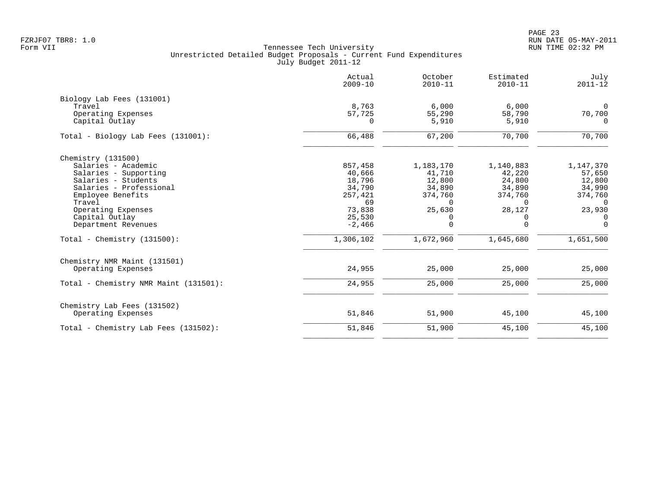|                                       | Actual<br>$2009 - 10$ | October<br>$2010 - 11$ | Estimated<br>$2010 - 11$ | July<br>$2011 - 12$ |
|---------------------------------------|-----------------------|------------------------|--------------------------|---------------------|
| Biology Lab Fees (131001)             |                       |                        |                          |                     |
| Travel                                | 8,763                 | 6,000                  | 6,000                    | $\Omega$            |
| Operating Expenses                    | 57,725                | 55,290                 | 58,790                   | 70,700              |
| Capital Outlay                        | 0                     | 5,910                  | 5,910                    | $\Omega$            |
| Total - Biology Lab Fees (131001):    | 66,488                | 67,200                 | 70,700                   | 70,700              |
| Chemistry (131500)                    |                       |                        |                          |                     |
| Salaries - Academic                   | 857,458               | 1,183,170              | 1,140,883                | 1,147,370           |
| Salaries - Supporting                 | 40,666                | 41,710                 | 42,220                   | 57,650              |
| Salaries - Students                   | 18,796                | 12,800                 | 24,800                   | 12,800              |
| Salaries - Professional               | 34,790                | 34,890                 | 34,890                   | 34,990              |
| Employee Benefits                     | 257,421               | 374,760                | 374,760                  | 374,760             |
| Travel                                | 69                    | $\Omega$               | $\Omega$                 | $\Omega$            |
| Operating Expenses                    | 73,838                | 25,630                 | 28,127                   | 23,930              |
| Capital Outlay                        | 25,530                | 0                      | 0                        | 0                   |
| Department Revenues                   | $-2,466$              | 0                      | $\Omega$                 | $\Omega$            |
| Total - Chemistry $(131500)$ :        | 1,306,102             | 1,672,960              | 1,645,680                | 1,651,500           |
| Chemistry NMR Maint (131501)          |                       |                        |                          |                     |
| Operating Expenses                    | 24,955                | 25,000                 | 25,000                   | 25,000              |
| Total - Chemistry NMR Maint (131501): | 24,955                | 25,000                 | 25,000                   | 25,000              |
| Chemistry Lab Fees (131502)           |                       |                        |                          |                     |
| Operating Expenses                    | 51,846                | 51,900                 | 45,100                   | 45,100              |
| Total - Chemistry Lab Fees (131502):  | 51,846                | 51,900                 | 45,100                   | 45,100              |
|                                       |                       |                        |                          |                     |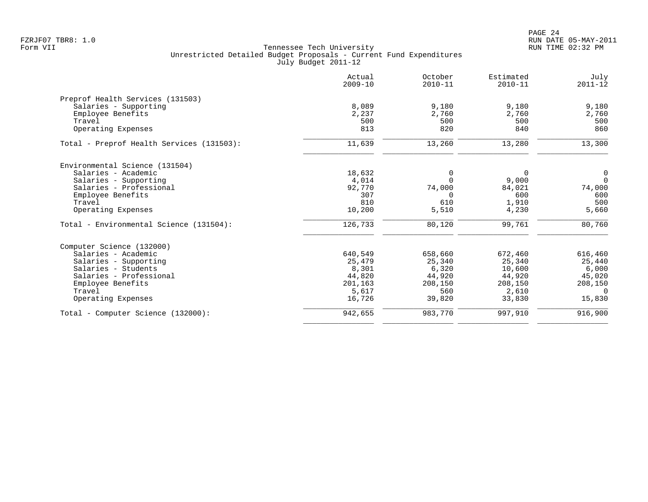|                                           | Actual<br>$2009 - 10$ | October<br>$2010 - 11$ | Estimated<br>$2010 - 11$ | July<br>$2011 - 12$ |
|-------------------------------------------|-----------------------|------------------------|--------------------------|---------------------|
| Preprof Health Services (131503)          |                       |                        |                          |                     |
| Salaries - Supporting                     | 8,089                 | 9,180                  | 9,180                    | 9,180               |
| Employee Benefits                         | 2,237                 | 2,760                  | 2,760                    | 2,760               |
| Travel                                    | 500                   | 500                    | 500                      | 500                 |
| Operating Expenses                        | 813                   | 820                    | 840                      | 860                 |
| Total - Preprof Health Services (131503): | 11,639                | 13,260                 | 13,280                   | 13,300              |
| Environmental Science (131504)            |                       |                        |                          |                     |
| Salaries - Academic                       | 18,632                | 0                      | 0                        | 0                   |
| Salaries - Supporting                     | 4,014                 | $\Omega$               | 9,000                    | $\Omega$            |
| Salaries - Professional                   | 92,770                | 74,000                 | 84,021                   | 74,000              |
| Employee Benefits                         | 307                   | $\Omega$               | 600                      | 600                 |
| Travel                                    | 810                   | 610                    | 1,910                    | 500                 |
| Operating Expenses                        | 10,200                | 5,510                  | 4,230                    | 5,660               |
| Total - Environmental Science (131504):   | 126,733               | 80,120                 | 99,761                   | 80,760              |
| Computer Science (132000)                 |                       |                        |                          |                     |
| Salaries - Academic                       | 640,549               | 658,660                | 672,460                  | 616,460             |
| Salaries - Supporting                     | 25,479                | 25,340                 | 25,340                   | 25,440              |
| Salaries - Students                       | 8,301                 | 6,320                  | 10,600                   | 6,000               |
| Salaries - Professional                   | 44,820                | 44,920                 | 44,920                   | 45,020              |
| Employee Benefits                         | 201,163               | 208,150                | 208,150                  | 208,150             |
| Travel                                    | 5,617                 | 560                    | 2,610                    | $\Omega$            |
| Operating Expenses                        | 16,726                | 39,820                 | 33,830                   | 15,830              |
| Total - Computer Science (132000):        | 942,655               | 983,770                | 997,910                  | 916,900             |
|                                           |                       |                        |                          |                     |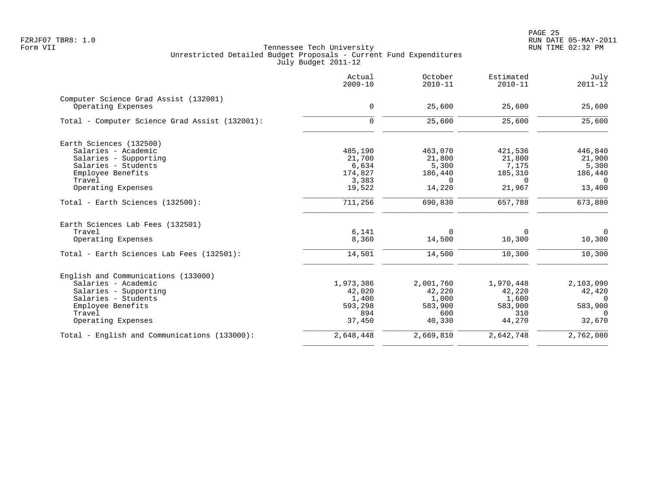PAGE 25 FZRJF07 TBR8: 1.0 RUN DATE 05-MAY-2011

|                                                             | Actual<br>$2009 - 10$ | October<br>$2010 - 11$ | Estimated<br>$2010 - 11$ | July<br>$2011 - 12$ |
|-------------------------------------------------------------|-----------------------|------------------------|--------------------------|---------------------|
| Computer Science Grad Assist (132001)<br>Operating Expenses | 0                     | 25,600                 | 25,600                   | 25,600              |
| Total - Computer Science Grad Assist (132001):              | $\mathbf 0$           | 25,600                 | 25,600                   | 25,600              |
| Earth Sciences (132500)                                     |                       |                        |                          |                     |
| Salaries - Academic                                         | 485,190               | 463,070                | 421,536                  | 446,840             |
| Salaries - Supporting                                       | 21,700                | 21,800                 | 21,800                   | 21,900              |
| Salaries - Students                                         | 6,634                 | 5,300                  | 7,175                    | 5,300               |
| Employee Benefits                                           | 174,827               | 186,440                | 185,310                  | 186,440             |
| Travel                                                      | 3,383                 | $\Omega$               | $\Omega$                 | $\Omega$            |
| Operating Expenses                                          | 19,522                | 14,220                 | 21,967                   | 13,400              |
| Total - Earth Sciences (132500):                            | 711,256               | 690,830                | 657,788                  | 673,880             |
| Earth Sciences Lab Fees (132501)                            |                       |                        |                          |                     |
| Travel                                                      | 6,141                 | 0                      | 0                        | $\mathbf 0$         |
| Operating Expenses                                          | 8,360                 | 14,500                 | 10,300                   | 10,300              |
| Total - Earth Sciences Lab Fees (132501):                   | 14,501                | 14,500                 | 10,300                   | 10,300              |
| English and Communications (133000)                         |                       |                        |                          |                     |
| Salaries - Academic                                         | 1,973,386             | 2,001,760              | 1,970,448                | 2,103,090           |
| Salaries - Supporting                                       | 42,020                | 42,220                 | 42,220                   | 42,420              |
| Salaries - Students                                         | 1,400                 | 1,000                  | 1,600                    | 0                   |
| Employee Benefits                                           | 593,298               | 583,900                | 583,900                  | 583,900             |
| Travel                                                      | 894                   | 600                    | 310                      | 0                   |
| Operating Expenses                                          | 37,450                | 40,330                 | 44,270                   | 32,670              |
| Total - English and Communications (133000):                | 2,648,448             | 2,669,810              | 2,642,748                | 2,762,080           |
|                                                             |                       |                        |                          |                     |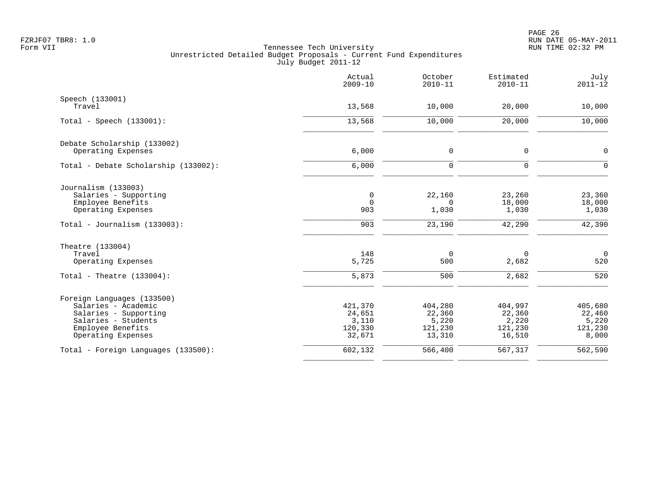|                                                                                                                                              | Actual<br>$2009 - 10$                           | October<br>$2010 - 11$                          | Estimated<br>$2010 - 11$                        | July<br>$2011 - 12$                            |
|----------------------------------------------------------------------------------------------------------------------------------------------|-------------------------------------------------|-------------------------------------------------|-------------------------------------------------|------------------------------------------------|
| Speech (133001)<br>Travel                                                                                                                    | 13,568                                          | 10,000                                          | 20,000                                          | 10,000                                         |
| Total - Speech $(133001)$ :                                                                                                                  | 13,568                                          | 10,000                                          | 20,000                                          | 10,000                                         |
| Debate Scholarship (133002)<br>Operating Expenses                                                                                            | 6,000                                           | 0                                               | 0                                               | $\mathbf 0$                                    |
| Total - Debate Scholarship (133002):                                                                                                         | 6,000                                           | $\mathbf 0$                                     | $\mathbf 0$                                     | $\Omega$                                       |
| Journalism (133003)<br>Salaries - Supporting<br>Employee Benefits<br>Operating Expenses                                                      | $\mathbf 0$<br>$\Omega$<br>903                  | 22,160<br>$\Omega$<br>1,030                     | 23,260<br>18,000<br>1,030                       | 23,360<br>18,000<br>1,030                      |
| Total - Journalism $(133003)$ :                                                                                                              | 903                                             | 23,190                                          | 42,290                                          | 42,390                                         |
| Theatre (133004)<br>Travel<br>Operating Expenses                                                                                             | 148<br>5,725                                    | $\mathbf 0$<br>500                              | 0<br>2,682                                      | $\overline{0}$<br>520                          |
| Total - Theatre $(133004)$ :                                                                                                                 | 5,873                                           | 500                                             | 2,682                                           | 520                                            |
| Foreign Languages (133500)<br>Salaries - Academic<br>Salaries - Supporting<br>Salaries - Students<br>Employee Benefits<br>Operating Expenses | 421,370<br>24,651<br>3,110<br>120,330<br>32,671 | 404,280<br>22,360<br>5,220<br>121,230<br>13,310 | 404,997<br>22,360<br>2,220<br>121,230<br>16,510 | 405,680<br>22,460<br>5,220<br>121,230<br>8,000 |
| Total - Foreign Languages (133500):                                                                                                          | 602,132                                         | 566,400                                         | 567,317                                         | 562,590                                        |
|                                                                                                                                              |                                                 |                                                 |                                                 |                                                |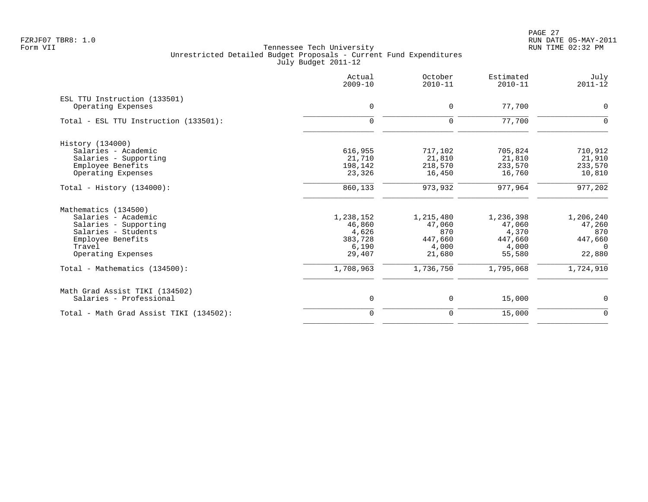PAGE 27 FZRJF07 TBR8: 1.0 RUN DATE 05-MAY-2011

| 0<br>$\Omega$ |
|---------------|
|               |
|               |
|               |
|               |
| 710,912       |
| 21,910        |
| 233,570       |
| 10,810        |
| 977,202       |
|               |
| 1,206,240     |
| 47,260        |
| 870           |
| 447,660       |
| $\Omega$      |
| 22,880        |
| 1,724,910     |
|               |
| $\mathbf 0$   |
| $\mathbf 0$   |
|               |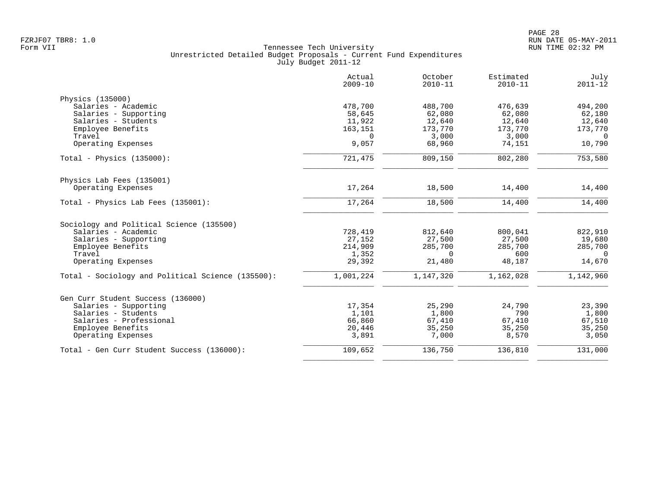|                                                   | Actual<br>$2009 - 10$ | October<br>$2010 - 11$ | Estimated<br>$2010 - 11$ | July<br>$2011 - 12$ |
|---------------------------------------------------|-----------------------|------------------------|--------------------------|---------------------|
| Physics (135000)                                  |                       |                        |                          |                     |
| Salaries - Academic                               | 478,700               | 488,700                | 476,639                  | 494,200             |
| Salaries - Supporting                             | 58,645                | 62,080                 | 62,080                   | 62,180              |
| Salaries - Students                               | 11,922                | 12,640                 | 12,640                   | 12,640              |
| Employee Benefits                                 | 163,151               | 173,770                | 173,770                  | 173,770             |
| Travel                                            | $\Omega$              | 3,000                  | 3,000                    | $\Omega$            |
| Operating Expenses                                | 9,057                 | 68,960                 | 74,151                   | 10,790              |
| Total - Physics $(135000)$ :                      | 721,475               | 809,150                | 802,280                  | 753,580             |
| Physics Lab Fees (135001)                         |                       |                        |                          |                     |
| Operating Expenses                                | 17,264                | 18,500                 | 14,400                   | 14,400              |
| Total - Physics Lab Fees (135001):                | 17,264                | 18,500                 | 14,400                   | 14,400              |
| Sociology and Political Science (135500)          |                       |                        |                          |                     |
| Salaries - Academic                               | 728,419               | 812,640                | 800,041                  | 822,910             |
| Salaries - Supporting                             | 27,152                | 27,500                 | 27,500                   | 19,680              |
| Employee Benefits                                 | 214,909               | 285,700                | 285,700                  | 285,700             |
| Travel                                            | 1,352                 | $\Omega$               | 600                      | $\Omega$            |
| Operating Expenses                                | 29,392                | 21,480                 | 48,187                   | 14,670              |
| Total - Sociology and Political Science (135500): | 1,001,224             | 1,147,320              | 1,162,028                | 1,142,960           |
| Gen Curr Student Success (136000)                 |                       |                        |                          |                     |
| Salaries - Supporting                             | 17,354                | 25,290                 | 24,790                   | 23,390              |
| Salaries - Students                               | 1,101                 | 1,800                  | 790                      | 1,800               |
| Salaries - Professional                           | 66,860                | 67,410                 | 67,410                   | 67,510              |
| Employee Benefits                                 | 20,446                | 35,250                 | 35,250                   | 35,250              |
| Operating Expenses                                | 3,891                 | 7,000                  | 8,570                    | 3,050               |
| Total - Gen Curr Student Success (136000):        | 109,652               | 136,750                | 136,810                  | 131,000             |
|                                                   |                       |                        |                          |                     |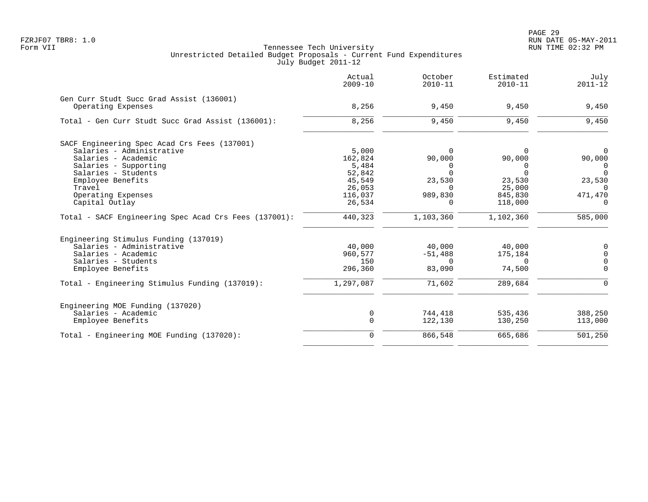|                                                                | Actual<br>$2009 - 10$ | October<br>$2010 - 11$ | Estimated<br>$2010 - 11$ | July<br>$2011 - 12$ |
|----------------------------------------------------------------|-----------------------|------------------------|--------------------------|---------------------|
| Gen Curr Studt Succ Grad Assist (136001)<br>Operating Expenses | 8,256                 | 9,450                  | 9,450                    | 9,450               |
| Total - Gen Curr Studt Succ Grad Assist (136001):              | 8,256                 | 9,450                  | 9,450                    | 9,450               |
| SACF Engineering Spec Acad Crs Fees (137001)                   |                       |                        |                          |                     |
| Salaries - Administrative                                      | 5,000                 | $\Omega$               |                          | $\Omega$            |
| Salaries - Academic                                            | 162,824               | 90,000                 | 90,000                   | 90,000              |
| Salaries - Supporting                                          | 5,484                 | 0                      | 0                        | 0                   |
| Salaries - Students                                            | 52,842                | $\Omega$               | $\Omega$                 | $\Omega$            |
| Employee Benefits                                              | 45,549                | 23,530                 | 23,530                   | 23,530              |
| Travel                                                         | 26,053                | $\Omega$               | 25,000                   | $\Omega$            |
| Operating Expenses                                             | 116,037               | 989,830                | 845,830                  | 471,470             |
| Capital Outlay                                                 | 26,534                | $\Omega$               | 118,000                  | $\Omega$            |
| Total - SACF Engineering Spec Acad Crs Fees (137001):          | 440,323               | 1,103,360              | 1,102,360                | 585,000             |
| Engineering Stimulus Funding (137019)                          |                       |                        |                          |                     |
| Salaries - Administrative                                      | 40,000                | 40,000                 | 40,000                   | $\mathbf 0$         |
| Salaries - Academic                                            | 960,577               | $-51,488$              | 175,184                  | $\mathbf 0$         |
| Salaries - Students                                            | 150                   | $\Omega$               | $\Omega$                 | $\mathbf 0$         |
| Employee Benefits                                              | 296,360               | 83,090                 | 74,500                   | $\mathbf 0$         |
| Total - Engineering Stimulus Funding (137019):                 | 1,297,087             | 71,602                 | 289,684                  | $\mathbf 0$         |
| Engineering MOE Funding (137020)                               |                       |                        |                          |                     |
| Salaries - Academic                                            | 0                     | 744,418                | 535,436                  | 388,250             |
| Employee Benefits                                              | $\mathbf 0$           | 122,130                | 130,250                  | 113,000             |
| Total - Engineering MOE Funding (137020):                      | $\mathbf 0$           | 866,548                | 665,686                  | 501,250             |
|                                                                |                       |                        |                          |                     |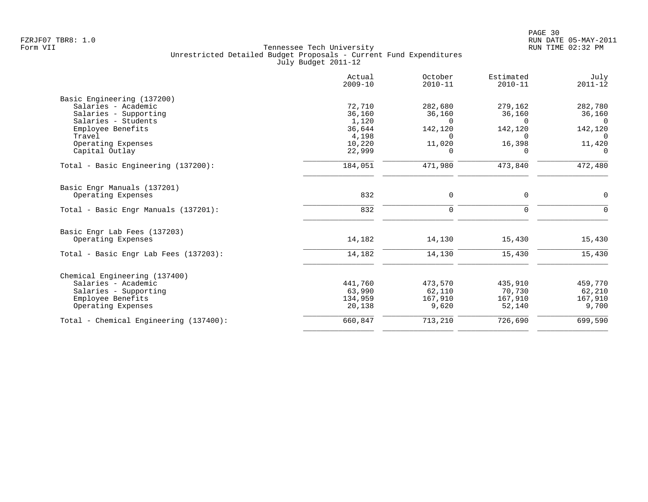|                                        | Actual<br>$2009 - 10$ | October<br>$2010 - 11$ | Estimated<br>$2010 - 11$ | July<br>$2011 - 12$ |
|----------------------------------------|-----------------------|------------------------|--------------------------|---------------------|
| Basic Engineering (137200)             |                       |                        |                          |                     |
| Salaries - Academic                    | 72,710                | 282,680                | 279,162                  | 282,780             |
| Salaries - Supporting                  | 36,160                | 36,160                 | 36,160                   | 36,160              |
| Salaries - Students                    | 1,120                 | $\Omega$               | $\cap$                   | $\Omega$            |
| Employee Benefits                      | 36,644                | 142,120                | 142,120                  | 142,120             |
| Travel                                 | 4,198                 | $\Omega$               | $\Omega$                 | $\Omega$            |
| Operating Expenses                     | 10,220                | 11,020                 | 16,398                   | 11,420              |
| Capital Outlay                         | 22,999                | $\Omega$               | $\Omega$                 | $\Omega$            |
| Total - Basic Engineering (137200):    | 184,051               | 471,980                | 473,840                  | 472,480             |
| Basic Engr Manuals (137201)            |                       |                        |                          |                     |
| Operating Expenses                     | 832                   | 0                      | $\mathbf 0$              | 0                   |
| Total - Basic Engr Manuals (137201):   | 832                   | $\mathbf 0$            | $\mathbf 0$              | $\mathbf 0$         |
| Basic Engr Lab Fees (137203)           |                       |                        |                          |                     |
| Operating Expenses                     | 14,182                | 14,130                 | 15,430                   | 15,430              |
| Total - Basic Engr Lab Fees (137203):  | 14,182                | 14,130                 | 15,430                   | 15,430              |
| Chemical Engineering (137400)          |                       |                        |                          |                     |
| Salaries - Academic                    | 441,760               | 473,570                | 435,910                  | 459,770             |
| Salaries - Supporting                  | 63,990                | 62,110                 | 70,730                   | 62,210              |
| Employee Benefits                      | 134,959               | 167,910                | 167,910                  | 167,910             |
| Operating Expenses                     | 20,138                | 9,620                  | 52,140                   | 9,700               |
| Total - Chemical Engineering (137400): | 660,847               | 713,210                | 726,690                  | 699,590             |
|                                        |                       |                        |                          |                     |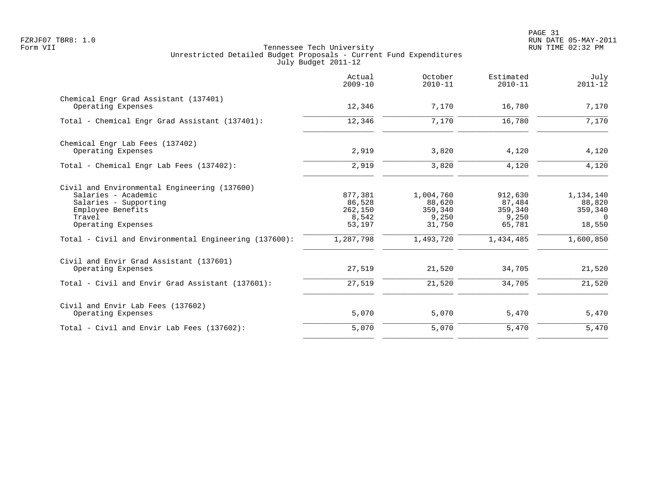PAGE 31 FZRJF07 TBR8: 1.0 RUN DATE 05-MAY-2011

|                                                                                                                                                                                                            | Actual<br>$2009 - 10$                                        | October<br>$2010 - 11$                                         | Estimated<br>$2010 - 11$                                     | July<br>$2011 - 12$                                               |
|------------------------------------------------------------------------------------------------------------------------------------------------------------------------------------------------------------|--------------------------------------------------------------|----------------------------------------------------------------|--------------------------------------------------------------|-------------------------------------------------------------------|
| Chemical Engr Grad Assistant (137401)<br>Operating Expenses                                                                                                                                                | 12,346                                                       | 7,170                                                          | 16,780                                                       | 7,170                                                             |
| Total - Chemical Engr Grad Assistant (137401):                                                                                                                                                             | 12,346                                                       | 7,170                                                          | 16,780                                                       | 7,170                                                             |
| Chemical Engr Lab Fees (137402)<br>Operating Expenses                                                                                                                                                      | 2,919                                                        | 3,820                                                          | 4,120                                                        | 4,120                                                             |
| Total - Chemical Engr Lab Fees (137402):                                                                                                                                                                   | 2,919                                                        | 3,820                                                          | 4,120                                                        | 4,120                                                             |
| Civil and Environmental Engineering (137600)<br>Salaries - Academic<br>Salaries - Supporting<br>Employee Benefits<br>Travel<br>Operating Expenses<br>Total - Civil and Environmental Engineering (137600): | 877,381<br>86,528<br>262,150<br>8,542<br>53,197<br>1,287,798 | 1,004,760<br>88,620<br>359,340<br>9,250<br>31,750<br>1,493,720 | 912,630<br>87,484<br>359,340<br>9,250<br>65,781<br>1,434,485 | 1,134,140<br>88,820<br>359,340<br>$\Omega$<br>18,550<br>1,600,850 |
| Civil and Envir Grad Assistant (137601)<br>Operating Expenses                                                                                                                                              | 27,519                                                       | 21,520                                                         | 34,705                                                       | 21,520                                                            |
| Total - Civil and Envir Grad Assistant (137601):                                                                                                                                                           | 27,519                                                       | 21,520                                                         | 34,705                                                       | 21,520                                                            |
| Civil and Envir Lab Fees (137602)<br>Operating Expenses                                                                                                                                                    | 5,070                                                        | 5,070                                                          | 5,470                                                        | 5,470                                                             |
| Total - Civil and Envir Lab Fees (137602):                                                                                                                                                                 | 5,070                                                        | 5,070                                                          | 5,470                                                        | 5,470                                                             |
|                                                                                                                                                                                                            |                                                              |                                                                |                                                              |                                                                   |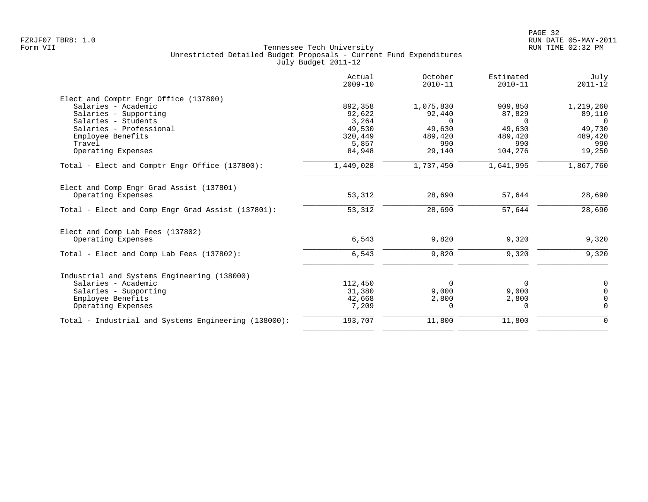|                                                                | Actual<br>$2009 - 10$ | October<br>$2010 - 11$ | Estimated<br>$2010 - 11$ | July<br>$2011 - 12$ |
|----------------------------------------------------------------|-----------------------|------------------------|--------------------------|---------------------|
| Elect and Comptr Engr Office (137800)                          |                       |                        |                          |                     |
| Salaries - Academic                                            | 892,358               | 1,075,830              | 909,850                  | 1,219,260           |
| Salaries - Supporting                                          | 92,622                | 92,440                 | 87,829                   | 89,110              |
| Salaries - Students                                            | 3,264                 | $\Omega$               | $\Omega$                 | $\Omega$            |
| Salaries - Professional                                        | 49,530                | 49,630                 | 49,630                   | 49,730              |
| Employee Benefits                                              | 320,449               | 489,420                | 489,420                  | 489,420             |
| Travel                                                         | 5,857                 | 990                    | 990                      | 990                 |
| Operating Expenses                                             | 84,948                | 29,140                 | 104,276                  | 19,250              |
| Total - Elect and Comptr Engr Office (137800):                 | 1,449,028             | 1,737,450              | 1,641,995                | 1,867,760           |
| Elect and Comp Engr Grad Assist (137801)<br>Operating Expenses | 53,312                | 28,690                 | 57,644                   | 28,690              |
|                                                                |                       |                        |                          |                     |
| Total - Elect and Comp Engr Grad Assist (137801):              | 53,312                | 28,690                 | 57,644                   | 28,690              |
| Elect and Comp Lab Fees (137802)                               |                       |                        |                          |                     |
| Operating Expenses                                             | 6,543                 | 9,820                  | 9,320                    | 9,320               |
| Total - Elect and Comp Lab Fees (137802):                      | 6,543                 | 9,820                  | 9,320                    | 9,320               |
| Industrial and Systems Engineering (138000)                    |                       |                        |                          |                     |
| Salaries - Academic                                            | 112,450               | $\Omega$               | $\Omega$                 | 0                   |
| Salaries - Supporting                                          | 31,380                | 9,000                  | 9,000                    | $\Omega$            |
| Employee Benefits                                              | 42,668                | 2,800                  | 2,800                    | $\Omega$            |
| Operating Expenses                                             | 7,209                 | $\Omega$               | $\Omega$                 | $\Omega$            |
| Total - Industrial and Systems Engineering (138000):           | 193,707               | 11,800                 | 11,800                   | $\mathbf 0$         |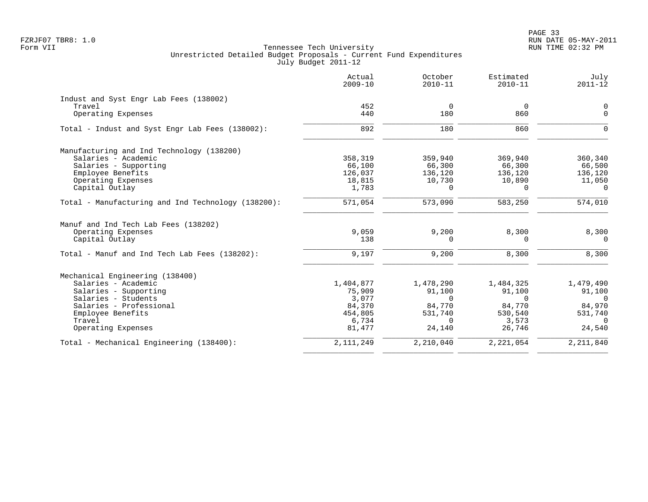|                                                    | Actual<br>$2009 - 10$ | October<br>$2010 - 11$ | Estimated<br>$2010 - 11$ | July<br>$2011 - 12$ |
|----------------------------------------------------|-----------------------|------------------------|--------------------------|---------------------|
| Indust and Syst Engr Lab Fees (138002)             |                       |                        |                          |                     |
| Travel                                             | 452                   | $\mathbf 0$            | $\overline{0}$           | 0                   |
| Operating Expenses                                 | 440                   | 180                    | 860                      | $\Omega$            |
| Total - Indust and Syst Engr Lab Fees (138002):    | 892                   | 180                    | 860                      | $\Omega$            |
| Manufacturing and Ind Technology (138200)          |                       |                        |                          |                     |
| Salaries - Academic                                | 358,319               | 359,940                | 369,940                  | 360,340             |
| Salaries - Supporting                              | 66,100                | 66,300                 | 66,300                   | 66,500              |
| Employee Benefits                                  | 126,037               | 136,120                | 136,120                  | 136,120             |
| Operating Expenses                                 | 18,815                | 10,730                 | 10,890                   | 11,050              |
| Capital Outlay                                     | 1,783                 | $\Omega$               | $\Omega$                 | $\Omega$            |
| Total - Manufacturing and Ind Technology (138200): | 571,054               | 573,090                | 583,250                  | 574,010             |
| Manuf and Ind Tech Lab Fees (138202)               |                       |                        |                          |                     |
| Operating Expenses                                 | 9,059                 | 9,200                  | 8,300                    | 8,300               |
| Capital Outlay                                     | 138                   | $\Omega$               | 0                        | $\overline{0}$      |
| Total - Manuf and Ind Tech Lab Fees (138202):      | 9,197                 | 9,200                  | 8,300                    | 8,300               |
| Mechanical Engineering (138400)                    |                       |                        |                          |                     |
| Salaries - Academic                                | 1,404,877             | 1,478,290              | 1,484,325                | 1,479,490           |
| Salaries - Supporting                              | 75,909                | 91,100                 | 91,100                   | 91,100              |
| Salaries - Students                                | 3,077                 | $\Omega$               | $\Omega$                 | $\Omega$            |
| Salaries - Professional                            | 84,370                | 84,770                 | 84,770                   | 84,970              |
| Employee Benefits                                  | 454,805               | 531,740                | 530,540                  | 531,740             |
| Travel                                             | 6,734                 | $\Omega$               | 3,573                    | $\overline{0}$      |
| Operating Expenses                                 | 81,477                | 24,140                 | 26,746                   | 24,540              |
| Total - Mechanical Engineering (138400):           | 2, 111, 249           | 2,210,040              | 2,221,054                | 2, 211, 840         |
|                                                    |                       |                        |                          |                     |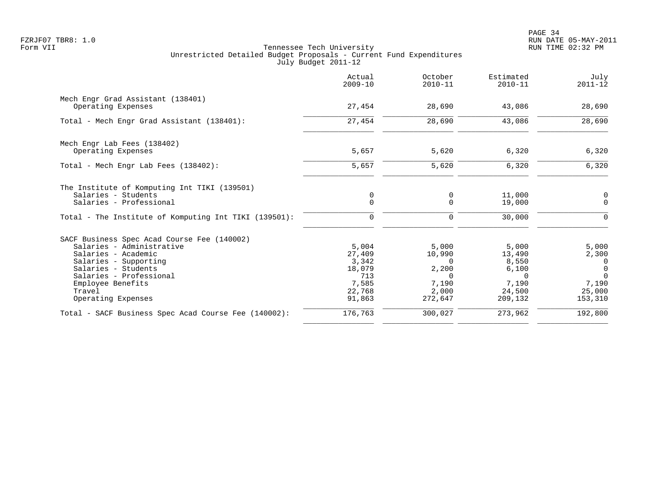|                                                       | Actual<br>$2009 - 10$ | October<br>$2010 - 11$ | Estimated<br>$2010 - 11$ | July<br>$2011 - 12$ |
|-------------------------------------------------------|-----------------------|------------------------|--------------------------|---------------------|
| Mech Engr Grad Assistant (138401)                     |                       |                        |                          |                     |
| Operating Expenses                                    | 27,454                | 28,690                 | 43,086                   | 28,690              |
| Total - Mech Engr Grad Assistant (138401):            | 27,454                | 28,690                 | 43,086                   | 28,690              |
| Mech Engr Lab Fees (138402)                           |                       |                        |                          |                     |
| Operating Expenses                                    | 5,657                 | 5,620                  | 6,320                    | 6,320               |
| Total - Mech Engr Lab Fees (138402):                  | 5,657                 | 5,620                  | 6,320                    | 6,320               |
| The Institute of Komputing Int TIKI (139501)          |                       |                        |                          |                     |
| Salaries - Students                                   | 0                     | 0                      | 11,000                   | 0                   |
| Salaries - Professional                               | $\Omega$              | $\Omega$               | 19,000                   | $\Omega$            |
| Total - The Institute of Komputing Int TIKI (139501): | 0                     | $\mathbf 0$            | 30,000                   | $\Omega$            |
| SACF Business Spec Acad Course Fee (140002)           |                       |                        |                          |                     |
| Salaries - Administrative                             | 5,004                 | 5,000                  | 5,000                    | 5,000               |
| Salaries - Academic                                   | 27,409                | 10,990                 | 13,490                   | 2,300               |
| Salaries - Supporting                                 | 3,342                 | $\Omega$               | 8,550                    | 0                   |
| Salaries - Students                                   | 18,079                | 2,200                  | 6,100                    | $\overline{0}$      |
| Salaries - Professional                               | 713                   | $\Omega$               | $\Omega$                 | $\Omega$            |
| Employee Benefits                                     | 7,585                 | 7,190                  | 7,190                    | 7,190               |
| Travel<br>Operating Expenses                          | 22,768<br>91,863      | 2,000<br>272,647       | 24,500<br>209,132        | 25,000<br>153,310   |
| Total - SACF Business Spec Acad Course Fee (140002):  | 176,763               | 300,027                | 273,962                  | 192,800             |
|                                                       |                       |                        |                          |                     |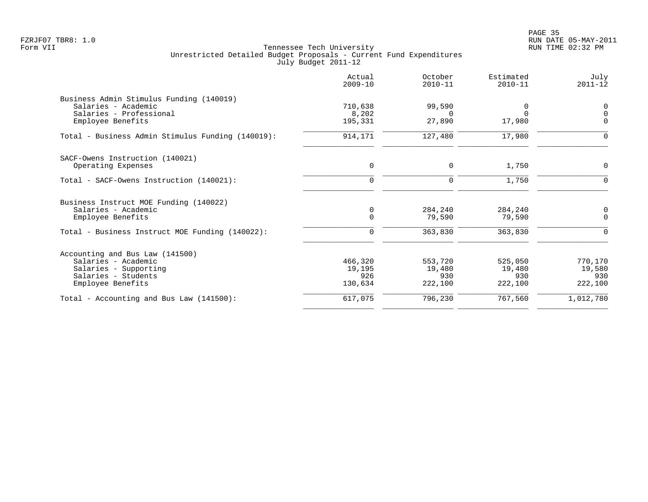PAGE 35 FZRJF07 TBR8: 1.0 RUN DATE 05-MAY-2011

| Actual<br>$2009 - 10$ | October<br>$2010 - 11$ | Estimated<br>$2010 - 11$     | July<br>$2011 - 12$          |
|-----------------------|------------------------|------------------------------|------------------------------|
|                       |                        |                              |                              |
| 710,638               | 99,590                 |                              | 0                            |
| 8,202                 | $\Omega$               |                              | $\Omega$                     |
| 195,331               |                        |                              | $\Omega$                     |
| 914,171               | 127,480                | 17,980                       | $\Omega$                     |
|                       |                        |                              |                              |
| 0                     | 0                      | 1,750                        | 0                            |
| $\Omega$              | $\mathbf 0$            | 1,750                        | 0                            |
|                       |                        |                              |                              |
|                       |                        |                              | 0                            |
| $\mathbf 0$           | 79,590                 | 79,590                       | $\mathbf 0$                  |
| $\Omega$              | 363,830                | 363,830                      | $\Omega$                     |
|                       |                        |                              |                              |
|                       |                        |                              | 770,170                      |
| 19,195                | 19,480                 | 19,480                       | 19,580                       |
| 926                   | 930                    | 930                          | 930                          |
| 130,634               | 222,100                | 222,100                      | 222,100                      |
| 617,075               | 796,230                | 767,560                      | 1,012,780                    |
|                       | 0<br>466,320           | 27,890<br>284,240<br>553,720 | 17,980<br>284,240<br>525,050 |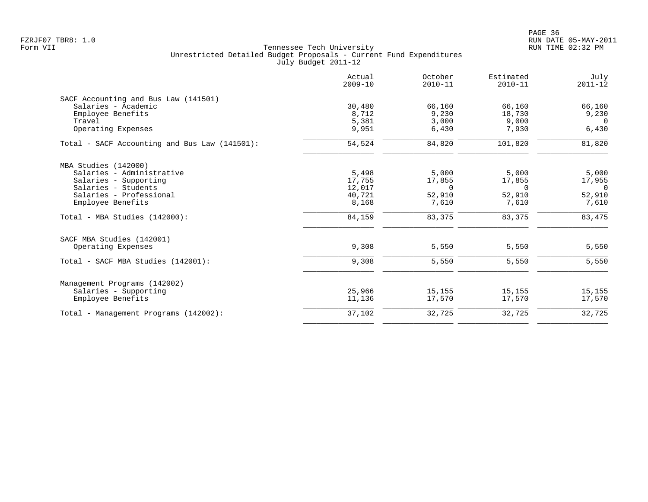|                                               | Actual<br>$2009 - 10$ | October<br>$2010 - 11$ | Estimated<br>$2010 - 11$ | July<br>$2011 - 12$ |
|-----------------------------------------------|-----------------------|------------------------|--------------------------|---------------------|
| SACF Accounting and Bus Law (141501)          |                       |                        |                          |                     |
| Salaries - Academic                           | 30,480                | 66,160                 | 66,160                   | 66,160              |
| Employee Benefits                             | 8,712                 | 9,230                  | 18,730                   | 9,230               |
| Travel                                        | 5,381                 | 3,000                  | 9,000                    | $\Omega$            |
| Operating Expenses                            | 9,951                 | 6,430                  | 7,930                    | 6,430               |
| Total - SACF Accounting and Bus Law (141501): | 54,524                | 84,820                 | 101,820                  | 81,820              |
| MBA Studies (142000)                          |                       |                        |                          |                     |
| Salaries - Administrative                     | 5,498                 | 5,000                  | 5,000                    | 5,000               |
| Salaries - Supporting                         | 17,755                | 17,855                 | 17,855                   | 17,955              |
| Salaries - Students                           | 12,017                | $\Omega$               | $\Omega$                 | $\overline{0}$      |
| Salaries - Professional                       | 40,721                | 52,910                 | 52,910                   | 52,910              |
| Employee Benefits                             | 8,168                 | 7,610                  | 7,610                    | 7,610               |
| Total - MBA Studies (142000):                 | 84,159                | 83,375                 | 83,375                   | 83,475              |
| SACF MBA Studies (142001)                     |                       |                        |                          |                     |
| Operating Expenses                            | 9,308                 | 5,550                  | 5,550                    | 5,550               |
| Total - SACF MBA Studies (142001):            | 9,308                 | 5,550                  | 5,550                    | 5,550               |
| Management Programs (142002)                  |                       |                        |                          |                     |
| Salaries - Supporting                         | 25,966                | 15,155                 | 15,155                   | 15,155              |
| Employee Benefits                             | 11,136                | 17,570                 | 17,570                   | 17,570              |
| Total - Management Programs (142002):         | 37,102                | 32,725                 | 32,725                   | 32,725              |
|                                               |                       |                        |                          |                     |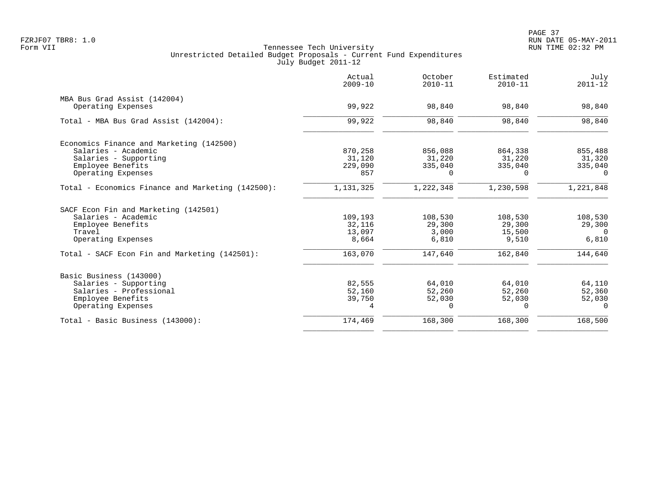|                                                   | Actual<br>$2009 - 10$ | October<br>$2010 - 11$ | Estimated<br>$2010 - 11$ | July<br>$2011 - 12$ |
|---------------------------------------------------|-----------------------|------------------------|--------------------------|---------------------|
| MBA Bus Grad Assist (142004)                      |                       |                        |                          |                     |
| Operating Expenses                                | 99,922                | 98,840                 | 98,840                   | 98,840              |
| Total - MBA Bus Grad Assist (142004):             | 99,922                | 98,840                 | 98,840                   | 98,840              |
| Economics Finance and Marketing (142500)          |                       |                        |                          |                     |
| Salaries - Academic                               | 870,258               | 856,088                | 864,338                  | 855,488             |
| Salaries - Supporting                             | 31,120                | 31,220                 | 31,220                   | 31,320              |
| Employee Benefits                                 | 229,090               | 335,040                | 335,040                  | 335,040             |
| Operating Expenses                                | 857                   | $\Omega$               | $\Omega$                 | $\Omega$            |
| Total - Economics Finance and Marketing (142500): | 1,131,325             | 1,222,348              | 1,230,598                | 1,221,848           |
| SACF Econ Fin and Marketing (142501)              |                       |                        |                          |                     |
| Salaries - Academic                               | 109,193               | 108,530                | 108,530                  | 108,530             |
| Employee Benefits                                 | 32,116                | 29,300                 | 29,300                   | 29,300              |
| Travel                                            | 13,097                | 3,000                  | 15,500                   | $\Omega$            |
| Operating Expenses                                | 8,664                 | 6,810                  | 9,510                    | 6,810               |
| Total - SACF Econ Fin and Marketing (142501):     | 163,070               | 147,640                | 162,840                  | 144,640             |
| Basic Business (143000)                           |                       |                        |                          |                     |
| Salaries - Supporting                             | 82,555                | 64,010                 | 64,010                   | 64,110              |
| Salaries - Professional                           | 52,160                | 52,260                 | 52,260                   | 52,360              |
| Employee Benefits                                 | 39,750                | 52,030                 | 52,030                   | 52,030              |
| Operating Expenses                                | 4                     | $\Omega$               | $\Omega$                 | $\Omega$            |
| Total - Basic Business (143000):                  | 174,469               | 168,300                | 168,300                  | 168,500             |
|                                                   |                       |                        |                          |                     |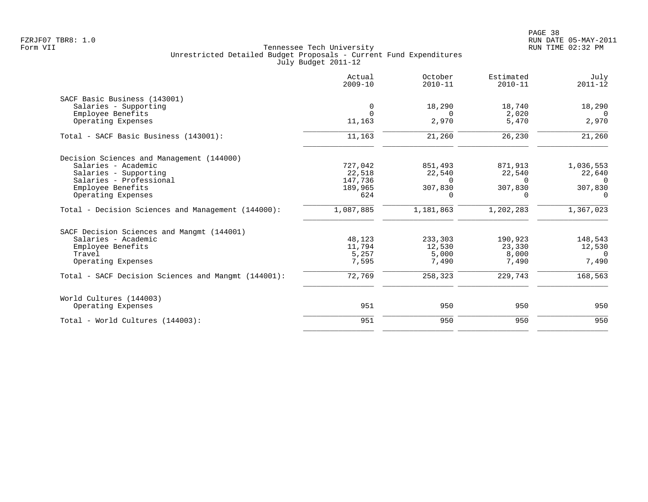|                                                     | Actual<br>$2009 - 10$ | October<br>$2010 - 11$ | Estimated<br>$2010 - 11$ | July<br>$2011 - 12$ |
|-----------------------------------------------------|-----------------------|------------------------|--------------------------|---------------------|
| SACF Basic Business (143001)                        |                       |                        |                          |                     |
| Salaries - Supporting                               | 0                     | 18,290                 | 18,740                   | 18,290              |
| Employee Benefits                                   |                       | $\Omega$               | 2,020                    | $\Omega$            |
| Operating Expenses                                  | 11,163                | 2,970                  | 5,470                    | 2,970               |
| Total - SACF Basic Business (143001):               | 11,163                | 21,260                 | 26,230                   | 21,260              |
| Decision Sciences and Management (144000)           |                       |                        |                          |                     |
| Salaries - Academic                                 | 727,042               | 851,493                | 871,913                  | 1,036,553           |
| Salaries - Supporting                               | 22,518                | 22,540                 | 22,540                   | 22,640              |
| Salaries - Professional                             | 147,736               | $\Omega$               | $\Omega$                 | $\Omega$            |
| Employee Benefits                                   | 189,965               | 307,830                | 307,830                  | 307,830             |
| Operating Expenses                                  | 624                   | 0                      | $\Omega$                 | 0                   |
| Total - Decision Sciences and Management (144000):  | 1,087,885             | 1,181,863              | 1,202,283                | 1,367,023           |
| SACF Decision Sciences and Mangmt (144001)          |                       |                        |                          |                     |
| Salaries - Academic                                 | 48,123                | 233,303                | 190,923                  | 148,543             |
| Employee Benefits                                   | 11,794                | 12,530                 | 23,330                   | 12,530              |
| Travel                                              | 5,257                 | 5,000                  | 8,000                    | $\cap$              |
| Operating Expenses                                  | 7,595                 | 7,490                  | 7,490                    | 7,490               |
| Total - SACF Decision Sciences and Mangmt (144001): | 72,769                | 258,323                | 229,743                  | 168,563             |
| World Cultures (144003)                             |                       |                        |                          |                     |
| Operating Expenses                                  | 951                   | 950                    | 950                      | 950                 |
| Total - World Cultures (144003):                    | 951                   | 950                    | 950                      | 950                 |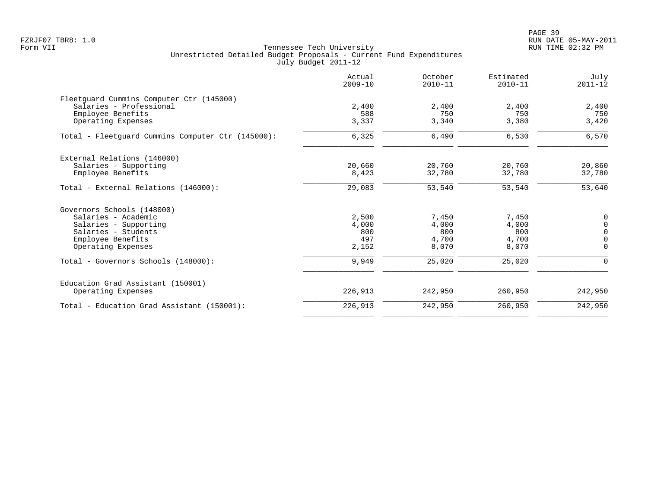PAGE 39 FZRJF07 TBR8: 1.0 RUN DATE 05-MAY-2011

|                                                   | Actual<br>$2009 - 10$ | October<br>$2010 - 11$ | Estimated<br>$2010 - 11$ | July<br>$2011 - 12$ |
|---------------------------------------------------|-----------------------|------------------------|--------------------------|---------------------|
| Fleetquard Cummins Computer Ctr (145000)          |                       |                        |                          |                     |
| Salaries - Professional                           | 2,400                 | 2,400                  | 2,400                    | 2,400               |
| Employee Benefits                                 | 588                   | 750                    | 750                      | 750                 |
| Operating Expenses                                | 3,337                 | 3,340                  | 3,380                    | 3,420               |
| Total - Fleetquard Cummins Computer Ctr (145000): | 6,325                 | 6,490                  | 6,530                    | 6,570               |
| External Relations (146000)                       |                       |                        |                          |                     |
| Salaries - Supporting                             | 20,660                | 20,760                 | 20,760                   | 20,860              |
| Employee Benefits                                 | 8,423                 | 32,780                 | 32,780                   | 32,780              |
| Total - External Relations (146000):              | 29,083                | 53,540                 | 53,540                   | 53,640              |
| Governors Schools (148000)                        |                       |                        |                          |                     |
| Salaries - Academic                               | 2,500                 | 7,450                  | 7,450                    | 0                   |
| Salaries - Supporting                             | 4,000                 | 4,000                  | 4,000                    | $\mathsf 0$         |
| Salaries - Students                               | 800                   | 800                    | 800                      | $\overline{0}$      |
| Employee Benefits                                 | 497                   | 4,700                  | 4,700                    | $\overline{0}$      |
| Operating Expenses                                | 2,152                 | 8,070                  | 8,070                    | $\mathbf 0$         |
| Total - Governors Schools (148000):               | 9,949                 | 25,020                 | 25,020                   | $\Omega$            |
| Education Grad Assistant (150001)                 |                       |                        |                          |                     |
| Operating Expenses                                | 226,913               | 242,950                | 260,950                  | 242,950             |
| Total - Education Grad Assistant (150001):        | 226,913               | 242,950                | 260,950                  | 242,950             |
|                                                   |                       |                        |                          |                     |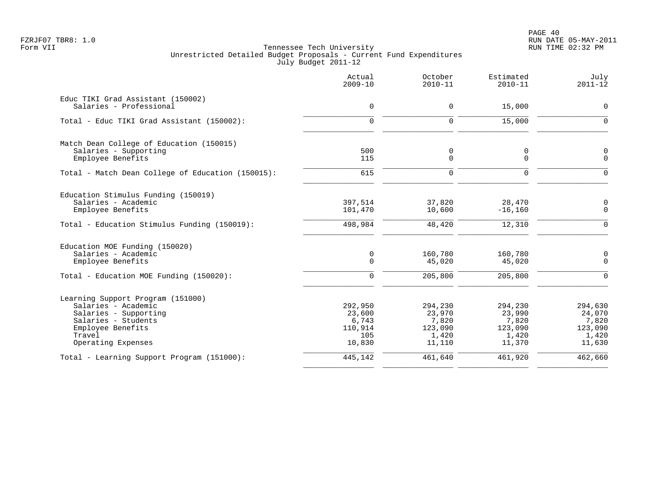PAGE 40 FZRJF07 TBR8: 1.0 RUN DATE 05-MAY-2011

|                                                              | Actual<br>$2009 - 10$ | October<br>$2010 - 11$ | Estimated<br>$2010 - 11$ | July<br>$2011 - 12$ |
|--------------------------------------------------------------|-----------------------|------------------------|--------------------------|---------------------|
| Educ TIKI Grad Assistant (150002)<br>Salaries - Professional | $\mathbf 0$           | 0                      | 15,000                   | $\mathbf 0$         |
|                                                              |                       |                        |                          |                     |
| Total - Educ TIKI Grad Assistant (150002):                   | $\Omega$              | $\Omega$               | 15,000                   | $\Omega$            |
| Match Dean College of Education (150015)                     |                       |                        |                          |                     |
| Salaries - Supporting                                        | 500                   | 0                      | 0                        | $\mathbf 0$         |
| Employee Benefits                                            | 115                   | 0                      | $\mathbf 0$              | $\overline{0}$      |
| Total - Match Dean College of Education (150015):            | 615                   | $\Omega$               | $\Omega$                 | $\Omega$            |
| Education Stimulus Funding (150019)                          |                       |                        |                          |                     |
| Salaries - Academic                                          | 397,514               | 37,820                 | 28,470                   | $\mathbf 0$         |
| Employee Benefits                                            | 101,470               | 10,600                 | $-16, 160$               | $\Omega$            |
| Total - Education Stimulus Funding (150019):                 | 498,984               | 48,420                 | 12,310                   | $\Omega$            |
| Education MOE Funding (150020)                               |                       |                        |                          |                     |
| Salaries - Academic                                          | $\mathsf 0$           | 160,780                | 160,780                  | $\mathbf 0$         |
| Employee Benefits                                            | $\mathbf 0$           | 45,020                 | 45,020                   | $\mathbf 0$         |
| Total - Education MOE Funding (150020):                      | $\mathbf 0$           | 205,800                | 205,800                  | $\Omega$            |
| Learning Support Program (151000)                            |                       |                        |                          |                     |
| Salaries - Academic                                          | 292,950               | 294,230                | 294,230                  | 294,630             |
| Salaries - Supporting                                        | 23,600                | 23,970                 | 23,990                   | 24,070              |
| Salaries - Students                                          | 6,743                 | 7,820                  | 7,820                    | 7,820               |
| Employee Benefits                                            | 110,914               | 123,090                | 123,090                  | 123,090             |
| Travel<br>Operating Expenses                                 | 105<br>10,830         | 1,420<br>11,110        | 1,420<br>11,370          | 1,420<br>11,630     |
| Total - Learning Support Program (151000):                   | 445,142               | 461,640                | 461,920                  | 462,660             |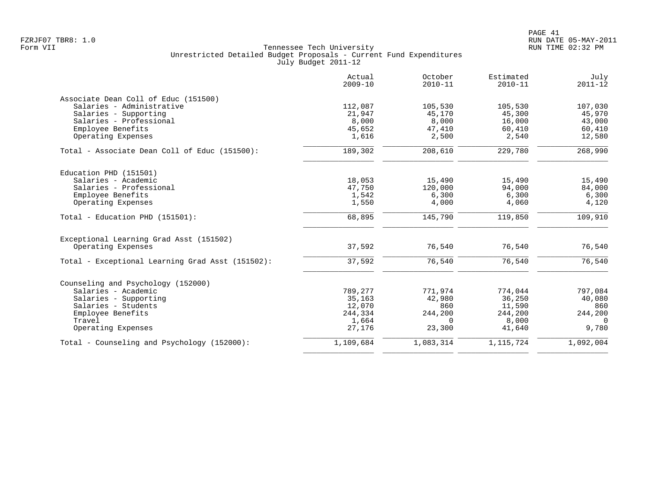|                                                  | Actual<br>$2009 - 10$ | October<br>$2010 - 11$ | Estimated<br>$2010 - 11$ | July<br>$2011 - 12$ |
|--------------------------------------------------|-----------------------|------------------------|--------------------------|---------------------|
| Associate Dean Coll of Educ (151500)             |                       |                        |                          |                     |
| Salaries - Administrative                        | 112,087               | 105,530                | 105,530                  | 107,030             |
| Salaries - Supporting                            | 21,947                | 45,170                 | 45,300                   | 45,970              |
| Salaries - Professional                          | 8,000                 | 8,000                  | 16,000                   | 43,000              |
| Employee Benefits                                | 45,652                | 47,410                 | 60,410                   | 60,410              |
| Operating Expenses                               | 1,616                 | 2,500                  | 2,540                    | 12,580              |
| Total - Associate Dean Coll of Educ (151500):    | 189,302               | 208,610                | 229,780                  | 268,990             |
| Education PHD (151501)                           |                       |                        |                          |                     |
| Salaries - Academic                              | 18,053                | 15,490                 | 15,490                   | 15,490              |
| Salaries - Professional                          | 47,750                | 120,000                | 94,000                   | 84,000              |
| Employee Benefits                                | 1,542                 | 6,300                  | 6,300                    | 6,300               |
| Operating Expenses                               | 1,550                 | 4,000                  | 4,060                    | 4,120               |
| Total - Education PHD (151501):                  | 68,895                | 145,790                | 119,850                  | 109,910             |
| Exceptional Learning Grad Asst (151502)          |                       |                        |                          |                     |
| Operating Expenses                               | 37,592                | 76,540                 | 76,540                   | 76,540              |
| Total - Exceptional Learning Grad Asst (151502): | 37,592                | 76,540                 | 76,540                   | 76,540              |
| Counseling and Psychology (152000)               |                       |                        |                          |                     |
| Salaries - Academic                              | 789,277               | 771,974                | 774,044                  | 797,084             |
| Salaries - Supporting                            | 35,163                | 42,980                 | 36,250                   | 40,080              |
| Salaries - Students                              | 12,070                | 860                    | 11,590                   | 860                 |
| Employee Benefits                                | 244,334               | 244,200                | 244,200                  | 244,200             |
| Travel                                           | 1,664                 | $\Omega$               | 8,000                    | $\Omega$            |
| Operating Expenses                               | 27,176                | 23,300                 | 41,640                   | 9,780               |
| Total - Counseling and Psychology (152000):      | 1,109,684             | 1,083,314              | 1, 115, 724              | 1,092,004           |
|                                                  |                       |                        |                          |                     |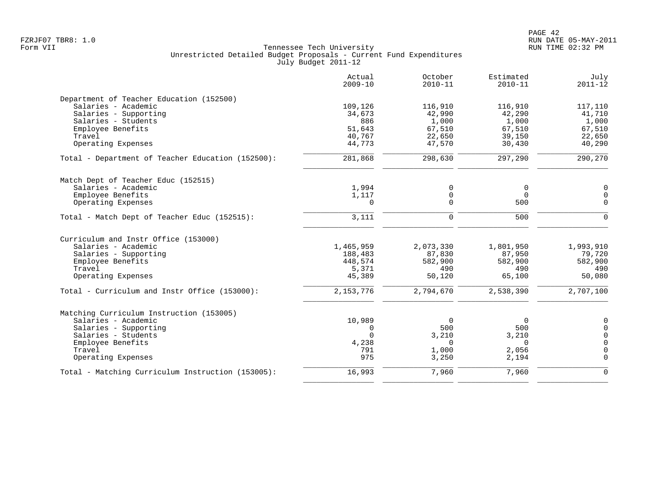|                                                   | Actual<br>$2009 - 10$ | October<br>$2010 - 11$ | Estimated<br>$2010 - 11$ | July<br>$2011 - 12$ |
|---------------------------------------------------|-----------------------|------------------------|--------------------------|---------------------|
| Department of Teacher Education (152500)          |                       |                        |                          |                     |
| Salaries - Academic                               | 109,126               | 116,910                | 116,910                  | 117,110             |
| Salaries - Supporting                             | 34,673                | 42,990                 | 42,290                   | 41,710              |
| Salaries - Students                               | 886                   | 1,000                  | 1,000                    | 1,000               |
| Employee Benefits                                 | 51,643                | 67,510                 | 67,510                   | 67,510              |
| Travel                                            | 40,767                | 22,650                 | 39,150                   | 22,650              |
| Operating Expenses                                | 44,773                | 47,570                 | 30,430                   | 40,290              |
| Total - Department of Teacher Education (152500): | 281,868               | 298,630                | 297,290                  | 290,270             |
| Match Dept of Teacher Educ (152515)               |                       |                        |                          |                     |
| Salaries - Academic                               | 1,994                 | 0                      | $\mathbf 0$              | $\mathbf 0$         |
| Employee Benefits                                 | 1,117                 | 0                      | $\Omega$                 | $\mathsf{O}$        |
| Operating Expenses                                | $\Omega$              | $\Omega$               | 500                      | $\Omega$            |
| Total - Match Dept of Teacher Educ (152515):      | 3,111                 | 0                      | 500                      | $\Omega$            |
| Curriculum and Instr Office (153000)              |                       |                        |                          |                     |
| Salaries - Academic                               | 1,465,959             | 2,073,330              | 1,801,950                | 1,993,910           |
| Salaries - Supporting                             | 188,483               | 87,830                 | 87,950                   | 79,720              |
| Employee Benefits                                 | 448,574               | 582,900                | 582,900                  | 582,900             |
| Travel                                            | 5,371                 | 490                    | 490                      | 490                 |
| Operating Expenses                                | 45,389                | 50,120                 | 65,100                   | 50,080              |
| Total - Curriculum and Instr Office (153000):     | 2, 153, 776           | 2,794,670              | 2,538,390                | 2,707,100           |
| Matching Curriculum Instruction (153005)          |                       |                        |                          |                     |
| Salaries - Academic                               | 10,989                | $\overline{0}$         | $\mathbf 0$              | $\overline{0}$      |
| Salaries - Supporting                             | 0                     | 500                    | 500                      | $\mathsf{O}$        |
| Salaries - Students                               | $\Omega$              | 3,210                  | 3,210                    | $\overline{0}$      |
| Employee Benefits                                 | 4,238                 | $\Omega$               | $\Omega$                 | $\Omega$            |
| Travel                                            | 791                   | 1,000                  | 2,056                    | $\mathbf 0$         |
| Operating Expenses                                | 975                   | 3,250                  | 2,194                    | $\Omega$            |
| Total - Matching Curriculum Instruction (153005): | 16,993                | 7,960                  | 7,960                    | $\mathbf 0$         |
|                                                   |                       |                        |                          |                     |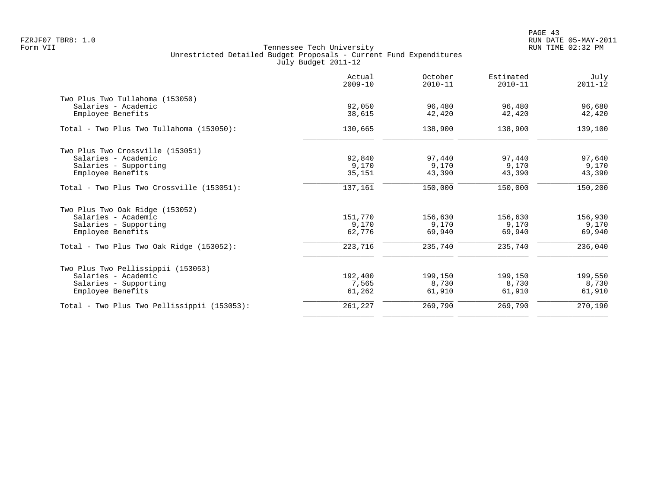|                                             | Actual<br>$2009 - 10$ | October<br>$2010 - 11$ | Estimated<br>$2010 - 11$ | July<br>$2011 - 12$ |
|---------------------------------------------|-----------------------|------------------------|--------------------------|---------------------|
| Two Plus Two Tullahoma (153050)             |                       |                        |                          |                     |
| Salaries - Academic                         | 92,050                | 96,480                 | 96,480                   | 96,680              |
| Employee Benefits                           | 38,615                | 42,420                 | 42,420                   | 42,420              |
| Total - Two Plus Two Tullahoma (153050):    | 130,665               | 138,900                | 138,900                  | 139,100             |
| Two Plus Two Crossville (153051)            |                       |                        |                          |                     |
| Salaries - Academic                         | 92,840                | 97,440                 | 97,440                   | 97,640              |
| Salaries - Supporting                       | 9,170                 | 9,170                  | 9,170                    | 9,170               |
| Employee Benefits                           | 35,151                | 43,390                 | 43,390                   | 43,390              |
| Total - Two Plus Two Crossville (153051):   | 137,161               | 150,000                | 150,000                  | 150,200             |
| Two Plus Two Oak Ridge (153052)             |                       |                        |                          |                     |
| Salaries - Academic                         | 151,770               | 156,630                | 156,630                  | 156,930             |
| Salaries - Supporting                       | 9,170                 | 9,170                  | 9,170                    | 9,170               |
| Employee Benefits                           | 62,776                | 69,940                 | 69,940                   | 69,940              |
| Total - Two Plus Two Oak Ridge $(153052)$ : | 223,716               | 235,740                | 235,740                  | 236,040             |
| Two Plus Two Pellissippii (153053)          |                       |                        |                          |                     |
| Salaries - Academic                         | 192,400               | 199,150                | 199,150                  | 199,550             |
| Salaries - Supporting                       | 7,565                 | 8,730                  | 8,730                    | 8,730               |
| Employee Benefits                           | 61,262                | 61,910                 | 61,910                   | 61,910              |
| Total - Two Plus Two Pellissippii (153053): | 261,227               | 269,790                | 269,790                  | 270,190             |
|                                             |                       |                        |                          |                     |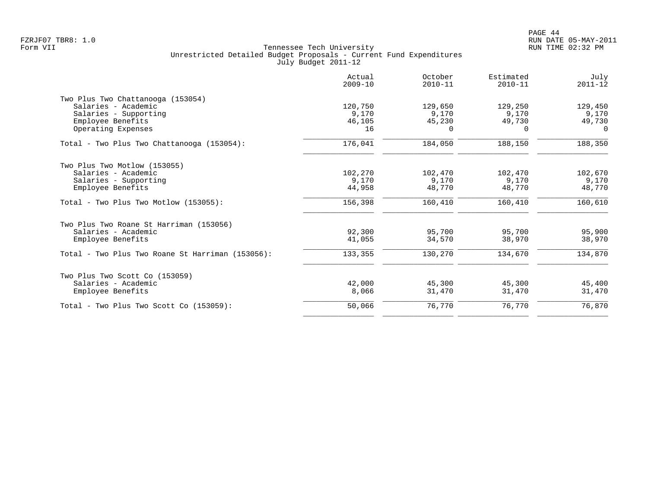| Actual<br>$2009 - 10$ | October<br>$2010 - 11$ | Estimated<br>$2010 - 11$ | July<br>$2011 - 12$ |
|-----------------------|------------------------|--------------------------|---------------------|
|                       |                        |                          |                     |
| 120,750               | 129,650                | 129,250                  | 129,450             |
| 9,170                 | 9,170                  | 9,170                    | 9,170               |
| 46,105                | 45,230                 | 49,730                   | 49,730              |
| 16                    | $\Omega$               | $\Omega$                 | $\Omega$            |
| 176,041               | 184,050                | 188,150                  | 188,350             |
|                       |                        |                          |                     |
|                       |                        |                          | 102,670             |
|                       |                        |                          | 9,170               |
| 44,958                | 48,770                 | 48,770                   | 48,770              |
| 156,398               | 160,410                | 160,410                  | 160,610             |
|                       |                        |                          |                     |
| 92,300                | 95,700                 | 95,700                   | 95,900              |
| 41,055                | 34,570                 | 38,970                   | 38,970              |
| 133,355               | 130,270                | 134,670                  | 134,870             |
|                       |                        |                          |                     |
| 42,000                | 45,300                 | 45,300                   | 45,400              |
| 8,066                 | 31,470                 | 31,470                   | 31,470              |
| 50,066                | 76,770                 | 76,770                   | 76,870              |
|                       | 102,270<br>9,170       | 102,470<br>9,170         | 102,470<br>9,170    |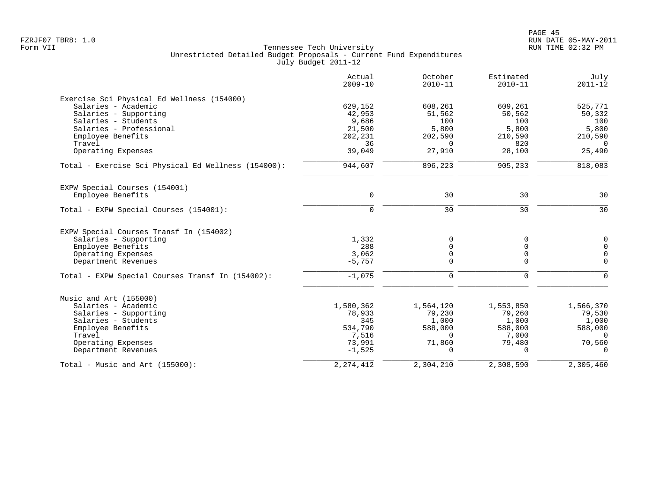|                                                     | Actual<br>$2009 - 10$ | October<br>$2010 - 11$ | Estimated<br>$2010 - 11$ | July<br>$2011 - 12$ |
|-----------------------------------------------------|-----------------------|------------------------|--------------------------|---------------------|
| Exercise Sci Physical Ed Wellness (154000)          |                       |                        |                          |                     |
| Salaries - Academic                                 | 629,152               | 608,261                | 609,261                  | 525,771             |
| Salaries - Supporting                               | 42,953                | 51,562                 | 50,562                   | 50,332              |
| Salaries - Students                                 | 9,686                 | 100                    | 100                      | 100                 |
| Salaries - Professional                             | 21,500                | 5,800                  | 5,800                    | 5,800               |
| Employee Benefits                                   | 202,231               | 202,590                | 210,590                  | 210,590             |
| Travel                                              | 36                    | $\Omega$               | 820                      | $\Omega$            |
| Operating Expenses                                  | 39,049                | 27,910                 | 28,100                   | 25,490              |
| Total - Exercise Sci Physical Ed Wellness (154000): | 944,607               | 896,223                | 905,233                  | 818,083             |
| EXPW Special Courses (154001)                       |                       |                        |                          |                     |
| Employee Benefits                                   | $\mathbf 0$           | 30                     | 30                       | 30                  |
| Total - EXPW Special Courses (154001):              | $\mathbf 0$           | 30                     | 30                       | 30                  |
| EXPW Special Courses Transf In (154002)             |                       |                        |                          |                     |
| Salaries - Supporting                               | 1,332                 | 0                      | 0                        | $\mathsf 0$         |
| Employee Benefits                                   | 288                   | $\Omega$               | $\mathbf 0$              | $\Omega$            |
| Operating Expenses                                  | 3,062                 | 0                      | 0                        | $\overline{0}$      |
| Department Revenues                                 | $-5,757$              | $\Omega$               | $\Omega$                 | $\Omega$            |
| Total - EXPW Special Courses Transf In (154002):    | $-1,075$              | $\mathbf 0$            | $\mathbf 0$              | $\Omega$            |
| Music and Art (155000)                              |                       |                        |                          |                     |
| Salaries - Academic                                 | 1,580,362             | 1,564,120              | 1,553,850                | 1,566,370           |
| Salaries - Supporting                               | 78,933                | 79,230                 | 79,260                   | 79,530              |
| Salaries - Students                                 | 345                   | 1,000                  | 1,000                    | 1,000               |
| Employee Benefits                                   | 534,790               | 588,000                | 588,000                  | 588,000             |
| Travel                                              | 7,516                 | $\Omega$               | 7,000                    | $\cap$              |
| Operating Expenses                                  | 73,991                | 71,860                 | 79,480                   | 70,560              |
| Department Revenues                                 | $-1,525$              |                        | $\Omega$                 | $\Omega$            |
| Total - Music and Art $(155000)$ :                  | 2, 274, 412           | 2,304,210              | 2,308,590                | 2,305,460           |
|                                                     |                       |                        |                          |                     |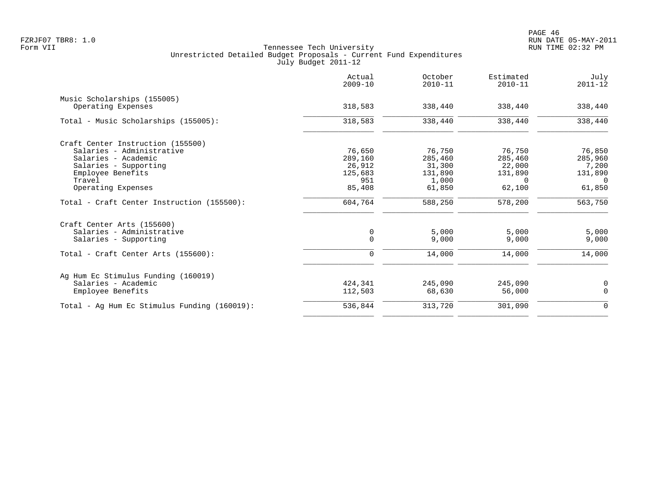| 318,583<br>318,583<br>76,650<br>289,160 | 338,440<br>338,440<br>76,750             | 338,440<br>338,440 | 338,440<br>338,440 |
|-----------------------------------------|------------------------------------------|--------------------|--------------------|
|                                         |                                          |                    |                    |
|                                         |                                          |                    |                    |
|                                         |                                          |                    |                    |
|                                         |                                          |                    |                    |
|                                         |                                          | 76,750             | 76,850             |
|                                         | 285,460                                  | 285,460            | 285,960            |
| 26,912                                  | 31,300                                   | 22,000             | 7,200              |
| 125,683                                 | 131,890                                  | 131,890            | 131,890            |
| 951                                     | 1,000                                    | 0                  | $\Omega$           |
| 85,408                                  | 61,850                                   | 62,100             | 61,850             |
|                                         | 588,250                                  | 578,200            | 563,750            |
|                                         |                                          |                    |                    |
| 0                                       | 5,000                                    | 5,000              | 5,000              |
| $\Omega$                                | 9,000                                    | 9,000              | 9,000              |
| $\mathbf 0$                             | 14,000                                   | 14,000             | 14,000             |
|                                         |                                          |                    |                    |
|                                         |                                          |                    | 0                  |
|                                         | 68,630                                   | 56,000             | $\mathbf 0$        |
|                                         | 313,720                                  | 301,090            | $\mathbf 0$        |
|                                         | 604,764<br>424,341<br>112,503<br>536,844 | 245,090            | 245,090            |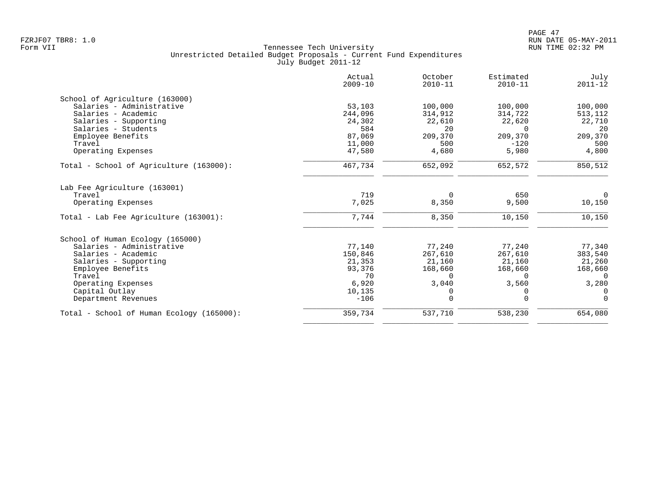|                                           | Actual<br>$2009 - 10$ | October<br>$2010 - 11$ | Estimated<br>$2010 - 11$ | July<br>$2011 - 12$ |
|-------------------------------------------|-----------------------|------------------------|--------------------------|---------------------|
| School of Agriculture (163000)            |                       |                        |                          |                     |
| Salaries - Administrative                 | 53,103                | 100,000                | 100,000                  | 100,000             |
| Salaries - Academic                       | 244,096               | 314,912                | 314,722                  | 513,112             |
| Salaries - Supporting                     | 24,302                | 22,610                 | 22,620                   | 22,710              |
| Salaries - Students                       | 584                   | 20                     | $\Omega$                 | 20                  |
| Employee Benefits                         | 87,069                | 209,370                | 209,370                  | 209,370             |
| Travel                                    | 11,000                | 500                    | $-120$                   | 500                 |
| Operating Expenses                        | 47,580                | 4,680                  | 5,980                    | 4,800               |
| Total - School of Agriculture (163000):   | 467,734               | 652,092                | 652,572                  | 850,512             |
| Lab Fee Agriculture (163001)              |                       |                        |                          |                     |
| Travel                                    | 719                   | $\Omega$               | 650                      | $\mathbf 0$         |
| Operating Expenses                        | 7,025                 | 8,350                  | 9,500                    | 10,150              |
| Total - Lab Fee Agriculture (163001):     | 7,744                 | 8,350                  | 10,150                   | 10,150              |
| School of Human Ecology (165000)          |                       |                        |                          |                     |
| Salaries - Administrative                 | 77,140                | 77,240                 | 77,240                   | 77,340              |
| Salaries - Academic                       | 150,846               | 267,610                | 267,610                  | 383,540             |
| Salaries - Supporting                     | 21,353                | 21,160                 | 21,160                   | 21,260              |
| Employee Benefits                         | 93,376                | 168,660                | 168,660                  | 168,660             |
| Travel                                    | 70                    | <sup>n</sup>           | $\Omega$                 | $\Omega$            |
| Operating Expenses                        | 6,920                 | 3,040                  | 3,560                    | 3,280               |
| Capital Outlay                            | 10,135                | 0                      | 0                        | $\Omega$            |
| Department Revenues                       | $-106$                | $\Omega$               | $\Omega$                 | $\Omega$            |
| Total - School of Human Ecology (165000): | 359,734               | 537,710                | 538,230                  | 654,080             |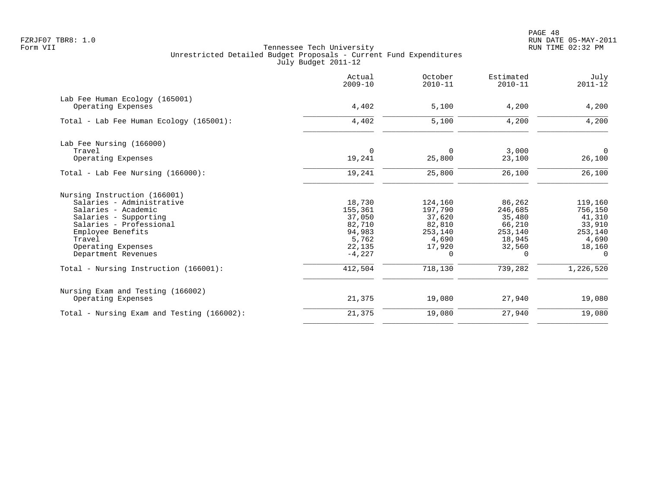|                                            | Actual<br>$2009 - 10$ | October<br>$2010 - 11$ | Estimated<br>$2010 - 11$ | July<br>$2011 - 12$ |
|--------------------------------------------|-----------------------|------------------------|--------------------------|---------------------|
| Lab Fee Human Ecology (165001)             |                       |                        |                          |                     |
| Operating Expenses                         | 4,402                 | 5,100                  | 4,200                    | 4,200               |
| Total - Lab Fee Human Ecology (165001):    | 4,402                 | 5,100                  | 4,200                    | 4,200               |
| Lab Fee Nursing (166000)                   |                       |                        |                          |                     |
| Travel                                     | $\mathbf 0$           | $\Omega$               | 3,000                    | $\overline{0}$      |
| Operating Expenses                         | 19,241                | 25,800                 | 23,100                   | 26,100              |
| Total - Lab Fee Nursing (166000):          | 19,241                | 25,800                 | 26,100                   | 26,100              |
| Nursing Instruction (166001)               |                       |                        |                          |                     |
| Salaries - Administrative                  | 18,730                | 124,160                | 86,262                   | 119,160             |
| Salaries - Academic                        | 155,361               | 197,790                | 246,685                  | 756,150             |
| Salaries - Supporting                      | 37,050                | 37,620                 | 35,480                   | 41,310              |
| Salaries - Professional                    | 82,710                | 82,810                 | 66,210                   | 33,910              |
| Employee Benefits                          | 94,983                | 253,140                | 253,140                  | 253,140             |
| Travel                                     | 5,762                 | 4,690                  | 18,945                   | 4,690               |
| Operating Expenses<br>Department Revenues  | 22,135<br>$-4,227$    | 17,920<br>$\Omega$     | 32,560<br>$\Omega$       | 18,160<br>$\Omega$  |
| Total - Nursing Instruction (166001):      | 412,504               | 718,130                | 739,282                  | 1,226,520           |
| Nursing Exam and Testing (166002)          |                       |                        |                          |                     |
| Operating Expenses                         | 21,375                | 19,080                 | 27,940                   | 19,080              |
| Total - Nursing Exam and Testing (166002): | 21,375                | 19,080                 | 27,940                   | 19,080              |
|                                            |                       |                        |                          |                     |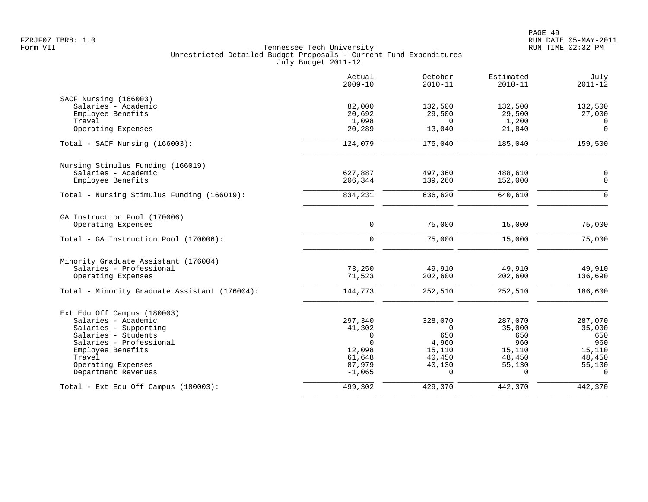|                                               | Actual<br>$2009 - 10$ | October<br>$2010 - 11$ | Estimated<br>$2010 - 11$ | July<br>$2011 - 12$ |
|-----------------------------------------------|-----------------------|------------------------|--------------------------|---------------------|
| SACF Nursing (166003)                         |                       |                        |                          |                     |
| Salaries - Academic                           | 82,000                | 132,500                | 132,500                  | 132,500             |
| Employee Benefits                             | 20,692                | 29,500                 | 29,500                   | 27,000              |
| Travel                                        | 1,098                 | $\Omega$               | 1,200                    | $\overline{0}$      |
| Operating Expenses                            | 20,289                | 13,040                 | 21,840                   | $\mathbf 0$         |
| Total - SACF Nursing (166003):                | 124,079               | 175,040                | 185,040                  | 159,500             |
| Nursing Stimulus Funding (166019)             |                       |                        |                          |                     |
| Salaries - Academic                           | 627,887               | 497,360                | 488,610                  | $\mathbf 0$         |
| Employee Benefits                             | 206,344               | 139,260                | 152,000                  | $\mathbf 0$         |
| Total - Nursing Stimulus Funding (166019):    | 834,231               | 636,620                | 640,610                  | $\Omega$            |
| GA Instruction Pool (170006)                  |                       |                        |                          |                     |
| Operating Expenses                            | $\mathbf 0$           | 75,000                 | 15,000                   | 75,000              |
| Total - GA Instruction Pool (170006):         | $\Omega$              | 75,000                 | 15,000                   | 75,000              |
| Minority Graduate Assistant (176004)          |                       |                        |                          |                     |
| Salaries - Professional                       | 73,250                | 49,910                 | 49,910                   | 49,910              |
| Operating Expenses                            | 71,523                | 202,600                | 202,600                  | 136,690             |
| Total - Minority Graduate Assistant (176004): | 144,773               | 252,510                | 252,510                  | 186,600             |
| Ext Edu Off Campus (180003)                   |                       |                        |                          |                     |
| Salaries - Academic                           | 297,340               | 328,070                | 287,070                  | 287,070             |
| Salaries - Supporting                         | 41,302                | $\Omega$               | 35,000                   | 35,000              |
| Salaries - Students                           | 0                     | 650                    | 650                      | 650                 |
| Salaries - Professional                       | $\Omega$              | 4,960                  | 960                      | 960                 |
| Employee Benefits                             | 12,098                | 15,110                 | 15,110                   | 15,110              |
| Travel                                        | 61,648                | 40,450                 | 48,450                   | 48,450              |
| Operating Expenses                            | 87,979                | 40,130                 | 55,130                   | 55,130              |
| Department Revenues                           | $-1,065$              | $\Omega$               | $\Omega$                 | $\Omega$            |
| Total - Ext Edu Off Campus (180003):          | 499,302               | 429,370                | 442,370                  | 442,370             |
|                                               |                       |                        |                          |                     |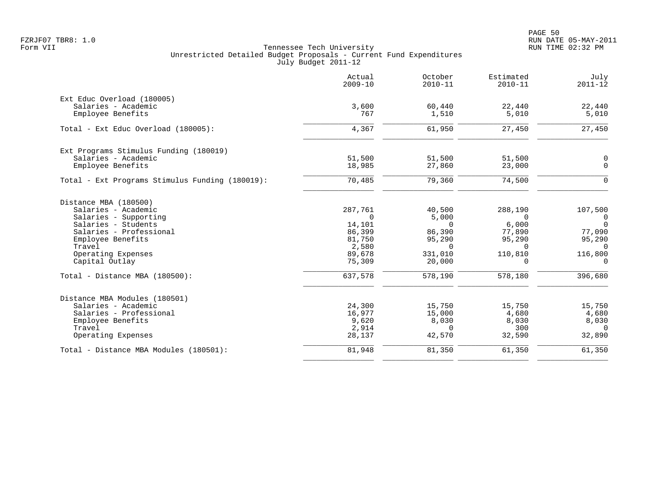|                                                 | Actual<br>$2009 - 10$ | October<br>$2010 - 11$ | Estimated<br>$2010 - 11$ | July<br>$2011 - 12$ |
|-------------------------------------------------|-----------------------|------------------------|--------------------------|---------------------|
| Ext Educ Overload (180005)                      |                       |                        |                          |                     |
| Salaries - Academic                             | 3,600                 | 60,440                 | 22,440                   | 22,440              |
| Employee Benefits                               | 767                   | 1,510                  | 5,010                    | 5,010               |
| Total - Ext Educ Overload (180005):             | 4,367                 | 61,950                 | 27,450                   | 27,450              |
| Ext Programs Stimulus Funding (180019)          |                       |                        |                          |                     |
| Salaries - Academic                             | 51,500                | 51,500                 | 51,500                   | 0                   |
| Employee Benefits                               | 18,985                | 27,860                 | 23,000                   | $\mathbf 0$         |
| Total - Ext Programs Stimulus Funding (180019): | 70,485                | 79,360                 | 74,500                   | $\Omega$            |
| Distance MBA (180500)                           |                       |                        |                          |                     |
| Salaries - Academic                             | 287,761               | 40,500                 | 288,190                  | 107,500             |
| Salaries - Supporting                           | $\Omega$              | 5,000                  | $\Omega$                 | $\overline{0}$      |
| Salaries - Students                             | 14,101                | $\Omega$               | 6,000                    | $\overline{0}$      |
| Salaries - Professional                         | 86,399                | 86,390                 | 77,890                   | 77,090              |
| Employee Benefits                               | 81,750                | 95,290                 | 95,290                   | 95,290              |
| Travel                                          | 2,580                 | $\Omega$               | $\cap$                   | $\Omega$            |
| Operating Expenses                              | 89,678                | 331,010                | 110,810                  | 116,800             |
| Capital Outlay                                  | 75,309                | 20,000                 | $\Omega$                 | $\Omega$            |
| Total - Distance MBA (180500):                  | 637,578               | 578,190                | 578,180                  | 396,680             |
| Distance MBA Modules (180501)                   |                       |                        |                          |                     |
| Salaries - Academic                             | 24,300                | 15,750                 | 15,750                   | 15,750              |
| Salaries - Professional                         | 16,977                | 15,000                 | 4,680                    | 4,680               |
| Employee Benefits                               | 9,620                 | 8,030                  | 8,030                    | 8,030               |
| Travel                                          | 2,914                 | $\Omega$               | 300                      | $\Omega$            |
| Operating Expenses                              | 28,137                | 42,570                 | 32,590                   | 32,890              |
| Total - Distance MBA Modules (180501):          | 81,948                | 81,350                 | 61,350                   | 61,350              |
|                                                 |                       |                        |                          |                     |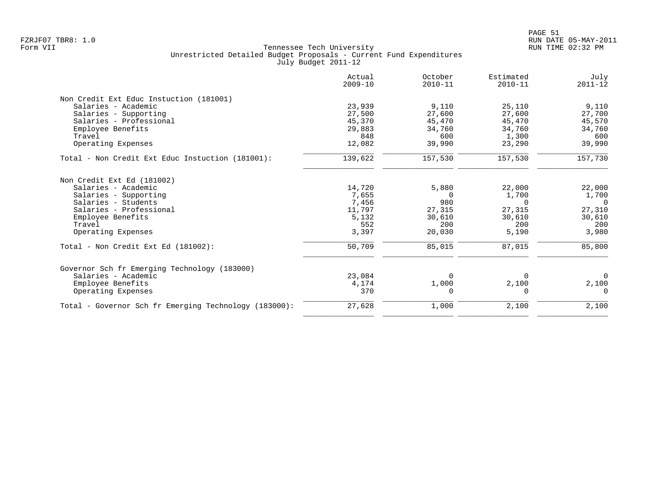|                                                       | Actual<br>$2009 - 10$ | October<br>$2010 - 11$ | Estimated<br>$2010 - 11$ | July<br>$2011 - 12$ |
|-------------------------------------------------------|-----------------------|------------------------|--------------------------|---------------------|
| Non Credit Ext Educ Instuction (181001)               |                       |                        |                          |                     |
| Salaries - Academic                                   | 23,939                | 9,110                  | 25,110                   | 9,110               |
| Salaries - Supporting                                 | 27,500                | 27,600                 | 27,600                   | 27,700              |
| Salaries - Professional                               | 45,370                | 45,470                 | 45,470                   | 45,570              |
| Employee Benefits                                     | 29,883                | 34,760                 | 34,760                   | 34,760              |
| Travel                                                | 848                   | 600                    | 1,300                    | 600                 |
| Operating Expenses                                    | 12,082                | 39,990                 | 23,290                   | 39,990              |
| Total - Non Credit Ext Educ Instuction (181001):      | 139,622               | 157,530                | 157,530                  | 157,730             |
| Non Credit Ext Ed (181002)                            |                       |                        |                          |                     |
| Salaries - Academic                                   | 14,720                | 5,880                  | 22,000                   | 22,000              |
| Salaries - Supporting                                 | 7,655                 | $\overline{0}$         | 1,700                    | 1,700               |
| Salaries - Students                                   | 7,456                 | 980                    | $\Omega$                 | $\Omega$            |
| Salaries - Professional                               | 11,797                | 27,315                 | 27,315                   | 27,310              |
| Employee Benefits                                     | 5,132                 | 30,610                 | 30,610                   | 30,610              |
| Travel                                                | 552                   | 200                    | 200                      | 200                 |
| Operating Expenses                                    | 3,397                 | 20,030                 | 5,190                    | 3,980               |
| Total - Non Credit Ext Ed (181002):                   | 50,709                | 85,015                 | 87,015                   | 85,800              |
| Governor Sch fr Emerging Technology (183000)          |                       |                        |                          |                     |
| Salaries - Academic                                   | 23,084                | $\Omega$               | $\Omega$                 | $\Omega$            |
| Employee Benefits                                     | 4,174                 | 1,000                  | 2,100                    | 2,100               |
| Operating Expenses                                    | 370                   | 0                      | $\Omega$                 | $\Omega$            |
| Total - Governor Sch fr Emerging Technology (183000): | 27,628                | 1,000                  | 2,100                    | 2,100               |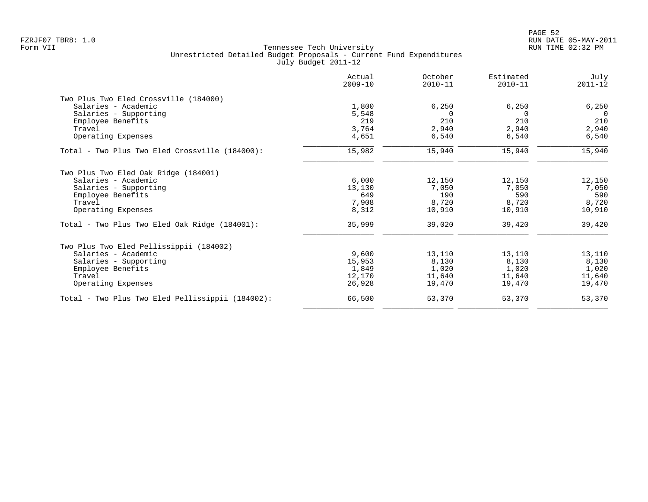| Actual<br>$2009 - 10$ | October<br>$2010 - 11$                             | Estimated<br>$2010 - 11$                           | July<br>$2011 - 12$                                |
|-----------------------|----------------------------------------------------|----------------------------------------------------|----------------------------------------------------|
|                       |                                                    |                                                    |                                                    |
| 1,800                 | 6,250                                              | 6,250                                              | 6,250                                              |
| 5,548                 | $\Omega$                                           | $\Omega$                                           | $\Omega$                                           |
| 219                   | 210                                                | 210                                                | 210                                                |
| 3,764                 | 2,940                                              | 2,940                                              | 2,940                                              |
| 4,651                 | 6,540                                              | 6,540                                              | 6,540                                              |
| 15,982                | 15,940                                             | 15,940                                             | 15,940                                             |
|                       |                                                    |                                                    |                                                    |
|                       |                                                    |                                                    | 12,150                                             |
|                       |                                                    |                                                    | 7,050                                              |
|                       |                                                    |                                                    | 590                                                |
|                       |                                                    |                                                    | 8,720                                              |
| 8,312                 | 10,910                                             | 10,910                                             | 10,910                                             |
| 35,999                | 39,020                                             | 39,420                                             | 39,420                                             |
|                       |                                                    |                                                    |                                                    |
|                       |                                                    |                                                    | 13,110                                             |
|                       |                                                    |                                                    | 8,130                                              |
| 1,849                 | 1,020                                              | 1,020                                              | 1,020                                              |
| 12,170                | 11,640                                             | 11,640                                             | 11,640                                             |
| 26,928                | 19,470                                             | 19,470                                             | 19,470                                             |
| 66,500                | 53,370                                             | 53,370                                             | 53,370                                             |
|                       | 6,000<br>13,130<br>649<br>7,908<br>9,600<br>15,953 | 12,150<br>7,050<br>190<br>8,720<br>13,110<br>8,130 | 12,150<br>7,050<br>590<br>8,720<br>13,110<br>8,130 |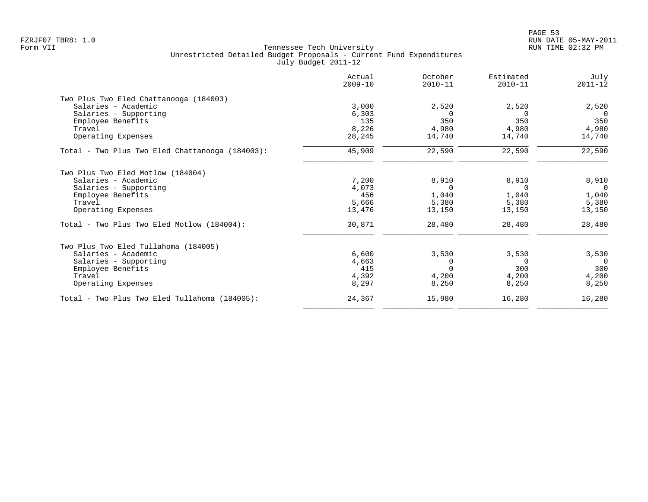|                                                 | Actual<br>$2009 - 10$ | October<br>$2010 - 11$ | Estimated<br>$2010 - 11$ | July<br>$2011 - 12$ |
|-------------------------------------------------|-----------------------|------------------------|--------------------------|---------------------|
| Two Plus Two Eled Chattanooga (184003)          |                       |                        |                          |                     |
| Salaries - Academic                             | 3,000                 | 2,520                  | 2,520                    | 2,520               |
| Salaries - Supporting                           | 6,303                 | $\Omega$               | $\Omega$                 | $\Omega$            |
| Employee Benefits                               | 135                   | 350                    | 350                      | 350                 |
| Travel                                          | 8,226                 | 4,980                  | 4,980                    | 4,980               |
| Operating Expenses                              | 28,245                | 14,740                 | 14,740                   | 14,740              |
| Total - Two Plus Two Eled Chattanooga (184003): | 45,909                | 22,590                 | 22,590                   | 22,590              |
| Two Plus Two Eled Motlow (184004)               |                       |                        |                          |                     |
| Salaries - Academic                             | 7,200                 | 8,910                  | 8,910                    | 8,910               |
| Salaries - Supporting                           | 4,073                 | $\Omega$               | $\Omega$                 | $\Omega$            |
| Employee Benefits                               | 456                   | 1,040                  | 1,040                    | 1,040               |
| Travel                                          | 5,666                 | 5,380                  | 5,380                    | 5,380               |
| Operating Expenses                              | 13,476                | 13,150                 | 13,150                   | 13,150              |
| Total - Two Plus Two Eled Motlow (184004):      | 30,871                | 28,480                 | 28,480                   | 28,480              |
| Two Plus Two Eled Tullahoma (184005)            |                       |                        |                          |                     |
| Salaries - Academic                             | 6,600                 | 3,530                  | 3,530                    | 3,530               |
| Salaries - Supporting                           | 4,663                 | 0                      | $\Omega$                 | $\overline{0}$      |
| Employee Benefits                               | 415                   | $\Omega$               | 300                      | 300                 |
| Travel                                          | 4,392                 | 4,200                  | 4,200                    | 4,200               |
| Operating Expenses                              | 8,297                 | 8,250                  | 8,250                    | 8,250               |
| Total - Two Plus Two Eled Tullahoma (184005):   | 24,367                | 15,980                 | 16,280                   | 16,280              |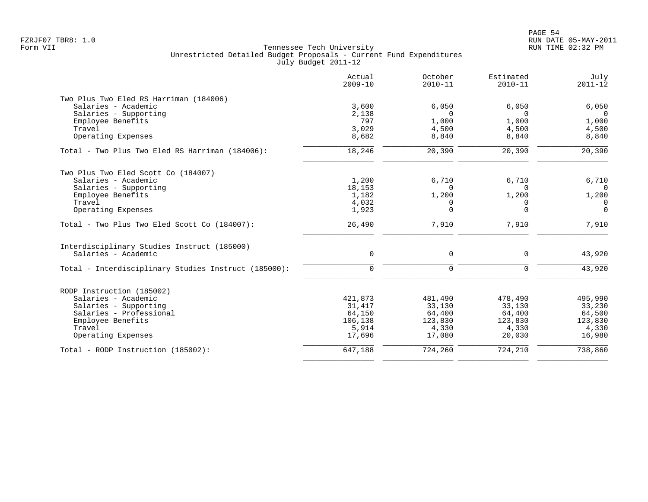|                                                      | Actual<br>$2009 - 10$ | October<br>$2010 - 11$ | Estimated<br>$2010 - 11$ | July<br>$2011 - 12$ |
|------------------------------------------------------|-----------------------|------------------------|--------------------------|---------------------|
| Two Plus Two Eled RS Harriman (184006)               |                       |                        |                          |                     |
| Salaries - Academic                                  | 3,600                 | 6,050                  | 6,050                    | 6,050               |
| Salaries - Supporting                                | 2,138                 | $\Omega$               | $\Omega$                 | $\Omega$            |
| Employee Benefits                                    | 797                   | 1,000                  | 1,000                    | 1,000               |
| Travel                                               | 3,029                 | 4,500                  | 4,500                    | 4,500               |
| Operating Expenses                                   | 8,682                 | 8,840                  | 8,840                    | 8,840               |
| Total - Two Plus Two Eled RS Harriman (184006):      | 18,246                | 20,390                 | 20,390                   | 20,390              |
| Two Plus Two Eled Scott Co (184007)                  |                       |                        |                          |                     |
| Salaries - Academic                                  | 1,200                 | 6,710                  | 6,710                    | 6,710               |
| Salaries - Supporting                                | 18,153                | $\Omega$               | $\Omega$                 | $\Omega$            |
| Employee Benefits                                    | 1,182                 | 1,200                  | 1,200                    | 1,200               |
| Travel                                               | 4,032                 | 0                      | 0                        | 0                   |
| Operating Expenses                                   | 1,923                 | $\mathbf 0$            | $\mathbf 0$              | $\overline{0}$      |
| Total - Two Plus Two Eled Scott Co (184007):         | 26,490                | 7,910                  | 7,910                    | 7,910               |
| Interdisciplinary Studies Instruct (185000)          |                       |                        |                          |                     |
| Salaries - Academic                                  | $\mathbf 0$           | $\mathbf 0$            | $\mathbf 0$              | 43,920              |
| Total - Interdisciplinary Studies Instruct (185000): | $\mathbf 0$           | $\Omega$               | $\Omega$                 | 43,920              |
| RODP Instruction (185002)                            |                       |                        |                          |                     |
| Salaries - Academic                                  | 421,873               | 481,490                | 478,490                  | 495,990             |
| Salaries - Supporting                                | 31,417                | 33,130                 | 33,130                   | 33,230              |
| Salaries - Professional                              | 64,150                | 64,400                 | 64,400                   | 64,500              |
| Employee Benefits                                    | 106,138               | 123,830                | 123,830                  | 123,830             |
| Travel                                               | 5,914                 | 4,330                  | 4,330                    | 4,330               |
| Operating Expenses                                   | 17,696                | 17,080                 | 20,030                   | 16,980              |
| Total - RODP Instruction (185002):                   | 647,188               | 724,260                | 724,210                  | 738,860             |
|                                                      |                       |                        |                          |                     |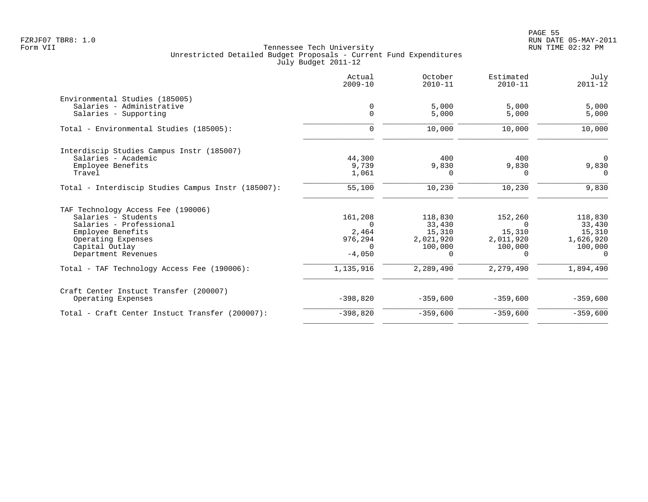| Estimated<br>July<br>$2010 - 11$<br>$2011 - 12$ | October<br>$2010 - 11$ | Actual<br>$2009 - 10$ |                                                    |
|-------------------------------------------------|------------------------|-----------------------|----------------------------------------------------|
|                                                 |                        |                       | Environmental Studies (185005)                     |
| 5,000<br>5,000                                  | 5,000                  | 0                     | Salaries - Administrative                          |
| 5,000<br>5,000                                  | 5,000                  | $\Omega$              | Salaries - Supporting                              |
| 10,000<br>10,000                                | 10,000                 | $\Omega$              | Total - Environmental Studies (185005):            |
|                                                 |                        |                       | Interdiscip Studies Campus Instr (185007)          |
| 400<br>$\Omega$                                 | 400                    | 44,300                | Salaries - Academic                                |
| 9,830<br>9,830                                  | 9,830                  | 9,739                 | Employee Benefits                                  |
| $\Omega$<br>$\Omega$                            | $\Omega$               | 1,061                 | Travel                                             |
| 10,230<br>9,830                                 | 10,230                 | 55,100                | Total - Interdiscip Studies Campus Instr (185007): |
|                                                 |                        |                       | TAF Technology Access Fee (190006)                 |
| 152,260<br>118,830                              | 118,830                | 161,208               | Salaries - Students                                |
| $\Omega$<br>33,430                              | 33,430                 | $\Omega$              | Salaries - Professional                            |
| 15,310<br>15,310                                | 15,310                 | 2,464                 | Employee Benefits                                  |
| 2,011,920<br>1,626,920                          | 2,021,920              | 976,294               | Operating Expenses                                 |
| 100,000<br>100,000                              | 100,000                | $\Omega$              | Capital Outlay                                     |
| $\Omega$<br>$\Omega$                            | $\Omega$               | $-4,050$              | Department Revenues                                |
| 2,279,490<br>1,894,490                          | 2,289,490              | 1,135,916             | Total - TAF Technology Access Fee (190006):        |
|                                                 |                        |                       | Craft Center Instuct Transfer (200007)             |
| $-359,600$<br>$-359,600$                        | $-359,600$             | $-398,820$            | Operating Expenses                                 |
| $-359,600$<br>$-359,600$                        | $-359,600$             | $-398,820$            | Total - Craft Center Instuct Transfer (200007):    |
|                                                 |                        |                       |                                                    |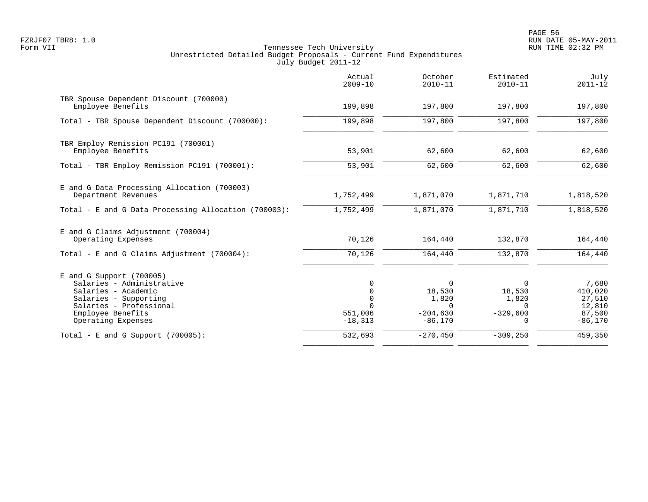|                                                                                                                                                                               | Actual<br>$2009 - 10$                                      | October<br>$2010 - 11$                                             | Estimated<br>$2010 - 11$                                   | July<br>$2011 - 12$                                         |
|-------------------------------------------------------------------------------------------------------------------------------------------------------------------------------|------------------------------------------------------------|--------------------------------------------------------------------|------------------------------------------------------------|-------------------------------------------------------------|
| TBR Spouse Dependent Discount (700000)<br>Employee Benefits                                                                                                                   | 199,898                                                    | 197,800                                                            | 197,800                                                    | 197,800                                                     |
| Total - TBR Spouse Dependent Discount (700000):                                                                                                                               | 199,898                                                    | 197,800                                                            | 197,800                                                    | 197,800                                                     |
| TBR Employ Remission PC191 (700001)<br>Employee Benefits                                                                                                                      | 53,901                                                     | 62,600                                                             | 62,600                                                     | 62,600                                                      |
| Total - TBR Employ Remission PC191 (700001):                                                                                                                                  | 53,901                                                     | 62,600                                                             | 62,600                                                     | 62,600                                                      |
| E and G Data Processing Allocation (700003)<br>Department Revenues                                                                                                            | 1,752,499                                                  | 1,871,070                                                          | 1,871,710                                                  | 1,818,520                                                   |
| Total - E and G Data Processing Allocation (700003):                                                                                                                          | 1,752,499                                                  | 1,871,070                                                          | 1,871,710                                                  | 1,818,520                                                   |
| E and G Claims Adjustment (700004)<br>Operating Expenses                                                                                                                      | 70,126                                                     | 164,440                                                            | 132,870                                                    | 164,440                                                     |
| Total - E and G Claims Adjustment $(700004)$ :                                                                                                                                | 70,126                                                     | 164,440                                                            | 132,870                                                    | 164,440                                                     |
| $E$ and G Support (700005)<br>Salaries - Administrative<br>Salaries - Academic<br>Salaries - Supporting<br>Salaries - Professional<br>Employee Benefits<br>Operating Expenses | 0<br>0<br>$\mathbf 0$<br>$\Omega$<br>551,006<br>$-18, 313$ | $\Omega$<br>18,530<br>1,820<br>$\Omega$<br>$-204,630$<br>$-86,170$ | $\Omega$<br>18,530<br>1,820<br>$\Omega$<br>$-329,600$<br>0 | 7,680<br>410,020<br>27,510<br>12,810<br>87,500<br>$-86,170$ |
| Total - E and G Support $(700005)$ :                                                                                                                                          | 532,693                                                    | $-270, 450$                                                        | $-309, 250$                                                | 459,350                                                     |
|                                                                                                                                                                               |                                                            |                                                                    |                                                            |                                                             |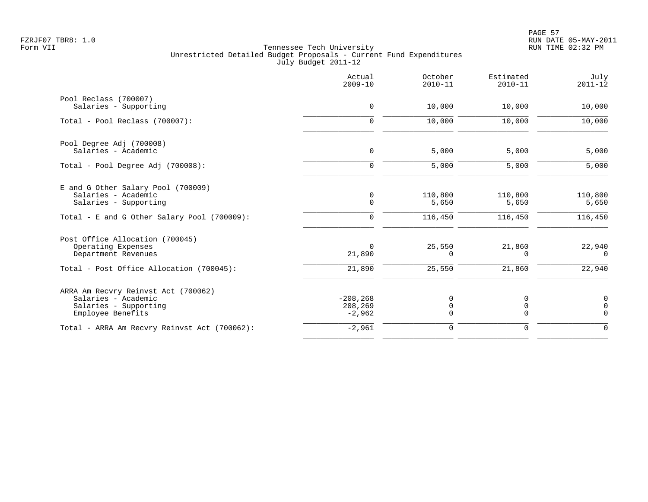|                                                                                                          | Actual<br>$2009 - 10$              | October<br>$2010 - 11$ | Estimated<br>$2010 - 11$ | July<br>$2011 - 12$                       |
|----------------------------------------------------------------------------------------------------------|------------------------------------|------------------------|--------------------------|-------------------------------------------|
| Pool Reclass (700007)<br>Salaries - Supporting                                                           | 0                                  | 10,000                 | 10,000                   | 10,000                                    |
| Total - Pool Reclass (700007):                                                                           | $\mathbf 0$                        | 10,000                 | 10,000                   | 10,000                                    |
| Pool Degree Adj (700008)<br>Salaries - Academic                                                          | 0                                  | 5,000                  | 5,000                    | 5,000                                     |
| Total - Pool Degree Adj (700008):                                                                        | $\mathbf 0$                        | 5,000                  | 5,000                    | 5,000                                     |
| E and G Other Salary Pool (700009)<br>Salaries - Academic<br>Salaries - Supporting                       | 0<br>$\mathbf 0$                   | 110,800<br>5,650       | 110,800<br>5,650         | 110,800<br>5,650                          |
| Total - E and G Other Salary Pool (700009):                                                              | $\mathbf 0$                        | 116,450                | 116,450                  | 116,450                                   |
| Post Office Allocation (700045)<br>Operating Expenses<br>Department Revenues                             | $\Omega$<br>21,890                 | 25,550<br>$\Omega$     | 21,860<br>$\Omega$       | 22,940<br>$\Omega$                        |
| Total - Post Office Allocation (700045):                                                                 | 21,890                             | 25,550                 | 21,860                   | 22,940                                    |
| ARRA Am Recvry Reinvst Act (700062)<br>Salaries - Academic<br>Salaries - Supporting<br>Employee Benefits | $-208, 268$<br>208,269<br>$-2,962$ | 0<br>0<br>$\Omega$     | 0<br>0<br>$\Omega$       | $\mathbf 0$<br>$\overline{0}$<br>$\Omega$ |
| Total - ARRA Am Recvry Reinvst Act (700062):                                                             | $-2,961$                           | 0                      | $\mathbf 0$              | $\Omega$                                  |
|                                                                                                          |                                    |                        |                          |                                           |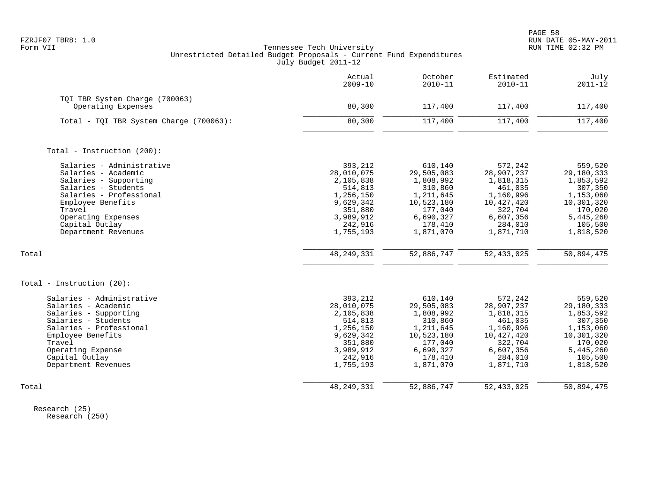|                                                                                                                                                                                                                           | Actual<br>$2009 - 10$                                                                                                   | October<br>$2010 - 11$                                                                                                   | Estimated<br>$2010 - 11$                                                                                                 | July<br>$2011 - 12$                                                                                                      |
|---------------------------------------------------------------------------------------------------------------------------------------------------------------------------------------------------------------------------|-------------------------------------------------------------------------------------------------------------------------|--------------------------------------------------------------------------------------------------------------------------|--------------------------------------------------------------------------------------------------------------------------|--------------------------------------------------------------------------------------------------------------------------|
| TQI TBR System Charge (700063)<br>Operating Expenses                                                                                                                                                                      | 80,300                                                                                                                  | 117,400                                                                                                                  | 117,400                                                                                                                  | 117,400                                                                                                                  |
| Total - TQI TBR System Charge (700063):                                                                                                                                                                                   | 80,300                                                                                                                  | 117,400                                                                                                                  | 117,400                                                                                                                  | 117,400                                                                                                                  |
| Total - Instruction (200):                                                                                                                                                                                                |                                                                                                                         |                                                                                                                          |                                                                                                                          |                                                                                                                          |
| Salaries - Administrative<br>Salaries - Academic<br>Salaries - Supporting<br>Salaries - Students<br>Salaries - Professional<br>Employee Benefits<br>Travel<br>Operating Expenses<br>Capital Outlay<br>Department Revenues | 393,212<br>28,010,075<br>2,105,838<br>514,813<br>1,256,150<br>9,629,342<br>351,880<br>3,989,912<br>242,916<br>1,755,193 | 610,140<br>29,505,083<br>1,808,992<br>310,860<br>1,211,645<br>10,523,180<br>177,040<br>6,690,327<br>178,410<br>1,871,070 | 572,242<br>28,907,237<br>1,818,315<br>461,035<br>1,160,996<br>10,427,420<br>322,704<br>6,607,356<br>284,010<br>1,871,710 | 559,520<br>29,180,333<br>1,853,592<br>307,350<br>1,153,060<br>10,301,320<br>170,020<br>5,445,260<br>105,500<br>1,818,520 |
| Total                                                                                                                                                                                                                     | 48, 249, 331                                                                                                            | 52,886,747                                                                                                               | 52,433,025                                                                                                               | 50,894,475                                                                                                               |
| Total - Instruction (20):                                                                                                                                                                                                 |                                                                                                                         |                                                                                                                          |                                                                                                                          |                                                                                                                          |
| Salaries - Administrative<br>Salaries - Academic<br>Salaries - Supporting<br>Salaries - Students<br>Salaries - Professional<br>Employee Benefits<br>Travel<br>Operating Expense<br>Capital Outlay<br>Department Revenues  | 393,212<br>28,010,075<br>2,105,838<br>514,813<br>1,256,150<br>9,629,342<br>351,880<br>3,989,912<br>242,916<br>1,755,193 | 610,140<br>29,505,083<br>1,808,992<br>310,860<br>1,211,645<br>10,523,180<br>177,040<br>6,690,327<br>178,410<br>1,871,070 | 572,242<br>28,907,237<br>1,818,315<br>461,035<br>1,160,996<br>10,427,420<br>322,704<br>6,607,356<br>284,010<br>1,871,710 | 559,520<br>29,180,333<br>1,853,592<br>307,350<br>1,153,060<br>10,301,320<br>170,020<br>5,445,260<br>105,500<br>1,818,520 |
| Total                                                                                                                                                                                                                     | 48, 249, 331                                                                                                            | 52,886,747                                                                                                               | 52, 433, 025                                                                                                             | 50,894,475                                                                                                               |

 Research (25) Research (250)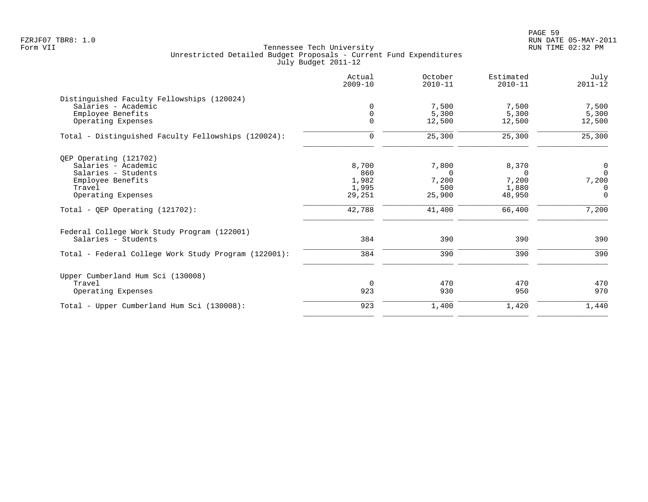|                                                      | Actual<br>$2009 - 10$ | October<br>$2010 - 11$ | Estimated<br>$2010 - 11$ | July<br>$2011 - 12$ |
|------------------------------------------------------|-----------------------|------------------------|--------------------------|---------------------|
| Distinguished Faculty Fellowships (120024)           |                       |                        |                          |                     |
| Salaries - Academic                                  | $\Omega$              | 7,500                  | 7,500                    | 7,500               |
| Employee Benefits                                    | $\Omega$              | 5,300                  | 5,300                    | 5,300               |
| Operating Expenses                                   | $\Omega$              | 12,500                 | 12,500                   | 12,500              |
| Total - Distinguished Faculty Fellowships (120024):  | $\mathbf 0$           | 25,300                 | 25,300                   | 25,300              |
| QEP Operating (121702)                               |                       |                        |                          |                     |
| Salaries - Academic                                  | 8,700                 | 7,800                  | 8,370                    | $\overline{0}$      |
| Salaries - Students                                  | 860                   | $\Omega$               | <sup>n</sup>             | $\Omega$            |
| Employee Benefits                                    | 1,982                 | 7,200                  | 7,200                    | 7,200               |
| Travel                                               | 1,995                 | 500                    | 1,880                    | $\Omega$            |
| Operating Expenses                                   | 29,251                | 25,900                 | 48,950                   | $\overline{0}$      |
| Total - QEP Operating $(121702)$ :                   | 42,788                | 41,400                 | 66,400                   | 7,200               |
| Federal College Work Study Program (122001)          |                       |                        |                          |                     |
| Salaries - Students                                  | 384                   | 390                    | 390                      | 390                 |
| Total - Federal College Work Study Program (122001): | 384                   | 390                    | 390                      | 390                 |
| Upper Cumberland Hum Sci (130008)                    |                       |                        |                          |                     |
| Travel                                               | $\Omega$              | 470                    | 470                      | 470                 |
| Operating Expenses                                   | 923                   | 930                    | 950                      | 970                 |
| Total - Upper Cumberland Hum Sci (130008):           | 923                   | 1,400                  | 1,420                    | 1,440               |
|                                                      |                       |                        |                          |                     |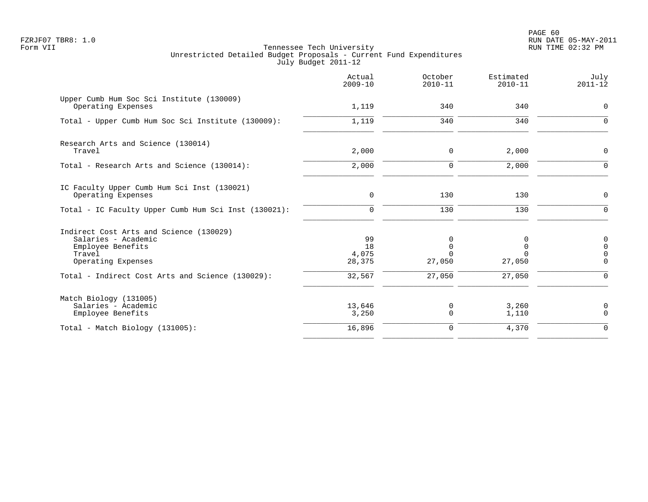|                                                                                                                     | Actual<br>$2009 - 10$       | October<br>$2010 - 11$  | Estimated<br>$2010 - 11$ | July<br>$2011 - 12$                             |
|---------------------------------------------------------------------------------------------------------------------|-----------------------------|-------------------------|--------------------------|-------------------------------------------------|
| Upper Cumb Hum Soc Sci Institute (130009)<br>Operating Expenses                                                     | 1,119                       | 340                     | 340                      | $\mathbf 0$                                     |
| Total - Upper Cumb Hum Soc Sci Institute (130009):                                                                  | 1,119                       | 340                     | 340                      | $\Omega$                                        |
| Research Arts and Science (130014)<br>Travel                                                                        | 2,000                       | 0                       | 2,000                    | 0                                               |
| Total - Research Arts and Science (130014):                                                                         | 2,000                       | $\mathbf 0$             | 2,000                    | $\Omega$                                        |
| IC Faculty Upper Cumb Hum Sci Inst (130021)<br>Operating Expenses                                                   | 0                           | 130                     | 130                      | 0                                               |
| Total - IC Faculty Upper Cumb Hum Sci Inst (130021):                                                                | $\mathbf 0$                 | 130                     | 130                      | $\Omega$                                        |
| Indirect Cost Arts and Science (130029)<br>Salaries - Academic<br>Employee Benefits<br>Travel<br>Operating Expenses | 99<br>18<br>4,075<br>28,375 | 0<br>$\Omega$<br>27,050 | 0<br>$\Omega$<br>27,050  | $\mathbf 0$<br>$\Omega$<br>$\Omega$<br>$\Omega$ |
| Total - Indirect Cost Arts and Science (130029):                                                                    | 32,567                      | 27,050                  | 27,050                   | $\Omega$                                        |
| Match Biology (131005)<br>Salaries - Academic<br>Employee Benefits                                                  | 13,646<br>3,250             | 0<br>$\Omega$           | 3,260<br>1,110           | 0<br>$\Omega$                                   |
| $Total - Match Biology (131005):$                                                                                   | 16,896                      | 0                       | 4,370                    | $\Omega$                                        |
|                                                                                                                     |                             |                         |                          |                                                 |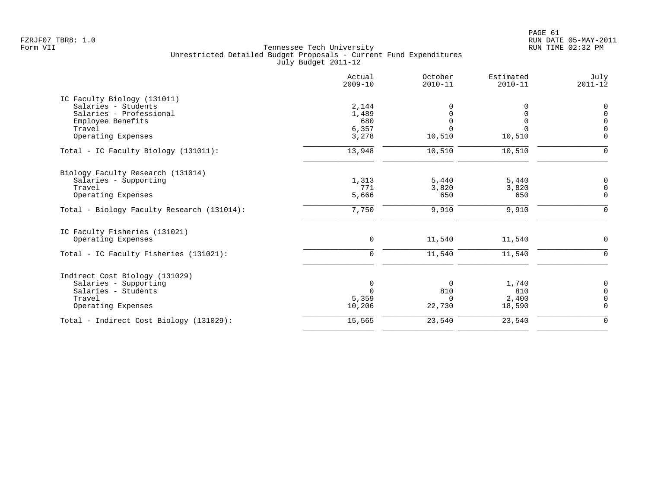|                                            | Actual<br>$2009 - 10$ | October<br>$2010 - 11$ | Estimated<br>$2010 - 11$ | July<br>$2011 - 12$ |
|--------------------------------------------|-----------------------|------------------------|--------------------------|---------------------|
| IC Faculty Biology (131011)                |                       |                        |                          |                     |
| Salaries - Students                        | 2,144                 |                        | 0                        | 0                   |
| Salaries - Professional                    | 1,489                 |                        | $\Omega$                 | $\Omega$            |
| Employee Benefits                          | 680                   |                        | $\Omega$                 | $\Omega$            |
| Travel                                     | 6,357                 |                        |                          |                     |
| Operating Expenses                         | 3,278                 | 10,510                 | 10,510                   | $\Omega$            |
| Total - IC Faculty Biology (131011):       | 13,948                | 10,510                 | 10,510                   | $\Omega$            |
| Biology Faculty Research (131014)          |                       |                        |                          |                     |
| Salaries - Supporting                      | 1,313                 | 5,440                  | 5,440                    | 0                   |
| Travel                                     | 771                   | 3,820                  | 3,820                    | $\mathbf 0$         |
| Operating Expenses                         | 5,666                 | 650                    | 650                      | $\mathbf 0$         |
| Total - Biology Faculty Research (131014): | 7,750                 | 9,910                  | 9,910                    | $\overline{0}$      |
| IC Faculty Fisheries (131021)              |                       |                        |                          |                     |
| Operating Expenses                         | $\mathbf 0$           | 11,540                 | 11,540                   | 0                   |
| Total - IC Faculty Fisheries (131021):     | $\mathbf 0$           | 11,540                 | 11,540                   | $\Omega$            |
| Indirect Cost Biology (131029)             |                       |                        |                          |                     |
| Salaries - Supporting                      | $\mathbf 0$           | $\Omega$               | 1,740                    | 0                   |
| Salaries - Students                        | $\Omega$              | 810                    | 810                      | $\Omega$            |
| Travel                                     | 5,359                 | $\Omega$               | 2,400                    | $\Omega$            |
| Operating Expenses                         | 10,206                | 22,730                 | 18,590                   | $\Omega$            |
| Total - Indirect Cost Biology (131029):    | 15,565                | 23,540                 | 23,540                   | $\mathbf 0$         |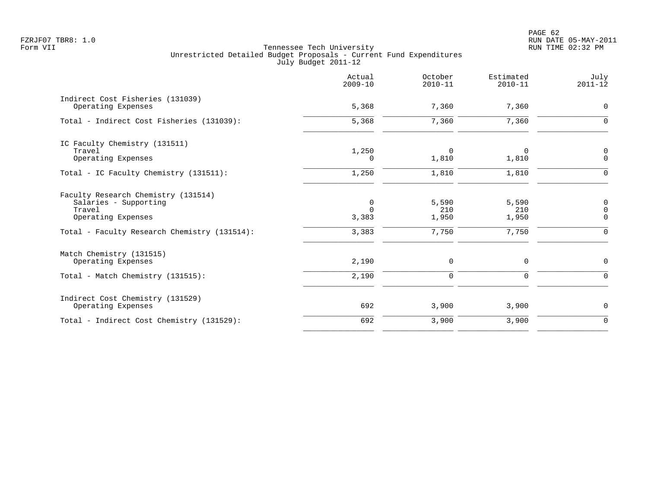PAGE 62 FZRJF07 TBR8: 1.0 RUN DATE 05-MAY-2011

|                                                        | Actual<br>$2009 - 10$ | October<br>$2010 - 11$ | Estimated<br>$2010 - 11$ | July<br>$2011 - 12$ |
|--------------------------------------------------------|-----------------------|------------------------|--------------------------|---------------------|
| Indirect Cost Fisheries (131039)<br>Operating Expenses | 5,368                 | 7,360                  | 7,360                    | $\mathbf 0$         |
| Total - Indirect Cost Fisheries (131039):              | 5,368                 | 7,360                  | 7,360                    | $\Omega$            |
|                                                        |                       |                        |                          |                     |
| IC Faculty Chemistry (131511)                          |                       |                        |                          |                     |
| Travel                                                 | 1,250                 | $\Omega$               | 0                        | $\mathbf 0$         |
| Operating Expenses                                     | $\Omega$              | 1,810                  | 1,810                    | $\Omega$            |
| Total - IC Faculty Chemistry (131511):                 | 1,250                 | 1,810                  | 1,810                    | $\Omega$            |
| Faculty Research Chemistry (131514)                    |                       |                        |                          |                     |
| Salaries - Supporting                                  | $\mathbf 0$           | 5,590                  | 5,590                    | $\mathbf 0$         |
| Travel                                                 | $\Omega$              | 210                    | 210                      | $\mathbf 0$         |
| Operating Expenses                                     | 3,383                 | 1,950                  | 1,950                    | $\Omega$            |
| Total - Faculty Research Chemistry (131514):           | 3,383                 | 7,750                  | 7,750                    | $\Omega$            |
| Match Chemistry (131515)                               |                       |                        |                          |                     |
| Operating Expenses                                     | 2,190                 | 0                      | 0                        | $\mathbf 0$         |
| Total - Match Chemistry (131515):                      | 2,190                 | 0                      | $\Omega$                 | $\Omega$            |
| Indirect Cost Chemistry (131529)                       |                       |                        |                          |                     |
| Operating Expenses                                     | 692                   | 3,900                  | 3,900                    | 0                   |
| Total - Indirect Cost Chemistry (131529):              | 692                   | 3,900                  | 3,900                    | $\mathbf 0$         |
|                                                        |                       |                        |                          |                     |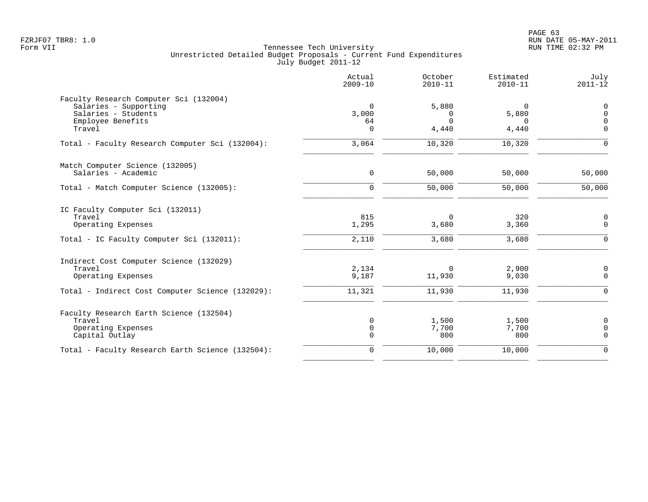|                                                                                                                             | Actual<br>$2009 - 10$               | October<br>$2010 - 11$                 | Estimated<br>$2010 - 11$        | July<br>$2011 - 12$                             |
|-----------------------------------------------------------------------------------------------------------------------------|-------------------------------------|----------------------------------------|---------------------------------|-------------------------------------------------|
| Faculty Research Computer Sci (132004)<br>Salaries - Supporting<br>Salaries - Students<br>Employee Benefits<br>Travel       | $\Omega$<br>3,000<br>64<br>$\Omega$ | 5,880<br>$\Omega$<br>$\Omega$<br>4,440 | $\Omega$<br>5,880<br>∩<br>4,440 | $\mathbf 0$<br>$\Omega$<br>$\Omega$<br>$\Omega$ |
| Total - Faculty Research Computer Sci (132004):                                                                             | 3,064                               | 10,320                                 | 10,320                          | $\Omega$                                        |
| Match Computer Science (132005)<br>Salaries - Academic                                                                      | 0                                   | 50,000                                 | 50,000                          | 50,000                                          |
| Total - Match Computer Science (132005):                                                                                    | $\mathbf 0$                         | 50,000                                 | 50,000                          | 50,000                                          |
| IC Faculty Computer Sci (132011)<br>Travel<br>Operating Expenses<br>Total - IC Faculty Computer Sci (132011):               | 815<br>1,295<br>2,110               | $\Omega$<br>3,680<br>3,680             | 320<br>3,360<br>3,680           | 0<br>$\mathsf{O}$<br>$\overline{0}$             |
| Indirect Cost Computer Science (132029)<br>Travel<br>Operating Expenses<br>Total - Indirect Cost Computer Science (132029): | 2,134<br>9,187<br>11,321            | $\Omega$<br>11,930<br>11,930           | 2,900<br>9,030<br>11,930        | $\mathbf 0$<br>$\Omega$<br>$\Omega$             |
| Faculty Research Earth Science (132504)<br>Travel<br>Operating Expenses<br>Capital Outlay                                   | 0<br>$\mathsf{O}$<br>$\Omega$       | 1,500<br>7,700<br>800                  | 1,500<br>7,700<br>800           | $\mathbf 0$<br>$\mathbf 0$<br>$\Omega$          |
| Total - Faculty Research Earth Science (132504):                                                                            | $\mathbf 0$                         | 10,000                                 | 10,000                          | $\mathbf 0$                                     |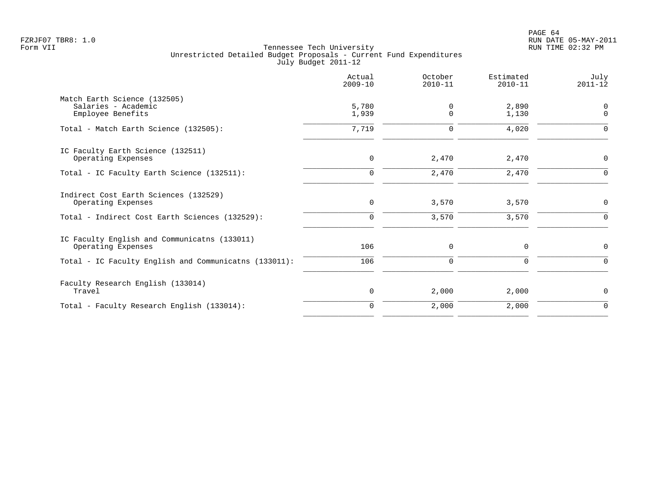|                                                                          | Actual<br>$2009 - 10$ | October<br>$2010 - 11$ | Estimated<br>$2010 - 11$ | July<br>$2011 - 12$     |
|--------------------------------------------------------------------------|-----------------------|------------------------|--------------------------|-------------------------|
| Match Earth Science (132505)<br>Salaries - Academic<br>Employee Benefits | 5,780<br>1,939        | 0<br>$\Omega$          | 2,890<br>1,130           | $\Omega$<br>$\mathbf 0$ |
| Total - Match Earth Science (132505):                                    | 7,719                 | 0                      | 4,020                    | $\Omega$                |
| IC Faculty Earth Science (132511)<br>Operating Expenses                  | 0                     | 2,470                  | 2,470                    | 0                       |
| Total - IC Faculty Earth Science (132511):                               | $\Omega$              | 2,470                  | 2,470                    | $\Omega$                |
| Indirect Cost Earth Sciences (132529)<br>Operating Expenses              | 0                     | 3,570                  | 3,570                    | $\mathbf 0$             |
| Total - Indirect Cost Earth Sciences (132529):                           | $\mathbf 0$           | 3,570                  | 3,570                    | $\Omega$                |
| IC Faculty English and Communicatns (133011)<br>Operating Expenses       | 106                   | 0                      | 0                        | 0                       |
| Total - IC Faculty English and Communicatns (133011):                    | 106                   | $\mathbf 0$            | $\Omega$                 | $\Omega$                |
| Faculty Research English (133014)<br>Travel                              | 0                     | 2,000                  | 2,000                    | $\mathbf 0$             |
| Total - Faculty Research English (133014):                               | $\mathbf 0$           | 2,000                  | 2,000                    | $\mathbf 0$             |
|                                                                          |                       |                        |                          |                         |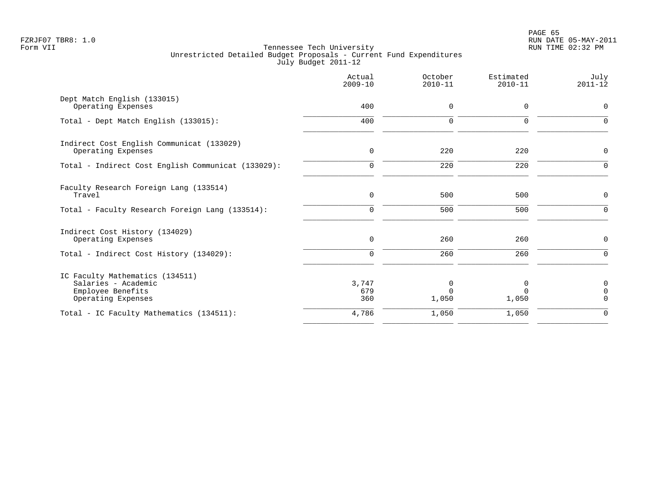|                                                                                                 | Actual<br>$2009 - 10$       | October<br>$2010 - 11$        | Estimated<br>$2010 - 11$ | July<br>$2011 - 12$                    |
|-------------------------------------------------------------------------------------------------|-----------------------------|-------------------------------|--------------------------|----------------------------------------|
| Dept Match English (133015)<br>Operating Expenses                                               | 400                         | 0                             | 0                        | 0                                      |
| Total - Dept Match English (133015):                                                            | 400                         | 0                             | $\mathbf 0$              | $\Omega$                               |
| Indirect Cost English Communicat (133029)<br>Operating Expenses                                 | $\mathbf 0$                 | 220                           | 220                      | 0                                      |
| Total - Indirect Cost English Communicat (133029):                                              | $\mathbf 0$                 | 220                           | 220                      | $\mathbf 0$                            |
| Faculty Research Foreign Lang (133514)<br>Travel                                                | $\mathbf 0$                 | 500                           | 500                      | $\mathbf 0$                            |
| Total - Faculty Research Foreign Lang (133514):                                                 | $\Omega$                    | 500                           | 500                      | $\Omega$                               |
| Indirect Cost History (134029)<br>Operating Expenses<br>Total - Indirect Cost History (134029): | $\mathsf{O}$<br>$\mathbf 0$ | 260<br>260                    | 260<br>260               | $\mathbf 0$<br>$\Omega$                |
| IC Faculty Mathematics (134511)                                                                 |                             |                               |                          |                                        |
| Salaries - Academic<br>Employee Benefits<br>Operating Expenses                                  | 3,747<br>679<br>360         | $\Omega$<br>$\Omega$<br>1,050 | 0<br>$\Omega$<br>1,050   | $\mathbf 0$<br>$\Omega$<br>$\mathbf 0$ |
| Total - IC Faculty Mathematics (134511):                                                        | 4,786                       | 1,050                         | 1,050                    | $\mathbf 0$                            |
|                                                                                                 |                             |                               |                          |                                        |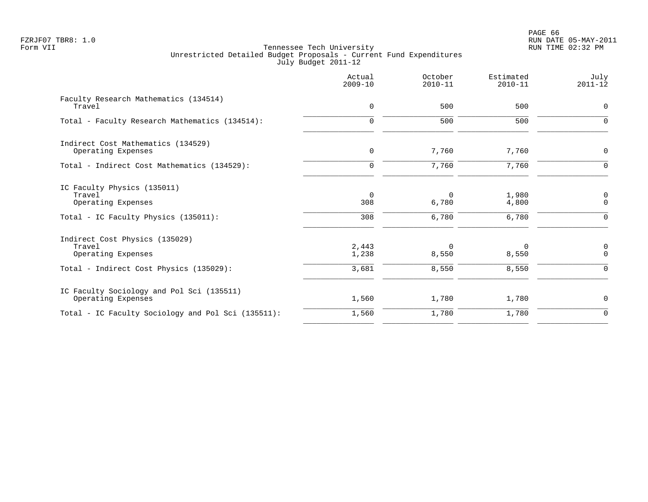|                                                                                                           | Actual<br>$2009 - 10$        | October<br>$2010 - 11$     | Estimated<br>$2010 - 11$ | July<br>$2011 - 12$                 |
|-----------------------------------------------------------------------------------------------------------|------------------------------|----------------------------|--------------------------|-------------------------------------|
| Faculty Research Mathematics (134514)<br>Travel                                                           | $\mathbf 0$                  | 500                        | 500                      | $\mathbf 0$                         |
| Total - Faculty Research Mathematics (134514):                                                            | $\mathbf 0$                  | 500                        | 500                      | $\Omega$                            |
| Indirect Cost Mathematics (134529)<br>Operating Expenses                                                  | $\mathbf 0$                  | 7,760                      | 7,760                    | $\mathbf 0$                         |
| Total - Indirect Cost Mathematics (134529):                                                               | $\mathbf 0$                  | 7,760                      | 7,760                    | $\mathbf 0$                         |
| IC Faculty Physics (135011)<br>Travel<br>Operating Expenses<br>Total - IC Faculty Physics (135011):       | $\overline{0}$<br>308<br>308 | $\Omega$<br>6,780<br>6,780 | 1,980<br>4,800<br>6,780  | 0<br>$\mathbf 0$<br>$\Omega$        |
| Indirect Cost Physics (135029)<br>Travel<br>Operating Expenses<br>Total - Indirect Cost Physics (135029): | 2,443<br>1,238<br>3,681      | $\Omega$<br>8,550<br>8,550 | 0<br>8,550<br>8,550      | $\mathsf 0$<br>$\Omega$<br>$\Omega$ |
| IC Faculty Sociology and Pol Sci (135511)<br>Operating Expenses                                           | 1,560                        | 1,780                      | 1,780                    | $\mathbf 0$                         |
| Total - IC Faculty Sociology and Pol Sci (135511):                                                        | 1,560                        | 1,780                      | 1,780                    | $\mathbf 0$                         |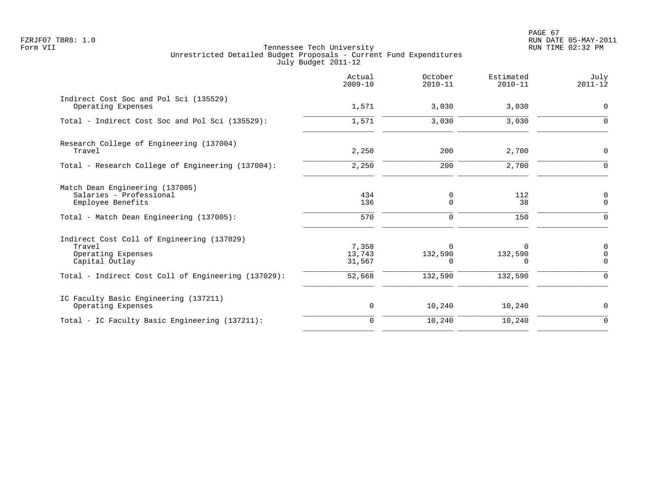PAGE 67 FZRJF07 TBR8: 1.0 RUN DATE 05-MAY-2011

|                                                                                                                                                     | Actual<br>$2009 - 10$               | October<br>$2010 - 11$                     | Estimated<br>$2010 - 11$                       | July<br>$2011 - 12$                      |
|-----------------------------------------------------------------------------------------------------------------------------------------------------|-------------------------------------|--------------------------------------------|------------------------------------------------|------------------------------------------|
| Indirect Cost Soc and Pol Sci (135529)<br>Operating Expenses                                                                                        | 1,571                               | 3,030                                      | 3,030                                          | 0                                        |
| Total - Indirect Cost Soc and Pol Sci (135529):                                                                                                     | 1,571                               | 3,030                                      | 3,030                                          | $\Omega$                                 |
| Research College of Engineering (137004)<br>Travel                                                                                                  | 2,250                               | 200                                        | 2,700                                          | $\mathbf 0$                              |
| Total - Research College of Engineering (137004):                                                                                                   | 2,250                               | 200                                        | 2,700                                          | $\Omega$                                 |
| Match Dean Engineering (137005)<br>Salaries - Professional<br>Employee Benefits<br>Total - Match Dean Engineering (137005):                         | 434<br>136<br>570                   | 0<br>$\mathbf 0$<br>$\mathbf 0$            | 112<br>38<br>150                               | $\mathbf 0$<br>$\mathbf 0$<br>$\Omega$   |
| Indirect Cost Coll of Engineering (137029)<br>Travel<br>Operating Expenses<br>Capital Outlay<br>Total - Indirect Cost Coll of Engineering (137029): | 7,358<br>13,743<br>31,567<br>52,668 | $\Omega$<br>132,590<br>$\Omega$<br>132,590 | $\Omega$<br>132,590<br><sup>n</sup><br>132,590 | 0<br>$\mathsf 0$<br>$\Omega$<br>$\Omega$ |
| IC Faculty Basic Engineering (137211)<br>Operating Expenses                                                                                         | 0                                   | 10,240                                     | 10,240                                         | 0                                        |
| Total - IC Faculty Basic Engineering (137211):                                                                                                      | $\Omega$                            | 10,240                                     | 10,240                                         | $\Omega$                                 |
|                                                                                                                                                     |                                     |                                            |                                                |                                          |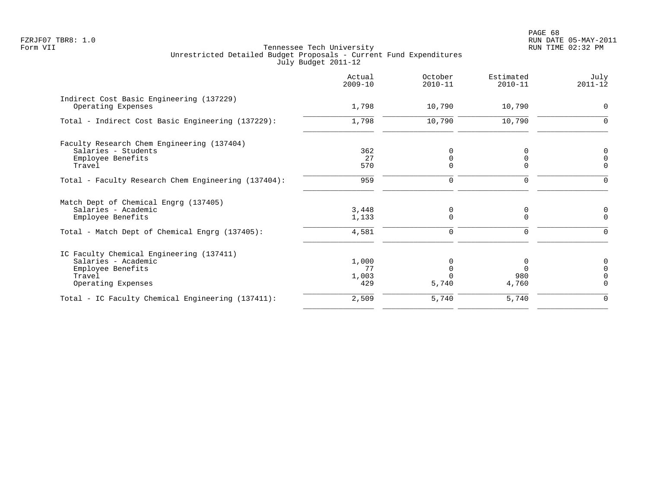| Actual<br>$2009 - 10$ | October<br>$2010 - 11$           | Estimated<br>$2010 - 11$ | July<br>$2011 - 12$    |
|-----------------------|----------------------------------|--------------------------|------------------------|
| 1,798                 | 10,790                           | 10,790                   | $\Omega$               |
| 1,798                 | 10,790                           | 10,790                   | $\Omega$               |
|                       |                                  |                          |                        |
|                       |                                  |                          |                        |
|                       |                                  |                          | $\Omega$               |
|                       |                                  |                          | $\Omega$               |
| 959                   | 0                                | 0                        | $\Omega$               |
|                       |                                  |                          |                        |
| 3,448                 | 0                                | 0                        | 0                      |
| 1,133                 | 0                                | $\Omega$                 | $\Omega$               |
| 4,581                 | $\Omega$                         | $\Omega$                 | $\Omega$               |
|                       |                                  |                          |                        |
| 1,000                 |                                  | 0                        | $\Omega$               |
| 77                    |                                  | $\Omega$                 |                        |
|                       |                                  |                          |                        |
|                       |                                  |                          | $\Omega$               |
| 2,509                 | 5,740                            | 5,740                    | $\Omega$               |
|                       | 362<br>27<br>570<br>1,003<br>429 | 0<br>5,740               | 0<br>0<br>980<br>4,760 |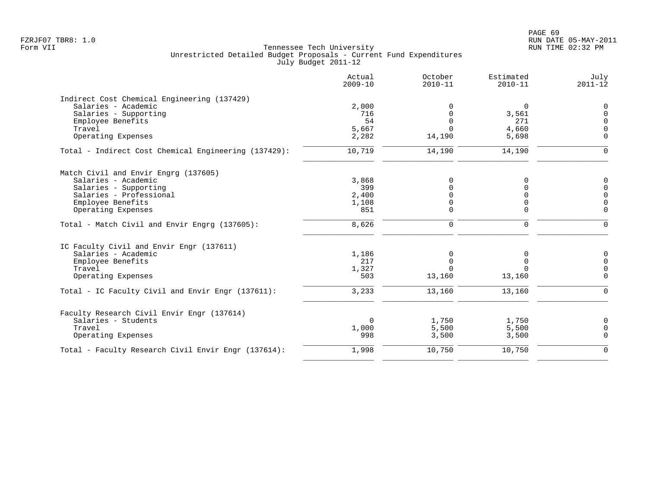|                                                      | Actual<br>$2009 - 10$ | October<br>$2010 - 11$ | Estimated<br>$2010 - 11$ | July<br>$2011 - 12$ |
|------------------------------------------------------|-----------------------|------------------------|--------------------------|---------------------|
| Indirect Cost Chemical Engineering (137429)          |                       |                        |                          |                     |
| Salaries - Academic                                  | 2,000                 | $\Omega$               | 0                        | $\mathbf 0$         |
| Salaries - Supporting                                | 716                   | $\mathbf 0$            | 3,561                    | $\mathbf 0$         |
| Employee Benefits                                    | 54                    | $\overline{0}$         | 271                      | $\Omega$            |
| Travel                                               | 5,667                 | $\Omega$               | 4,660                    | $\Omega$            |
| Operating Expenses                                   | 2,282                 | 14,190                 | 5,698                    | $\Omega$            |
| Total - Indirect Cost Chemical Engineering (137429): | 10,719                | 14,190                 | 14,190                   | $\Omega$            |
| Match Civil and Envir Engrg (137605)                 |                       |                        |                          |                     |
| Salaries - Academic                                  | 3,868                 | $\Omega$               | 0                        | $\Omega$            |
| Salaries - Supporting                                | 399                   | $\Omega$               | $\Omega$                 | $\mathbf 0$         |
| Salaries - Professional                              | 2,400                 | $\Omega$               | $\Omega$                 | $\Omega$            |
| Employee Benefits                                    | 1,108                 | 0                      | $\Omega$                 | $\Omega$            |
| Operating Expenses                                   | 851                   | $\mathbf 0$            | $\Omega$                 | $\Omega$            |
| Total - Match Civil and Envir Engrg (137605):        | 8,626                 | $\mathbf 0$            | $\mathbf 0$              | $\Omega$            |
| IC Faculty Civil and Envir Engr (137611)             |                       |                        |                          |                     |
| Salaries - Academic                                  | 1,186                 | 0                      | 0                        | 0                   |
| Employee Benefits                                    | 217                   | $\mathbf 0$            | $\mathbf 0$              | $\Omega$            |
| Travel                                               | 1,327                 | $\Omega$               | $\Omega$                 | $\overline{0}$      |
| Operating Expenses                                   | 503                   | 13,160                 | 13,160                   | $\Omega$            |
| Total - IC Faculty Civil and Envir Engr (137611):    | 3,233                 | 13,160                 | 13,160                   | $\Omega$            |
| Faculty Research Civil Envir Engr (137614)           |                       |                        |                          |                     |
| Salaries - Students                                  | $\Omega$              | 1,750                  | 1,750                    | $\Omega$            |
| Travel                                               | 1,000                 | 5,500                  | 5,500                    | $\mathbf 0$         |
| Operating Expenses                                   | 998                   | 3,500                  | 3,500                    | $\Omega$            |
| Total - Faculty Research Civil Envir Engr (137614):  | 1,998                 | 10,750                 | 10,750                   | $\Omega$            |
|                                                      |                       |                        |                          |                     |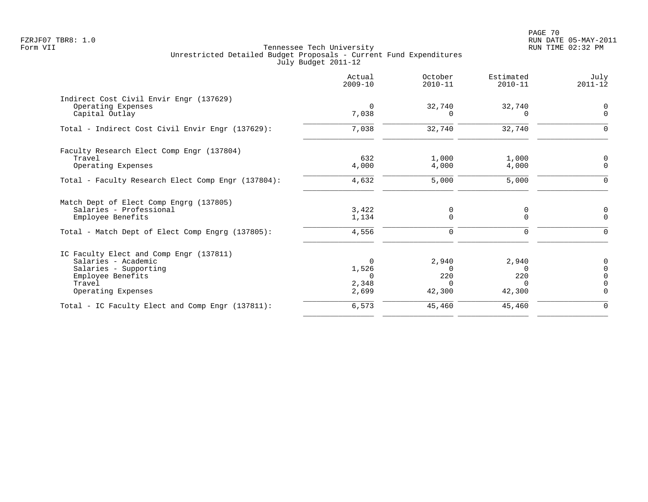PAGE 70 FZRJF07 TBR8: 1.0 RUN DATE 05-MAY-2011

|                                                               | Actual<br>$2009 - 10$ | October<br>$2010 - 11$ | Estimated<br>$2010 - 11$ | July<br>$2011 - 12$ |
|---------------------------------------------------------------|-----------------------|------------------------|--------------------------|---------------------|
| Indirect Cost Civil Envir Engr (137629)<br>Operating Expenses | $\Omega$              | 32,740                 | 32,740                   | 0                   |
| Capital Outlay                                                | 7,038                 | n                      | <sup>n</sup>             | $\Omega$            |
| Total - Indirect Cost Civil Envir Engr (137629):              | 7,038                 | 32,740                 | 32,740                   | $\Omega$            |
| Faculty Research Elect Comp Engr (137804)                     |                       |                        |                          |                     |
| Travel<br>Operating Expenses                                  | 632<br>4,000          | 1,000<br>4,000         | 1,000<br>4,000           | $\Omega$            |
| Total - Faculty Research Elect Comp Engr (137804):            | 4,632                 | 5,000                  | 5,000                    |                     |
| Match Dept of Elect Comp Engrg (137805)                       |                       |                        |                          |                     |
| Salaries - Professional<br>Employee Benefits                  | 3,422<br>1,134        | 0<br>$\Omega$          | 0<br>$\Omega$            | O<br>$\Omega$       |
| Total - Match Dept of Elect Comp Engrg (137805):              | 4,556                 | 0                      | 0                        |                     |
| IC Faculty Elect and Comp Engr (137811)                       |                       |                        |                          |                     |
| Salaries - Academic                                           | $\Omega$              | 2,940                  | 2,940                    |                     |
| Salaries - Supporting                                         | 1,526                 | $\Omega$               | $\Omega$                 |                     |
| Employee Benefits<br>Travel                                   | 2,348                 | 220<br>$\Omega$        | 220<br>$\Omega$          |                     |
| Operating Expenses                                            | 2,699                 | 42,300                 | 42,300                   | $\Omega$            |
| Total - IC Faculty Elect and Comp Engr (137811):              | 6,573                 | 45,460                 | 45,460                   | 0                   |
|                                                               |                       |                        |                          |                     |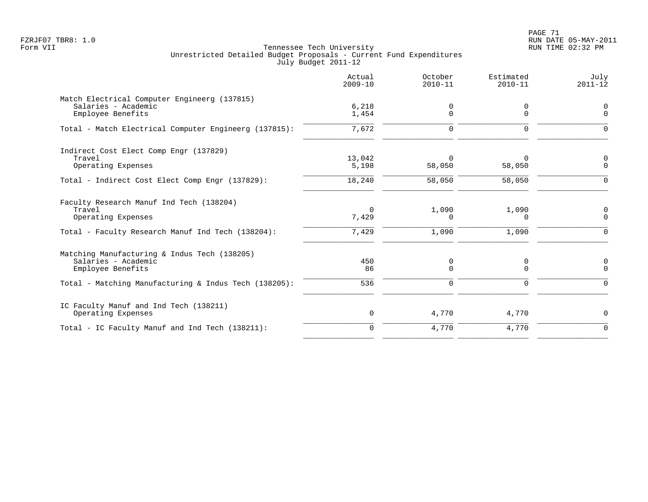PAGE 71 FZRJF07 TBR8: 1.0 RUN DATE 05-MAY-2011

|                                                                                          | Actual<br>$2009 - 10$ | October<br>$2010 - 11$ | Estimated<br>$2010 - 11$ | July<br>$2011 - 12$     |
|------------------------------------------------------------------------------------------|-----------------------|------------------------|--------------------------|-------------------------|
| Match Electrical Computer Engineerg (137815)<br>Salaries - Academic<br>Employee Benefits | 6,218<br>1,454        | 0<br>0                 | 0<br>$\Omega$            | $\mathbf 0$<br>$\Omega$ |
| Total - Match Electrical Computer Engineerg (137815):                                    | 7,672                 | $\mathbf 0$            | $\mathbf 0$              | $\Omega$                |
| Indirect Cost Elect Comp Engr (137829)<br>Travel<br>Operating Expenses                   | 13,042<br>5,198       | $\Omega$<br>58,050     | 58,050                   | $\Omega$<br>$\Omega$    |
| Total - Indirect Cost Elect Comp Engr (137829):                                          | 18,240                | 58,050                 | 58,050                   | $\Omega$                |
| Faculty Research Manuf Ind Tech (138204)<br>Travel<br>Operating Expenses                 | $\Omega$<br>7,429     | 1,090<br>0             | 1,090<br>$\Omega$        | 0<br>$\Omega$           |
| Total - Faculty Research Manuf Ind Tech (138204):                                        | 7,429                 | 1,090                  | 1,090                    | $\Omega$                |
| Matching Manufacturing & Indus Tech (138205)<br>Salaries - Academic<br>Employee Benefits | 450<br>86             | 0<br>$\Omega$          | 0<br>$\Omega$            | 0<br>$\Omega$           |
| Total - Matching Manufacturing & Indus Tech (138205):                                    | 536                   | 0                      | 0                        | $\Omega$                |
| IC Faculty Manuf and Ind Tech (138211)<br>Operating Expenses                             | 0                     | 4,770                  | 4,770                    | $\mathbf 0$             |
| Total - IC Faculty Manuf and Ind Tech (138211):                                          | $\mathbf 0$           | 4,770                  | 4,770                    | $\Omega$                |
|                                                                                          |                       |                        |                          |                         |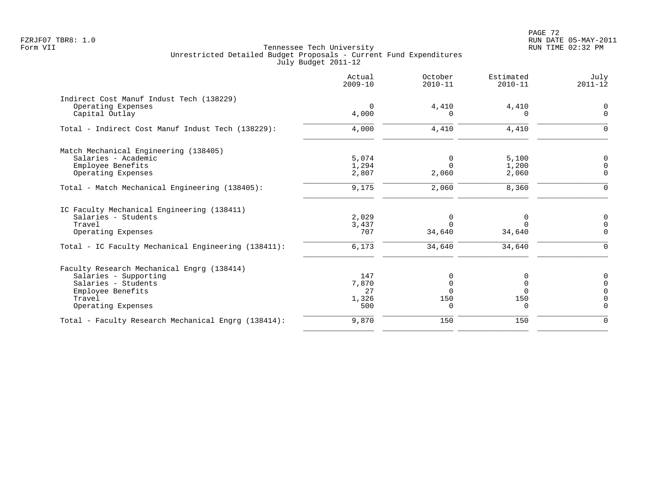PAGE 72 FZRJF07 TBR8: 1.0 RUN DATE 05-MAY-2011

|                                                     | Actual<br>$2009 - 10$ | October<br>$2010 - 11$ | Estimated<br>$2010 - 11$ | July<br>$2011 - 12$ |
|-----------------------------------------------------|-----------------------|------------------------|--------------------------|---------------------|
| Indirect Cost Manuf Indust Tech (138229)            |                       |                        |                          |                     |
| Operating Expenses                                  | $\Omega$              | 4,410                  | 4,410                    | $\Omega$            |
| Capital Outlay                                      | 4,000                 | <sup>0</sup>           | $\Omega$                 | $\mathbf 0$         |
| Total - Indirect Cost Manuf Indust Tech (138229):   | 4,000                 | 4,410                  | 4,410                    | $\Omega$            |
| Match Mechanical Engineering (138405)               |                       |                        |                          |                     |
| Salaries - Academic                                 | 5,074                 | $\Omega$               | 5,100                    | $\Omega$            |
| Employee Benefits                                   | 1,294                 | $\Omega$               | 1,200                    | $\Omega$            |
| Operating Expenses                                  | 2,807                 | 2,060                  | 2,060                    | $\Omega$            |
| Total - Match Mechanical Engineering (138405):      | 9,175                 | 2,060                  | 8,360                    | $\Omega$            |
| IC Faculty Mechanical Engineering (138411)          |                       |                        |                          |                     |
| Salaries - Students                                 | 2,029                 | 0                      | 0                        | 0                   |
| Travel                                              | 3,437                 | $\Omega$               | $\Omega$                 | $\Omega$            |
| Operating Expenses                                  | 707                   | 34,640                 | 34,640                   | $\Omega$            |
| Total - IC Faculty Mechanical Engineering (138411): | 6,173                 | 34,640                 | 34,640                   | $\Omega$            |
| Faculty Research Mechanical Engrg (138414)          |                       |                        |                          |                     |
| Salaries - Supporting                               | 147                   |                        |                          | 0                   |
| Salaries - Students                                 | 7,870                 | $\Omega$               | 0                        |                     |
| Employee Benefits                                   | 27                    | $\Omega$               | $\Omega$                 |                     |
| Travel                                              | 1,326                 | 150                    | 150                      | $\cap$              |
| Operating Expenses                                  | 500                   | $\Omega$               | $\Omega$                 | $\Omega$            |
| Total - Faculty Research Mechanical Engrg (138414): | 9,870                 | 150                    | 150                      | $\Omega$            |
|                                                     |                       |                        |                          |                     |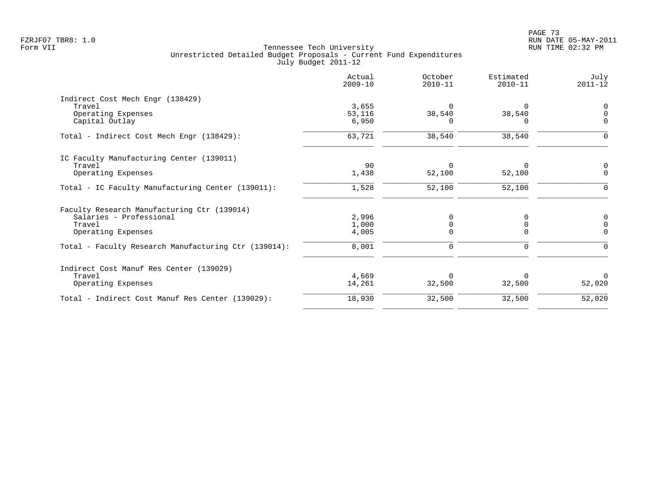|                                                      | Actual<br>$2009 - 10$ | October<br>$2010 - 11$ | Estimated<br>$2010 - 11$ | July<br>$2011 - 12$ |
|------------------------------------------------------|-----------------------|------------------------|--------------------------|---------------------|
| Indirect Cost Mech Engr (138429)                     |                       |                        |                          |                     |
| Travel                                               | 3,655                 | $\Omega$               |                          | $\Omega$            |
| Operating Expenses                                   | 53,116                | 38,540                 | 38,540                   |                     |
| Capital Outlay                                       | 6,950                 | O                      | $\Omega$                 | $\Omega$            |
| Total - Indirect Cost Mech Engr (138429):            | 63,721                | 38,540                 | 38,540                   | $\Omega$            |
| IC Faculty Manufacturing Center (139011)             |                       |                        |                          |                     |
| Travel                                               | 90                    | $\Omega$               | $\Omega$                 | 0                   |
| Operating Expenses                                   | 1,438                 | 52,100                 | 52,100                   | $\mathbf 0$         |
| Total - IC Faculty Manufacturing Center (139011):    | 1,528                 | 52,100                 | 52,100                   | $\Omega$            |
| Faculty Research Manufacturing Ctr (139014)          |                       |                        |                          |                     |
| Salaries - Professional                              | 2,996                 | 0                      | 0                        | $\mathbf 0$         |
| Travel                                               | 1,000                 | <sup>n</sup>           | $\Omega$                 |                     |
| Operating Expenses                                   | 4,005                 |                        |                          | ∩                   |
|                                                      | 8,001                 | 0                      | $\Omega$                 |                     |
| Indirect Cost Manuf Res Center (139029)              |                       |                        |                          |                     |
| Travel                                               | 4,669                 | $\Omega$               |                          | $\Omega$            |
| Operating Expenses                                   | 14,261                | 32,500                 | 32,500                   | 52,020              |
| Total - Indirect Cost Manuf Res Center (139029):     | 18,930                | 32,500                 | 32,500                   | 52,020              |
| Total - Faculty Research Manufacturing Ctr (139014): |                       |                        |                          |                     |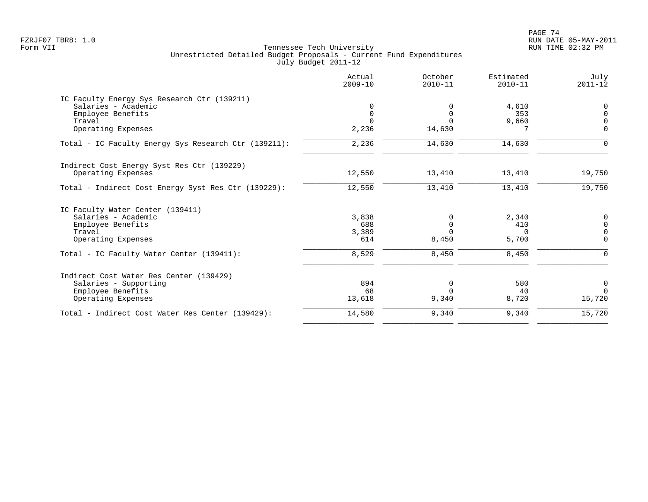PAGE 74 FZRJF07 TBR8: 1.0 RUN DATE 05-MAY-2011

|                                                      | Actual<br>$2009 - 10$ | October<br>$2010 - 11$ | Estimated<br>$2010 - 11$ | July<br>$2011 - 12$ |
|------------------------------------------------------|-----------------------|------------------------|--------------------------|---------------------|
| IC Faculty Energy Sys Research Ctr (139211)          |                       |                        |                          |                     |
| Salaries - Academic                                  |                       | $\Omega$               | 4,610                    | 0                   |
| Employee Benefits                                    | 0                     | $\Omega$               | 353                      | $\mathbf 0$         |
| Travel                                               |                       | $\Omega$               | 9,660                    | $\Omega$            |
| Operating Expenses                                   | 2,236                 | 14,630                 |                          | $\Omega$            |
| Total - IC Faculty Energy Sys Research Ctr (139211): | 2,236                 | 14,630                 | 14,630                   | $\Omega$            |
| Indirect Cost Energy Syst Res Ctr (139229)           |                       |                        |                          |                     |
| Operating Expenses                                   | 12,550                | 13,410                 | 13,410                   | 19,750              |
| Total - Indirect Cost Energy Syst Res Ctr (139229):  | 12,550                | 13,410                 | 13,410                   | 19,750              |
| IC Faculty Water Center (139411)                     |                       |                        |                          |                     |
| Salaries - Academic                                  | 3,838                 | $\Omega$               | 2,340                    | $\boldsymbol{0}$    |
| Employee Benefits                                    | 688                   | 0                      | 410                      | $\mathsf{O}\xspace$ |
| Travel                                               | 3,389                 | $\Omega$               | $\Omega$                 | $\overline{0}$      |
| Operating Expenses                                   | 614                   | 8,450                  | 5,700                    | $\mathbf 0$         |
| Total - IC Faculty Water Center (139411):            | 8,529                 | 8,450                  | 8,450                    | $\Omega$            |
| Indirect Cost Water Res Center (139429)              |                       |                        |                          |                     |
| Salaries - Supporting                                | 894                   | 0                      | 580                      | $\overline{0}$      |
| Employee Benefits                                    | 68                    | $\Omega$               | 40                       | $\Omega$            |
| Operating Expenses                                   | 13,618                | 9,340                  | 8,720                    | 15,720              |
| Total - Indirect Cost Water Res Center (139429):     | 14,580                | 9,340                  | 9,340                    | 15,720              |
|                                                      |                       |                        |                          |                     |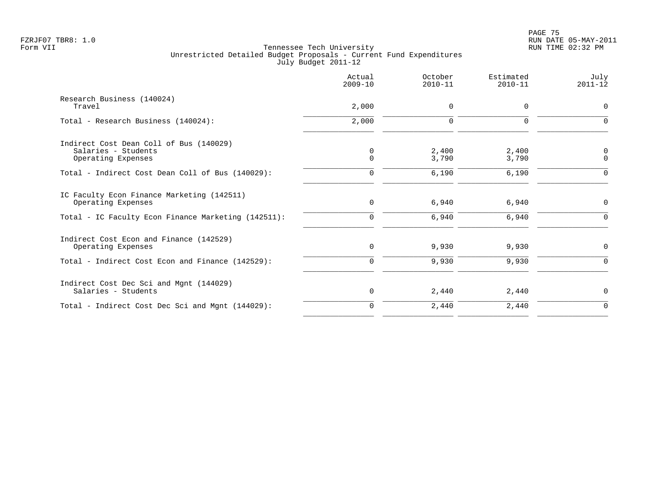|                                                                  | Actual<br>$2009 - 10$ | October<br>$2010 - 11$ | Estimated<br>$2010 - 11$ | July<br>$2011 - 12$  |
|------------------------------------------------------------------|-----------------------|------------------------|--------------------------|----------------------|
| Research Business (140024)<br>Travel                             | 2,000                 | 0                      | 0                        | $\mathbf 0$          |
| Total - Research Business (140024):                              | 2,000                 | $\Omega$               | $\Omega$                 | ∩                    |
| Indirect Cost Dean Coll of Bus (140029)                          |                       |                        |                          |                      |
| Salaries - Students<br>Operating Expenses                        | 0<br>$\Omega$         | 2,400<br>3,790         | 2,400<br>3,790           | $\Omega$<br>$\Omega$ |
| Total - Indirect Cost Dean Coll of Bus (140029):                 | $\Omega$              | 6,190                  | 6,190                    | $\cap$               |
| IC Faculty Econ Finance Marketing (142511)<br>Operating Expenses | $\mathbf 0$           | 6,940                  | 6,940                    | $\mathbf 0$          |
| Total - IC Faculty Econ Finance Marketing (142511):              | $\Omega$              | 6,940                  | 6,940                    | $\Omega$             |
| Indirect Cost Econ and Finance (142529)<br>Operating Expenses    | 0                     | 9,930                  | 9,930                    | 0                    |
| Total - Indirect Cost Econ and Finance (142529):                 | $\mathbf 0$           | 9,930                  | 9,930                    | $\mathbf 0$          |
| Indirect Cost Dec Sci and Mgnt (144029)<br>Salaries - Students   | 0                     | 2,440                  | 2,440                    | $\mathbf 0$          |
| Total - Indirect Cost Dec Sci and Mgnt (144029):                 | $\mathbf 0$           | 2,440                  | 2,440                    | $\mathbf 0$          |
|                                                                  |                       |                        |                          |                      |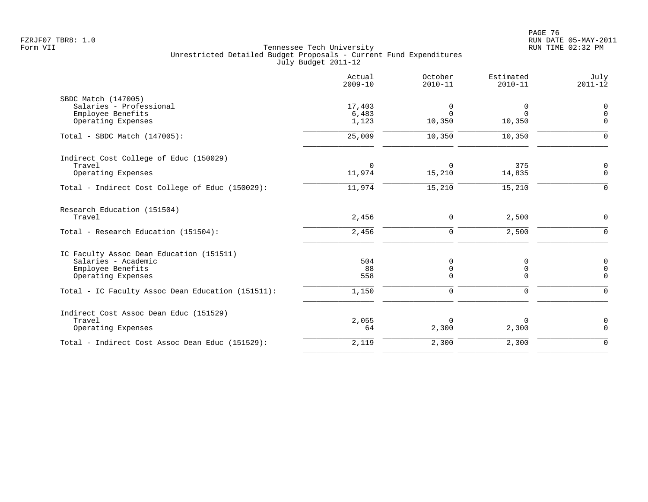|                                                   | Actual<br>$2009 - 10$ | October<br>$2010 - 11$ | Estimated<br>$2010 - 11$ | July<br>$2011 - 12$ |
|---------------------------------------------------|-----------------------|------------------------|--------------------------|---------------------|
| SBDC Match (147005)                               |                       |                        |                          |                     |
| Salaries - Professional                           | 17,403                | 0                      | 0                        | $\mathbf 0$         |
| Employee Benefits                                 | 6,483                 | $\Omega$               | $\Omega$                 | $\Omega$            |
| Operating Expenses                                | 1,123                 | 10,350                 | 10,350                   | $\Omega$            |
| Total - SBDC Match $(147005)$ :                   | 25,009                | 10,350                 | 10,350                   |                     |
| Indirect Cost College of Educ (150029)            |                       |                        |                          |                     |
| Travel                                            | $\Omega$              | $\Omega$               | 375                      | 0                   |
| Operating Expenses                                | 11,974                | 15,210                 | 14,835                   | $\Omega$            |
| Total - Indirect Cost College of Educ (150029):   | 11,974                | 15,210                 | 15,210                   | $\mathbf 0$         |
| Research Education (151504)                       |                       |                        |                          |                     |
| Travel                                            | 2,456                 | 0                      | 2,500                    | $\mathbf 0$         |
| Total - Research Education (151504):              | 2,456                 | $\mathbf 0$            | 2,500                    | $\Omega$            |
| IC Faculty Assoc Dean Education (151511)          |                       |                        |                          |                     |
| Salaries - Academic                               | 504                   | 0                      | 0                        | 0                   |
| Employee Benefits                                 | 88                    | 0                      | 0                        | $\mathbf 0$         |
| Operating Expenses                                | 558                   | $\Omega$               | $\Omega$                 | $\Omega$            |
| Total - IC Faculty Assoc Dean Education (151511): | 1,150                 | $\Omega$               | $\Omega$                 | $\Omega$            |
| Indirect Cost Assoc Dean Educ (151529)            |                       |                        |                          |                     |
| Travel                                            | 2,055                 | $\Omega$               | 0                        | 0                   |
| Operating Expenses                                | 64                    | 2,300                  | 2,300                    | $\Omega$            |
| Total - Indirect Cost Assoc Dean Educ (151529):   | 2,119                 | 2,300                  | 2,300                    | $\Omega$            |
|                                                   |                       |                        |                          |                     |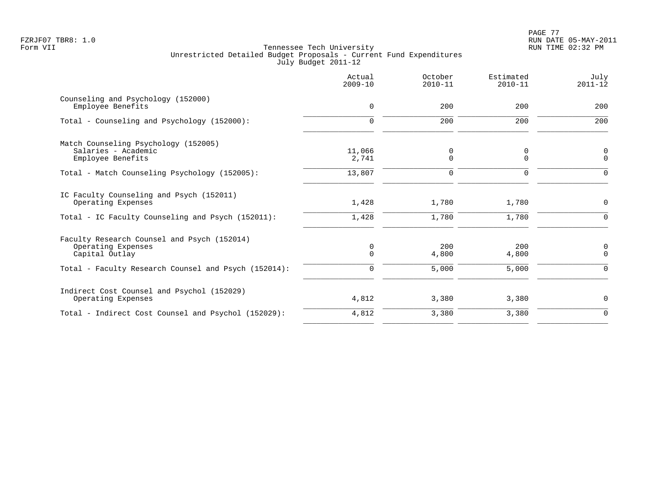|                                                                                     | Actual<br>$2009 - 10$ | October<br>$2010 - 11$ | Estimated<br>$2010 - 11$ | July<br>$2011 - 12$ |
|-------------------------------------------------------------------------------------|-----------------------|------------------------|--------------------------|---------------------|
| Counseling and Psychology (152000)<br>Employee Benefits                             | 0                     | 200                    | 200                      | 200                 |
| Total - Counseling and Psychology (152000):                                         | $\Omega$              | 200                    | 200                      | 200                 |
| Match Counseling Psychology (152005)<br>Salaries - Academic<br>Employee Benefits    | 11,066<br>2,741       | 0<br>0                 | 0<br>$\mathbf 0$         | 0<br>$\mathbf 0$    |
| Total - Match Counseling Psychology (152005):                                       | 13,807                | $\mathbf 0$            | $\Omega$                 | $\Omega$            |
| IC Faculty Counseling and Psych (152011)<br>Operating Expenses                      | 1,428                 | 1,780                  | 1,780                    | $\mathbf 0$         |
| Total - IC Faculty Counseling and Psych (152011):                                   | 1,428                 | 1,780                  | 1,780                    | ∩                   |
| Faculty Research Counsel and Psych (152014)<br>Operating Expenses<br>Capital Outlay | 0<br>$\Omega$         | 200<br>4,800           | 200<br>4,800             | 0<br>$\Omega$       |
| Total - Faculty Research Counsel and Psych (152014):                                | $\Omega$              | 5,000                  | 5,000                    | $\Omega$            |
| Indirect Cost Counsel and Psychol (152029)<br>Operating Expenses                    | 4,812                 | 3,380                  | 3,380                    | $\mathbf 0$         |
| Total - Indirect Cost Counsel and Psychol (152029):                                 | 4,812                 | 3,380                  | 3,380                    | $\mathbf 0$         |
|                                                                                     |                       |                        |                          |                     |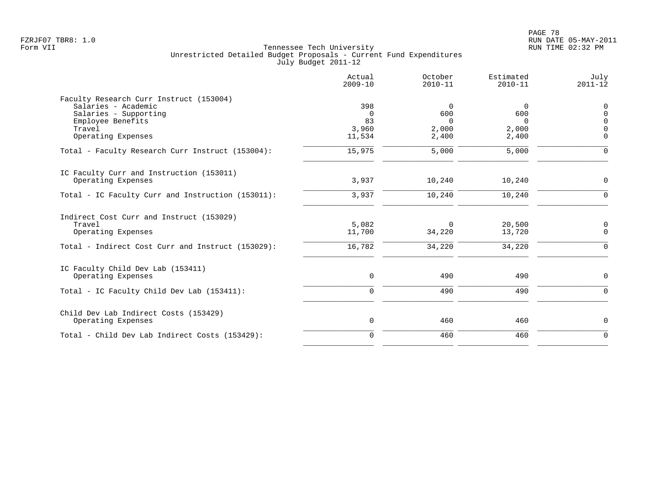|                                                                                                                                              | Actual<br>$2009 - 10$                    | October<br>$2010 - 11$                           | Estimated<br>$2010 - 11$               | July<br>$2011 - 12$                                        |
|----------------------------------------------------------------------------------------------------------------------------------------------|------------------------------------------|--------------------------------------------------|----------------------------------------|------------------------------------------------------------|
| Faculty Research Curr Instruct (153004)<br>Salaries - Academic<br>Salaries - Supporting<br>Employee Benefits<br>Travel<br>Operating Expenses | 398<br>$\Omega$<br>83<br>3,960<br>11,534 | $\mathbf 0$<br>600<br>$\Omega$<br>2,000<br>2,400 | 0<br>600<br>$\Omega$<br>2,000<br>2,400 | 0<br>$\mathsf 0$<br>$\mathbf 0$<br>$\mathbf 0$<br>$\Omega$ |
| Total - Faculty Research Curr Instruct (153004):                                                                                             | 15,975                                   | 5,000                                            | 5,000                                  | $\mathbf 0$                                                |
| IC Faculty Curr and Instruction (153011)<br>Operating Expenses                                                                               | 3,937                                    | 10,240                                           | 10,240                                 | 0                                                          |
| Total - IC Faculty Curr and Instruction (153011):                                                                                            | 3,937                                    | 10,240                                           | 10,240                                 | $\Omega$                                                   |
| Indirect Cost Curr and Instruct (153029)<br>Travel<br>Operating Expenses<br>Total - Indirect Cost Curr and Instruct (153029):                | 5,082<br>11,700<br>16,782                | $\Omega$<br>34,220<br>34,220                     | 20,500<br>13,720<br>34,220             | 0<br>$\mathbf 0$<br>$\mathbf 0$                            |
| IC Faculty Child Dev Lab (153411)<br>Operating Expenses<br>Total - IC Faculty Child Dev Lab (153411):                                        | $\mathbf 0$<br>$\mathbf 0$               | 490<br>490                                       | 490<br>490                             | 0<br>$\mathbf 0$                                           |
| Child Dev Lab Indirect Costs (153429)<br>Operating Expenses                                                                                  | $\mathbf 0$                              | 460                                              | 460                                    | 0                                                          |
| Total - Child Dev Lab Indirect Costs (153429):                                                                                               | $\mathbf 0$                              | 460                                              | 460                                    | $\mathbf 0$                                                |
|                                                                                                                                              |                                          |                                                  |                                        |                                                            |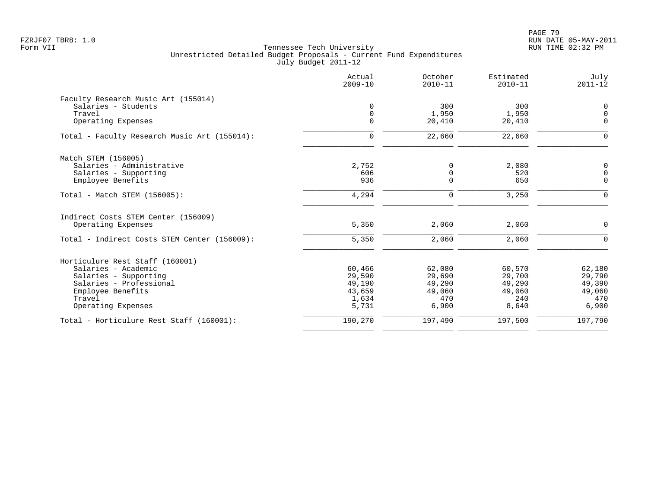|                                              | Actual<br>$2009 - 10$ | October<br>$2010 - 11$ | Estimated<br>$2010 - 11$ | July<br>$2011 - 12$ |
|----------------------------------------------|-----------------------|------------------------|--------------------------|---------------------|
| Faculty Research Music Art (155014)          |                       |                        |                          |                     |
| Salaries - Students                          | $\Omega$              | 300                    | 300                      | $\mathbf 0$         |
| Travel                                       | $\mathbf 0$           | 1,950                  | 1,950                    | $\mathbf 0$         |
| Operating Expenses                           | $\Omega$              | 20,410                 | 20,410                   | $\Omega$            |
| Total - Faculty Research Music Art (155014): | $\mathbf 0$           | 22,660                 | 22,660                   | $\Omega$            |
| Match STEM (156005)                          |                       |                        |                          |                     |
| Salaries - Administrative                    | 2,752                 | 0                      | 2,080                    | $\mathbf 0$         |
| Salaries - Supporting                        | 606                   | 0                      | 520                      | $\mathbf 0$         |
| Employee Benefits                            | 936                   | $\Omega$               | 650                      | $\mathbf 0$         |
| Total - Match STEM (156005):                 | 4,294                 | 0                      | 3,250                    | $\mathbf 0$         |
| Indirect Costs STEM Center (156009)          |                       |                        |                          |                     |
| Operating Expenses                           | 5,350                 | 2,060                  | 2,060                    | $\mathbf 0$         |
| Total - Indirect Costs STEM Center (156009): | 5,350                 | 2,060                  | 2,060                    | $\Omega$            |
| Horticulure Rest Staff (160001)              |                       |                        |                          |                     |
| Salaries - Academic                          | 60,466                | 62,080                 | 60,570                   | 62,180              |
| Salaries - Supporting                        | 29,590                | 29,690                 | 29,700                   | 29,790              |
| Salaries - Professional                      | 49,190                | 49,290                 | 49,290                   | 49,390              |
| Employee Benefits                            | 43,659                | 49,060                 | 49,060                   | 49,060              |
| Travel                                       | 1,634                 | 470                    | 240                      | 470                 |
| Operating Expenses                           | 5,731                 | 6,900                  | 8,640                    | 6,900               |
| Total - Horticulure Rest Staff (160001):     | 190,270               | 197,490                | 197,500                  | 197,790             |
|                                              |                       |                        |                          |                     |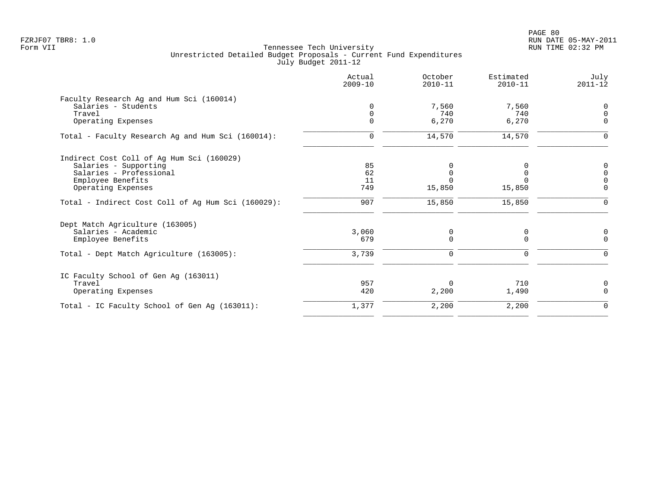PAGE 80 FZRJF07 TBR8: 1.0 RUN DATE 05-MAY-2011

|                                                    | Actual<br>$2009 - 10$ | October<br>$2010 - 11$ | Estimated<br>$2010 - 11$ | July<br>$2011 - 12$ |
|----------------------------------------------------|-----------------------|------------------------|--------------------------|---------------------|
| Faculty Research Ag and Hum Sci (160014)           |                       |                        |                          |                     |
| Salaries - Students                                | $\Omega$              | 7,560                  | 7,560                    | 0                   |
| Travel                                             |                       | 740                    | 740                      | $\mathbf 0$         |
| Operating Expenses                                 |                       | 6,270                  | 6,270                    | $\mathbf 0$         |
| Total - Faculty Research Ag and Hum Sci (160014):  | 0                     | 14,570                 | 14,570                   | 0                   |
| Indirect Cost Coll of Ag Hum Sci (160029)          |                       |                        |                          |                     |
| Salaries - Supporting                              | 85                    |                        |                          | 0                   |
| Salaries - Professional                            | 62                    |                        |                          | $\mathbf 0$         |
| Employee Benefits                                  | 11                    |                        |                          | $\mathbf 0$         |
| Operating Expenses                                 | 749                   | 15,850                 | 15,850                   | $\mathbf 0$         |
| Total - Indirect Cost Coll of Aq Hum Sci (160029): | 907                   | 15,850                 | 15,850                   | $\mathbf 0$         |
| Dept Match Agriculture (163005)                    |                       |                        |                          |                     |
| Salaries - Academic                                | 3,060                 | 0                      | 0                        | 0                   |
| Employee Benefits                                  | 679                   | $\Omega$               | $\Omega$                 | $\Omega$            |
| Total - Dept Match Agriculture (163005):           | 3,739                 | 0                      | 0                        | $\mathbf 0$         |
| IC Faculty School of Gen Ag (163011)               |                       |                        |                          |                     |
| Travel                                             | 957                   | $\Omega$               | 710                      | 0                   |
| Operating Expenses                                 | 420                   | 2,200                  | 1,490                    | $\Omega$            |
| Total - IC Faculty School of Gen Aq (163011):      | 1,377                 | 2,200                  | 2,200                    | 0                   |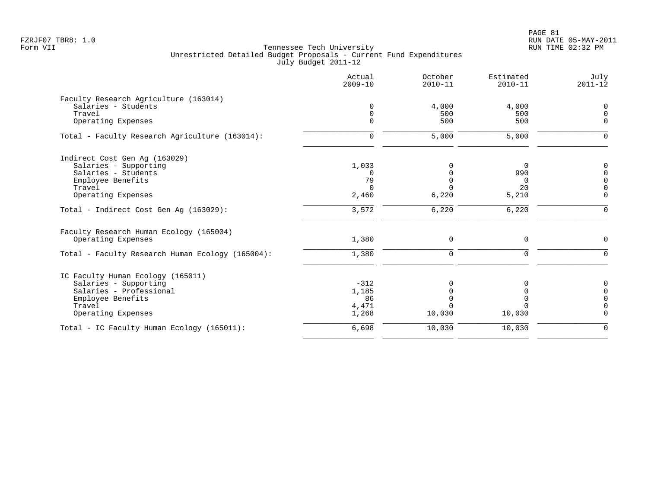|                                                  | Actual<br>$2009 - 10$ | October<br>$2010 - 11$ | Estimated<br>$2010 - 11$ | July<br>$2011 - 12$ |
|--------------------------------------------------|-----------------------|------------------------|--------------------------|---------------------|
| Faculty Research Agriculture (163014)            |                       |                        |                          |                     |
| Salaries - Students                              | $\mathbf 0$           | 4,000                  | 4,000                    | $\mathbf 0$         |
| Travel                                           | $\mathbf 0$           | 500                    | 500                      | $\Omega$            |
| Operating Expenses                               | $\Omega$              | 500                    | 500                      | $\mathbf 0$         |
| Total - Faculty Research Agriculture (163014):   | 0                     | 5,000                  | 5,000                    | $\Omega$            |
| Indirect Cost Gen Aq (163029)                    |                       |                        |                          |                     |
| Salaries - Supporting                            | 1,033                 | $\Omega$               | - 0                      | $\Omega$            |
| Salaries - Students                              | $\Omega$              |                        | 990                      | $\Omega$            |
| Employee Benefits                                | 79                    | $\mathbf 0$            | $\Omega$                 | $\Omega$            |
| Travel                                           | $\Omega$              | $\Omega$               | 20                       | $\Omega$            |
| Operating Expenses                               | 2,460                 | 6,220                  | 5,210                    | $\mathbf 0$         |
| Total - Indirect Cost Gen Aq (163029):           | 3,572                 | 6,220                  | 6,220                    | $\Omega$            |
| Faculty Research Human Ecology (165004)          |                       |                        |                          |                     |
| Operating Expenses                               | 1,380                 | $\mathbf 0$            | $\mathbf 0$              | $\Omega$            |
| Total - Faculty Research Human Ecology (165004): | 1,380                 | $\Omega$               | $\Omega$                 | $\Omega$            |
| IC Faculty Human Ecology (165011)                |                       |                        |                          |                     |
| Salaries - Supporting                            | $-312$                |                        |                          | 0                   |
| Salaries - Professional                          | 1,185                 |                        |                          | $\mathbf 0$         |
| Employee Benefits                                | 86                    | $\Omega$               |                          | $\Omega$            |
| Travel                                           | 4,471                 |                        |                          | $\Omega$            |
| Operating Expenses                               | 1,268                 | 10,030                 | 10,030                   | $\Omega$            |
| Total - IC Faculty Human Ecology (165011):       | 6,698                 | 10,030                 | 10,030                   | $\mathbf 0$         |
|                                                  |                       |                        |                          |                     |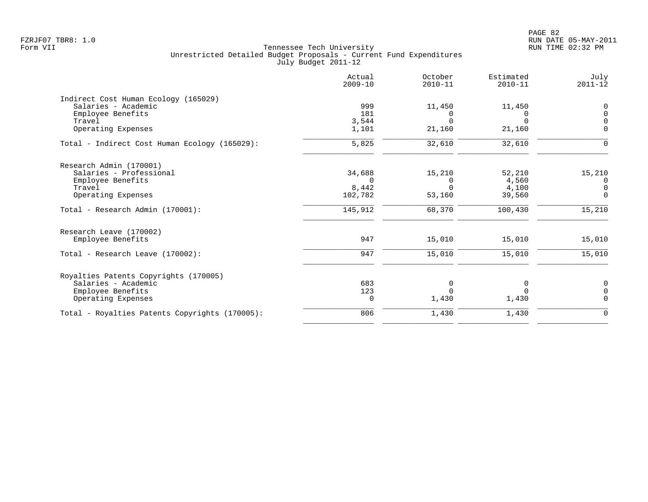| Actual<br>$2009 - 10$ | October<br>$2010 - 11$ | Estimated<br>$2010 - 11$ | July<br>$2011 - 12$ |
|-----------------------|------------------------|--------------------------|---------------------|
|                       |                        |                          |                     |
| 999                   | 11,450                 | 11,450                   | $\mathbf 0$         |
| 181                   | 0                      | $\Omega$                 | $\Omega$            |
| 3,544                 | $\Omega$               | $\Omega$                 | $\Omega$            |
|                       |                        |                          | $\Omega$            |
| 5,825                 | 32,610                 | 32,610                   | $\Omega$            |
|                       |                        |                          |                     |
| 34,688                | 15,210                 | 52,210                   | 15,210              |
| $\Omega$              | $\Omega$               | 4,560                    | $\overline{0}$      |
| 8,442                 | $\Omega$               | 4,100                    | $\overline{0}$      |
| 102,782               | 53,160                 | 39,560                   | $\mathbf 0$         |
| 145,912               | 68,370                 | 100,430                  | 15,210              |
|                       |                        |                          |                     |
| 947                   | 15,010                 | 15,010                   | 15,010              |
| 947                   | 15,010                 | 15,010                   | 15,010              |
|                       |                        |                          |                     |
| 683                   | 0                      | 0                        | $\mathbf 0$         |
| 123                   | $\Omega$               | $\Omega$                 | $\Omega$            |
| 0                     | 1,430                  | 1,430                    | $\Omega$            |
| 806                   | 1,430                  | 1,430                    | $\mathbf 0$         |
|                       | 1,101                  | 21,160                   | 21,160              |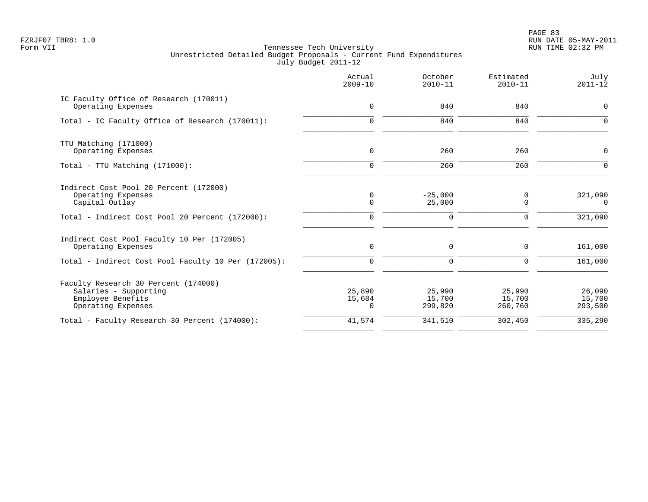PAGE 83 FZRJF07 TBR8: 1.0 RUN DATE 05-MAY-2011

|                                                                                                                                   | Actual<br>$2009 - 10$           | October<br>$2010 - 11$             | Estimated<br>$2010 - 11$    | July<br>$2011 - 12$            |
|-----------------------------------------------------------------------------------------------------------------------------------|---------------------------------|------------------------------------|-----------------------------|--------------------------------|
| IC Faculty Office of Research (170011)<br>Operating Expenses                                                                      | $\mathbf 0$                     | 840                                | 840                         | $\mathbf 0$                    |
| Total - IC Faculty Office of Research (170011):                                                                                   | $\Omega$                        | 840                                | 840                         | $\Omega$                       |
| TTU Matching (171000)<br>Operating Expenses                                                                                       | $\mathbf 0$                     | 260                                | 260                         | $\mathbf 0$                    |
| Total - TTU Matching (171000):                                                                                                    | $\Omega$                        | 260                                | 260                         | $\Omega$                       |
| Indirect Cost Pool 20 Percent (172000)<br>Operating Expenses<br>Capital Outlay<br>Total - Indirect Cost Pool 20 Percent (172000): | 0<br>$\mathbf 0$<br>$\mathbf 0$ | $-25,000$<br>25,000<br>$\mathbf 0$ | 0<br>0<br>$\mathbf 0$       | 321,090<br>$\Omega$<br>321,090 |
| Indirect Cost Pool Faculty 10 Per (172005)<br>Operating Expenses                                                                  | $\mathbf 0$                     | $\mathbf 0$                        | 0                           | 161,000                        |
| Total - Indirect Cost Pool Faculty 10 Per (172005):                                                                               | $\Omega$                        | 0                                  | $\Omega$                    | 161,000                        |
| Faculty Research 30 Percent (174000)<br>Salaries - Supporting<br>Employee Benefits<br>Operating Expenses                          | 25,890<br>15,684<br>$\Omega$    | 25,990<br>15,700<br>299,820        | 25,990<br>15,700<br>260,760 | 26,090<br>15,700<br>293,500    |
| Total - Faculty Research 30 Percent (174000):                                                                                     | 41,574                          | 341,510                            | 302,450                     | 335,290                        |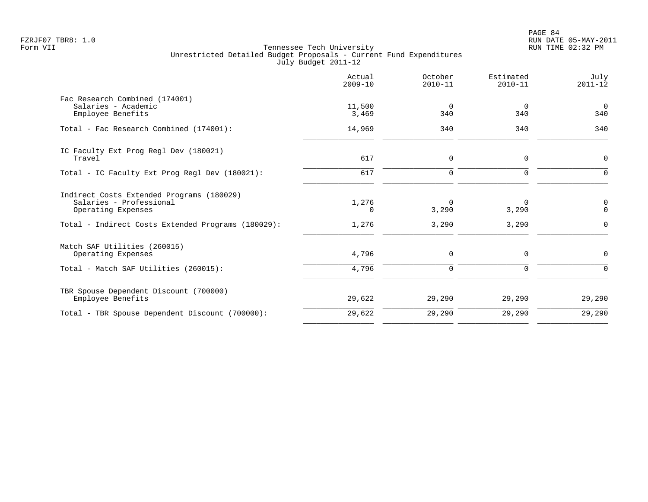|                                                                                            | Actual<br>$2009 - 10$ | October<br>$2010 - 11$ | Estimated<br>$2010 - 11$ | July<br>$2011 - 12$   |
|--------------------------------------------------------------------------------------------|-----------------------|------------------------|--------------------------|-----------------------|
| Fac Research Combined (174001)<br>Salaries - Academic<br>Employee Benefits                 | 11,500<br>3,469       | 0<br>340               | 0<br>340                 | $\overline{0}$<br>340 |
| Total - Fac Research Combined (174001):                                                    | 14,969                | 340                    | 340                      | 340                   |
| IC Faculty Ext Prog Regl Dev (180021)<br>Travel                                            | 617                   | 0                      | $\mathsf 0$              | $\mathsf{O}$          |
| Total - IC Faculty Ext Prog Regl Dev (180021):                                             | 617                   | $\mathbf 0$            | $\mathbf 0$              | $\mathbf 0$           |
| Indirect Costs Extended Programs (180029)<br>Salaries - Professional<br>Operating Expenses | 1,276<br>$\Omega$     | $\Omega$<br>3,290      | $\Omega$<br>3,290        | 0<br>$\Omega$         |
| Total - Indirect Costs Extended Programs (180029):                                         | 1,276                 | 3,290                  | 3,290                    | $\mathbf 0$           |
| Match SAF Utilities (260015)<br>Operating Expenses                                         | 4,796                 | $\mathbf 0$            | $\mathbf 0$              | $\mathbf 0$           |
| Total - Match SAF Utilities (260015):                                                      | 4,796                 | $\Omega$               | $\Omega$                 | $\Omega$              |
| TBR Spouse Dependent Discount (700000)<br>Employee Benefits                                | 29,622                | 29,290                 | 29,290                   | 29,290                |
| Total - TBR Spouse Dependent Discount (700000):                                            | 29,622                | 29,290                 | 29,290                   | 29,290                |
|                                                                                            |                       |                        |                          |                       |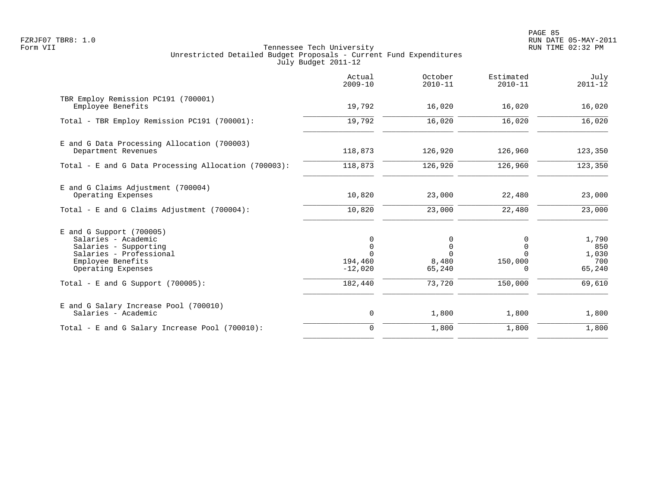PAGE 85 FZRJF07 TBR8: 1.0 RUN DATE 05-MAY-2011

|                                                                                                                                                  | Actual<br>$2009 - 10$               | October<br>$2010 - 11$                          | Estimated<br>$2010 - 11$             | July<br>$2011 - 12$                    |
|--------------------------------------------------------------------------------------------------------------------------------------------------|-------------------------------------|-------------------------------------------------|--------------------------------------|----------------------------------------|
| TBR Employ Remission PC191 (700001)<br>Employee Benefits                                                                                         | 19,792                              | 16,020                                          | 16,020                               | 16,020                                 |
| Total - TBR Employ Remission PC191 (700001):                                                                                                     | 19,792                              | 16,020                                          | 16,020                               | 16,020                                 |
| E and G Data Processing Allocation (700003)<br>Department Revenues                                                                               | 118,873                             | 126,920                                         | 126,960                              | 123,350                                |
| Total - E and G Data Processing Allocation (700003):                                                                                             | 118,873                             | 126,920                                         | 126,960                              | 123,350                                |
| E and G Claims Adjustment (700004)<br>Operating Expenses                                                                                         | 10,820                              | 23,000                                          | 22,480                               | 23,000                                 |
| Total - E and G Claims Adjustment $(700004)$ :                                                                                                   | 10,820                              | 23,000                                          | 22,480                               | 23,000                                 |
| $E$ and G Support (700005)<br>Salaries - Academic<br>Salaries - Supporting<br>Salaries - Professional<br>Employee Benefits<br>Operating Expenses | 0<br>$\cap$<br>194,460<br>$-12,020$ | 0<br>$\mathbf 0$<br>$\Omega$<br>8,480<br>65,240 | $\Omega$<br>$\Omega$<br>150,000<br>0 | 1,790<br>850<br>1,030<br>700<br>65,240 |
| Total - E and G Support $(700005)$ :                                                                                                             | 182,440                             | 73,720                                          | 150,000                              | 69,610                                 |
| E and G Salary Increase Pool (700010)<br>Salaries - Academic                                                                                     | 0                                   | 1,800                                           | 1,800                                | 1,800                                  |
| Total - E and G Salary Increase Pool (700010):                                                                                                   | $\mathbf 0$                         | 1,800                                           | 1,800                                | 1,800                                  |
|                                                                                                                                                  |                                     |                                                 |                                      |                                        |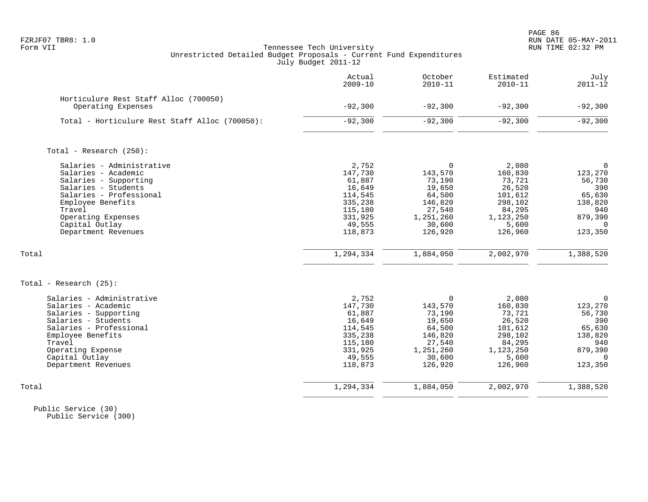# FZRJF07 TBR8: 1.0 RUN DATE 05-MAY-2011 Tennessee Tech University Unrestricted Detailed Budget Proposals - Current Fund Expenditures July Budget 2011-12

|                                                | Actual<br>$2009 - 10$ | October<br>$2010 - 11$ | Estimated<br>$2010 - 11$ | July<br>$2011 - 12$ |
|------------------------------------------------|-----------------------|------------------------|--------------------------|---------------------|
| Horticulure Rest Staff Alloc (700050)          |                       |                        |                          |                     |
| Operating Expenses                             | $-92,300$             | $-92,300$              | $-92,300$                | $-92,300$           |
| Total - Horticulure Rest Staff Alloc (700050): | $-92,300$             | $-92,300$              | $-92,300$                | $-92,300$           |
| Total - Research (250):                        |                       |                        |                          |                     |
| Salaries - Administrative                      | 2,752                 | $\Omega$               | 2,080                    | $\overline{0}$      |
| Salaries - Academic                            | 147,730               | 143,570                | 160,830                  | 123,270             |
| Salaries - Supporting                          | 61,887                | 73,190                 | 73,721                   | 56,730              |
| Salaries - Students                            | 16,649                | 19,650                 | 26,520                   | 390                 |
| Salaries - Professional                        | 114,545               | 64,500                 | 101,612                  | 65,630              |
| Employee Benefits                              | 335,238               | 146,820                | 298,102                  | 138,820             |
| Travel                                         | 115,180               | 27,540                 | 84,295                   | 940                 |
| Operating Expenses                             | 331,925               | 1,251,260              | 1,123,250                | 879,390             |
| Capital Outlay                                 | 49,555                | 30,600                 | 5,600                    | $\Omega$            |
| Department Revenues                            | 118,873               | 126,920                | 126,960                  | 123,350             |
| Total                                          | 1,294,334             | 1,884,050              | 2,002,970                | 1,388,520           |
| Total - Research $(25)$ :                      |                       |                        |                          |                     |
| Salaries - Administrative                      | 2,752                 | 0                      | 2,080                    | $\mathbf 0$         |
| Salaries - Academic                            | 147,730               | 143,570                | 160,830                  | 123,270             |
| Salaries - Supporting                          | 61,887                | 73,190                 | 73,721                   | 56,730              |
| Salaries - Students                            | 16,649                | 19,650                 | 26,520                   | 390                 |
| Salaries - Professional                        | 114,545               | 64,500                 | 101,612                  | 65,630              |
| Employee Benefits                              | 335,238               | 146,820                | 298,102                  | 138,820             |
| Travel                                         | 115,180               | 27,540                 | 84,295                   | 940                 |
| Operating Expense                              | 331,925               | 1,251,260              | 1,123,250                | 879,390             |
| Capital Outlay                                 | 49,555                | 30,600                 | 5,600                    | $\Omega$            |
| Department Revenues                            | 118,873               | 126,920                | 126,960                  | 123,350             |
| Total                                          | 1,294,334             | 1,884,050              | 2,002,970                | 1,388,520           |
|                                                |                       |                        |                          |                     |

 Public Service (30) Public Service (300)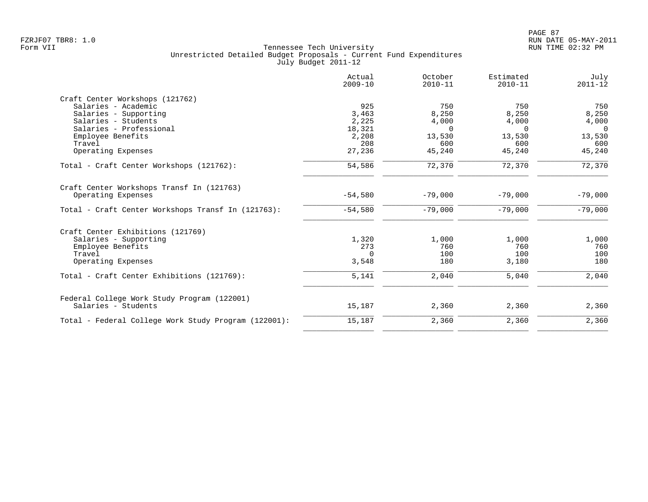|                                                      | Actual<br>$2009 - 10$ | October<br>$2010 - 11$ | Estimated<br>$2010 - 11$ | July<br>$2011 - 12$ |
|------------------------------------------------------|-----------------------|------------------------|--------------------------|---------------------|
| Craft Center Workshops (121762)                      |                       |                        |                          |                     |
| Salaries - Academic                                  | 925                   | 750                    | 750                      | 750                 |
| Salaries - Supporting                                | 3,463                 | 8,250                  | 8,250                    | 8,250               |
| Salaries - Students                                  | 2,225                 | 4,000                  | 4,000                    | 4,000               |
| Salaries - Professional                              | 18,321                | $\Omega$               | $\Omega$                 | $\overline{0}$      |
| Employee Benefits                                    | 2,208                 | 13,530                 | 13,530                   | 13,530              |
| Travel                                               | 208                   | 600                    | 600                      | 600                 |
| Operating Expenses                                   | 27,236                | 45,240                 | 45,240                   | 45,240              |
| Total - Craft Center Workshops (121762):             | 54,586                | 72,370                 | 72,370                   | 72,370              |
| Craft Center Workshops Transf In (121763)            |                       |                        |                          |                     |
| Operating Expenses                                   | $-54,580$             | $-79,000$              | $-79,000$                | $-79,000$           |
| Total - Craft Center Workshops Transf In (121763):   | $-54,580$             | $-79,000$              | $-79,000$                | $-79,000$           |
| Craft Center Exhibitions (121769)                    |                       |                        |                          |                     |
| Salaries - Supporting                                | 1,320                 | 1,000                  | 1,000                    | 1,000               |
| Employee Benefits                                    | 273                   | 760                    | 760                      | 760                 |
| Travel                                               | $\Omega$              | 100                    | 100                      | 100                 |
| Operating Expenses                                   | 3,548                 | 180                    | 3,180                    | 180                 |
| Total - Craft Center Exhibitions (121769):           | 5,141                 | 2,040                  | 5,040                    | 2,040               |
| Federal College Work Study Program (122001)          |                       |                        |                          |                     |
| Salaries - Students                                  | 15,187                | 2,360                  | 2,360                    | 2,360               |
| Total - Federal College Work Study Program (122001): | 15,187                | 2,360                  | 2,360                    | 2,360               |
|                                                      |                       |                        |                          |                     |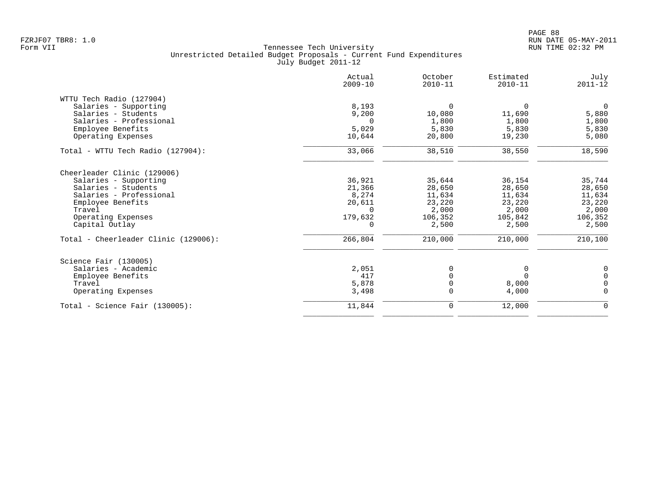|                                      | Actual<br>$2009 - 10$ | October<br>$2010 - 11$ | Estimated<br>$2010 - 11$ | July<br>$2011 - 12$ |
|--------------------------------------|-----------------------|------------------------|--------------------------|---------------------|
| WTTU Tech Radio (127904)             |                       |                        |                          |                     |
| Salaries - Supporting                | 8,193                 | $\Omega$               | $\Omega$                 | $\Omega$            |
| Salaries - Students                  | 9,200                 | 10,080                 | 11,690                   | 5,880               |
| Salaries - Professional              | $\Omega$              | 1,800                  | 1,800                    | 1,800               |
| Employee Benefits                    | 5,029                 | 5,830                  | 5,830                    | 5,830               |
| Operating Expenses                   | 10,644                | 20,800                 | 19,230                   | 5,080               |
| Total - WTTU Tech Radio (127904):    | 33,066                | 38,510                 | 38,550                   | 18,590              |
| Cheerleader Clinic (129006)          |                       |                        |                          |                     |
| Salaries - Supporting                | 36,921                | 35,644                 | 36,154                   | 35,744              |
| Salaries - Students                  | 21,366                | 28,650                 | 28,650                   | 28,650              |
| Salaries - Professional              | 8,274                 | 11,634                 | 11,634                   | 11,634              |
| Employee Benefits                    | 20,611                | 23,220                 | 23,220                   | 23,220              |
| Travel                               | $\Omega$              | 2,000                  | 2,000                    | 2,000               |
| Operating Expenses                   | 179,632               | 106,352                | 105,842                  | 106,352             |
| Capital Outlay                       | $\Omega$              | 2,500                  | 2,500                    | 2,500               |
| Total - Cheerleader Clinic (129006): | 266,804               | 210,000                | 210,000                  | 210,100             |
| Science Fair (130005)                |                       |                        |                          |                     |
| Salaries - Academic                  | 2,051                 | 0                      | 0                        | 0                   |
| Employee Benefits                    | 417                   |                        | $\Omega$                 | $\Omega$            |
| Travel                               | 5,878                 | $\Omega$               | 8,000                    | $\Omega$            |
| Operating Expenses                   | 3,498                 | $\Omega$               | 4,000                    | $\mathbf 0$         |
| Total - Science Fair $(130005)$ :    | 11,844                | $\mathbf 0$            | 12,000                   | $\mathbf 0$         |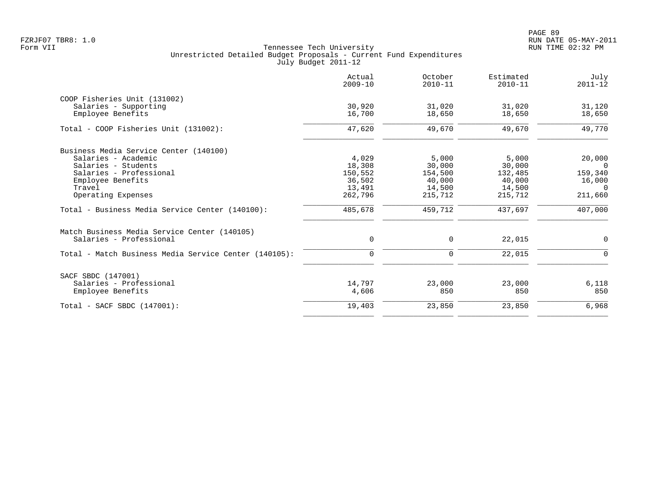| Actual<br>$2009 - 10$ | October<br>$2010 - 11$ | Estimated<br>$2010 - 11$ | July<br>$2011 - 12$ |
|-----------------------|------------------------|--------------------------|---------------------|
|                       |                        |                          |                     |
| 30,920                | 31,020                 | 31,020                   | 31,120              |
| 16,700                | 18,650                 | 18,650                   | 18,650              |
| 47,620                | 49,670                 | 49,670                   | 49,770              |
|                       |                        |                          |                     |
| 4,029                 | 5,000                  | 5,000                    | 20,000              |
| 18,308                | 30,000                 | 30,000                   | $\Omega$            |
| 150,552               | 154,500                | 132,485                  | 159,340             |
| 36,502                | 40,000                 | 40,000                   | 16,000              |
|                       | 14,500                 | 14,500                   | $\Omega$            |
| 262,796               | 215,712                | 215,712                  | 211,660             |
| 485,678               | 459,712                | 437,697                  | 407,000             |
|                       |                        |                          |                     |
| 0                     | 0                      | 22,015                   | 0                   |
| $\mathbf 0$           | 0                      | 22,015                   | $\mathbf 0$         |
|                       |                        |                          |                     |
| 14,797                | 23,000                 | 23,000                   | 6,118               |
| 4,606                 | 850                    | 850                      | 850                 |
| 19,403                | 23,850                 | 23,850                   | 6,968               |
|                       | 13,491                 |                          |                     |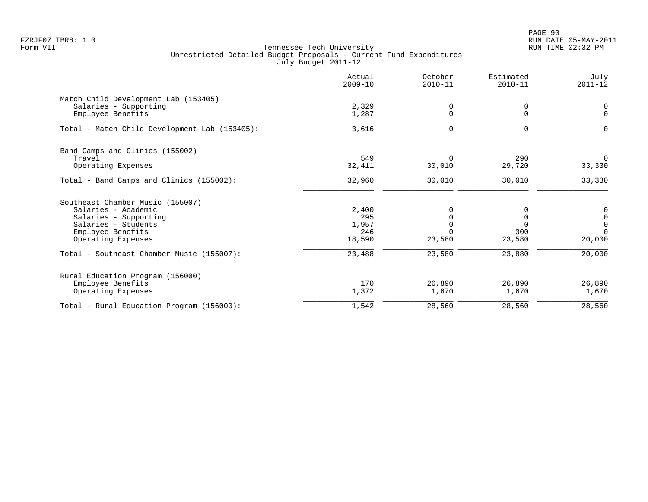PAGE 90 FZRJF07 TBR8: 1.0 RUN DATE 05-MAY-2011

|                                               | Actual<br>$2009 - 10$ | October<br>$2010 - 11$ | Estimated<br>$2010 - 11$ | July<br>$2011 - 12$                  |
|-----------------------------------------------|-----------------------|------------------------|--------------------------|--------------------------------------|
| Match Child Development Lab (153405)          |                       |                        |                          |                                      |
| Salaries - Supporting<br>Employee Benefits    | 2,329<br>1,287        | 0<br>$\Omega$          | 0<br>$\Omega$            | 0<br>$\Omega$                        |
| Total - Match Child Development Lab (153405): | 3,616                 | $\mathbf 0$            | 0                        | $\Omega$                             |
| Band Camps and Clinics (155002)               |                       |                        |                          |                                      |
| Travel<br>Operating Expenses                  | 549<br>32,411         | $\Omega$<br>30,010     | 290<br>29,720            | $\Omega$<br>33,330                   |
| Total - Band Camps and Clinics (155002):      | 32,960                | 30,010                 | 30,010                   | 33,330                               |
| Southeast Chamber Music (155007)              |                       |                        |                          |                                      |
| Salaries - Academic                           | 2,400                 | 0                      |                          |                                      |
| Salaries - Supporting                         | 295                   |                        |                          | $\begin{matrix} 0 \\ 0 \end{matrix}$ |
| Salaries - Students                           | 1,957                 | $\Omega$               | $\Omega$                 | $\overline{0}$                       |
| Employee Benefits<br>Operating Expenses       | 246<br>18,590         | $\Omega$<br>23,580     | 300<br>23,580            | $\Omega$<br>20,000                   |
| Total - Southeast Chamber Music (155007):     | 23,488                | 23,580                 | 23,880                   | 20,000                               |
| Rural Education Program (156000)              |                       |                        |                          |                                      |
| Employee Benefits                             | 170                   | 26,890                 | 26,890                   | 26,890                               |
| Operating Expenses                            | 1,372                 | 1,670                  | 1,670                    | 1,670                                |
| Total - Rural Education Program (156000):     | 1,542                 | 28,560                 | 28,560                   | 28,560                               |
|                                               |                       |                        |                          |                                      |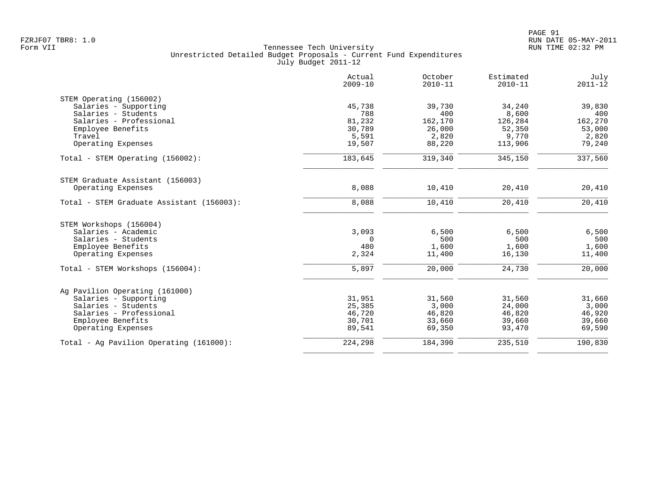|                                           | Actual<br>$2009 - 10$ | October<br>$2010 - 11$ | Estimated<br>$2010 - 11$ | July<br>$2011 - 12$ |
|-------------------------------------------|-----------------------|------------------------|--------------------------|---------------------|
| STEM Operating (156002)                   |                       |                        |                          |                     |
| Salaries - Supporting                     | 45,738                | 39,730                 | 34,240                   | 39,830              |
| Salaries - Students                       | 788                   | 400                    | 8,600                    | 400                 |
| Salaries - Professional                   | 81,232                | 162,170                | 126,284                  | 162,270             |
| Employee Benefits                         | 30,789                | 26,000                 | 52,350                   | 53,000              |
| Travel                                    | 5,591                 | 2,820                  | 9,770                    | 2,820               |
| Operating Expenses                        | 19,507                | 88,220                 | 113,906                  | 79,240              |
| Total - STEM Operating (156002):          | 183,645               | 319,340                | 345,150                  | 337,560             |
| STEM Graduate Assistant (156003)          |                       |                        |                          |                     |
| Operating Expenses                        | 8,088                 | 10,410                 | 20,410                   | 20,410              |
| Total - STEM Graduate Assistant (156003): | 8,088                 | 10,410                 | 20,410                   | 20,410              |
| STEM Workshops (156004)                   |                       |                        |                          |                     |
| Salaries - Academic                       | 3,093                 | 6,500                  | 6,500                    | 6,500               |
| Salaries - Students                       | $\Omega$              | 500                    | 500                      | 500                 |
| Employee Benefits                         | 480                   | 1,600                  | 1,600                    | 1,600               |
| Operating Expenses                        | 2,324                 | 11,400                 | 16,130                   | 11,400              |
| Total - STEM Workshops (156004):          | 5,897                 | 20,000                 | 24,730                   | 20,000              |
| Ag Pavilion Operating (161000)            |                       |                        |                          |                     |
| Salaries - Supporting                     | 31,951                | 31,560                 | 31,560                   | 31,660              |
| Salaries - Students                       | 25,385                | 3,000                  | 24,000                   | 3,000               |
| Salaries - Professional                   | 46,720                | 46,820                 | 46,820                   | 46,920              |
| Employee Benefits                         | 30,701                | 33,660                 | 39,660                   | 39,660              |
| Operating Expenses                        | 89,541                | 69,350                 | 93,470                   | 69,590              |
| Total - Ag Pavilion Operating (161000):   | 224,298               | 184,390                | 235,510                  | 190,830             |
|                                           |                       |                        |                          |                     |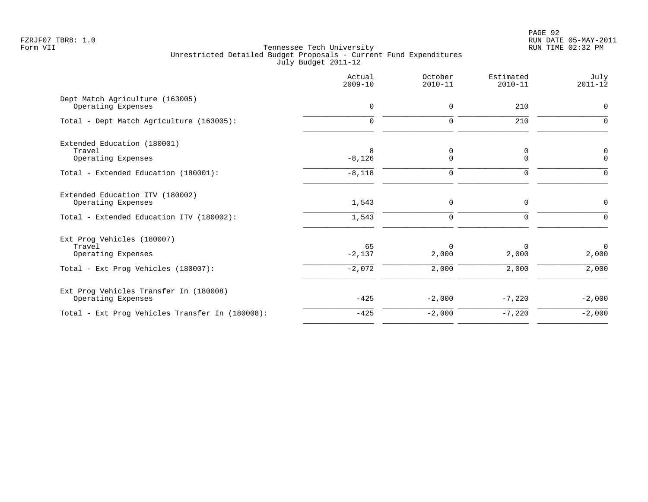|                                                              | Actual<br>$2009 - 10$ | October<br>$2010 - 11$ | Estimated<br>$2010 - 11$ | July<br>$2011 - 12$     |
|--------------------------------------------------------------|-----------------------|------------------------|--------------------------|-------------------------|
| Dept Match Agriculture (163005)<br>Operating Expenses        | 0                     | 0                      | 210                      | 0                       |
| Total - Dept Match Agriculture (163005):                     | $\Omega$              | 0                      | 210                      | $\Omega$                |
| Extended Education (180001)<br>Travel<br>Operating Expenses  | 8<br>$-8,126$         | 0<br>0                 | 0<br>$\mathbf 0$         | 0<br>$\mathbf 0$        |
| Total - Extended Education (180001):                         | $-8,118$              | 0                      | $\mathbf 0$              | $\Omega$                |
| Extended Education ITV (180002)<br>Operating Expenses        | 1,543                 | 0                      | 0                        | $\Omega$                |
| Total - Extended Education ITV (180002):                     | 1,543                 | $\mathbf 0$            | 0                        |                         |
| Ext Prog Vehicles (180007)<br>Travel<br>Operating Expenses   | 65<br>$-2,137$        | $\Omega$<br>2,000      | 0<br>2,000               | $\overline{0}$<br>2,000 |
| Total - Ext Prog Vehicles (180007):                          | $-2,072$              | 2,000                  | 2,000                    | 2,000                   |
| Ext Prog Vehicles Transfer In (180008)<br>Operating Expenses | $-425$                | $-2,000$               | $-7,220$                 | $-2,000$                |
| Total - Ext Prog Vehicles Transfer In (180008):              | $-425$                | $-2,000$               | $-7,220$                 | $-2,000$                |
|                                                              |                       |                        |                          |                         |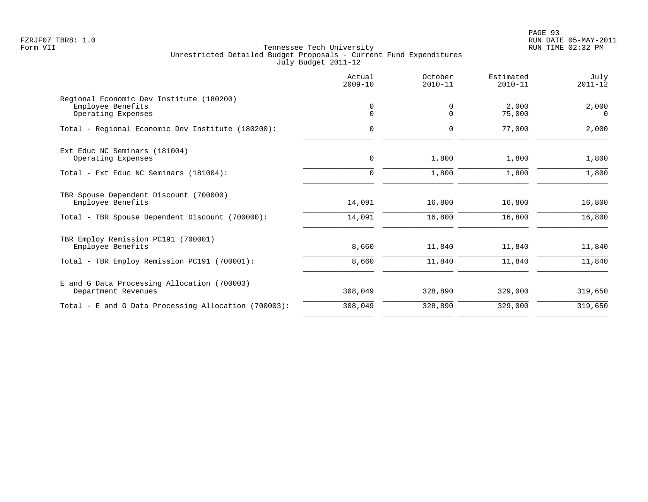PAGE 93 FZRJF07 TBR8: 1.0 RUN DATE 05-MAY-2011

|                                                                                     | Actual<br>$2009 - 10$ | October<br>$2010 - 11$ | Estimated<br>$2010 - 11$ | July<br>$2011 - 12$ |
|-------------------------------------------------------------------------------------|-----------------------|------------------------|--------------------------|---------------------|
| Regional Economic Dev Institute (180200)<br>Employee Benefits<br>Operating Expenses | 0<br>$\mathbf 0$      | 0<br>$\Omega$          | 2,000<br>75,000          | 2,000<br>$\Omega$   |
| Total - Regional Economic Dev Institute (180200):                                   | $\mathbf 0$           | $\Omega$               | 77,000                   | 2,000               |
| Ext Educ NC Seminars (181004)<br>Operating Expenses                                 | 0                     | 1,800                  | 1,800                    | 1,800               |
| Total - Ext Educ NC Seminars (181004):                                              | $\Omega$              | 1,800                  | 1,800                    | 1,800               |
| TBR Spouse Dependent Discount (700000)<br>Employee Benefits                         | 14,091                | 16,800                 | 16,800                   | 16,800              |
| Total - TBR Spouse Dependent Discount (700000):                                     | 14,091                | 16,800                 | 16,800                   | 16,800              |
| TBR Employ Remission PC191 (700001)<br>Employee Benefits                            | 8,660                 | 11,840                 | 11,840                   | 11,840              |
| Total - TBR Employ Remission PC191 (700001):                                        | 8,660                 | 11,840                 | 11,840                   | 11,840              |
| E and G Data Processing Allocation (700003)<br>Department Revenues                  | 308,049               | 328,890                | 329,000                  | 319,650             |
| Total - E and G Data Processing Allocation (700003):                                | 308,049               | 328,890                | 329,000                  | 319,650             |
|                                                                                     |                       |                        |                          |                     |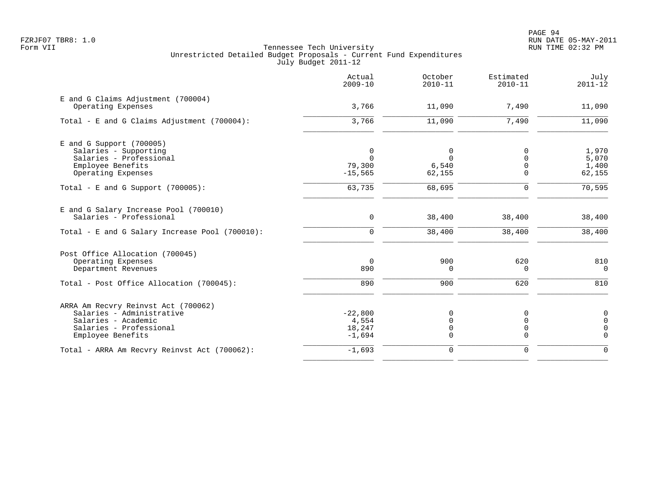|                                                | Actual<br>$2009 - 10$ | October<br>$2010 - 11$ | Estimated<br>$2010 - 11$ | July<br>$2011 - 12$ |
|------------------------------------------------|-----------------------|------------------------|--------------------------|---------------------|
| E and G Claims Adjustment (700004)             |                       |                        |                          |                     |
| Operating Expenses                             | 3,766                 | 11,090                 | 7,490                    | 11,090              |
| Total - E and G Claims Adjustment $(700004)$ : | 3,766                 | 11,090                 | 7,490                    | 11,090              |
| E and G Support (700005)                       |                       |                        |                          |                     |
| Salaries - Supporting                          | $\mathbf 0$           | 0                      | $\Omega$                 | 1,970               |
| Salaries - Professional                        | $\Omega$              | $\Omega$               | $\Omega$                 | 5,070               |
| Employee Benefits                              | 79,300                | 6,540                  | $\Omega$                 | 1,400               |
| Operating Expenses                             | $-15, 565$            | 62,155                 | $\Omega$                 | 62,155              |
| Total - E and G Support $(700005)$ :           | 63,735                | 68,695                 | 0                        | 70, 595             |
| E and G Salary Increase Pool (700010)          |                       |                        |                          |                     |
| Salaries - Professional                        | 0                     | 38,400                 | 38,400                   | 38,400              |
| Total - E and G Salary Increase Pool (700010): | $\mathbf 0$           | 38,400                 | 38,400                   | 38,400              |
| Post Office Allocation (700045)                |                       |                        |                          |                     |
| Operating Expenses                             | 0                     | 900                    | 620                      | 810                 |
| Department Revenues                            | 890                   | $\Omega$               | $\Omega$                 | $\Omega$            |
| Total - Post Office Allocation (700045):       | 890                   | 900                    | 620                      | 810                 |
| ARRA Am Recvry Reinvst Act (700062)            |                       |                        |                          |                     |
| Salaries - Administrative                      | $-22,800$             | 0                      | 0                        | 0                   |
| Salaries - Academic                            | 4,554                 | 0                      | $\Omega$                 | $\overline{0}$      |
| Salaries - Professional                        | 18,247                | 0                      | 0                        | $\mathbf 0$         |
| Employee Benefits                              | $-1,694$              | $\Omega$               | $\Omega$                 | $\Omega$            |
| Total - ARRA Am Recvry Reinvst Act (700062):   | $-1,693$              | $\mathbf 0$            | $\mathbf 0$              | $\Omega$            |
|                                                |                       |                        |                          |                     |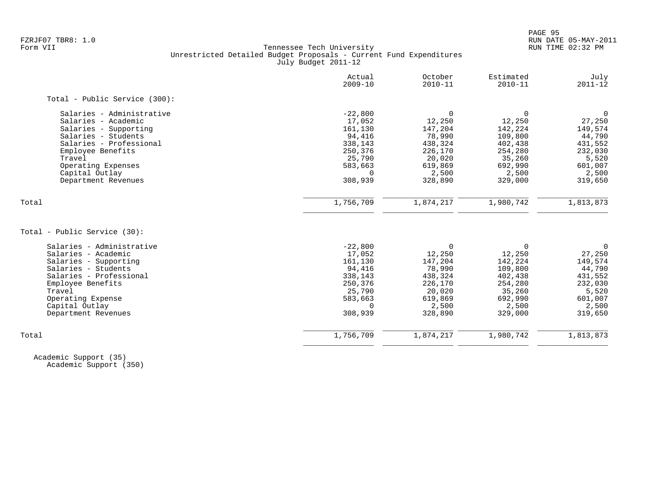# FZRJF07 TBR8: 1.0 RUN DATE 05-MAY-2011 Tennessee Tech University Unrestricted Detailed Budget Proposals - Current Fund Expenditures July Budget 2011-12

| Actual<br>$2009 - 10$ | October<br>$2010 - 11$ | Estimated<br>$2010 - 11$ | July<br>$2011 - 12$ |
|-----------------------|------------------------|--------------------------|---------------------|
|                       |                        |                          |                     |
|                       | 0                      | $\mathbf 0$              | $\mathbf 0$         |
| 17,052                | 12,250                 | 12,250                   | 27,250              |
| 161,130               | 147,204                | 142,224                  | 149,574             |
| 94,416                | 78,990                 | 109,800                  | 44,790              |
| 338,143               | 438,324                | 402,438                  | 431,552             |
| 250,376               | 226,170                | 254,280                  | 232,030             |
| 25,790                | 20,020                 | 35,260                   | 5,520               |
| 583,663               | 619,869                | 692,990                  | 601,007             |
| $\Omega$              | 2,500                  | 2,500                    | 2,500               |
| 308,939               | 328,890                | 329,000                  | 319,650             |
|                       |                        |                          | 1,813,873           |
|                       |                        |                          |                     |
|                       |                        |                          |                     |
| $-22,800$             | $\mathbf 0$            | 0                        | $\overline{0}$      |
| 17,052                | 12,250                 | 12,250                   | 27,250              |
| 161,130               |                        | 142,224                  | 149,574             |
| 94,416                | 78,990                 | 109,800                  | 44,790              |
| 338,143               | 438,324                | 402,438                  | 431,552             |
| 250,376               | 226,170                | 254,280                  | 232,030             |
| 25,790                | 20,020                 | 35,260                   | 5,520               |
| 583,663               | 619,869                | 692,990                  | 601,007             |
| $\Omega$              | 2,500                  | 2,500                    | 2,500               |
| 308,939               | 328,890                | 329,000                  | 319,650             |
|                       |                        |                          |                     |
|                       | $-22,800$<br>1,756,709 | 1,874,217<br>147,204     | 1,980,742           |

 Academic Support (35) Academic Support (350)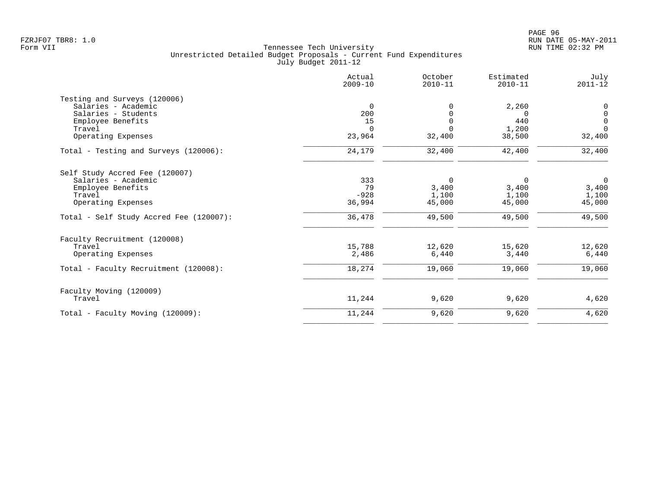|                                         | Actual<br>$2009 - 10$ | October<br>$2010 - 11$ | Estimated<br>$2010 - 11$ | July<br>$2011 - 12$ |
|-----------------------------------------|-----------------------|------------------------|--------------------------|---------------------|
| Testing and Surveys (120006)            |                       |                        |                          |                     |
| Salaries - Academic                     | $\mathbf 0$           | U                      | 2,260                    | 0                   |
| Salaries - Students                     | 200                   |                        | $\Omega$                 | $\mathsf{O}\xspace$ |
| Employee Benefits                       | 15                    | $\Omega$               | 440                      | $\mathbf 0$         |
| Travel                                  | $\Omega$              | $\Omega$               | 1,200                    | $\Omega$            |
| Operating Expenses                      | 23,964                | 32,400                 | 38,500                   | 32,400              |
| Total - Testing and Surveys (120006):   | 24,179                | 32,400                 | 42,400                   | 32,400              |
| Self Study Accred Fee (120007)          |                       |                        |                          |                     |
| Salaries - Academic                     | 333                   | 0                      | 0                        | $\mathbf 0$         |
| Employee Benefits                       | 79                    | 3,400                  | 3,400                    | 3,400               |
| Travel                                  | $-928$                | 1,100                  | 1,100                    | 1,100               |
| Operating Expenses                      | 36,994                | 45,000                 | 45,000                   | 45,000              |
| Total - Self Study Accred Fee (120007): | 36,478                | 49,500                 | 49,500                   | 49,500              |
| Faculty Recruitment (120008)            |                       |                        |                          |                     |
| Travel                                  | 15,788                | 12,620                 | 15,620                   | 12,620              |
| Operating Expenses                      | 2,486                 | 6,440                  | 3,440                    | 6,440               |
| Total - Faculty Recruitment (120008):   | 18,274                | 19,060                 | 19,060                   | 19,060              |
| Faculty Moving (120009)                 |                       |                        |                          |                     |
| Travel                                  | 11,244                | 9,620                  | 9,620                    | 4,620               |
| Total - Faculty Moving (120009):        | 11,244                | 9,620                  | 9,620                    | 4,620               |
|                                         |                       |                        |                          |                     |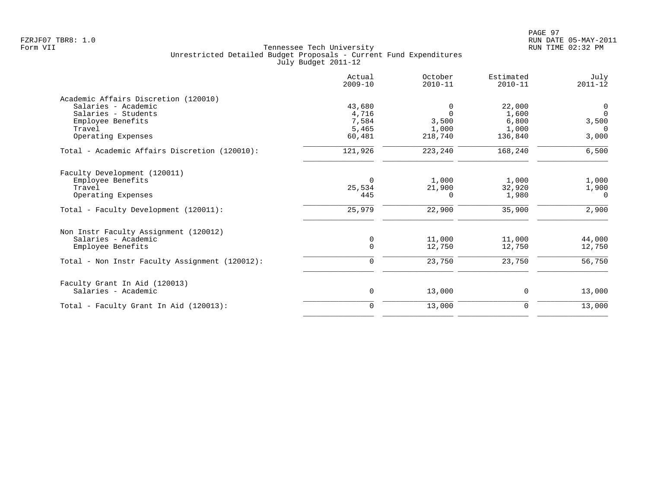|                                                | Actual<br>$2009 - 10$ | October<br>$2010 - 11$ | Estimated<br>$2010 - 11$ | July<br>$2011 - 12$ |
|------------------------------------------------|-----------------------|------------------------|--------------------------|---------------------|
| Academic Affairs Discretion (120010)           |                       |                        |                          |                     |
| Salaries - Academic                            | 43,680                | 0                      | 22,000                   | $\mathbf 0$         |
| Salaries - Students                            | 4,716                 | $\Omega$               | 1,600                    | $\Omega$            |
| Employee Benefits                              | 7,584                 | 3,500                  | 6,800                    | 3,500               |
| Travel                                         | 5,465                 | 1,000                  | 1,000                    | $\Omega$            |
| Operating Expenses                             | 60,481                | 218,740                | 136,840                  | 3,000               |
| Total - Academic Affairs Discretion (120010):  | 121,926               | 223,240                | 168,240                  | 6,500               |
| Faculty Development (120011)                   |                       |                        |                          |                     |
| Employee Benefits                              | $\Omega$              | 1,000                  | 1,000                    | 1,000               |
| Travel                                         | 25,534                | 21,900                 | 32,920                   | 1,900               |
| Operating Expenses                             | 445                   | 0                      | 1,980                    | 0                   |
| Total - Faculty Development (120011):          | 25,979                | 22,900                 | 35,900                   | 2,900               |
| Non Instr Faculty Assignment (120012)          |                       |                        |                          |                     |
| Salaries - Academic                            | 0                     | 11,000                 | 11,000                   | 44,000              |
| Employee Benefits                              | $\mathbf 0$           | 12,750                 | 12,750                   | 12,750              |
| Total - Non Instr Faculty Assignment (120012): | $\mathbf 0$           | 23,750                 | 23,750                   | 56,750              |
| Faculty Grant In Aid (120013)                  |                       |                        |                          |                     |
| Salaries - Academic                            | 0                     | 13,000                 | 0                        | 13,000              |
| Total - Faculty Grant In Aid (120013):         | $\mathbf 0$           | 13,000                 | 0                        | 13,000              |
|                                                |                       |                        |                          |                     |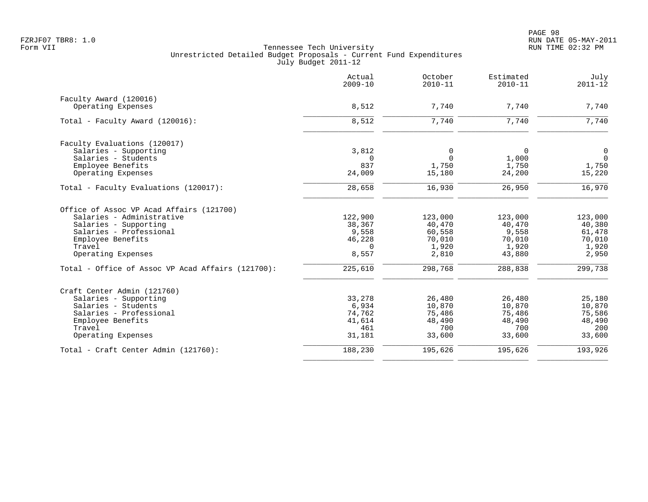|                                                   | Actual<br>$2009 - 10$ | October<br>$2010 - 11$ | Estimated<br>$2010 - 11$ | July<br>$2011 - 12$ |
|---------------------------------------------------|-----------------------|------------------------|--------------------------|---------------------|
| Faculty Award (120016)                            |                       |                        |                          |                     |
| Operating Expenses                                | 8,512                 | 7,740                  | 7,740                    | 7,740               |
| Total - Faculty Award (120016):                   | 8,512                 | 7,740                  | 7,740                    | 7,740               |
| Faculty Evaluations (120017)                      |                       |                        |                          |                     |
| Salaries - Supporting                             | 3,812                 | 0                      | $\mathbf 0$              | 0                   |
| Salaries - Students                               | $\Omega$              | $\Omega$               | 1,000                    | $\overline{0}$      |
| Employee Benefits                                 | 837                   | 1,750                  | 1,750                    | 1,750               |
| Operating Expenses                                | 24,009                | 15,180                 | 24,200                   | 15,220              |
| Total - Faculty Evaluations (120017):             | 28,658                | 16,930                 | 26,950                   | 16,970              |
| Office of Assoc VP Acad Affairs (121700)          |                       |                        |                          |                     |
| Salaries - Administrative                         | 122,900               | 123,000                | 123,000                  | 123,000             |
| Salaries - Supporting                             | 38,367                | 40,470                 | 40,470                   | 40,380              |
| Salaries - Professional                           | 9,558                 | 60,558                 | 9,558                    | 61,478              |
| Employee Benefits                                 | 46,228                | 70,010                 | 70,010                   | 70,010              |
| Travel                                            | $\Omega$              | 1,920                  | 1,920                    | 1,920               |
| Operating Expenses                                | 8,557                 | 2,810                  | 43,880                   | 2,950               |
| Total - Office of Assoc VP Acad Affairs (121700): | 225,610               | 298,768                | 288,838                  | 299,738             |
| Craft Center Admin (121760)                       |                       |                        |                          |                     |
| Salaries - Supporting                             | 33,278                | 26,480                 | 26,480                   | 25,180              |
| Salaries - Students                               | 6,934                 | 10,870                 | 10,870                   | 10,870              |
| Salaries - Professional                           | 74,762                | 75,486                 | 75,486                   | 75,586              |
| Employee Benefits                                 | 41,614                | 48,490                 | 48,490                   | 48,490              |
| Travel                                            | 461                   | 700                    | 700                      | 200                 |
| Operating Expenses                                | 31,181                | 33,600                 | 33,600                   | 33,600              |
| Total - Craft Center Admin (121760):              | 188,230               | 195,626                | 195,626                  | 193,926             |
|                                                   |                       |                        |                          |                     |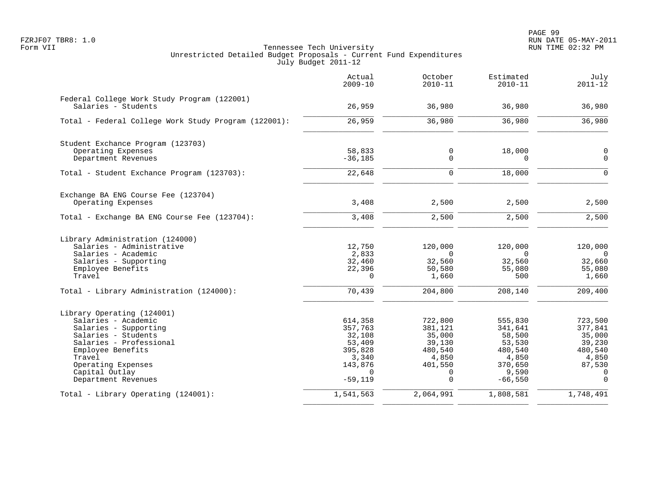|                                                                    | Actual<br>$2009 - 10$ | October<br>$2010 - 11$ | Estimated<br>$2010 - 11$ | July<br>$2011 - 12$        |
|--------------------------------------------------------------------|-----------------------|------------------------|--------------------------|----------------------------|
| Federal College Work Study Program (122001)<br>Salaries - Students | 26,959                | 36,980                 | 36,980                   | 36,980                     |
| Total - Federal College Work Study Program (122001):               | 26,959                | 36,980                 | 36,980                   | 36,980                     |
| Student Exchance Program (123703)                                  |                       |                        |                          |                            |
| Operating Expenses<br>Department Revenues                          | 58,833<br>$-36,185$   | 0<br>0                 | 18,000<br>$\Omega$       | $\mathbf 0$<br>$\mathbf 0$ |
| Total - Student Exchance Program (123703):                         | 22,648                | $\mathbf 0$            | 18,000                   | $\Omega$                   |
| Exchange BA ENG Course Fee (123704)                                |                       |                        |                          |                            |
| Operating Expenses                                                 | 3,408                 | 2,500                  | 2,500                    | 2,500                      |
| Total - Exchange BA ENG Course Fee (123704):                       | 3,408                 | 2,500                  | 2,500                    | 2,500                      |
| Library Administration (124000)                                    |                       |                        |                          |                            |
| Salaries - Administrative<br>Salaries - Academic                   | 12,750<br>2,833       | 120,000<br>$\Omega$    | 120,000<br>$\Omega$      | 120,000<br>$\cap$          |
| Salaries - Supporting                                              | 32,460                | 32,560                 | 32,560                   | 32,660                     |
| Employee Benefits<br>Travel                                        | 22,396<br>$\mathbf 0$ | 50,580<br>1,660        | 55,080<br>500            | 55,080<br>1,660            |
| Total - Library Administration (124000):                           | 70,439                | 204,800                | 208,140                  | 209,400                    |
| Library Operating (124001)                                         |                       |                        |                          |                            |
| Salaries - Academic                                                | 614,358               | 722,800                | 555,830                  | 723,500                    |
| Salaries - Supporting                                              | 357,763               | 381,121                | 341,641                  | 377,841                    |
| Salaries - Students<br>Salaries - Professional                     | 32,108<br>53,409      | 35,000<br>39,130       | 58,500<br>53,530         | 35,000<br>39,230           |
| Employee Benefits                                                  | 395,828               | 480,540                | 480,540                  | 480,540                    |
| Travel                                                             | 3,340                 | 4,850                  | 4,850                    | 4,850                      |
| Operating Expenses                                                 | 143,876               | 401,550                | 370,650                  | 87,530                     |
| Capital Outlay<br>Department Revenues                              | $\Omega$<br>$-59,119$ | 0<br>$\Omega$          | 9,590<br>$-66,550$       | $\mathbf 0$<br>$\Omega$    |
| Total - Library Operating (124001):                                | 1,541,563             | 2,064,991              | 1,808,581                | 1,748,491                  |
|                                                                    |                       |                        |                          |                            |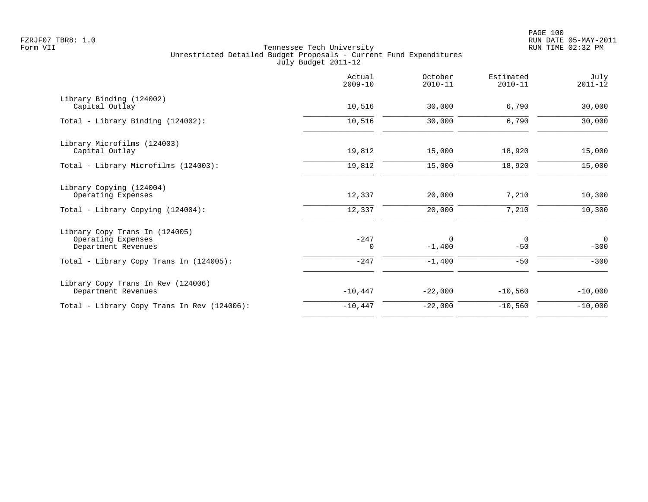|                                                                             | Actual<br>$2009 - 10$ | October<br>$2010 - 11$ | Estimated<br>$2010 - 11$ | July<br>$2011 - 12$      |
|-----------------------------------------------------------------------------|-----------------------|------------------------|--------------------------|--------------------------|
| Library Binding (124002)<br>Capital Outlay                                  | 10,516                | 30,000                 | 6,790                    | 30,000                   |
| Total - Library Binding (124002):                                           | 10,516                | 30,000                 | 6,790                    | 30,000                   |
| Library Microfilms (124003)<br>Capital Outlay                               | 19,812                | 15,000                 | 18,920                   | 15,000                   |
| Total - Library Microfilms (124003):                                        | 19,812                | 15,000                 | 18,920                   | 15,000                   |
| Library Copying (124004)<br>Operating Expenses                              | 12,337                | 20,000                 | 7,210                    | 10,300                   |
| Total - Library Copying (124004):                                           | 12,337                | 20,000                 | 7,210                    | 10,300                   |
| Library Copy Trans In (124005)<br>Operating Expenses<br>Department Revenues | $-247$<br>0           | 0<br>$-1,400$          | 0<br>$-50$               | $\overline{0}$<br>$-300$ |
| Total - Library Copy Trans In (124005):                                     | $-247$                | $-1,400$               | $-50$                    | $-300$                   |
| Library Copy Trans In Rev (124006)<br>Department Revenues                   | $-10,447$             | $-22,000$              | $-10,560$                | $-10,000$                |
| Total - Library Copy Trans In Rev (124006):                                 | $-10,447$             | $-22,000$              | $-10,560$                | $-10,000$                |
|                                                                             |                       |                        |                          |                          |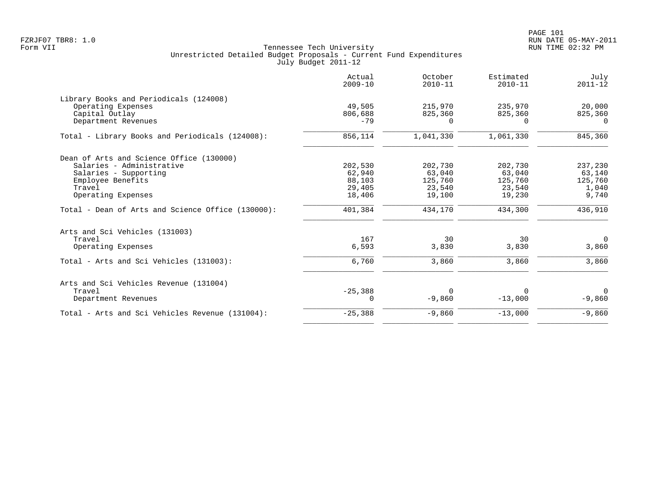| Actual<br>$2009 - 10$ | October<br>$2010 - 11$                                    | Estimated<br>$2010 - 11$                                 | July<br>$2011 - 12$                                      |
|-----------------------|-----------------------------------------------------------|----------------------------------------------------------|----------------------------------------------------------|
|                       |                                                           |                                                          |                                                          |
| 49,505                | 215,970                                                   | 235,970                                                  | 20,000                                                   |
| 806,688               | 825,360                                                   | 825,360                                                  | 825,360                                                  |
| $-79$                 | $\Omega$                                                  | $\Omega$                                                 | $\Omega$                                                 |
| 856,114               | 1,041,330                                                 | 1,061,330                                                | 845,360                                                  |
|                       |                                                           |                                                          |                                                          |
|                       |                                                           |                                                          | 237,230                                                  |
|                       |                                                           |                                                          | 63,140                                                   |
|                       |                                                           |                                                          | 125,760                                                  |
|                       |                                                           |                                                          | 1,040                                                    |
| 18,406                | 19,100                                                    | 19,230                                                   | 9,740                                                    |
| 401,384               | 434,170                                                   | 434,300                                                  | 436,910                                                  |
|                       |                                                           |                                                          |                                                          |
|                       |                                                           |                                                          | $\mathbf 0$                                              |
| 6,593                 | 3,830                                                     | 3,830                                                    | 3,860                                                    |
| 6,760                 | 3,860                                                     | 3,860                                                    | 3,860                                                    |
|                       |                                                           |                                                          |                                                          |
|                       |                                                           |                                                          | $\Omega$                                                 |
| $\Omega$              | $-9,860$                                                  | $-13,000$                                                | $-9,860$                                                 |
| $-25,388$             | $-9,860$                                                  | $-13,000$                                                | $-9,860$                                                 |
|                       | 202,530<br>62,940<br>88,103<br>29,405<br>167<br>$-25,388$ | 202,730<br>63,040<br>125,760<br>23,540<br>30<br>$\Omega$ | 202,730<br>63,040<br>125,760<br>23,540<br>30<br>$\Omega$ |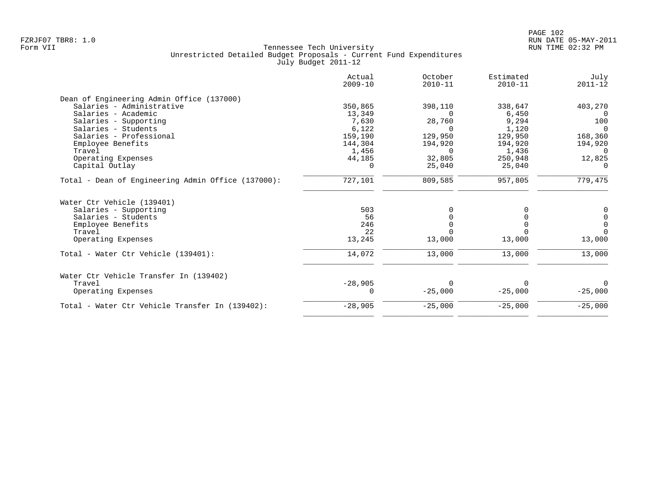|                                                    | Actual<br>$2009 - 10$ | October<br>$2010 - 11$ | Estimated<br>$2010 - 11$ | July<br>$2011 - 12$ |
|----------------------------------------------------|-----------------------|------------------------|--------------------------|---------------------|
| Dean of Engineering Admin Office (137000)          |                       |                        |                          |                     |
| Salaries - Administrative                          | 350,865               | 398,110                | 338,647                  | 403,270             |
| Salaries - Academic                                | 13,349                | $\Omega$               | 6,450                    | $\Omega$            |
| Salaries - Supporting                              | 7,630                 | 28,760                 | 9,294                    | 100                 |
| Salaries - Students                                | 6,122                 | $\Omega$               | 1,120                    | $\Omega$            |
| Salaries - Professional                            | 159,190               | 129,950                | 129,950                  | 168,360             |
| Employee Benefits                                  | 144,304               | 194,920                | 194,920                  | 194,920             |
| Travel                                             | 1,456                 | $\Omega$               | 1,436                    | $\Omega$            |
| Operating Expenses                                 | 44,185                | 32,805                 | 250,948                  | 12,825              |
| Capital Outlay                                     | $\Omega$              | 25,040                 | 25,040                   | $\cap$              |
| Total - Dean of Engineering Admin Office (137000): | 727,101               | 809,585                | 957,805                  | 779,475             |
| Water Ctr Vehicle (139401)                         |                       |                        |                          |                     |
| Salaries - Supporting                              | 503                   | 0                      |                          | 0                   |
| Salaries - Students                                | 56                    |                        |                          | $\pmb{0}$           |
| Employee Benefits                                  | 246                   |                        |                          | $\overline{0}$      |
| Travel                                             | 22                    |                        |                          | $\Omega$            |
| Operating Expenses                                 | 13,245                | 13,000                 | 13,000                   | 13,000              |
| Total - Water Ctr Vehicle (139401):                | 14,072                | 13,000                 | 13,000                   | 13,000              |
| Water Ctr Vehicle Transfer In (139402)             |                       |                        |                          |                     |
| Travel                                             | $-28,905$             | $\Omega$               |                          | $\Omega$            |
| Operating Expenses                                 | $\Omega$              | $-25,000$              | $-25,000$                | $-25,000$           |
| Total - Water Ctr Vehicle Transfer In (139402):    | $-28,905$             | $-25,000$              | $-25,000$                | $-25,000$           |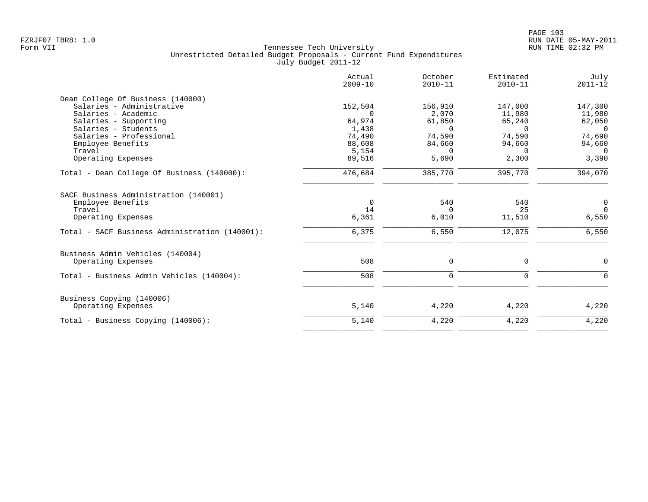|                                                | Actual<br>$2009 - 10$ | October<br>$2010 - 11$ | Estimated<br>$2010 - 11$ | July<br>$2011 - 12$ |
|------------------------------------------------|-----------------------|------------------------|--------------------------|---------------------|
| Dean College Of Business (140000)              |                       |                        |                          |                     |
| Salaries - Administrative                      | 152,504               | 156,910                | 147,000                  | 147,300             |
| Salaries - Academic                            | $\Omega$              | 2,070                  | 11,980                   | 11,980              |
| Salaries - Supporting                          | 64,974                | 61,850                 | 65,240                   | 62,050              |
| Salaries - Students                            | 1,438                 | $\Omega$               | $\Omega$                 | $\overline{0}$      |
| Salaries - Professional                        | 74,490                | 74,590                 | 74,590                   | 74,690              |
| Employee Benefits                              | 88,608                | 84,660                 | 94,660                   | 94,660              |
| Travel                                         | 5,154                 | $\Omega$               | $\Omega$                 | $\Omega$            |
| Operating Expenses                             | 89,516                | 5,690                  | 2,300                    | 3,390               |
| Total - Dean College Of Business (140000):     | 476,684               | 385,770                | 395,770                  | 394,070             |
| SACF Business Administration (140001)          |                       |                        |                          |                     |
| Employee Benefits                              | $\mathbf 0$           | 540                    | 540                      | $\mathsf{O}$        |
| Travel                                         | 14                    | $\Omega$               | 25                       | $\overline{0}$      |
| Operating Expenses                             | 6,361                 | 6,010                  | 11,510                   | 6,550               |
| Total - SACF Business Administration (140001): | 6,375                 | 6,550                  | 12,075                   | 6,550               |
| Business Admin Vehicles (140004)               |                       |                        |                          |                     |
| Operating Expenses                             | 508                   | 0                      | 0                        | $\mathbf 0$         |
| Total - Business Admin Vehicles (140004):      | 508                   | $\mathbf 0$            | $\mathbf 0$              | $\Omega$            |
| Business Copying (140006)                      |                       |                        |                          |                     |
| Operating Expenses                             | 5,140                 | 4,220                  | 4,220                    | 4,220               |
| Total - Business Copying (140006):             | 5,140                 | 4,220                  | 4,220                    | 4,220               |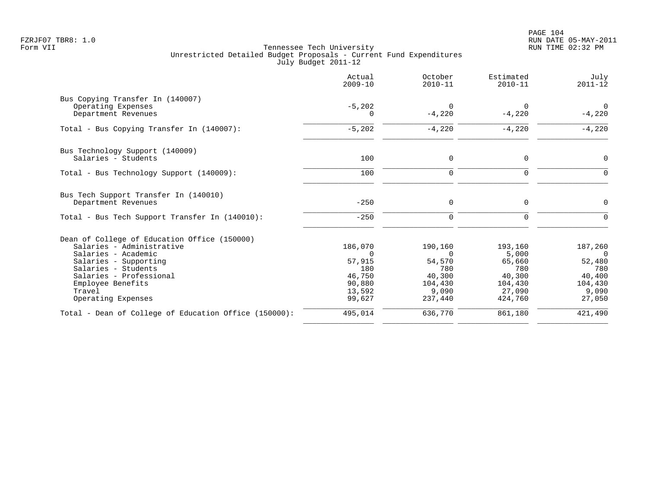|                                                       | Actual<br>$2009 - 10$ | October<br>$2010 - 11$ | Estimated<br>$2010 - 11$ | July<br>$2011 - 12$        |
|-------------------------------------------------------|-----------------------|------------------------|--------------------------|----------------------------|
| Bus Copying Transfer In (140007)                      |                       |                        |                          |                            |
| Operating Expenses<br>Department Revenues             | $-5,202$<br>$\Omega$  | $\Omega$<br>$-4,220$   | $\Omega$<br>$-4,220$     | $\overline{0}$<br>$-4,220$ |
| Total - Bus Copying Transfer In (140007):             | $-5,202$              | $-4,220$               | $-4,220$                 | $-4,220$                   |
| Bus Technology Support (140009)                       |                       |                        |                          |                            |
| Salaries - Students                                   | 100                   | 0                      | $\mathbf 0$              | 0                          |
| Total - Bus Technology Support (140009):              | 100                   | $\mathbf 0$            | $\mathbf 0$              | $\Omega$                   |
| Bus Tech Support Transfer In (140010)                 |                       |                        |                          |                            |
| Department Revenues                                   | $-250$                | 0                      | $\mathbf 0$              | $\Omega$                   |
| Total - Bus Tech Support Transfer In (140010):        | $-250$                | $\Omega$               | $\Omega$                 |                            |
| Dean of College of Education Office (150000)          |                       |                        |                          |                            |
| Salaries - Administrative                             | 186,070               | 190,160                | 193,160                  | 187,260                    |
| Salaries - Academic                                   | $\Omega$              | $\Omega$               | 5,000                    | $\Omega$                   |
| Salaries - Supporting                                 | 57,915                | 54,570                 | 65,660                   | 52,480                     |
| Salaries - Students                                   | 180                   | 780                    | 780                      | 780                        |
| Salaries - Professional                               | 46,750                | 40,300                 | 40,300                   | 40,400                     |
| Employee Benefits                                     | 90,880                | 104,430                | 104,430                  | 104,430                    |
| Travel<br>Operating Expenses                          | 13,592<br>99,627      | 9,090<br>237,440       | 27,090<br>424,760        | 9,090<br>27,050            |
| Total - Dean of College of Education Office (150000): | 495,014               | 636,770                | 861,180                  | 421,490                    |
|                                                       |                       |                        |                          |                            |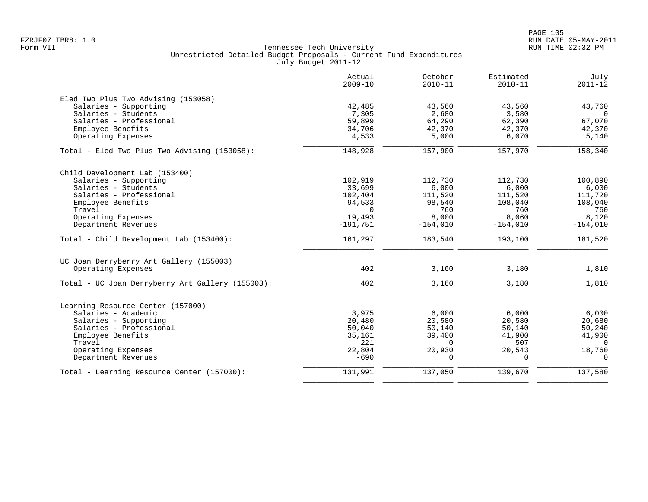|                                                  | Actual<br>$2009 - 10$ | October<br>$2010 - 11$ | Estimated<br>$2010 - 11$ | July<br>$2011 - 12$ |
|--------------------------------------------------|-----------------------|------------------------|--------------------------|---------------------|
| Eled Two Plus Two Advising (153058)              |                       |                        |                          |                     |
| Salaries - Supporting                            | 42,485                | 43,560                 | 43,560                   | 43,760              |
| Salaries - Students                              | 7,305                 | 2,680                  | 3,580                    | $\overline{0}$      |
| Salaries - Professional                          | 59,899                | 64,290                 | 62,390                   | 67,070              |
| Employee Benefits                                | 34,706                | 42,370                 | 42,370                   | 42,370              |
| Operating Expenses                               | 4,533                 | 5,000                  | 6,070                    | 5,140               |
| Total - Eled Two Plus Two Advising (153058):     | 148,928               | 157,900                | 157,970                  | 158,340             |
| Child Development Lab (153400)                   |                       |                        |                          |                     |
| Salaries - Supporting                            | 102,919               | 112,730                | 112,730                  | 100,890             |
| Salaries - Students                              | 33,699                | 6,000                  | 6,000                    | 6,000               |
| Salaries - Professional                          | 102,404               | 111,520                | 111,520                  | 111,720             |
| Employee Benefits                                | 94,533                | 98,540                 | 108,040                  | 108,040             |
| Travel                                           | $\Omega$              | 760                    | 760                      | 760                 |
| Operating Expenses                               | 19,493                | 8,000                  | 8,060                    | 8,120               |
| Department Revenues                              | $-191,751$            | $-154,010$             | $-154,010$               | $-154,010$          |
| Total - Child Development Lab (153400):          | 161,297               | 183,540                | 193,100                  | 181,520             |
| UC Joan Derryberry Art Gallery (155003)          |                       |                        |                          |                     |
| Operating Expenses                               | 402                   | 3,160                  | 3,180                    | 1,810               |
| Total - UC Joan Derryberry Art Gallery (155003): | 402                   | 3,160                  | 3,180                    | 1,810               |
| Learning Resource Center (157000)                |                       |                        |                          |                     |
| Salaries - Academic                              | 3,975                 | 6,000                  | 6,000                    | 6,000               |
| Salaries - Supporting                            | 20,480                | 20,580                 | 20,580                   | 20,680              |
| Salaries - Professional                          | 50,040                | 50,140                 | 50,140                   | 50,240              |
| Employee Benefits                                | 35,161                | 39,400                 | 41,900                   | 41,900              |
| Travel                                           | 221                   | $\Omega$               | 507                      | $\Omega$            |
| Operating Expenses                               | 22,804                | 20,930                 | 20,543                   | 18,760              |
| Department Revenues                              | $-690$                | $\Omega$               | $\Omega$                 | $\Omega$            |
| Total - Learning Resource Center (157000):       | 131,991               | 137,050                | 139,670                  | 137,580             |
|                                                  |                       |                        |                          |                     |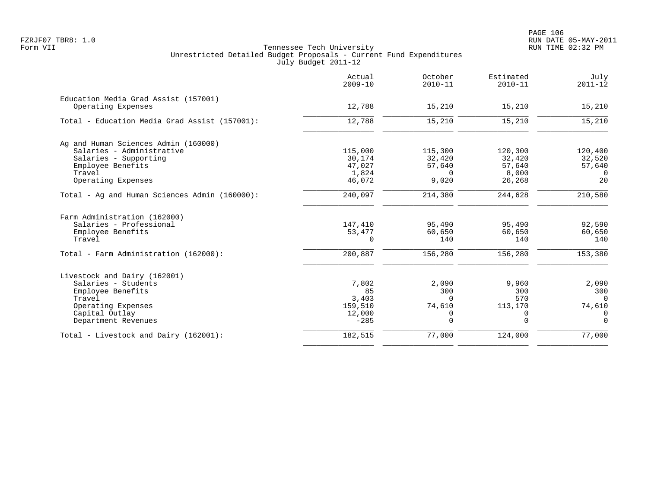|                                               | Actual<br>$2009 - 10$ | October<br>$2010 - 11$ | Estimated<br>$2010 - 11$ | July<br>$2011 - 12$ |
|-----------------------------------------------|-----------------------|------------------------|--------------------------|---------------------|
| Education Media Grad Assist (157001)          |                       |                        |                          |                     |
| Operating Expenses                            | 12,788                | 15,210                 | 15,210                   | 15,210              |
| Total - Education Media Grad Assist (157001): | 12,788                | 15,210                 | 15,210                   | 15,210              |
| Ag and Human Sciences Admin (160000)          |                       |                        |                          |                     |
| Salaries - Administrative                     | 115,000               | 115,300                | 120,300                  | 120,400             |
| Salaries - Supporting                         | 30,174                | 32,420                 | 32,420                   | 32,520              |
| Employee Benefits                             | 47,027                | 57,640                 | 57,640                   | 57,640              |
| Travel                                        | 1,824                 | $\Omega$               | 8,000                    | $\Omega$            |
| Operating Expenses                            | 46,072                | 9,020                  | 26,268                   | 20                  |
| Total - Ag and Human Sciences Admin (160000): | 240,097               | 214,380                | 244,628                  | 210,580             |
| Farm Administration (162000)                  |                       |                        |                          |                     |
| Salaries - Professional                       | 147,410               | 95,490                 | 95,490                   | 92,590              |
| Employee Benefits                             | 53,477                | 60,650                 | 60,650                   | 60,650              |
| Travel                                        | 0                     | 140                    | 140                      | 140                 |
| Total - Farm Administration (162000):         | 200,887               | 156,280                | 156,280                  | 153,380             |
| Livestock and Dairy (162001)                  |                       |                        |                          |                     |
| Salaries - Students                           | 7,802                 | 2,090                  | 9,960                    | 2,090               |
| Employee Benefits                             | 85                    | 300                    | 300                      | 300                 |
| Travel                                        | 3,403                 | $\Omega$               | 570                      | $\Omega$            |
| Operating Expenses                            | 159,510               | 74,610                 | 113,170                  | 74,610              |
| Capital Outlay                                | 12,000                | 0                      | 0                        | $\mathbf 0$         |
| Department Revenues                           | $-285$                | 0                      | $\mathbf 0$              | $\overline{0}$      |
| Total - Livestock and Dairy (162001):         | 182,515               | 77,000                 | 124,000                  | 77,000              |
|                                               |                       |                        |                          |                     |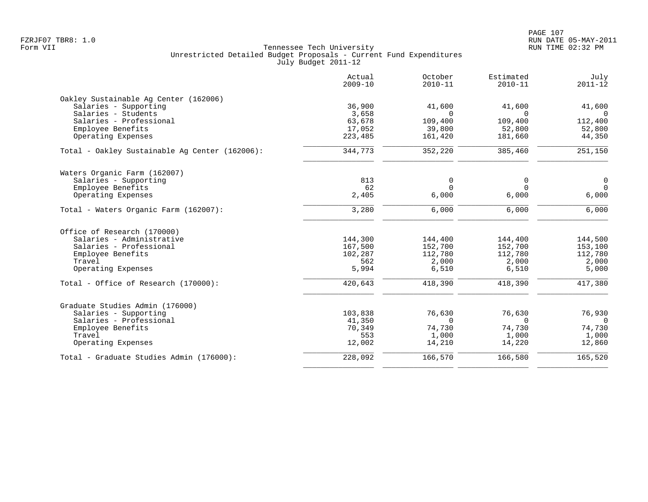|                                                | Actual<br>$2009 - 10$ | October<br>$2010 - 11$ | Estimated<br>$2010 - 11$ | July<br>$2011 - 12$ |
|------------------------------------------------|-----------------------|------------------------|--------------------------|---------------------|
| Oakley Sustainable Aq Center (162006)          |                       |                        |                          |                     |
| Salaries - Supporting                          | 36,900                | 41,600                 | 41,600                   | 41,600              |
| Salaries - Students                            | 3,658                 | $\Omega$               | $\Omega$                 | $\Omega$            |
| Salaries - Professional                        | 63,678                | 109,400                | 109,400                  | 112,400             |
| Employee Benefits<br>Operating Expenses        | 17,052<br>223,485     | 39,800<br>161,420      | 52,800<br>181,660        | 52,800<br>44,350    |
|                                                |                       |                        |                          |                     |
| Total - Oakley Sustainable Ag Center (162006): | 344,773               | 352,220                | 385,460                  | 251,150             |
| Waters Organic Farm (162007)                   |                       |                        |                          |                     |
| Salaries - Supporting                          | 813                   | 0                      | 0                        | $\mathbf 0$         |
| Employee Benefits                              | 62                    | $\Omega$               | $\Omega$                 | $\overline{0}$      |
| Operating Expenses                             | 2,405                 | 6,000                  | 6,000                    | 6,000               |
| Total - Waters Organic Farm (162007):          | 3,280                 | 6,000                  | 6,000                    | 6,000               |
| Office of Research (170000)                    |                       |                        |                          |                     |
| Salaries - Administrative                      | 144,300               | 144,400                | 144,400                  | 144,500             |
| Salaries - Professional                        | 167,500               | 152,700                | 152,700                  | 153,100             |
| Employee Benefits                              | 102,287               | 112,780                | 112,780                  | 112,780             |
| Travel                                         | 562                   | 2,000                  | 2,000                    | 2,000               |
| Operating Expenses                             | 5,994                 | 6,510                  | 6,510                    | 5,000               |
| Total - Office of Research (170000):           | 420,643               | 418,390                | 418,390                  | 417,380             |
| Graduate Studies Admin (176000)                |                       |                        |                          |                     |
| Salaries - Supporting                          | 103,838               | 76,630                 | 76,630                   | 76,930              |
| Salaries - Professional                        | 41,350                | $\Omega$               | $\Omega$                 | $\Omega$            |
| Employee Benefits                              | 70,349                | 74,730                 | 74,730                   | 74,730              |
| Travel                                         | 553                   | 1,000                  | 1,000                    | 1,000               |
| Operating Expenses                             | 12,002                | 14,210                 | 14,220                   | 12,860              |
| Total - Graduate Studies Admin (176000):       | 228,092               | 166,570                | 166,580                  | 165,520             |
|                                                |                       |                        |                          |                     |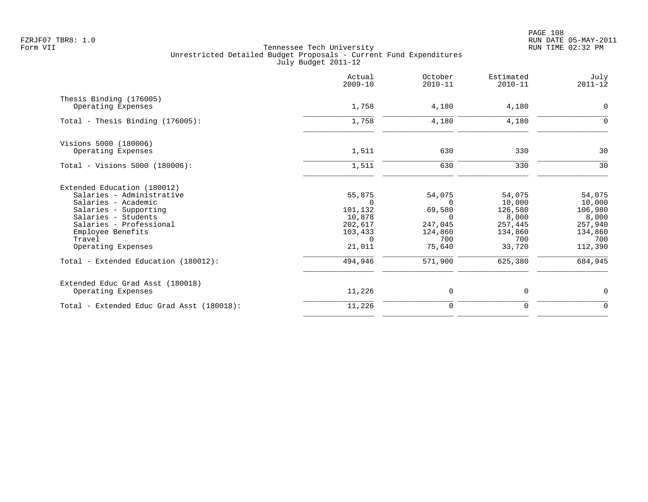PAGE 108 FZRJF07 TBR8: 1.0 RUN DATE 05-MAY-2011

|                                           | Actual<br>$2009 - 10$ | October<br>$2010 - 11$ | Estimated<br>$2010 - 11$ | July<br>$2011 - 12$ |
|-------------------------------------------|-----------------------|------------------------|--------------------------|---------------------|
| Thesis Binding (176005)                   |                       |                        |                          |                     |
| Operating Expenses                        | 1,758                 | 4,180                  | 4,180                    | 0                   |
| Total - Thesis Binding $(176005)$ :       | 1,758                 | 4,180                  | 4,180                    | $\Omega$            |
| Visions 5000 (180006)                     |                       |                        |                          |                     |
| Operating Expenses                        | 1,511                 | 630                    | 330                      | 30                  |
| Total - Visions 5000 (180006):            | 1,511                 | 630                    | 330                      | 30                  |
| Extended Education (180012)               |                       |                        |                          |                     |
| Salaries - Administrative                 | 55,875                | 54,075                 | 54,075                   | 54,075              |
| Salaries - Academic                       | $\Omega$              | $\Omega$               | 10,000                   | 10,000              |
| Salaries - Supporting                     | 101,132               | 69,580                 | 126,580                  | 106,980             |
| Salaries - Students                       | 10,878                | $\Omega$               | 8,000                    | 8,000               |
| Salaries - Professional                   | 202,617               | 247,045                | 257,445                  | 257,940             |
| Employee Benefits<br>Travel               | 103,433<br>$\Omega$   | 124,860<br>700         | 134,860<br>700           | 134,860<br>700      |
| Operating Expenses                        | 21,011                | 75,640                 | 33,720                   | 112,390             |
| Total - Extended Education (180012):      | 494,946               | 571,900                | 625,380                  | 684,945             |
|                                           |                       |                        |                          |                     |
| Extended Educ Grad Asst (180018)          |                       |                        |                          |                     |
| Operating Expenses                        | 11,226                | $\mathbf 0$            | 0                        | 0                   |
| Total - Extended Educ Grad Asst (180018): | 11,226                | $\mathbf 0$            | 0                        | $\mathbf 0$         |
|                                           |                       |                        |                          |                     |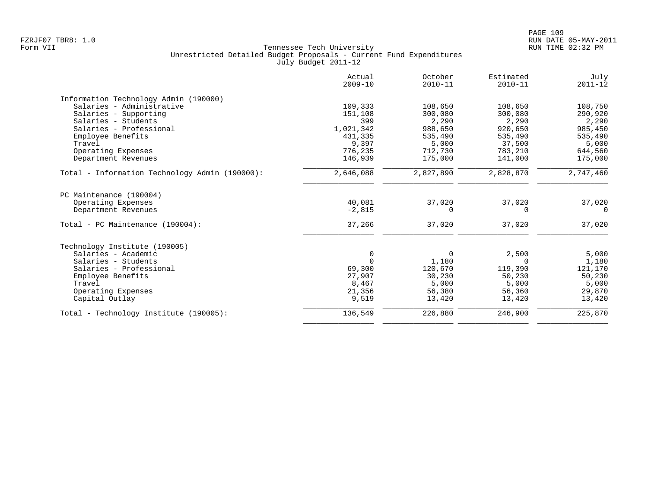|                                                | Actual<br>$2009 - 10$ | October<br>$2010 - 11$ | Estimated<br>$2010 - 11$ | July<br>$2011 - 12$ |
|------------------------------------------------|-----------------------|------------------------|--------------------------|---------------------|
| Information Technology Admin (190000)          |                       |                        |                          |                     |
| Salaries - Administrative                      | 109,333               | 108,650                | 108,650                  | 108,750             |
| Salaries - Supporting                          | 151,108               | 300,080                | 300,080                  | 290,920             |
| Salaries - Students                            | 399                   | 2,290                  | 2,290                    | 2,290               |
| Salaries - Professional                        | 1,021,342             | 988,650                | 920,650                  | 985,450             |
| Employee Benefits                              | 431,335               | 535,490                | 535,490                  | 535,490             |
| Travel                                         | 9,397                 | 5,000                  | 37,500                   | 5,000               |
| Operating Expenses                             | 776,235               | 712,730                | 783,210                  | 644,560             |
| Department Revenues                            | 146,939               | 175,000                | 141,000                  | 175,000             |
| Total - Information Technology Admin (190000): | 2,646,088             | 2,827,890              | 2,828,870                | 2,747,460           |
| PC Maintenance (190004)                        |                       |                        |                          |                     |
| Operating Expenses                             | 40,081                | 37,020                 | 37,020                   | 37,020              |
| Department Revenues                            | $-2,815$              | 0                      | $\Omega$                 | $\Omega$            |
| Total - PC Maintenance (190004):               | 37,266                | 37,020                 | 37,020                   | 37,020              |
| Technology Institute (190005)                  |                       |                        |                          |                     |
| Salaries - Academic                            | $\mathbf 0$           | $\mathbf 0$            | 2,500                    | 5,000               |
| Salaries - Students                            | $\Omega$              | 1,180                  | $\Omega$                 | 1,180               |
| Salaries - Professional                        | 69,300                | 120,670                | 119,390                  | 121,170             |
| Employee Benefits                              | 27,907                | 30,230                 | 50,230                   | 50,230              |
| Travel                                         | 8,467                 | 5,000                  | 5,000                    | 5,000               |
| Operating Expenses                             | 21,356                | 56,380                 | 56,360                   | 29,870              |
| Capital Outlay                                 | 9,519                 | 13,420                 | 13,420                   | 13,420              |
| Total - Technology Institute (190005):         | 136,549               | 226,880                | 246,900                  | 225,870             |
|                                                |                       |                        |                          |                     |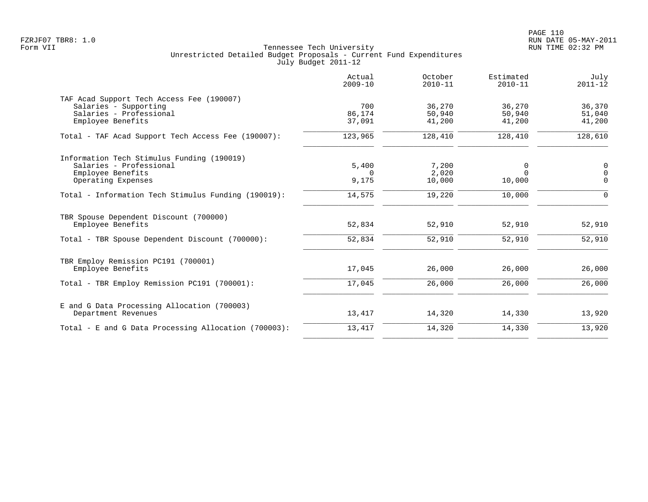|                                                                                                                    | Actual<br>$2009 - 10$      | October<br>$2010 - 11$     | Estimated<br>$2010 - 11$   | July<br>$2011 - 12$             |
|--------------------------------------------------------------------------------------------------------------------|----------------------------|----------------------------|----------------------------|---------------------------------|
| TAF Acad Support Tech Access Fee (190007)<br>Salaries - Supporting<br>Salaries - Professional<br>Employee Benefits | 700<br>86,174<br>37,091    | 36,270<br>50,940<br>41,200 | 36,270<br>50,940<br>41,200 | 36,370<br>51,040<br>41,200      |
| Total - TAF Acad Support Tech Access Fee (190007):                                                                 | 123,965                    | 128,410                    | 128,410                    | 128,610                         |
| Information Tech Stimulus Funding (190019)<br>Salaries - Professional<br>Employee Benefits<br>Operating Expenses   | 5,400<br>$\Omega$<br>9,175 | 7,200<br>2,020<br>10,000   | 0<br>$\Omega$<br>10,000    | 0<br>$\overline{0}$<br>$\Omega$ |
| Total - Information Tech Stimulus Funding (190019):                                                                | 14,575                     | 19,220                     | 10,000                     | $\Omega$                        |
| TBR Spouse Dependent Discount (700000)<br>Employee Benefits<br>Total - TBR Spouse Dependent Discount (700000):     | 52,834<br>52,834           | 52,910<br>52,910           | 52,910<br>52,910           | 52,910<br>52,910                |
| TBR Employ Remission PC191 (700001)<br>Employee Benefits                                                           | 17,045                     | 26,000                     | 26,000                     | 26,000                          |
| Total - TBR Employ Remission PC191 (700001):                                                                       | 17,045                     | 26,000                     | 26,000                     | 26,000                          |
| E and G Data Processing Allocation (700003)<br>Department Revenues                                                 | 13,417                     | 14,320                     | 14,330                     | 13,920                          |
| Total - E and G Data Processing Allocation (700003):                                                               | 13,417                     | 14,320                     | 14,330                     | 13,920                          |
|                                                                                                                    |                            |                            |                            |                                 |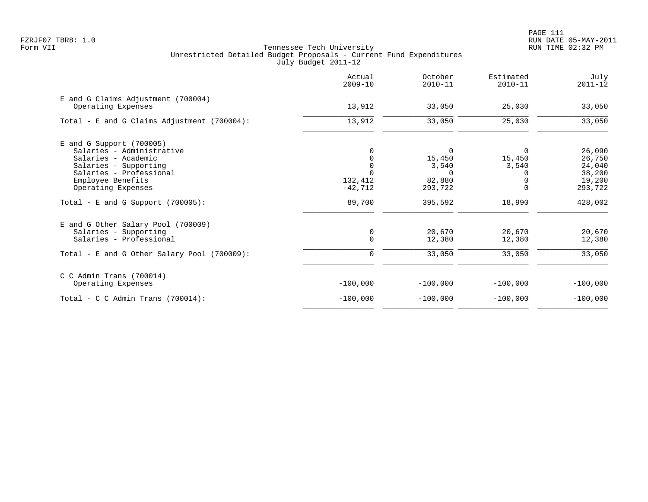|                                                          | Actual<br>$2009 - 10$ | October<br>$2010 - 11$ | Estimated<br>$2010 - 11$ | July<br>$2011 - 12$ |
|----------------------------------------------------------|-----------------------|------------------------|--------------------------|---------------------|
| E and G Claims Adjustment (700004)<br>Operating Expenses | 13,912                | 33,050                 | 25,030                   | 33,050              |
| Total - E and G Claims Adjustment $(700004)$ :           | 13,912                | 33,050                 | 25,030                   | 33,050              |
| $E$ and G Support (700005)<br>Salaries - Administrative  |                       | 0                      | $\Omega$                 | 26,090              |
| Salaries - Academic                                      |                       | 15,450                 | 15,450                   | 26,750              |
| Salaries - Supporting                                    |                       | 3,540                  | 3,540                    | 24,040              |
| Salaries - Professional                                  |                       | $\Omega$               | $\Omega$                 | 38,200              |
| Employee Benefits                                        | 132,412               | 82,880                 |                          | 19,200              |
| Operating Expenses                                       | $-42,712$             | 293,722                | $\Omega$                 | 293,722             |
| Total - E and G Support $(700005)$ :                     | 89,700                | 395,592                | 18,990                   | 428,002             |
| E and G Other Salary Pool (700009)                       |                       |                        |                          |                     |
| Salaries - Supporting                                    | 0                     | 20,670                 | 20,670                   | 20,670              |
| Salaries - Professional                                  | $\mathbf 0$           | 12,380                 | 12,380                   | 12,380              |
| Total - E and G Other Salary Pool (700009):              | 0                     | 33,050                 | 33,050                   | 33,050              |
| $C$ C Admin Trans (700014)                               |                       |                        |                          |                     |
| Operating Expenses                                       | $-100,000$            | $-100,000$             | $-100,000$               | $-100,000$          |
| Total - C C Admin Trans (700014):                        | $-100,000$            | $-100,000$             | $-100,000$               | $-100,000$          |
|                                                          |                       |                        |                          |                     |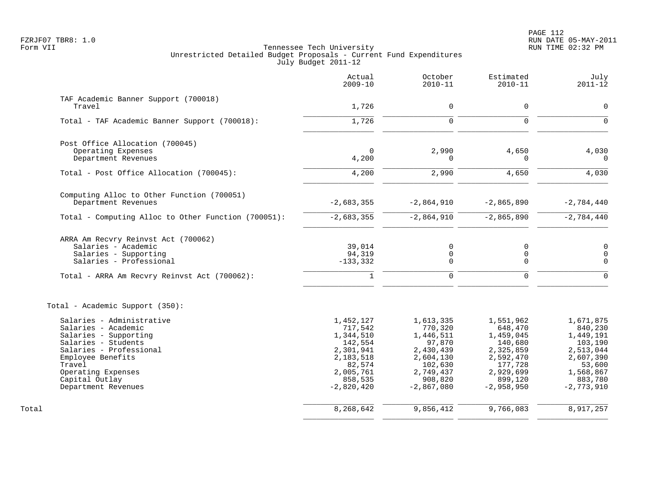|                                                     | Actual<br>$2009 - 10$ | October<br>$2010 - 11$ | Estimated<br>$2010 - 11$ | July<br>$2011 - 12$     |
|-----------------------------------------------------|-----------------------|------------------------|--------------------------|-------------------------|
| TAF Academic Banner Support (700018)                |                       |                        |                          |                         |
| Travel                                              | 1,726                 | $\mathbf 0$            | 0                        | $\mathbf 0$             |
| Total - TAF Academic Banner Support (700018):       | 1,726                 | $\Omega$               | $\Omega$                 | $\Omega$                |
| Post Office Allocation (700045)                     |                       |                        |                          |                         |
| Operating Expenses                                  | $\mathbf 0$           | 2,990                  | 4,650                    | 4,030                   |
| Department Revenues                                 | 4,200                 | $\Omega$               | 0                        | $\Omega$                |
| Total - Post Office Allocation (700045):            | 4,200                 | 2,990                  | 4,650                    | 4,030                   |
| Computing Alloc to Other Function (700051)          |                       |                        |                          |                         |
| Department Revenues                                 | $-2,683,355$          | $-2,864,910$           | $-2,865,890$             | $-2,784,440$            |
| Total - Computing Alloc to Other Function (700051): | $-2,683,355$          | $-2,864,910$           | $-2,865,890$             | $-2,784,440$            |
| ARRA Am Recvry Reinvst Act (700062)                 |                       |                        |                          |                         |
| Salaries - Academic                                 | 39,014                | 0                      | 0                        | $\mathbf 0$             |
| Salaries - Supporting<br>Salaries - Professional    | 94,319<br>$-133,332$  | 0<br>$\Omega$          | 0<br>$\mathbf 0$         | $\mathbf 0$<br>$\Omega$ |
|                                                     | $\mathbf{1}$          | $\mathbf 0$            | $\mathbf 0$              | $\Omega$                |
| Total - ARRA Am Recvry Reinvst Act (700062):        |                       |                        |                          |                         |
| Total - Academic Support (350):                     |                       |                        |                          |                         |
| Salaries - Administrative                           | 1,452,127             | 1,613,335              | 1,551,962                | 1,671,875               |
| Salaries - Academic                                 | 717,542               | 770,320                | 648,470                  | 840,230                 |
| Salaries - Supporting                               | 1,344,510             | 1,446,511              | 1,459,045                | 1,449,191               |
| Salaries - Students<br>Salaries - Professional      | 142,554<br>2,301,941  | 97,870<br>2,430,439    | 140,680<br>2,325,859     | 103,190<br>2,513,044    |
| Employee Benefits                                   | 2,183,518             | 2,604,130              | 2,592,470                | 2,607,390               |
| Travel                                              | 82,574                | 102,630                | 177,728                  | 53,600                  |
| Operating Expenses                                  | 2,005,761             | 2,749,437              | 2,929,699                | 1,568,867               |
| Capital Outlay                                      | 858,535               | 908,820                | 899,120                  | 883,780                 |
| Department Revenues                                 | $-2,820,420$          | $-2,867,080$           | $-2,958,950$             | $-2,773,910$            |
| Total                                               | 8,268,642             | 9,856,412              | 9,766,083                | 8,917,257               |
|                                                     |                       |                        |                          |                         |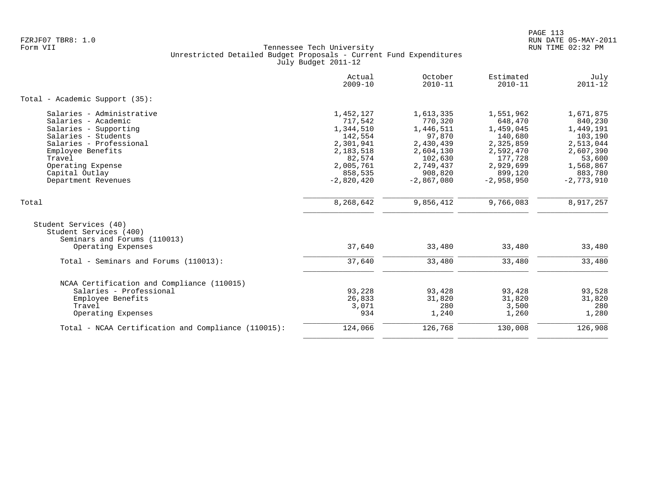| $2009 - 10$                                                                                                              | October<br>$2010 - 11$                                                                                                   | Estimated<br>$2010 - 11$                                                                                                  | July<br>$2011 - 12$                                                                                                      |
|--------------------------------------------------------------------------------------------------------------------------|--------------------------------------------------------------------------------------------------------------------------|---------------------------------------------------------------------------------------------------------------------------|--------------------------------------------------------------------------------------------------------------------------|
|                                                                                                                          |                                                                                                                          |                                                                                                                           |                                                                                                                          |
| 1,452,127<br>717,542<br>1,344,510<br>142,554<br>2,301,941<br>2,183,518<br>82,574<br>2,005,761<br>858,535<br>$-2,820,420$ | 1,613,335<br>770,320<br>1,446,511<br>97,870<br>2,430,439<br>2,604,130<br>102,630<br>2,749,437<br>908,820<br>$-2,867,080$ | 1,551,962<br>648,470<br>1,459,045<br>140,680<br>2,325,859<br>2,592,470<br>177,728<br>2,929,699<br>899,120<br>$-2,958,950$ | 1,671,875<br>840,230<br>1,449,191<br>103,190<br>2,513,044<br>2,607,390<br>53,600<br>1,568,867<br>883,780<br>$-2,773,910$ |
| 8,268,642                                                                                                                | 9,856,412                                                                                                                | 9,766,083                                                                                                                 | 8,917,257                                                                                                                |
| 37,640                                                                                                                   | 33,480                                                                                                                   | 33,480                                                                                                                    | 33,480                                                                                                                   |
| 37,640                                                                                                                   | 33,480                                                                                                                   | 33,480                                                                                                                    | 33,480                                                                                                                   |
| 93,228<br>26,833<br>3,071<br>934                                                                                         | 93,428<br>31,820<br>280<br>1,240                                                                                         | 93,428<br>31,820<br>3,500<br>1,260                                                                                        | 93,528<br>31,820<br>280<br>1,280                                                                                         |
| 124,066                                                                                                                  | 126,768                                                                                                                  | 130,008                                                                                                                   | 126,908                                                                                                                  |
|                                                                                                                          |                                                                                                                          |                                                                                                                           |                                                                                                                          |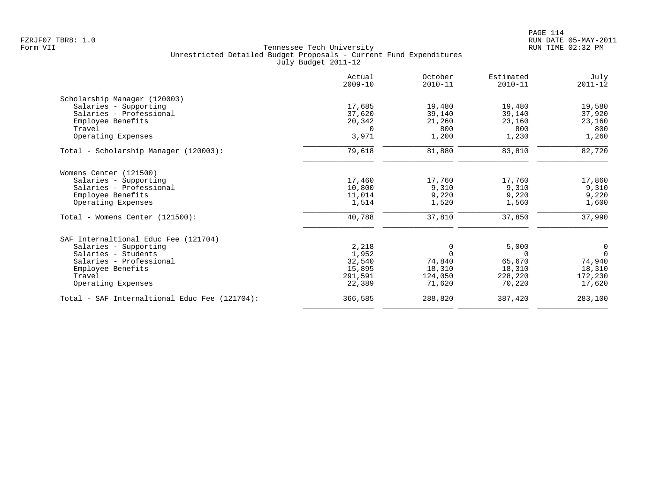|                                               | Actual<br>$2009 - 10$ | October<br>$2010 - 11$ | Estimated<br>$2010 - 11$ | July<br>$2011 - 12$ |
|-----------------------------------------------|-----------------------|------------------------|--------------------------|---------------------|
| Scholarship Manager (120003)                  |                       |                        |                          |                     |
| Salaries - Supporting                         | 17,685                | 19,480                 | 19,480                   | 19,580              |
| Salaries - Professional                       | 37,620                | 39,140                 | 39,140                   | 37,920              |
| Employee Benefits                             | 20,342                | 21,260                 | 23,160                   | 23,160              |
| Travel                                        | $\Omega$              | 800                    | 800                      | 800                 |
| Operating Expenses                            | 3,971                 | 1,200                  | 1,230                    | 1,260               |
| Total - Scholarship Manager (120003):         | 79,618                | 81,880                 | 83,810                   | 82,720              |
| Womens Center (121500)                        |                       |                        |                          |                     |
| Salaries - Supporting                         | 17,460                | 17,760                 | 17,760                   | 17,860              |
| Salaries - Professional                       | 10,800                | 9,310                  | 9,310                    | 9,310               |
| Employee Benefits                             | 11,014                | 9,220                  | 9,220                    | 9,220               |
| Operating Expenses                            | 1,514                 | 1,520                  | 1,560                    | 1,600               |
| Total - Womens Center (121500):               | 40,788                | 37,810                 | 37,850                   | 37,990              |
| SAF Internaltional Educ Fee (121704)          |                       |                        |                          |                     |
| Salaries - Supporting                         | 2,218                 | 0                      | 5,000                    | 0                   |
| Salaries - Students                           | 1,952                 | $\Omega$               | $\Omega$                 | $\Omega$            |
| Salaries - Professional                       | 32,540                | 74,840                 | 65,670                   | 74,940              |
| Employee Benefits                             | 15,895                | 18,310                 | 18,310                   | 18,310              |
| Travel                                        | 291,591               | 124,050                | 228,220                  | 172,230             |
| Operating Expenses                            | 22,389                | 71,620                 | 70,220                   | 17,620              |
| Total - SAF Internaltional Educ Fee (121704): | 366,585               | 288,820                | 387,420                  | 283,100             |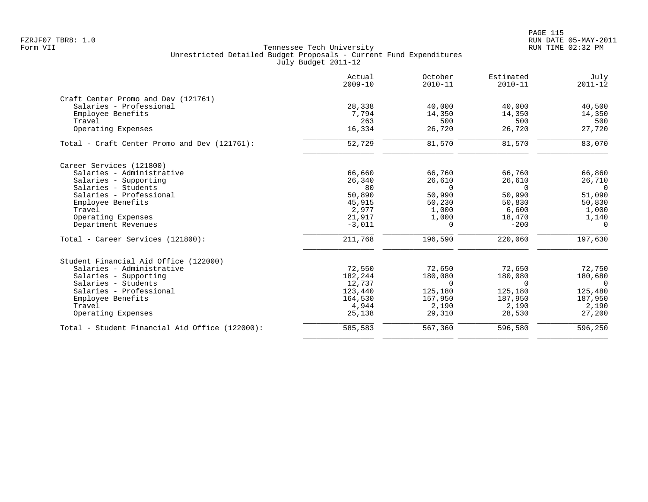|                                                | Actual<br>$2009 - 10$ | October<br>$2010 - 11$ | Estimated<br>$2010 - 11$ | July<br>$2011 - 12$ |
|------------------------------------------------|-----------------------|------------------------|--------------------------|---------------------|
| Craft Center Promo and Dev (121761)            |                       |                        |                          |                     |
| Salaries - Professional                        | 28,338                | 40,000                 | 40,000                   | 40,500              |
| Employee Benefits                              | 7.794                 | 14,350                 | 14,350                   | 14,350              |
| Travel                                         | 263                   | 500                    | 500                      | 500                 |
| Operating Expenses                             | 16,334                | 26,720                 | 26,720                   | 27,720              |
| Total - Craft Center Promo and Dev (121761):   | 52,729                | 81,570                 | 81,570                   | 83,070              |
| Career Services (121800)                       |                       |                        |                          |                     |
| Salaries - Administrative                      | 66,660                | 66,760                 | 66,760                   | 66,860              |
| Salaries - Supporting                          | 26,340                | 26,610                 | 26,610                   | 26,710              |
| Salaries - Students                            | 80                    | $\Omega$               | $\Omega$                 | $\Omega$            |
| Salaries - Professional                        | 50,890                | 50,990                 | 50,990                   | 51,090              |
| Employee Benefits                              | 45,915                | 50,230                 | 50,830                   | 50,830              |
| Travel                                         | 2,977                 | 1,000                  | 6,600                    | 1,000               |
| Operating Expenses                             | 21,917                | 1,000                  | 18,470                   | 1,140               |
| Department Revenues                            | $-3,011$              | $\Omega$               | $-200$                   | $\Omega$            |
| Total - Career Services (121800):              | 211,768               | 196,590                | 220,060                  | 197,630             |
| Student Financial Aid Office (122000)          |                       |                        |                          |                     |
| Salaries - Administrative                      | 72,550                | 72,650                 | 72,650                   | 72,750              |
| Salaries - Supporting                          | 182,244               | 180,080                | 180,080                  | 180,680             |
| Salaries - Students                            | 12,737                | $\Omega$               | $\Omega$                 | $\Omega$            |
| Salaries - Professional                        | 123,440               | 125,180                | 125,180                  | 125,480             |
| Employee Benefits                              | 164,530               | 157,950                | 187,950                  | 187,950             |
| Travel                                         | 4,944                 | 2,190                  | 2,190                    | 2,190               |
| Operating Expenses                             | 25,138                | 29,310                 | 28,530                   | 27,200              |
| Total - Student Financial Aid Office (122000): | 585,583               | 567,360                | 596,580                  | 596,250             |
|                                                |                       |                        |                          |                     |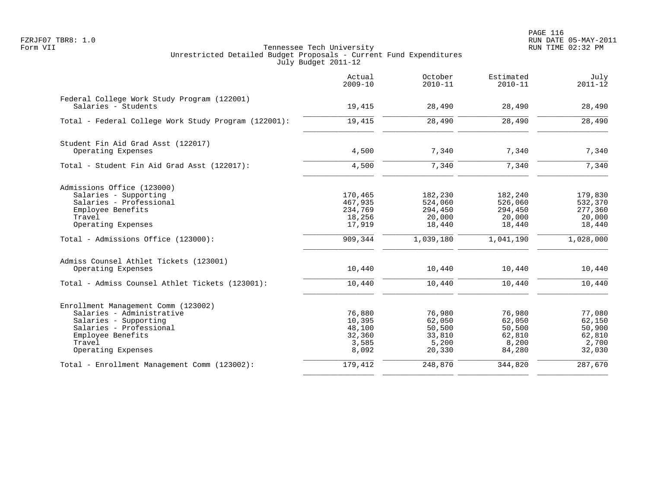|                                                                    | Actual<br>$2009 - 10$ | October<br>$2010 - 11$ | Estimated<br>$2010 - 11$ | July<br>$2011 - 12$ |
|--------------------------------------------------------------------|-----------------------|------------------------|--------------------------|---------------------|
| Federal College Work Study Program (122001)<br>Salaries - Students | 19,415                | 28,490                 | 28,490                   | 28,490              |
|                                                                    |                       |                        |                          |                     |
| Total - Federal College Work Study Program (122001):               | 19,415                | 28,490                 | 28,490                   | 28,490              |
| Student Fin Aid Grad Asst (122017)                                 |                       |                        |                          |                     |
| Operating Expenses                                                 | 4,500                 | 7,340                  | 7,340                    | 7,340               |
| Total - Student Fin Aid Grad Asst (122017):                        | 4,500                 | 7,340                  | 7,340                    | 7,340               |
| Admissions Office (123000)                                         |                       |                        |                          |                     |
| Salaries - Supporting                                              | 170,465               | 182,230                | 182,240                  | 179,830             |
| Salaries - Professional                                            | 467,935               | 524,060                | 526,060                  | 532,370             |
| Employee Benefits                                                  | 234,769               | 294,450                | 294,450                  | 277,360             |
| Travel                                                             | 18,256                | 20,000                 | 20,000                   | 20,000              |
| Operating Expenses                                                 | 17,919                | 18,440                 | 18,440                   | 18,440              |
| Total - Admissions Office (123000):                                | 909,344               | 1,039,180              | 1,041,190                | 1,028,000           |
| Admiss Counsel Athlet Tickets (123001)                             |                       |                        |                          |                     |
| Operating Expenses                                                 | 10,440                | 10,440                 | 10,440                   | 10,440              |
| Total - Admiss Counsel Athlet Tickets (123001):                    | 10,440                | 10,440                 | 10,440                   | 10,440              |
| Enrollment Management Comm (123002)                                |                       |                        |                          |                     |
| Salaries - Administrative                                          | 76,880                | 76,980                 | 76,980                   | 77,080              |
| Salaries - Supporting                                              | 10,395                | 62,050                 | 62,050                   | 62,150              |
| Salaries - Professional                                            | 48,100                | 50,500                 | 50,500                   | 50,900              |
| Employee Benefits                                                  | 32,360                | 33,810                 | 62,810                   | 62,810              |
| Travel                                                             | 3,585                 | 5,200                  | 8,200                    | 2,700               |
| Operating Expenses                                                 | 8,092                 | 20,330                 | 84,280                   | 32,030              |
| Total - Enrollment Management Comm (123002):                       | 179,412               | 248,870                | 344,820                  | 287,670             |
|                                                                    |                       |                        |                          |                     |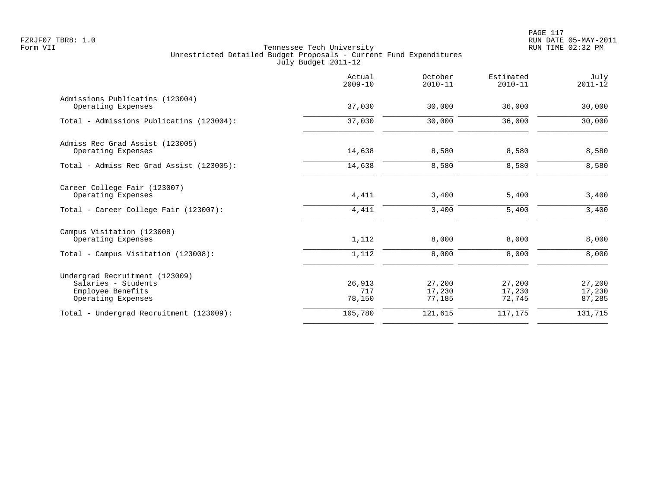|                                                                                                  | Actual<br>$2009 - 10$   | October<br>$2010 - 11$     | Estimated<br>$2010 - 11$   | July<br>$2011 - 12$        |
|--------------------------------------------------------------------------------------------------|-------------------------|----------------------------|----------------------------|----------------------------|
| Admissions Publicatins (123004)<br>Operating Expenses                                            | 37,030                  | 30,000                     | 36,000                     | 30,000                     |
| Total - Admissions Publicatins (123004):                                                         | 37,030                  | 30,000                     | 36,000                     | 30,000                     |
| Admiss Rec Grad Assist (123005)<br>Operating Expenses                                            | 14,638                  | 8,580                      | 8,580                      | 8,580                      |
| Total - Admiss Rec Grad Assist (123005):                                                         | 14,638                  | 8,580                      | 8,580                      | 8,580                      |
| Career College Fair (123007)<br>Operating Expenses                                               | 4,411                   | 3,400                      | 5,400                      | 3,400                      |
| Total - Career College Fair (123007):                                                            | 4,411                   | 3,400                      | 5,400                      | 3,400                      |
| Campus Visitation (123008)<br>Operating Expenses                                                 | 1,112                   | 8,000                      | 8,000                      | 8,000                      |
| Total - Campus Visitation (123008):                                                              | 1,112                   | 8,000                      | 8,000                      | 8,000                      |
| Undergrad Recruitment (123009)<br>Salaries - Students<br>Employee Benefits<br>Operating Expenses | 26,913<br>717<br>78,150 | 27,200<br>17,230<br>77,185 | 27,200<br>17,230<br>72,745 | 27,200<br>17,230<br>87,285 |
| Total - Undergrad Recruitment (123009):                                                          | 105,780                 | 121,615                    | 117,175                    | 131,715                    |
|                                                                                                  |                         |                            |                            |                            |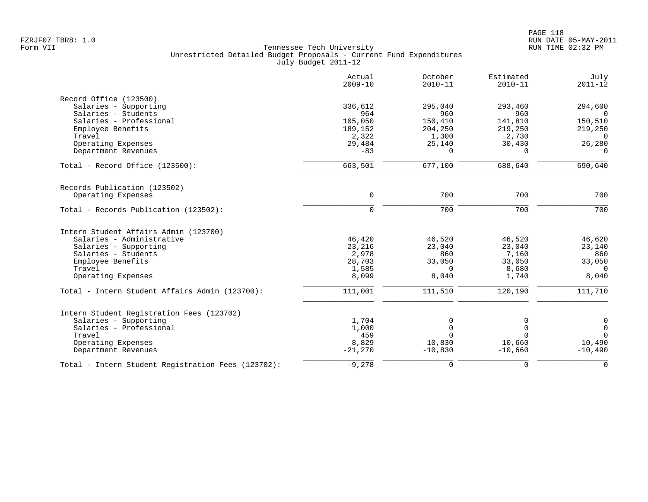|                                                    | Actual<br>$2009 - 10$ | October<br>$2010 - 11$ | Estimated<br>$2010 - 11$ | July<br>$2011 - 12$ |
|----------------------------------------------------|-----------------------|------------------------|--------------------------|---------------------|
| Record Office (123500)                             |                       |                        |                          |                     |
| Salaries - Supporting                              | 336,612               | 295,040                | 293,460                  | 294,600             |
| Salaries - Students                                | 964                   | 960                    | 960                      | $\Omega$            |
| Salaries - Professional                            | 105,050               | 150,410                | 141,810                  | 150,510             |
| Employee Benefits                                  | 189,152               | 204,250                | 219,250                  | 219,250             |
| Travel                                             | 2,322                 | 1,300                  | 2,730                    | $\Omega$            |
| Operating Expenses                                 | 29,484                | 25,140                 | 30,430                   | 26,280              |
| Department Revenues                                | $-83$                 | $\Omega$               | $\Omega$                 | $\Omega$            |
| Total - Record Office $(123500)$ :                 | 663,501               | 677,100                | 688,640                  | 690,640             |
| Records Publication (123502)                       |                       |                        |                          |                     |
| Operating Expenses                                 | $\mathbf 0$           | 700                    | 700                      | 700                 |
| Total - Records Publication (123502):              | $\mathbf 0$           | 700                    | 700                      | 700                 |
| Intern Student Affairs Admin (123700)              |                       |                        |                          |                     |
| Salaries - Administrative                          | 46,420                | 46,520                 | 46,520                   | 46,620              |
| Salaries - Supporting                              | 23,216                | 23,040                 | 23,040                   | 23,140              |
| Salaries - Students                                | 2,978                 | 860                    | 7,160                    | 860                 |
| Employee Benefits                                  | 28,703                | 33,050                 | 33,050                   | 33,050              |
| Travel                                             | 1,585                 | $\Omega$               | 8,680                    | $\Omega$            |
| Operating Expenses                                 | 8,099                 | 8,040                  | 1,740                    | 8,040               |
| Total - Intern Student Affairs Admin (123700):     | 111,001               | 111,510                | 120,190                  | 111,710             |
| Intern Student Registration Fees (123702)          |                       |                        |                          |                     |
| Salaries - Supporting                              | 1,704                 | 0                      | O                        | $\mathsf{O}\xspace$ |
| Salaries - Professional                            | 1,000                 | $\mathbf 0$            | $\Omega$                 | $\overline{0}$      |
| Travel                                             | 459                   | $\Omega$               | $\Omega$                 | $\Omega$            |
| Operating Expenses                                 | 8,829                 | 10,830                 | 10,660                   | 10,490              |
| Department Revenues                                | $-21,270$             | $-10,830$              | $-10,660$                | $-10,490$           |
| Total - Intern Student Registration Fees (123702): | $-9,278$              | $\mathbf 0$            | 0                        | $\mathbf 0$         |
|                                                    |                       |                        |                          |                     |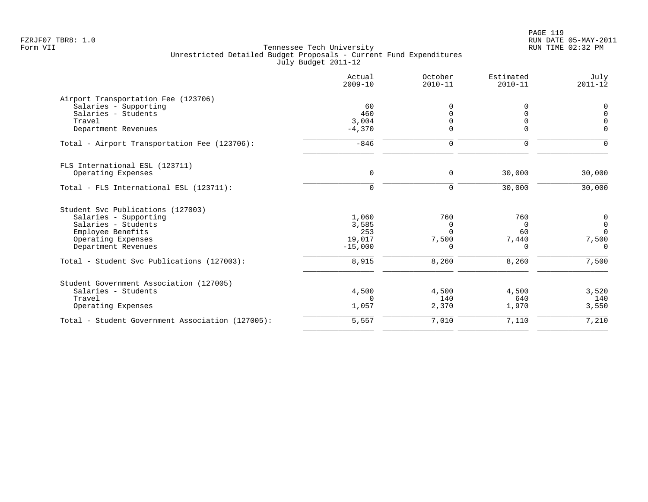| Actual<br>$2009 - 10$ | October<br>$2010 - 11$              | Estimated<br>$2010 - 11$ | July<br>$2011 - 12$ |
|-----------------------|-------------------------------------|--------------------------|---------------------|
|                       |                                     |                          |                     |
| 60                    | U                                   | 0                        | 0                   |
| 460                   |                                     | $\Omega$                 | $\Omega$            |
|                       |                                     | $\Omega$                 |                     |
|                       | $\Omega$                            |                          | $\Omega$            |
| $-846$                | $\mathbf 0$                         | $\mathbf 0$              | $\Omega$            |
|                       |                                     |                          |                     |
| 0                     | 0                                   | 30,000                   | 30,000              |
| $\mathbf 0$           | 0                                   | 30,000                   | 30,000              |
|                       |                                     |                          |                     |
|                       | 760                                 | 760                      | $\mathsf 0$         |
|                       | $\Omega$                            | $\Omega$                 | $\overline{0}$      |
| 253                   | $\Omega$                            | 60                       | $\Omega$            |
| 19,017                | 7,500                               | 7,440                    | 7,500               |
| $-15,000$             | $\Omega$                            | $\Omega$                 | $\Omega$            |
| 8,915                 | 8,260                               | 8,260                    | 7,500               |
|                       |                                     |                          |                     |
| 4,500                 | 4,500                               | 4,500                    | 3,520               |
| $\Omega$              | 140                                 | 640                      | 140                 |
| 1,057                 | 2,370                               | 1,970                    | 3,550               |
| 5,557                 | 7,010                               | 7,110                    | 7,210               |
|                       | 3,004<br>$-4,370$<br>1,060<br>3,585 |                          | $\Omega$            |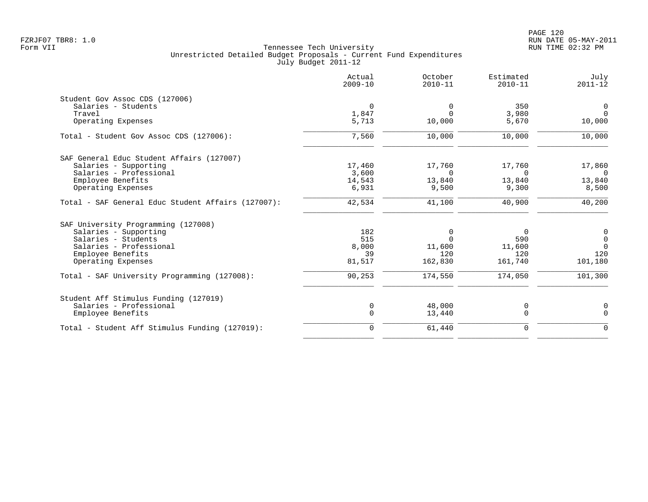|                                                    | Actual<br>$2009 - 10$ | October<br>$2010 - 11$ | Estimated<br>$2010 - 11$ | July<br>$2011 - 12$ |
|----------------------------------------------------|-----------------------|------------------------|--------------------------|---------------------|
| Student Gov Assoc CDS (127006)                     |                       |                        |                          |                     |
| Salaries - Students                                | $\mathbf 0$           | $\mathbf 0$            | 350                      | $\mathsf{O}$        |
| Travel                                             | 1,847                 | $\Omega$               | 3,980                    | $\Omega$            |
| Operating Expenses                                 | 5,713                 | 10,000                 | 5,670                    | 10,000              |
| Total - Student Gov Assoc CDS (127006):            | 7,560                 | 10,000                 | 10,000                   | 10,000              |
| SAF General Educ Student Affairs (127007)          |                       |                        |                          |                     |
| Salaries - Supporting                              | 17,460                | 17,760                 | 17,760                   | 17,860              |
| Salaries - Professional                            | 3,600                 | $\Omega$               | $\Omega$                 | $\Omega$            |
| Employee Benefits                                  | 14,543                | 13,840                 | 13,840                   | 13,840              |
| Operating Expenses                                 | 6,931                 | 9,500                  | 9,300                    | 8,500               |
| Total - SAF General Educ Student Affairs (127007): | 42,534                | 41,100                 | 40,900                   | 40,200              |
| SAF University Programming (127008)                |                       |                        |                          |                     |
| Salaries - Supporting                              | 182                   | $\overline{0}$         | $\Omega$                 | $\mathsf{O}$        |
| Salaries - Students                                | 515                   | $\Omega$               | 590                      | $\mathbf 0$         |
| Salaries - Professional                            | 8,000                 | 11,600                 | 11,600                   | $\Omega$            |
| Employee Benefits                                  | 39                    | 120                    | 120                      | 120                 |
| Operating Expenses                                 | 81,517                | 162,830                | 161,740                  | 101,180             |
| Total - SAF University Programming (127008):       | 90,253                | 174,550                | 174,050                  | 101,300             |
| Student Aff Stimulus Funding (127019)              |                       |                        |                          |                     |
| Salaries - Professional                            | 0                     | 48,000                 | 0                        | 0                   |
| Employee Benefits                                  | $\mathbf 0$           | 13,440                 | $\mathbf 0$              | $\Omega$            |
| Total - Student Aff Stimulus Funding (127019):     | $\mathbf 0$           | 61,440                 | $\mathbf 0$              | $\mathbf 0$         |
|                                                    |                       |                        |                          |                     |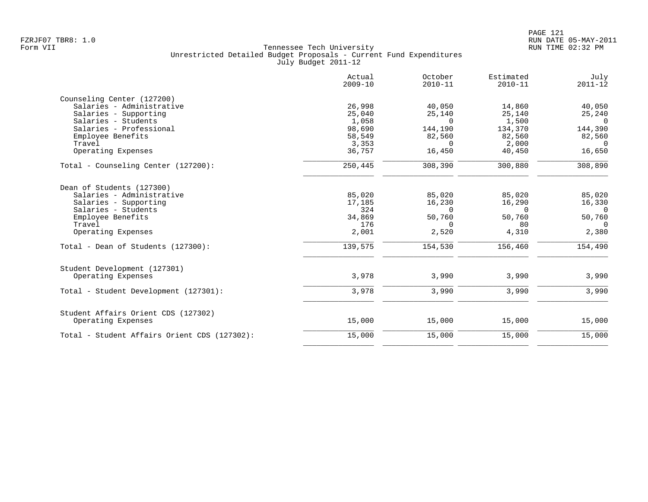|                                              | Actual<br>$2009 - 10$ | October<br>$2010 - 11$ | Estimated<br>$2010 - 11$ | July<br>$2011 - 12$ |
|----------------------------------------------|-----------------------|------------------------|--------------------------|---------------------|
| Counseling Center (127200)                   |                       |                        |                          |                     |
| Salaries - Administrative                    | 26,998                | 40,050                 | 14,860                   | 40,050              |
| Salaries - Supporting                        | 25,040                | 25,140                 | 25,140                   | 25,240              |
| Salaries - Students                          | 1,058                 | $\Omega$               | 1,500                    | $\Omega$            |
| Salaries - Professional                      | 98,690                | 144,190                | 134,370                  | 144,390             |
| Employee Benefits                            | 58,549                | 82,560                 | 82,560                   | 82,560              |
| Travel                                       | 3,353                 | $\Omega$               | 2,000                    | $\Omega$            |
| Operating Expenses                           | 36,757                | 16,450                 | 40,450                   | 16,650              |
| Total - Counseling Center (127200):          | 250,445               | 308,390                | 300,880                  | 308,890             |
| Dean of Students (127300)                    |                       |                        |                          |                     |
| Salaries - Administrative                    | 85,020                | 85,020                 | 85,020                   | 85,020              |
| Salaries - Supporting                        | 17,185                | 16,230                 | 16,290                   | 16,330              |
| Salaries - Students                          | 324                   | $\Omega$               | $\Omega$                 | $\Omega$            |
| Employee Benefits                            | 34,869                | 50,760                 | 50,760                   | 50,760              |
| Travel                                       | 176                   | $\Omega$               | 80                       | $\Omega$            |
| Operating Expenses                           | 2,001                 | 2,520                  | 4,310                    | 2,380               |
| Total - Dean of Students (127300):           | 139,575               | 154,530                | 156,460                  | 154,490             |
| Student Development (127301)                 |                       |                        |                          |                     |
| Operating Expenses                           | 3,978                 | 3,990                  | 3,990                    | 3,990               |
| Total - Student Development (127301):        | 3,978                 | 3,990                  | 3,990                    | 3,990               |
| Student Affairs Orient CDS (127302)          |                       |                        |                          |                     |
| Operating Expenses                           | 15,000                | 15,000                 | 15,000                   | 15,000              |
| Total - Student Affairs Orient CDS (127302): | 15,000                | 15,000                 | 15,000                   | 15,000              |
|                                              |                       |                        |                          |                     |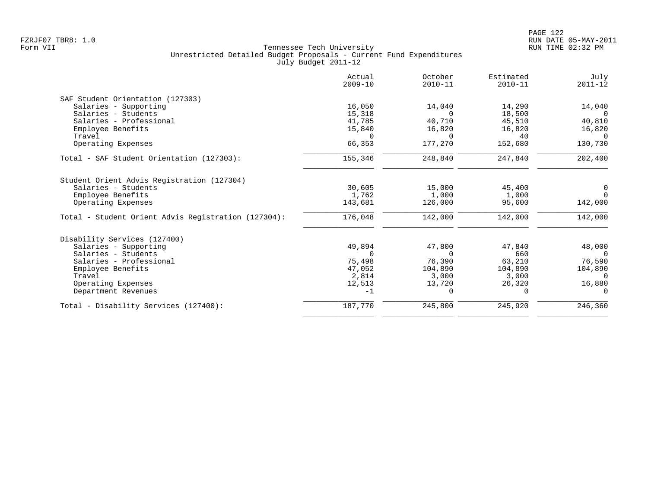|                                                     | Actual<br>$2009 - 10$ | October<br>$2010 - 11$ | Estimated<br>$2010 - 11$ | July<br>$2011 - 12$ |
|-----------------------------------------------------|-----------------------|------------------------|--------------------------|---------------------|
| SAF Student Orientation (127303)                    |                       |                        |                          |                     |
| Salaries - Supporting                               | 16,050                | 14,040                 | 14,290                   | 14,040              |
| Salaries - Students                                 | 15,318                | $\Omega$               | 18,500                   | $\Omega$            |
| Salaries - Professional                             | 41,785                | 40,710                 | 45,510                   | 40,810              |
| Employee Benefits                                   | 15,840                | 16,820                 | 16,820                   | 16,820              |
| Travel                                              | $\Omega$              | $\Omega$               | 40                       | $\Omega$            |
| Operating Expenses                                  | 66,353                | 177,270                | 152,680                  | 130,730             |
| Total - SAF Student Orientation (127303):           | 155,346               | 248,840                | 247,840                  | 202,400             |
| Student Orient Advis Registration (127304)          |                       |                        |                          |                     |
| Salaries - Students                                 | 30,605                | 15,000                 | 45,400                   | $\overline{0}$      |
| Employee Benefits                                   | 1,762                 | 1,000                  | 1,000                    | $\Omega$            |
| Operating Expenses                                  | 143,681               | 126,000                | 95,600                   | 142,000             |
| Total - Student Orient Advis Registration (127304): | 176,048               | 142,000                | 142,000                  | 142,000             |
| Disability Services (127400)                        |                       |                        |                          |                     |
| Salaries - Supporting                               | 49,894                | 47,800                 | 47,840                   | 48,000              |
| Salaries - Students                                 | $\Omega$              | $\Omega$               | 660                      | $\bigcap$           |
| Salaries - Professional                             | 75,498                | 76,390                 | 63,210                   | 76,590              |
| Employee Benefits                                   | 47,052                | 104,890                | 104,890                  | 104,890             |
| Travel                                              | 2,814                 | 3,000                  | 3,000                    | $\Omega$            |
| Operating Expenses                                  | 12,513                | 13,720                 | 26,320                   | 16,880              |
| Department Revenues                                 | $-1$                  | $\Omega$               |                          | $\Omega$            |
| Total - Disability Services (127400):               | 187,770               | 245,800                | 245,920                  | 246,360             |
|                                                     |                       |                        |                          |                     |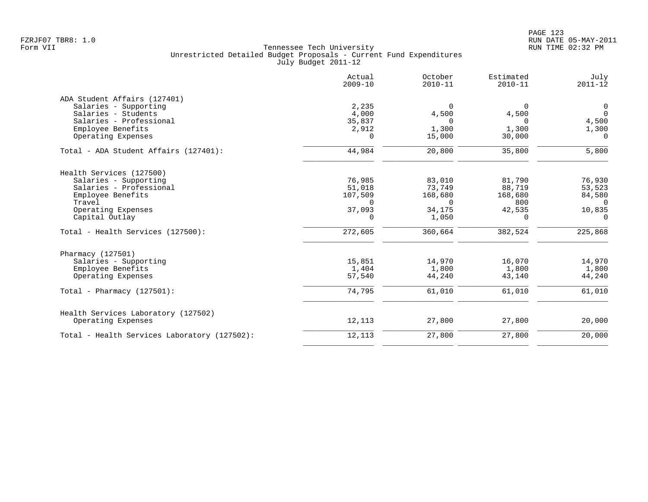|                                              | Actual<br>$2009 - 10$ | October<br>$2010 - 11$ | Estimated<br>$2010 - 11$ | July<br>$2011 - 12$ |
|----------------------------------------------|-----------------------|------------------------|--------------------------|---------------------|
| ADA Student Affairs (127401)                 |                       |                        |                          |                     |
| Salaries - Supporting                        | 2,235                 | $\Omega$               | $\Omega$                 | $\mathbf 0$         |
| Salaries - Students                          | 4,000                 | 4,500                  | 4,500                    | $\Omega$            |
| Salaries - Professional<br>Employee Benefits | 35,837<br>2,912       | $\Omega$<br>1,300      | $\Omega$<br>1,300        | 4,500<br>1,300      |
| Operating Expenses                           | $\Omega$              | 15,000                 | 30,000                   | $\Omega$            |
| Total - ADA Student Affairs (127401):        | 44,984                | 20,800                 | 35,800                   | 5,800               |
| Health Services (127500)                     |                       |                        |                          |                     |
| Salaries - Supporting                        | 76,985                | 83,010                 | 81,790                   | 76,930              |
| Salaries - Professional                      | 51,018                | 73,749                 | 88,719                   | 53,523              |
| Employee Benefits                            | 107,509               | 168,680                | 168,680                  | 84,580              |
| Travel                                       | $\Omega$              | $\Omega$               | 800                      | $\overline{0}$      |
| Operating Expenses                           | 37,093                | 34,175                 | 42,535                   | 10,835              |
| Capital Outlay                               | 0                     | 1,050                  | 0                        | $\mathbf 0$         |
| Total - Health Services (127500):            | 272,605               | 360,664                | 382,524                  | 225,868             |
| Pharmacy (127501)                            |                       |                        |                          |                     |
| Salaries - Supporting                        | 15,851                | 14,970                 | 16,070                   | 14,970              |
| Employee Benefits                            | 1,404                 | 1,800                  | 1,800                    | 1,800               |
| Operating Expenses                           | 57,540                | 44,240                 | 43,140                   | 44,240              |
| Total - Pharmacy $(127501)$ :                | 74,795                | 61,010                 | 61,010                   | 61,010              |
| Health Services Laboratory (127502)          |                       |                        |                          |                     |
| Operating Expenses                           | 12,113                | 27,800                 | 27,800                   | 20,000              |
| Total - Health Services Laboratory (127502): | 12,113                | 27,800                 | 27,800                   | 20,000              |
|                                              |                       |                        |                          |                     |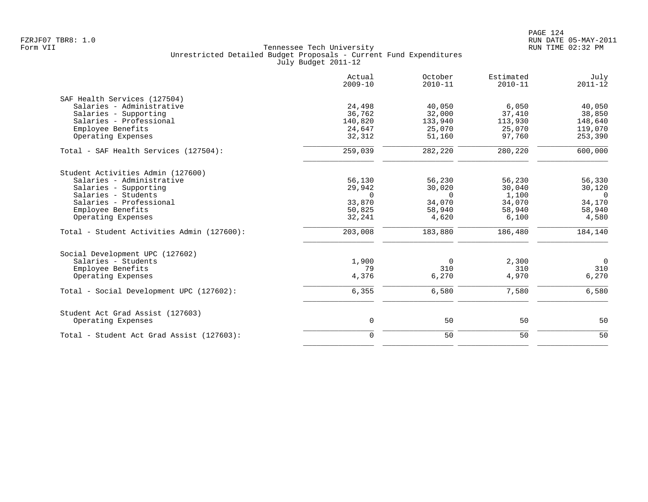|                                            | Actual<br>$2009 - 10$ | October<br>$2010 - 11$ | Estimated<br>$2010 - 11$ | July<br>$2011 - 12$ |
|--------------------------------------------|-----------------------|------------------------|--------------------------|---------------------|
| SAF Health Services (127504)               |                       |                        |                          |                     |
| Salaries - Administrative                  | 24,498                | 40,050                 | 6,050                    | 40,050              |
| Salaries - Supporting                      | 36,762                | 32,000                 | 37,410                   | 38,850              |
| Salaries - Professional                    | 140,820               | 133,940                | 113,930                  | 148,640             |
| Employee Benefits                          | 24,647                | 25,070                 | 25,070                   | 119,070             |
| Operating Expenses                         | 32,312                | 51,160                 | 97,760                   | 253,390             |
| Total - SAF Health Services (127504):      | 259,039               | 282,220                | 280,220                  | 600,000             |
| Student Activities Admin (127600)          |                       |                        |                          |                     |
| Salaries - Administrative                  | 56,130                | 56,230                 | 56,230                   | 56,330              |
| Salaries - Supporting                      | 29,942                | 30,020                 | 30,040                   | 30,120              |
| Salaries - Students                        | $\Omega$              | $\Omega$               | 1,100                    | $\overline{0}$      |
| Salaries - Professional                    | 33,870                | 34,070                 | 34,070                   | 34,170              |
| Employee Benefits                          | 50,825                | 58,940                 | 58,940                   | 58,940              |
| Operating Expenses                         | 32,241                | 4,620                  | 6,100                    | 4,580               |
| Total - Student Activities Admin (127600): | 203,008               | 183,880                | 186,480                  | 184,140             |
| Social Development UPC (127602)            |                       |                        |                          |                     |
| Salaries - Students                        | 1,900                 | $\Omega$               | 2,300                    | $\overline{0}$      |
| Employee Benefits                          | 79                    | 310                    | 310                      | 310                 |
| Operating Expenses                         | 4,376                 | 6,270                  | 4,970                    | 6,270               |
| Total - Social Development UPC (127602):   | 6,355                 | 6,580                  | 7,580                    | 6,580               |
| Student Act Grad Assist (127603)           |                       |                        |                          |                     |
| Operating Expenses                         | 0                     | 50                     | 50                       | 50                  |
| Total - Student Act Grad Assist (127603):  | $\overline{0}$        | 50                     | 50                       | 50                  |
|                                            |                       |                        |                          |                     |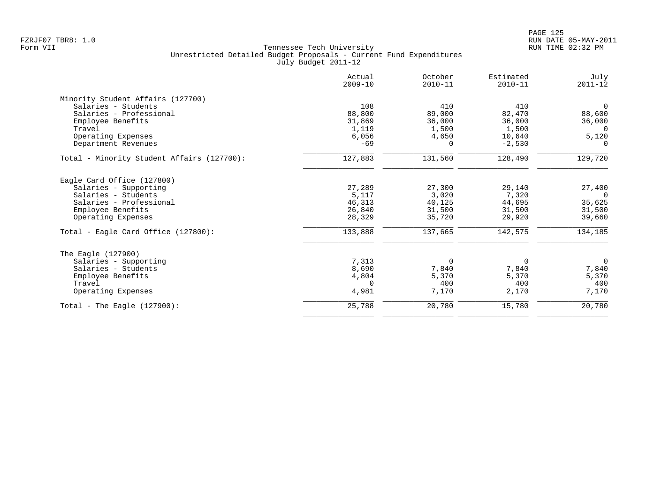|                                            | Actual<br>$2009 - 10$ | October<br>$2010 - 11$ | Estimated<br>$2010 - 11$ | July<br>$2011 - 12$ |
|--------------------------------------------|-----------------------|------------------------|--------------------------|---------------------|
| Minority Student Affairs (127700)          |                       |                        |                          |                     |
| Salaries - Students                        | 108                   | 410                    | 410                      | $\overline{0}$      |
| Salaries - Professional                    | 88,800                | 89,000                 | 82,470                   | 88,600              |
| Employee Benefits                          | 31,869                | 36,000                 | 36,000                   | 36,000              |
| Travel                                     | 1,119                 | 1,500                  | 1,500                    | $\Omega$            |
| Operating Expenses                         | 6,056                 | 4,650                  | 10,640                   | 5,120               |
| Department Revenues                        | $-69$                 | $\Omega$               | $-2,530$                 | $\Omega$            |
| Total - Minority Student Affairs (127700): | 127,883               | 131,560                | 128,490                  | 129,720             |
| Eagle Card Office (127800)                 |                       |                        |                          |                     |
| Salaries - Supporting                      | 27,289                | 27,300                 | 29,140                   | 27,400              |
| Salaries - Students                        | 5,117                 | 3,020                  | 7,320                    | $\overline{0}$      |
| Salaries - Professional                    | 46,313                | 40,125                 | 44,695                   | 35,625              |
| Employee Benefits                          | 26,840                | 31,500                 | 31,500                   | 31,500              |
| Operating Expenses                         | 28,329                | 35,720                 | 29,920                   | 39,660              |
| Total - Eagle Card Office (127800):        | 133,888               | 137,665                | 142,575                  | 134,185             |
| The Eagle (127900)                         |                       |                        |                          |                     |
| Salaries - Supporting                      | 7,313                 | $\mathbf 0$            | 0                        | $\mathbf 0$         |
| Salaries - Students                        | 8,690                 | 7,840                  | 7,840                    | 7,840               |
| Employee Benefits                          | 4,804                 | 5,370                  | 5,370                    | 5,370               |
| Travel                                     | $\Omega$              | 400                    | 400                      | 400                 |
| Operating Expenses                         | 4,981                 | 7,170                  | 2,170                    | 7,170               |
| Total - The Eagle $(127900)$ :             | 25,788                | 20,780                 | 15,780                   | 20,780              |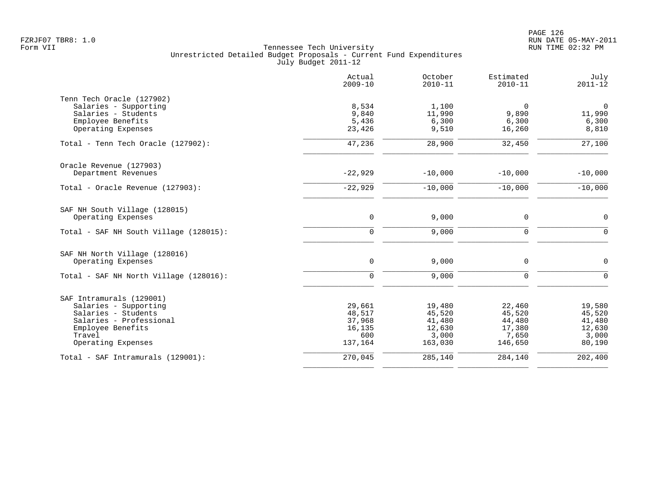|                                        | Actual<br>$2009 - 10$ | October<br>$2010 - 11$ | Estimated<br>$2010 - 11$ | July<br>$2011 - 12$ |
|----------------------------------------|-----------------------|------------------------|--------------------------|---------------------|
| Tenn Tech Oracle (127902)              |                       |                        |                          |                     |
| Salaries - Supporting                  | 8,534                 | 1,100                  | $\mathbf 0$              | $\mathsf{O}$        |
| Salaries - Students                    | 9,840                 | 11,990                 | 9,890                    | 11,990              |
| Employee Benefits                      | 5,436                 | 6,300                  | 6,300                    | 6,300               |
| Operating Expenses                     | 23,426                | 9,510                  | 16,260                   | 8,810               |
| Total - Tenn Tech Oracle (127902):     | 47,236                | 28,900                 | 32,450                   | 27,100              |
| Oracle Revenue (127903)                |                       |                        |                          |                     |
| Department Revenues                    | $-22,929$             | $-10,000$              | $-10,000$                | $-10,000$           |
| Total - Oracle Revenue (127903):       | $-22,929$             | $-10,000$              | $-10,000$                | $-10,000$           |
| SAF NH South Village (128015)          |                       |                        |                          |                     |
| Operating Expenses                     | $\mathbf 0$           | 9,000                  | $\mathbf 0$              | $\mathbf 0$         |
| Total - SAF NH South Village (128015): | $\mathbf 0$           | 9,000                  | $\mathbf 0$              | $\Omega$            |
| SAF NH North Village (128016)          |                       |                        |                          |                     |
| Operating Expenses                     | $\mathsf{O}$          | 9,000                  | $\mathbf 0$              | $\mathbf 0$         |
| Total - SAF NH North Village (128016): | $\mathbf 0$           | 9,000                  | $\mathbf 0$              | $\Omega$            |
| SAF Intramurals (129001)               |                       |                        |                          |                     |
| Salaries - Supporting                  | 29,661                | 19,480                 | 22,460                   | 19,580              |
| Salaries - Students                    | 48,517                | 45,520                 | 45,520                   | 45,520              |
| Salaries - Professional                | 37,968                | 41,480                 | 44,480                   | 41,480              |
| Employee Benefits                      | 16,135                | 12,630                 | 17,380                   | 12,630              |
| Travel                                 | 600                   | 3,000                  | 7,650                    | 3,000               |
| Operating Expenses                     | 137,164               | 163,030                | 146,650                  | 80,190              |
| Total - SAF Intramurals (129001):      | 270,045               | 285,140                | 284,140                  | 202,400             |
|                                        |                       |                        |                          |                     |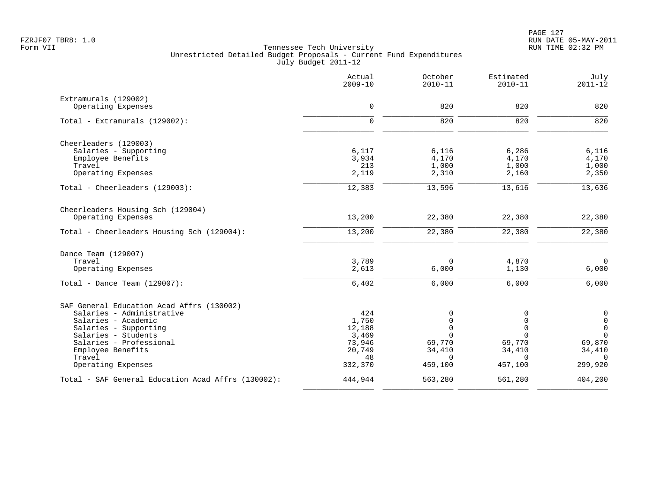|                                                    | Actual<br>$2009 - 10$ | October<br>$2010 - 11$ | Estimated<br>$2010 - 11$ | July<br>$2011 - 12$ |
|----------------------------------------------------|-----------------------|------------------------|--------------------------|---------------------|
| Extramurals (129002)                               |                       |                        |                          |                     |
| Operating Expenses                                 | $\mathbf 0$           | 820                    | 820                      | 820                 |
| Total - Extramurals (129002):                      | $\mathbf 0$           | 820                    | 820                      | 820                 |
| Cheerleaders (129003)                              |                       |                        |                          |                     |
| Salaries - Supporting                              | 6,117                 | 6,116                  | 6,286                    | 6,116               |
| Employee Benefits                                  | 3,934                 | 4,170                  | 4,170                    | 4,170               |
| Travel                                             | 213                   | 1,000                  | 1,000                    | 1,000               |
| Operating Expenses                                 | 2,119                 | 2,310                  | 2,160                    | 2,350               |
| Total - Cheerleaders (129003):                     | 12,383                | 13,596                 | 13,616                   | 13,636              |
| Cheerleaders Housing Sch (129004)                  |                       |                        |                          |                     |
| Operating Expenses                                 | 13,200                | 22,380                 | 22,380                   | 22,380              |
| Total - Cheerleaders Housing Sch (129004):         | 13,200                | 22,380                 | 22,380                   | 22,380              |
| Dance Team (129007)                                |                       |                        |                          |                     |
| Travel                                             | 3,789                 | 0                      | 4,870                    | $\mathbf 0$         |
| Operating Expenses                                 | 2,613                 | 6,000                  | 1,130                    | 6,000               |
| Total - Dance Team $(129007)$ :                    | 6,402                 | 6,000                  | 6,000                    | 6,000               |
| SAF General Education Acad Affrs (130002)          |                       |                        |                          |                     |
| Salaries - Administrative                          | 424                   | 0                      | $\mathbf 0$              | $\boldsymbol{0}$    |
| Salaries - Academic                                | 1,750                 | $\mathbf 0$            | $\Omega$                 | $\mathsf{O}$        |
| Salaries - Supporting                              | 12,188                | $\mathbf 0$            | $\mathbf 0$              | $\overline{0}$      |
| Salaries - Students                                | 3,469                 | $\Omega$               | $\Omega$                 | $\Omega$            |
| Salaries - Professional                            | 73,946                | 69,770                 | 69,770                   | 69,870              |
| Employee Benefits<br>Travel                        | 20,749<br>48          | 34,410<br>$\Omega$     | 34,410<br>$\Omega$       | 34,410<br>$\Omega$  |
| Operating Expenses                                 | 332,370               | 459,100                | 457,100                  | 299,920             |
| Total - SAF General Education Acad Affrs (130002): | 444,944               | 563,280                | 561,280                  | 404,200             |
|                                                    |                       |                        |                          |                     |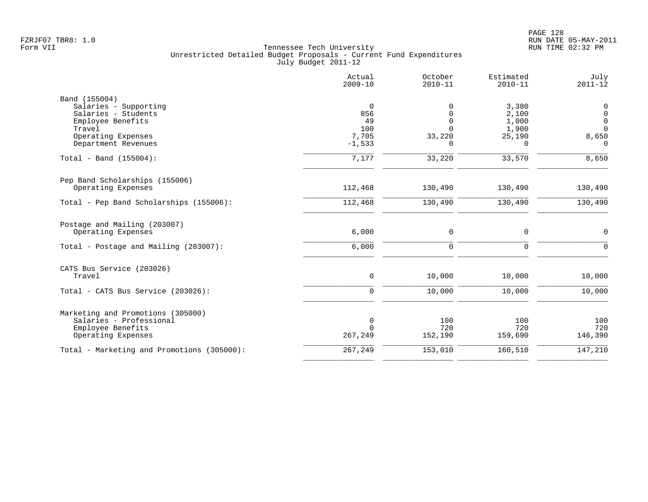|                                                                                                                    | Actual<br>$2009 - 10$                    | October<br>$2010 - 11$                          | Estimated<br>$2010 - 11$                               | July<br>$2011 - 12$                                                        |
|--------------------------------------------------------------------------------------------------------------------|------------------------------------------|-------------------------------------------------|--------------------------------------------------------|----------------------------------------------------------------------------|
| Band (155004)<br>Salaries - Supporting<br>Salaries - Students<br>Employee Benefits<br>Travel<br>Operating Expenses | $\mathbf 0$<br>856<br>49<br>100<br>7,705 | $\Omega$<br>0<br>$\Omega$<br>$\Omega$<br>33,220 | 3,380<br>2,100<br>1,000<br>1,900<br>25,190<br>$\Omega$ | $\mathbf 0$<br>$\mathbf 0$<br>$\mathbf 0$<br>$\Omega$<br>8,650<br>$\Omega$ |
| Department Revenues<br>Total - Band (155004):                                                                      | $-1,533$<br>7,177                        | 33,220                                          | 33,570                                                 | 8,650                                                                      |
| Pep Band Scholarships (155006)<br>Operating Expenses                                                               | 112,468                                  | 130,490                                         | 130,490                                                | 130,490                                                                    |
| Total - Pep Band Scholarships (155006):                                                                            | 112,468                                  | 130,490                                         | 130,490                                                | 130,490                                                                    |
| Postage and Mailing (203007)<br>Operating Expenses                                                                 | 6,000                                    | 0                                               | 0                                                      | 0                                                                          |
| Total - Postage and Mailing (203007):                                                                              | 6,000                                    | 0                                               | $\mathbf 0$                                            | $\Omega$                                                                   |
| CATS Bus Service (203026)<br>Travel                                                                                | $\mathsf{O}$                             | 10,000                                          | 10,000                                                 | 10,000                                                                     |
| Total - CATS Bus Service (203026):                                                                                 | $\Omega$                                 | 10,000                                          | 10,000                                                 | 10,000                                                                     |
| Marketing and Promotions (305000)<br>Salaries - Professional<br>Employee Benefits<br>Operating Expenses            | 0<br>$\Omega$<br>267,249                 | 100<br>720<br>152,190                           | 100<br>720<br>159,690                                  | 100<br>720<br>146,390                                                      |
| Total - Marketing and Promotions (305000):                                                                         | 267,249                                  | 153,010                                         | 160,510                                                | 147,210                                                                    |
|                                                                                                                    |                                          |                                                 |                                                        |                                                                            |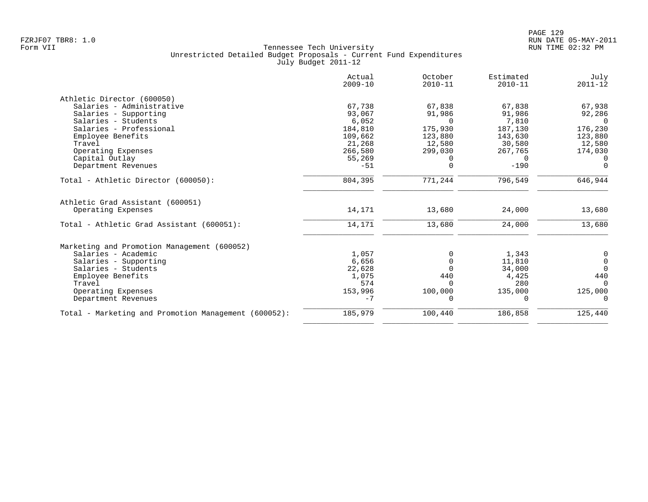| Actual<br>$2009 - 10$ | October<br>$2010 - 11$    | Estimated<br>$2010 - 11$ | July<br>$2011 - 12$ |
|-----------------------|---------------------------|--------------------------|---------------------|
|                       |                           |                          |                     |
| 67,738                | 67,838                    | 67,838                   | 67,938              |
| 93,067                | 91,986                    | 91,986                   | 92,286              |
| 6,052                 | $\Omega$                  | 7,810                    | $\Omega$            |
| 184,810               | 175,930                   | 187,130                  | 176,230             |
| 109,662               | 123,880                   | 143,630                  | 123,880             |
| 21,268                | 12,580                    | 30,580                   | 12,580              |
| 266,580               | 299,030                   | 267,765                  | 174,030             |
|                       | 0                         | $\Omega$                 | $\Omega$            |
|                       |                           |                          | $\overline{0}$      |
| 804,395               | 771,244                   | 796,549                  | 646,944             |
| 14,171                | 13,680                    | 24,000                   | 13,680              |
|                       |                           |                          |                     |
|                       |                           |                          | 13,680              |
|                       |                           |                          |                     |
| 1,057                 | $\Omega$                  | 1,343                    | 0                   |
| 6,656                 | $\Omega$                  | 11,810                   | $\mathsf{O}$        |
| 22,628                | $\Omega$                  | 34,000                   | $\Omega$            |
| 1,075                 | 440                       | 4,425                    | 440                 |
| 574                   | $\Omega$                  | 280                      | $\Omega$            |
| 153,996               | 100,000                   | 135,000                  | 125,000             |
| $-7$                  | $\Omega$                  | 0                        | $\Omega$            |
| 185,979               | 100,440                   | 186,858                  | 125,440             |
|                       | 55,269<br>$-51$<br>14,171 | $\mathbf 0$<br>13,680    | $-190$<br>24,000    |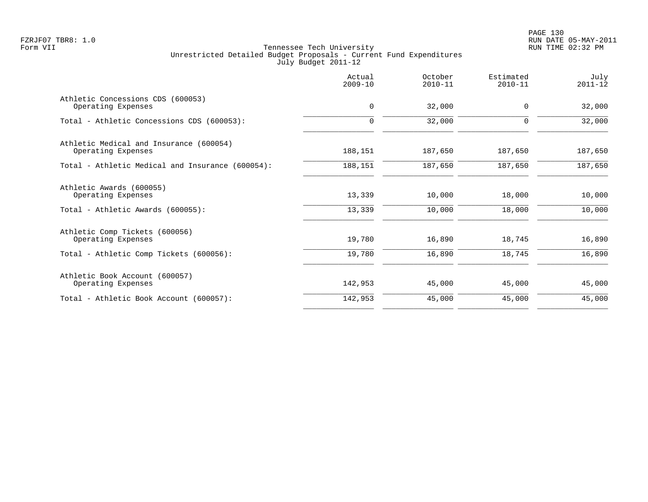|                                                               | Actual<br>$2009 - 10$ | October<br>$2010 - 11$ | Estimated<br>$2010 - 11$ | July<br>$2011 - 12$ |
|---------------------------------------------------------------|-----------------------|------------------------|--------------------------|---------------------|
| Athletic Concessions CDS (600053)<br>Operating Expenses       | $\mathbf 0$           | 32,000                 | $\Omega$                 | 32,000              |
| Total - Athletic Concessions CDS (600053):                    | 0                     | 32,000                 | 0                        | 32,000              |
| Athletic Medical and Insurance (600054)<br>Operating Expenses | 188,151               | 187,650                | 187,650                  | 187,650             |
| Total - Athletic Medical and Insurance (600054):              | 188,151               | 187,650                | 187,650                  | 187,650             |
| Athletic Awards (600055)<br>Operating Expenses                | 13,339                | 10,000                 | 18,000                   | 10,000              |
| Total - Athletic Awards (600055):                             | 13,339                | 10,000                 | 18,000                   | 10,000              |
| Athletic Comp Tickets (600056)<br>Operating Expenses          | 19,780                | 16,890                 | 18,745                   | 16,890              |
| Total - Athletic Comp Tickets (600056):                       | 19,780                | 16,890                 | 18,745                   | 16,890              |
| Athletic Book Account (600057)<br>Operating Expenses          | 142,953               | 45,000                 | 45,000                   | 45,000              |
| Total - Athletic Book Account (600057):                       | 142,953               | 45,000                 | 45,000                   | 45,000              |
|                                                               |                       |                        |                          |                     |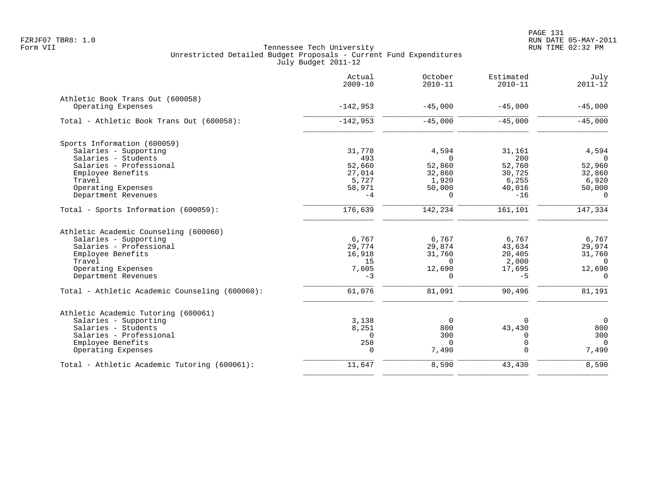|                                                | Actual<br>$2009 - 10$ | October<br>$2010 - 11$ | Estimated<br>$2010 - 11$ | July<br>$2011 - 12$ |
|------------------------------------------------|-----------------------|------------------------|--------------------------|---------------------|
| Athletic Book Trans Out (600058)               |                       |                        |                          |                     |
| Operating Expenses                             | $-142,953$            | $-45,000$              | $-45,000$                | $-45,000$           |
| Total - Athletic Book Trans Out (600058):      | $-142,953$            | $-45,000$              | $-45,000$                | $-45,000$           |
| Sports Information (600059)                    |                       |                        |                          |                     |
| Salaries - Supporting                          | 31,778                | 4,594                  | 31,161                   | 4,594               |
| Salaries - Students                            | 493                   | $\Omega$               | 200                      | $\Omega$            |
| Salaries - Professional                        | 52,660                | 52,860                 | 52,760                   | 52,960              |
| Employee Benefits                              | 27,014                | 32,860                 | 30,725                   | 32,860              |
| Travel                                         | 5,727                 | 1,920                  | 6,255                    | 6,920               |
| Operating Expenses                             | 58,971                | 50,000                 | 40,016                   | 50,000              |
| Department Revenues                            | $-4$                  | $\Omega$               | $-16$                    | $\Omega$            |
| Total - Sports Information (600059):           | 176,639               | 142,234                | 161,101                  | 147,334             |
| Athletic Academic Counseling (600060)          |                       |                        |                          |                     |
| Salaries - Supporting                          | 6,767                 | 6,767                  | 6,767                    | 6,767               |
| Salaries - Professional                        | 29,774                | 29,874                 | 43,634                   | 29,974              |
| Employee Benefits                              | 16,918                | 31,760                 | 20,405                   | 31,760              |
| Travel                                         | 15                    | $\Omega$               | 2,000                    | $\Omega$            |
| Operating Expenses                             | 7,605                 | 12,690                 | 17,695                   | 12,690              |
| Department Revenues                            | $-3$                  | $\Omega$               | $-5$                     | $\Omega$            |
| Total - Athletic Academic Counseling (600060): | 61,076                | 81,091                 | 90,496                   | 81,191              |
| Athletic Academic Tutoring (600061)            |                       |                        |                          |                     |
| Salaries - Supporting                          | 3,138                 | 0                      |                          | $\overline{0}$      |
| Salaries - Students                            | 8,251                 | 800                    | 43,430                   | 800                 |
| Salaries - Professional                        | $\Omega$              | 300                    | $\Omega$                 | 300                 |
| Employee Benefits                              | 258                   | $\Omega$               | 0                        | $\Omega$            |
| Operating Expenses                             | $\Omega$              | 7,490                  | $\Omega$                 | 7,490               |
| Total - Athletic Academic Tutoring (600061):   | 11,647                | 8,590                  | 43,430                   | 8,590               |
|                                                |                       |                        |                          |                     |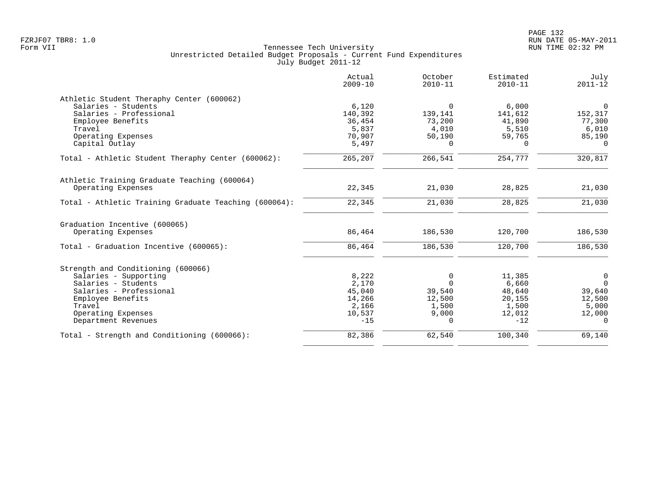|                                                       | Actual<br>$2009 - 10$ | October<br>$2010 - 11$ | Estimated<br>$2010 - 11$ | July<br>$2011 - 12$ |
|-------------------------------------------------------|-----------------------|------------------------|--------------------------|---------------------|
| Athletic Student Theraphy Center (600062)             |                       |                        |                          |                     |
| Salaries - Students                                   | 6,120                 | $\overline{0}$         | 6,000                    | $\overline{0}$      |
| Salaries - Professional                               | 140,392               | 139,141                | 141,612                  | 152,317             |
| Employee Benefits                                     | 36,454                | 73,200                 | 41,890                   | 77,300              |
| Travel                                                | 5,837                 | 4,010                  | 5,510                    | 6,010               |
| Operating Expenses                                    | 70,907                | 50,190                 | 59,765                   | 85,190              |
| Capital Outlay                                        | 5,497                 | <sup>0</sup>           | <sup>0</sup>             | $\Omega$            |
| Total - Athletic Student Theraphy Center (600062):    | 265,207               | 266,541                | 254,777                  | 320,817             |
| Athletic Training Graduate Teaching (600064)          |                       |                        |                          |                     |
| Operating Expenses                                    | 22,345                | 21,030                 | 28,825                   | 21,030              |
| Total - Athletic Training Graduate Teaching (600064): | 22,345                | 21,030                 | 28,825                   | 21,030              |
| Graduation Incentive (600065)                         |                       |                        |                          |                     |
| Operating Expenses                                    | 86,464                | 186,530                | 120,700                  | 186,530             |
| Total - Graduation Incentive (600065):                | 86,464                | 186,530                | 120,700                  | 186,530             |
| Strength and Conditioning (600066)                    |                       |                        |                          |                     |
| Salaries - Supporting                                 | 8,222                 | 0                      | 11,385                   | $\mathbf 0$         |
| Salaries - Students                                   | 2,170                 | $\Omega$               | 6,660                    | $\overline{0}$      |
| Salaries - Professional                               | 45,040                | 39,540                 | 48,640                   | 39,640              |
| Employee Benefits                                     | 14,266                | 12,500                 | 20,155                   | 12,500              |
| Travel                                                | 2,166                 | 1,500                  | 1,500                    | 5,000               |
| Operating Expenses                                    | 10,537                | 9,000                  | 12,012                   | 12,000              |
| Department Revenues                                   | $-15$                 | 0                      | $-12$                    | $\Omega$            |
| Total - Strength and Conditioning (600066):           | 82,386                | 62,540                 | 100,340                  | 69,140              |
|                                                       |                       |                        |                          |                     |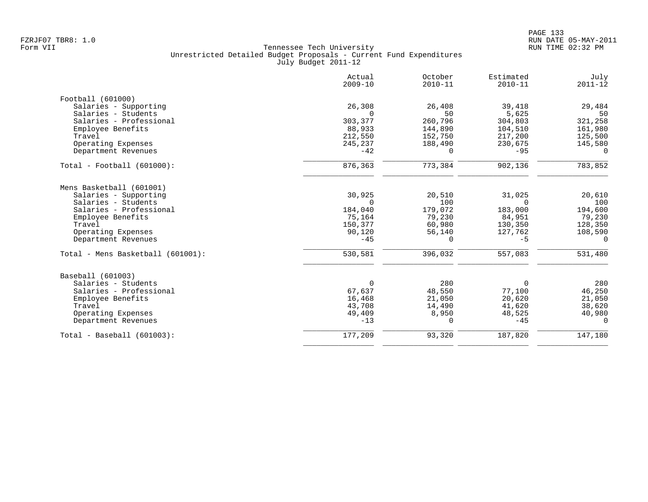|                                   | Actual<br>$2009 - 10$ | October<br>$2010 - 11$ | Estimated<br>$2010 - 11$ | July<br>$2011 - 12$ |
|-----------------------------------|-----------------------|------------------------|--------------------------|---------------------|
| Football (601000)                 |                       |                        |                          |                     |
| Salaries - Supporting             | 26,308                | 26,408                 | 39,418                   | 29,484              |
| Salaries - Students               | $\Omega$              | 50                     | 5,625                    | 50                  |
| Salaries - Professional           | 303,377               | 260,796                | 304,803                  | 321,258             |
| Employee Benefits                 | 88,933                | 144,890                | 104,510                  | 161,980             |
| Travel                            | 212,550               | 152,750                | 217,200                  | 125,500             |
| Operating Expenses                | 245,237               | 188,490                | 230,675                  | 145,580             |
| Department Revenues               | $-42$                 | 0                      | $-95$                    | 0                   |
| $Total - Football (601000):$      | 876,363               | 773,384                | 902,136                  | 783,852             |
| Mens Basketball (601001)          |                       |                        |                          |                     |
| Salaries - Supporting             | 30,925                | 20,510                 | 31,025                   | 20,610              |
| Salaries - Students               | $\Omega$              | 100                    | $\Omega$                 | 100                 |
| Salaries - Professional           | 184,040               | 179,072                | 183,000                  | 194,600             |
| Employee Benefits                 | 75,164                | 79,230                 | 84,951                   | 79,230              |
| Travel                            | 150,377               | 60,980                 | 130,350                  | 128,350             |
| Operating Expenses                | 90,120                | 56,140                 | 127,762                  | 108,590             |
| Department Revenues               | $-45$                 | $\Omega$               | $-5$                     | $\Omega$            |
| Total - Mens Basketball (601001): | 530,581               | 396,032                | 557,083                  | 531,480             |
| Baseball (601003)                 |                       |                        |                          |                     |
| Salaries - Students               | 0                     | 280                    | 0                        | 280                 |
| Salaries - Professional           | 67,637                | 48,550                 | 77,100                   | 46,250              |
| Employee Benefits                 | 16,468                | 21,050                 | 20,620                   | 21,050              |
| Travel                            | 43,708                | 14,490                 | 41,620                   | 38,620              |
| Operating Expenses                | 49,409                | 8,950                  | 48,525                   | 40,980              |
| Department Revenues               | $-13$                 | 0                      | $-45$                    | 0                   |
| $Total - Baseball (601003):$      | 177,209               | 93,320                 | 187,820                  | 147,180             |
|                                   |                       |                        |                          |                     |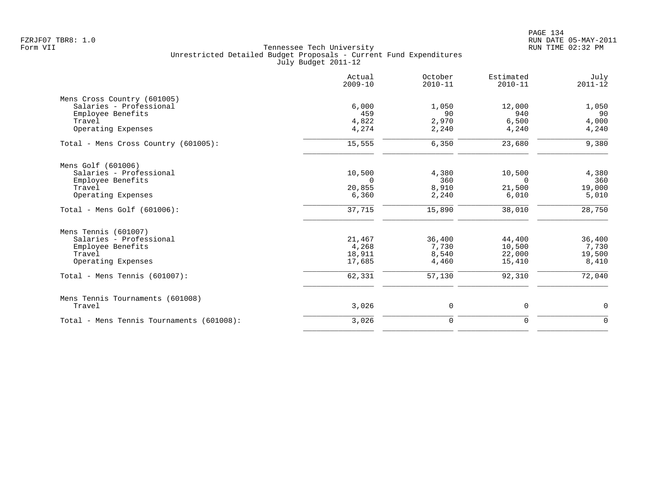|                                           | Actual<br>$2009 - 10$ | October<br>$2010 - 11$ | Estimated<br>$2010 - 11$ | July<br>$2011 - 12$ |
|-------------------------------------------|-----------------------|------------------------|--------------------------|---------------------|
| Mens Cross Country (601005)               |                       |                        |                          |                     |
| Salaries - Professional                   | 6.000                 | 1,050                  | 12,000                   | 1,050               |
| Employee Benefits                         | 459                   | 90                     | 940                      | 90                  |
| Travel                                    | 4,822                 | 2,970                  | 6,500                    | 4,000               |
| Operating Expenses                        | 4,274                 | 2,240                  | 4,240                    | 4,240               |
| Total - Mens Cross Country (601005):      | 15,555                | 6,350                  | 23,680                   | 9,380               |
| Mens Golf (601006)                        |                       |                        |                          |                     |
| Salaries - Professional                   | 10,500                | 4,380                  | 10,500                   | 4,380               |
| Employee Benefits                         | $\Omega$              | 360                    | $\Omega$                 | 360                 |
| Travel                                    | 20,855                | 8,910                  | 21,500                   | 19,000              |
| Operating Expenses                        | 6,360                 | 2,240                  | 6,010                    | 5,010               |
| Total - Mens Golf $(601006)$ :            | 37,715                | 15,890                 | 38,010                   | 28,750              |
| Mens Tennis (601007)                      |                       |                        |                          |                     |
| Salaries - Professional                   | 21,467                | 36,400                 | 44,400                   | 36,400              |
| Employee Benefits                         | 4,268                 | 7,730                  | 10,500                   | 7,730               |
| Travel                                    | 18,911                | 8,540                  | 22,000                   | 19,500              |
| Operating Expenses                        | 17,685                | 4,460                  | 15,410                   | 8,410               |
| Total - Mens Tennis $(601007)$ :          | 62,331                | 57,130                 | 92,310                   | 72,040              |
| Mens Tennis Tournaments (601008)          |                       |                        |                          |                     |
| Travel                                    | 3,026                 | 0                      | 0                        | 0                   |
| Total - Mens Tennis Tournaments (601008): | 3,026                 | $\mathbf 0$            | 0                        | $\Omega$            |
|                                           |                       |                        |                          |                     |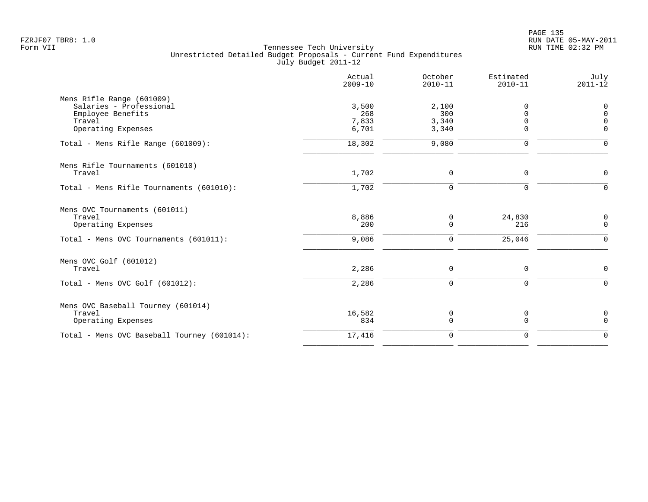|                                                                                                           | Actual<br>$2009 - 10$          | October<br>$2010 - 11$         | Estimated<br>$2010 - 11$ | July<br>$2011 - 12$                         |
|-----------------------------------------------------------------------------------------------------------|--------------------------------|--------------------------------|--------------------------|---------------------------------------------|
| Mens Rifle Range (601009)<br>Salaries - Professional<br>Employee Benefits<br>Travel<br>Operating Expenses | 3,500<br>268<br>7,833<br>6,701 | 2,100<br>300<br>3,340<br>3,340 | 0<br>$\cap$<br>$\Omega$  | 0<br>$\mathbf 0$<br>$\Omega$<br>$\mathbf 0$ |
| Total - Mens Rifle Range (601009):                                                                        | 18,302                         | 9,080                          | $\mathbf 0$              | $\mathbf 0$                                 |
| Mens Rifle Tournaments (601010)<br>Travel                                                                 | 1,702                          | 0                              | $\mathbf 0$              | $\mathbf 0$                                 |
| Total - Mens Rifle Tournaments (601010):                                                                  | 1,702                          | 0                              | $\mathbf 0$              | $\mathbf 0$                                 |
| Mens OVC Tournaments (601011)<br>Travel<br>Operating Expenses<br>Total - Mens OVC Tournaments (601011):   | 8,886<br>200<br>9,086          | 0<br>0<br>0                    | 24,830<br>216<br>25,046  | 0<br>$\mathbf 0$<br>0                       |
| Mens OVC Golf (601012)<br>Travel                                                                          | 2,286                          | 0                              | $\mathsf 0$              | $\mathbf 0$                                 |
| Total - Mens OVC Golf (601012):                                                                           | 2,286                          | $\mathbf 0$                    | $\mathbf 0$              | $\mathbf{0}$                                |
| Mens OVC Baseball Tourney (601014)<br>Travel<br>Operating Expenses                                        | 16,582<br>834                  | 0<br>$\mathbf 0$               | 0<br>$\mathbf 0$         | $\mathbf 0$<br>$\mathbf 0$                  |
| Total - Mens OVC Baseball Tourney (601014):                                                               | 17,416                         | 0                              | $\mathbf 0$              | $\mathbf 0$                                 |
|                                                                                                           |                                |                                |                          |                                             |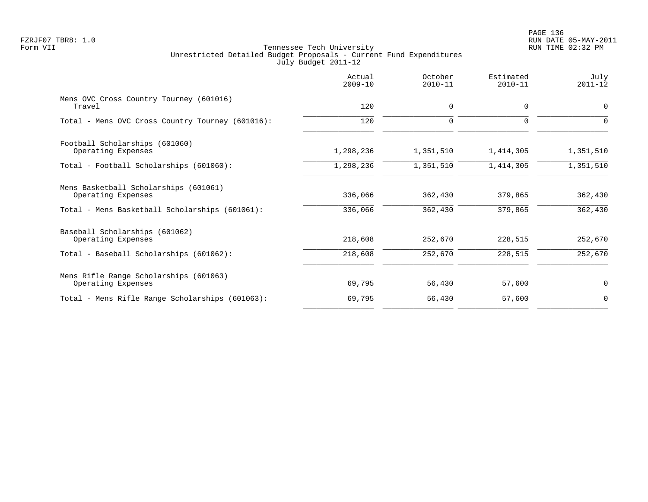|                                                              | Actual<br>$2009 - 10$ | October<br>$2010 - 11$ | Estimated<br>$2010 - 11$ | July<br>$2011 - 12$ |
|--------------------------------------------------------------|-----------------------|------------------------|--------------------------|---------------------|
| Mens OVC Cross Country Tourney (601016)<br>Travel            | 120                   | $\mathbf 0$            | $\Omega$                 | $\Omega$            |
| Total - Mens OVC Cross Country Tourney (601016):             | 120                   | $\mathbf 0$            | 0                        | $\Omega$            |
| Football Scholarships (601060)<br>Operating Expenses         | 1,298,236             | 1,351,510              | 1,414,305                | 1,351,510           |
| Total - Football Scholarships (601060):                      | 1,298,236             | 1,351,510              | 1,414,305                | 1,351,510           |
| Mens Basketball Scholarships (601061)<br>Operating Expenses  | 336,066               | 362,430                | 379,865                  | 362,430             |
| Total - Mens Basketball Scholarships (601061):               | 336,066               | 362,430                | 379,865                  | 362,430             |
| Baseball Scholarships (601062)<br>Operating Expenses         | 218,608               | 252,670                | 228,515                  | 252,670             |
| Total - Baseball Scholarships (601062):                      | 218,608               | 252,670                | 228,515                  | 252,670             |
| Mens Rifle Range Scholarships (601063)<br>Operating Expenses | 69,795                | 56,430                 | 57,600                   | 0                   |
| Total - Mens Rifle Range Scholarships (601063):              | 69,795                | 56,430                 | 57,600                   | $\mathbf 0$         |
|                                                              |                       |                        |                          |                     |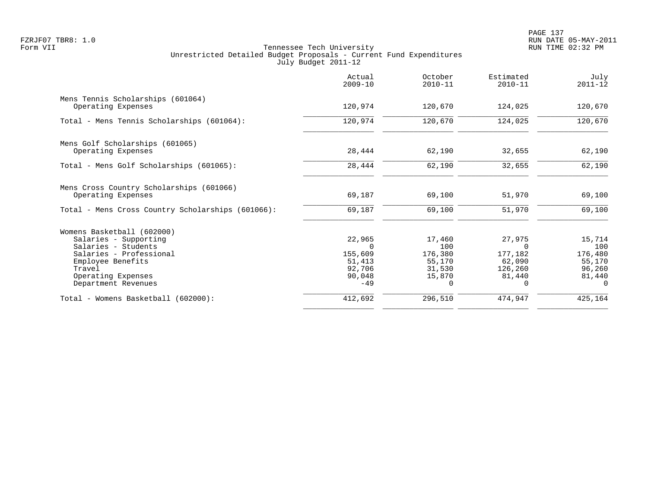|                                                                | Actual<br>$2009 - 10$ | October<br>$2010 - 11$ | Estimated<br>$2010 - 11$ | July<br>$2011 - 12$ |
|----------------------------------------------------------------|-----------------------|------------------------|--------------------------|---------------------|
| Mens Tennis Scholarships (601064)<br>Operating Expenses        | 120,974               | 120,670                | 124,025                  | 120,670             |
| Total - Mens Tennis Scholarships (601064):                     | 120,974               | 120,670                | 124,025                  | 120,670             |
| Mens Golf Scholarships (601065)<br>Operating Expenses          | 28,444                | 62,190                 | 32,655                   | 62,190              |
| Total - Mens Golf Scholarships (601065):                       | 28,444                | 62,190                 | 32,655                   | 62,190              |
| Mens Cross Country Scholarships (601066)<br>Operating Expenses | 69,187                | 69,100                 | 51,970                   | 69,100              |
| Total - Mens Cross Country Scholarships (601066):              | 69,187                | 69,100                 | 51,970                   | 69,100              |
| Womens Basketball (602000)                                     |                       |                        |                          |                     |
| Salaries - Supporting                                          | 22,965                | 17,460                 | 27,975                   | 15,714              |
| Salaries - Students                                            |                       | 100                    | <sup>n</sup>             | 100                 |
| Salaries - Professional                                        | 155,609               | 176,380                | 177,182                  | 176,480             |
| Employee Benefits<br>Travel                                    | 51,413<br>92,706      | 55,170<br>31,530       | 62,090<br>126,260        | 55,170<br>96,260    |
| Operating Expenses                                             | 90,048                | 15,870                 | 81,440                   | 81,440              |
| Department Revenues                                            | $-49$                 | $\Omega$               | 0                        | $\Omega$            |
| Total - Womens Basketball (602000):                            | 412,692               | 296,510                | 474,947                  | 425,164             |
|                                                                |                       |                        |                          |                     |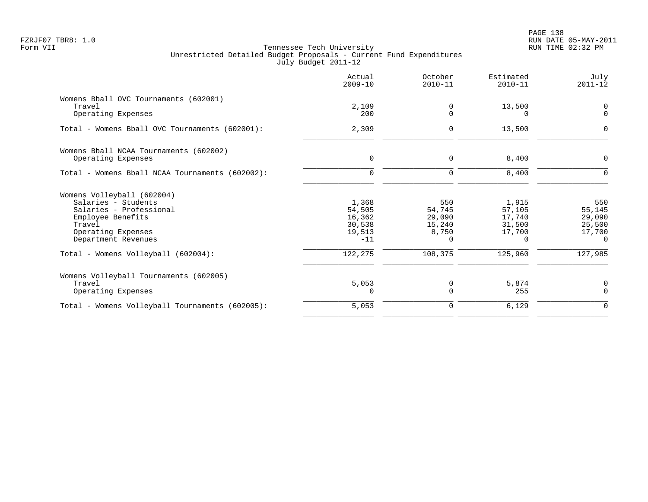|                                                                                                                                                          | Actual<br>$2009 - 10$                                  | October<br>$2010 - 11$                          | Estimated<br>$2010 - 11$                           | July<br>$2011 - 12$                                     |
|----------------------------------------------------------------------------------------------------------------------------------------------------------|--------------------------------------------------------|-------------------------------------------------|----------------------------------------------------|---------------------------------------------------------|
| Womens Bball OVC Tournaments (602001)<br>Travel<br>Operating Expenses                                                                                    | 2,109<br>200                                           | 0<br>$\Omega$                                   | 13,500<br>$\Omega$                                 | $\mathbf 0$<br>$\Omega$                                 |
| Total - Womens Bball OVC Tournaments (602001):                                                                                                           | 2,309                                                  | 0                                               | 13,500                                             | 0                                                       |
| Womens Bball NCAA Tournaments (602002)<br>Operating Expenses                                                                                             | 0                                                      | 0                                               | 8,400                                              | 0                                                       |
| Total - Womens Bball NCAA Tournaments (602002):                                                                                                          | $\Omega$                                               | $\mathbf 0$                                     | 8,400                                              |                                                         |
| Womens Volleyball (602004)<br>Salaries - Students<br>Salaries - Professional<br>Employee Benefits<br>Travel<br>Operating Expenses<br>Department Revenues | 1,368<br>54,505<br>16,362<br>30,538<br>19,513<br>$-11$ | 550<br>54,745<br>29,090<br>15,240<br>8,750<br>0 | 1,915<br>57,105<br>17,740<br>31,500<br>17,700<br>0 | 550<br>55,145<br>29,090<br>25,500<br>17,700<br>$\Omega$ |
| Total - Womens Volleyball (602004):                                                                                                                      | 122, 275                                               | 108,375                                         | 125,960                                            | 127,985                                                 |
| Womens Volleyball Tournaments (602005)<br>Travel<br>Operating Expenses                                                                                   | 5,053<br>$\Omega$                                      | 0<br>0                                          | 5,874<br>255                                       | 0<br>$\Omega$                                           |
| Total - Womens Volleyball Tournaments (602005):                                                                                                          | 5,053                                                  | 0                                               | 6,129                                              | $\mathbf 0$                                             |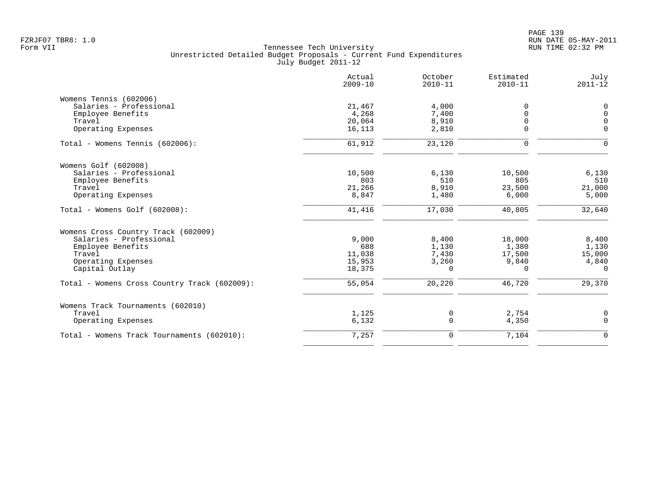|                                              | Actual<br>$2009 - 10$ | October<br>$2010 - 11$ | Estimated<br>$2010 - 11$ | July<br>$2011 - 12$ |
|----------------------------------------------|-----------------------|------------------------|--------------------------|---------------------|
| Womens Tennis (602006)                       |                       |                        |                          |                     |
| Salaries - Professional                      | 21,467                | 4,000                  | $\Omega$                 | 0                   |
| Employee Benefits                            | 4,268                 | 7,400                  | $\Omega$                 | $\mathbf 0$         |
| Travel                                       | 20,064                | 8,910                  |                          | $\overline{0}$      |
| Operating Expenses                           | 16,113                | 2,810                  | 0                        | $\Omega$            |
| Total - Womens Tennis (602006):              | 61,912                | 23,120                 | $\mathbf 0$              | $\Omega$            |
| Womens Golf (602008)                         |                       |                        |                          |                     |
| Salaries - Professional                      | 10,500                | 6,130                  | 10,500                   | 6,130               |
| Employee Benefits                            | 803                   | 510                    | 805                      | 510                 |
| Travel                                       | 21,266                | 8,910                  | 23,500                   | 21,000              |
| Operating Expenses                           | 8,847                 | 1,480                  | 6,000                    | 5,000               |
| Total - Womens Golf (602008):                | 41,416                | 17,030                 | 40,805                   | 32,640              |
| Womens Cross Country Track (602009)          |                       |                        |                          |                     |
| Salaries - Professional                      | 9,000                 | 8,400                  | 18,000                   | 8,400               |
| Employee Benefits                            | 688                   | 1,130                  | 1,380                    | 1,130               |
| Travel                                       | 11,038                | 7,430                  | 17,500                   | 15,000              |
| Operating Expenses                           | 15,953                | 3,260                  | 9,840                    | 4,840               |
| Capital Outlay                               | 18,375                | 0                      | $\Omega$                 | $\Omega$            |
| Total - Womens Cross Country Track (602009): | 55,054                | 20,220                 | 46,720                   | 29,370              |
| Womens Track Tournaments (602010)            |                       |                        |                          |                     |
| Travel                                       | 1,125                 | 0                      | 2,754                    | 0                   |
| Operating Expenses                           | 6,132                 | 0                      | 4,350                    | $\mathbf 0$         |
| Total - Womens Track Tournaments (602010):   | 7,257                 | 0                      | 7,104                    | $\mathbf 0$         |
|                                              |                       |                        |                          |                     |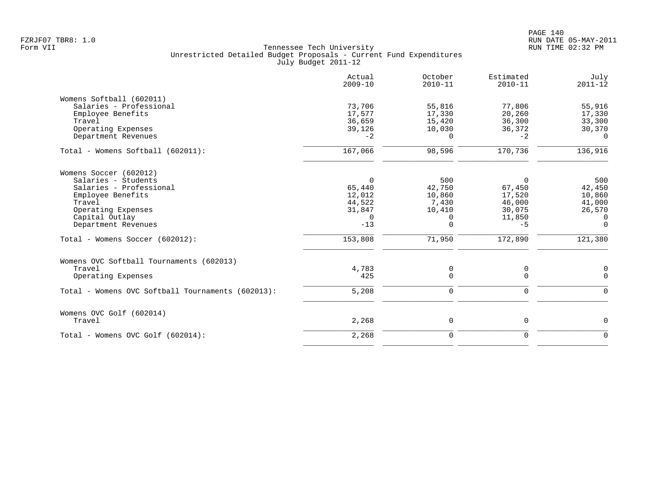|                                                   | Actual<br>$2009 - 10$ | October<br>$2010 - 11$ | Estimated<br>$2010 - 11$ | July<br>$2011 - 12$ |
|---------------------------------------------------|-----------------------|------------------------|--------------------------|---------------------|
| Womens Softball (602011)                          |                       |                        |                          |                     |
| Salaries - Professional                           | 73,706                | 55,816                 | 77,806                   | 55,916              |
| Employee Benefits                                 | 17,577                | 17,330                 | 20,260                   | 17,330              |
| Travel                                            | 36,659                | 15,420                 | 36,300                   | 33,300              |
| Operating Expenses                                | 39,126                | 10,030                 | 36,372                   | 30,370              |
| Department Revenues                               | $-2$                  | $\Omega$               | $-2$                     | $\Omega$            |
| Total - Womens Softball (602011):                 | 167,066               | 98,596                 | 170,736                  | 136,916             |
| Womens Soccer (602012)                            |                       |                        |                          |                     |
| Salaries - Students                               | $\Omega$              | 500                    | $\Omega$                 | 500                 |
| Salaries - Professional                           | 65,440                | 42,750                 | 67,450                   | 42,450              |
| Employee Benefits                                 | 12,012                | 10,860                 | 17,520                   | 10,860              |
| Travel                                            | 44,522                | 7,430                  | 46,000                   | 41,000              |
| Operating Expenses                                | 31,847                | 10,410                 | 30,075                   | 26,570              |
| Capital Outlay                                    | $\overline{0}$        | 0                      | 11,850                   | $\overline{0}$      |
| Department Revenues                               | $-13$                 | $\mathbf 0$            | $-5$                     | $\mathbf 0$         |
| Total - Womens Soccer (602012):                   | 153,808               | 71,950                 | 172,890                  | 121,380             |
| Womens OVC Softball Tournaments (602013)          |                       |                        |                          |                     |
| Travel                                            | 4,783                 | 0                      | 0                        | 0                   |
| Operating Expenses                                | 425                   | $\mathbf 0$            | $\mathbf 0$              | $\mathbf 0$         |
| Total - Womens OVC Softball Tournaments (602013): | 5,208                 | $\mathbf 0$            | $\mathbf 0$              | $\mathbf 0$         |
| Womens OVC Golf (602014)                          |                       |                        |                          |                     |
| Travel                                            | 2,268                 | 0                      | $\mathsf 0$              | $\mathbf 0$         |
| Total - Womens OVC Golf (602014):                 | 2,268                 | $\mathbf 0$            | $\mathbf 0$              | $\mathbf 0$         |
|                                                   |                       |                        |                          |                     |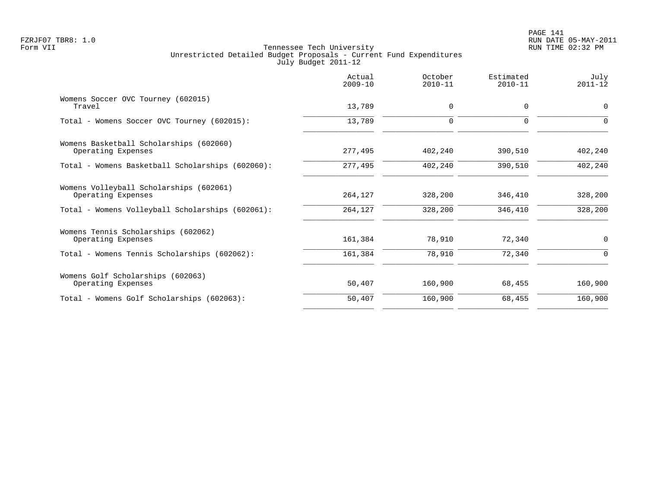|                                                               | Actual<br>$2009 - 10$ | October<br>$2010 - 11$ | Estimated<br>$2010 - 11$ | July<br>$2011 - 12$ |
|---------------------------------------------------------------|-----------------------|------------------------|--------------------------|---------------------|
| Womens Soccer OVC Tourney (602015)<br>Travel                  | 13,789                | 0                      | $\mathbf 0$              | $\mathbf 0$         |
| Total - Womens Soccer OVC Tourney (602015):                   | 13,789                | 0                      | $\mathbf 0$              | $\Omega$            |
| Womens Basketball Scholarships (602060)<br>Operating Expenses | 277,495               | 402,240                | 390,510                  | 402,240             |
| Total - Womens Basketball Scholarships (602060):              | 277,495               | 402,240                | 390,510                  | 402,240             |
| Womens Volleyball Scholarships (602061)<br>Operating Expenses | 264,127               | 328,200                | 346,410                  | 328,200             |
| Total - Womens Volleyball Scholarships (602061):              | 264,127               | 328,200                | 346,410                  | 328,200             |
| Womens Tennis Scholarships (602062)<br>Operating Expenses     | 161,384               | 78,910                 | 72,340                   | $\mathbf 0$         |
| Total - Womens Tennis Scholarships (602062):                  | 161,384               | 78,910                 | 72,340                   | $\Omega$            |
| Womens Golf Scholarships (602063)<br>Operating Expenses       | 50,407                | 160,900                | 68,455                   | 160,900             |
| Total - Womens Golf Scholarships (602063):                    | 50,407                | 160,900                | 68,455                   | 160,900             |
|                                                               |                       |                        |                          |                     |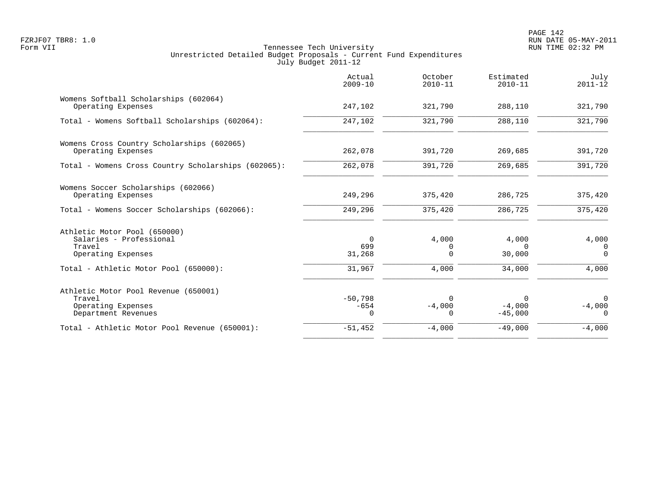|                                                                                             | Actual<br>$2009 - 10$           | October<br>$2010 - 11$           | Estimated<br>$2010 - 11$          | July<br>$2011 - 12$                 |
|---------------------------------------------------------------------------------------------|---------------------------------|----------------------------------|-----------------------------------|-------------------------------------|
| Womens Softball Scholarships (602064)<br>Operating Expenses                                 | 247,102                         | 321,790                          | 288,110                           | 321,790                             |
| Total - Womens Softball Scholarships (602064):                                              | 247,102                         | 321,790                          | 288,110                           | 321,790                             |
| Womens Cross Country Scholarships (602065)<br>Operating Expenses                            | 262,078                         | 391,720                          | 269,685                           | 391,720                             |
| Total - Womens Cross Country Scholarships (602065):                                         | 262,078                         | 391,720                          | 269,685                           | 391,720                             |
| Womens Soccer Scholarships (602066)<br>Operating Expenses                                   | 249,296                         | 375,420                          | 286,725                           | 375,420                             |
| Total - Womens Soccer Scholarships (602066):                                                | 249,296                         | 375,420                          | 286,725                           | 375,420                             |
| Athletic Motor Pool (650000)<br>Salaries - Professional<br>Travel<br>Operating Expenses     | $\Omega$<br>699<br>31,268       | 4,000<br>0<br>$\Omega$           | 4,000<br>$\Omega$<br>30,000       | 4,000<br>0<br>$\Omega$              |
| Total - Athletic Motor Pool (650000):                                                       | 31,967                          | 4,000                            | 34,000                            | 4,000                               |
| Athletic Motor Pool Revenue (650001)<br>Travel<br>Operating Expenses<br>Department Revenues | $-50,798$<br>$-654$<br>$\Omega$ | $\Omega$<br>$-4,000$<br>$\Omega$ | $\Omega$<br>$-4,000$<br>$-45,000$ | $\mathbf 0$<br>$-4,000$<br>$\Omega$ |
| Total - Athletic Motor Pool Revenue (650001):                                               | $-51,452$                       | $-4,000$                         | $-49,000$                         | $-4,000$                            |
|                                                                                             |                                 |                                  |                                   |                                     |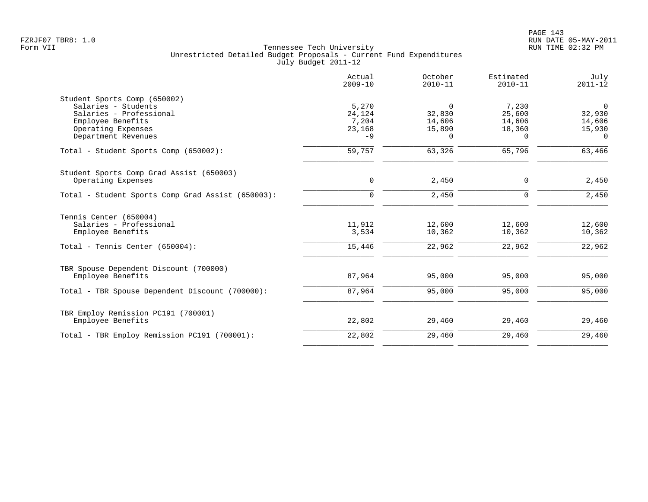|                                                   | Actual<br>$2009 - 10$ | October<br>$2010 - 11$ | Estimated<br>$2010 - 11$ | July<br>$2011 - 12$ |
|---------------------------------------------------|-----------------------|------------------------|--------------------------|---------------------|
| Student Sports Comp (650002)                      |                       |                        |                          |                     |
| Salaries - Students                               | 5,270                 | 0                      | 7,230                    | $\overline{0}$      |
| Salaries - Professional                           | 24,124                | 32,830                 | 25,600                   | 32,930              |
| Employee Benefits                                 | 7,204                 | 14,606                 | 14,606                   | 14,606              |
| Operating Expenses                                | 23,168                | 15,890                 | 18,360                   | 15,930              |
| Department Revenues                               | $-9$                  | 0                      | $\Omega$                 | $\Omega$            |
| Total - Student Sports Comp (650002):             | 59,757                | 63,326                 | 65,796                   | 63,466              |
| Student Sports Comp Grad Assist (650003)          |                       |                        |                          |                     |
| Operating Expenses                                | $\mathbf 0$           | 2,450                  | 0                        | 2,450               |
| Total - Student Sports Comp Grad Assist (650003): | $\mathbf 0$           | 2,450                  | 0                        | 2,450               |
| Tennis Center (650004)                            |                       |                        |                          |                     |
| Salaries - Professional                           | 11,912                | 12,600                 | 12,600                   | 12,600              |
| Employee Benefits                                 | 3,534                 | 10,362                 | 10,362                   | 10,362              |
| Total - Tennis Center (650004):                   | 15,446                | 22,962                 | 22,962                   | 22,962              |
| TBR Spouse Dependent Discount (700000)            |                       |                        |                          |                     |
| Employee Benefits                                 | 87,964                | 95,000                 | 95,000                   | 95,000              |
| Total - TBR Spouse Dependent Discount (700000):   | 87,964                | 95,000                 | 95,000                   | 95,000              |
| TBR Employ Remission PC191 (700001)               |                       |                        |                          |                     |
| Employee Benefits                                 | 22,802                | 29,460                 | 29,460                   | 29,460              |
| Total - TBR Employ Remission PC191 (700001):      | 22,802                | 29,460                 | 29,460                   | 29,460              |
|                                                   |                       |                        |                          |                     |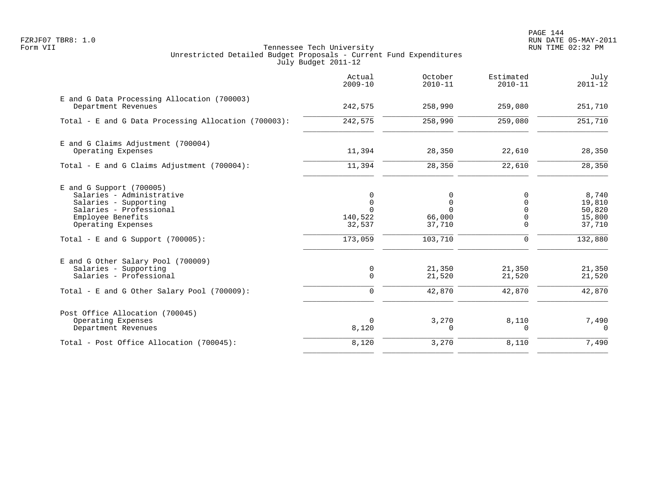PAGE 144 FZRJF07 TBR8: 1.0 RUN DATE 05-MAY-2011

|                                                                                                                                                                                              | Actual<br>$2009 - 10$        | October<br>$2010 - 11$                                             | Estimated<br>$2010 - 11$            | July<br>$2011 - 12$                                      |
|----------------------------------------------------------------------------------------------------------------------------------------------------------------------------------------------|------------------------------|--------------------------------------------------------------------|-------------------------------------|----------------------------------------------------------|
| E and G Data Processing Allocation (700003)<br>Department Revenues                                                                                                                           | 242,575                      | 258,990                                                            | 259,080                             | 251,710                                                  |
| Total - E and G Data Processing Allocation (700003):                                                                                                                                         | 242,575                      | 258,990                                                            | 259,080                             | 251,710                                                  |
| E and G Claims Adjustment (700004)<br>Operating Expenses                                                                                                                                     | 11,394                       | 28,350                                                             | 22,610                              | 28,350                                                   |
| Total - E and G Claims Adjustment $(700004)$ :                                                                                                                                               | 11,394                       | 28,350                                                             | 22,610                              | 28,350                                                   |
| E and G Support (700005)<br>Salaries - Administrative<br>Salaries - Supporting<br>Salaries - Professional<br>Employee Benefits<br>Operating Expenses<br>Total - E and G Support $(700005)$ : | 140,522<br>32,537<br>173,059 | $\Omega$<br>$\mathbf 0$<br>$\Omega$<br>66,000<br>37,710<br>103,710 | $\Omega$<br>U<br>0<br>$\Omega$<br>0 | 8,740<br>19,810<br>50,820<br>15,800<br>37,710<br>132,880 |
| E and G Other Salary Pool (700009)<br>Salaries - Supporting<br>Salaries - Professional<br>Total - E and G Other Salary Pool (700009):                                                        | 0<br>$\Omega$<br>$\Omega$    | 21,350<br>21,520<br>42,870                                         | 21,350<br>21,520<br>42,870          | 21,350<br>21,520<br>42,870                               |
| Post Office Allocation (700045)<br>Operating Expenses<br>Department Revenues                                                                                                                 | $\Omega$<br>8,120            | 3,270<br>0                                                         | 8,110<br>0                          | 7,490<br>$\Omega$                                        |
| Total - Post Office Allocation (700045):                                                                                                                                                     | 8,120                        | 3,270                                                              | 8,110                               | 7,490                                                    |
|                                                                                                                                                                                              |                              |                                                                    |                                     |                                                          |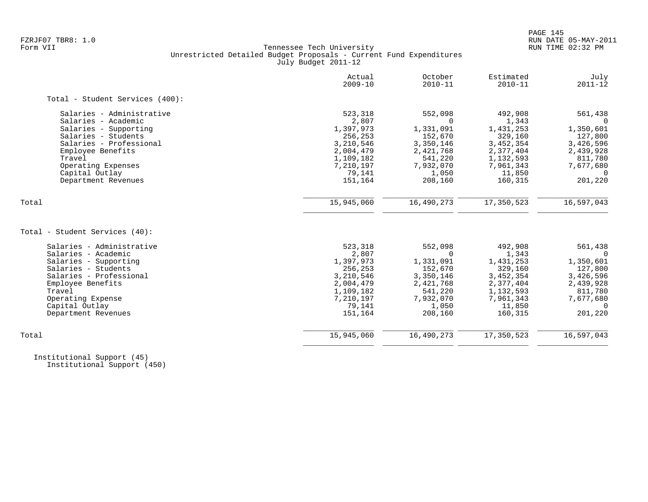## FZRJF07 TBR8: 1.0 RUN DATE 05-MAY-2011 Tennessee Tech University Unrestricted Detailed Budget Proposals - Current Fund Expenditures July Budget 2011-12

|                                 | Actual<br>$2009 - 10$ | October<br>$2010 - 11$ | Estimated<br>$2010 - 11$ | July<br>$2011 - 12$ |
|---------------------------------|-----------------------|------------------------|--------------------------|---------------------|
| Total - Student Services (400): |                       |                        |                          |                     |
| Salaries - Administrative       | 523,318               | 552,098                | 492,908                  | 561,438             |
| Salaries - Academic             | 2,807                 | $\Omega$               | 1,343                    |                     |
| Salaries - Supporting           | 1,397,973             | 1,331,091              | 1,431,253                | 1,350,601           |
| Salaries - Students             | 256,253               | 152,670                | 329,160                  | 127,800             |
| Salaries - Professional         | 3,210,546             | 3,350,146              | 3,452,354                | 3,426,596           |
| Employee Benefits               | 2,004,479             | 2,421,768              | 2,377,404                | 2,439,928           |
| Travel                          | 1,109,182             | 541,220                | 1,132,593                | 811,780             |
| Operating Expenses              | 7,210,197             | 7,932,070              | 7,961,343                | 7,677,680           |
| Capital Outlay                  | 79,141                | 1,050                  | 11,850                   | $\Omega$            |
| Department Revenues             | 151,164               | 208,160                | 160,315                  | 201,220             |
| Total                           | 15,945,060            | 16,490,273             | 17,350,523               | 16,597,043          |
|                                 |                       |                        |                          |                     |
| Total - Student Services (40):  |                       |                        |                          |                     |
| Salaries - Administrative       | 523,318               | 552,098                | 492,908                  | 561,438             |
| Salaries - Academic             | 2,807                 | <sup>n</sup>           | 1,343                    |                     |
| Salaries - Supporting           | 1,397,973             | 1,331,091              | 1,431,253                | 1,350,601           |
| Salaries - Students             | 256,253               | 152,670                | 329,160                  | 127,800             |
| Salaries - Professional         | 3,210,546             | 3,350,146              | 3,452,354                | 3,426,596           |
| Employee Benefits               | 2,004,479             | 2,421,768              | 2,377,404                | 2,439,928           |
| Travel                          | 1,109,182             | 541,220                | 1,132,593                | 811,780             |
| Operating Expense               | 7,210,197             | 7,932,070              | 7,961,343                | 7,677,680           |
| Capital Outlay                  | 79,141                | 1,050                  | 11,850                   | $\Omega$            |
| Department Revenues             | 151,164               | 208,160                | 160,315                  | 201,220             |
| Total                           | 15,945,060            | 16,490,273             | 17,350,523               | 16,597,043          |
|                                 |                       |                        |                          |                     |

 Institutional Support (45) Institutional Support (450)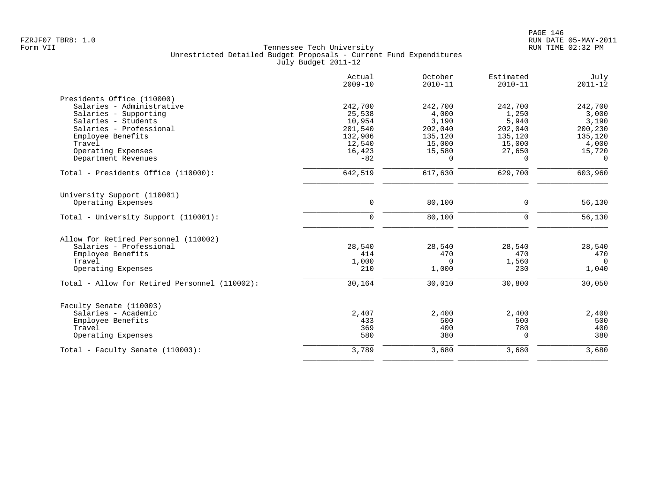|                                               | Actual<br>$2009 - 10$ | October<br>$2010 - 11$ | Estimated<br>$2010 - 11$ | July<br>$2011 - 12$ |
|-----------------------------------------------|-----------------------|------------------------|--------------------------|---------------------|
| Presidents Office (110000)                    |                       |                        |                          |                     |
| Salaries - Administrative                     | 242,700               | 242,700                | 242,700                  | 242,700             |
| Salaries - Supporting                         | 25,538                | 4,000                  | 1,250                    | 3,000               |
| Salaries - Students                           | 10,954                | 3,190                  | 5,940                    | 3,190               |
| Salaries - Professional                       | 201,540               | 202,040                | 202,040                  | 200,230             |
| Employee Benefits                             | 132,906               | 135,120                | 135,120                  | 135,120             |
| Travel                                        | 12,540                | 15,000                 | 15,000                   | 4,000               |
| Operating Expenses                            | 16,423                | 15,580                 | 27,650                   | 15,720              |
| Department Revenues                           | $-82$                 | $\Omega$               | $\Omega$                 | $\Omega$            |
| Total - Presidents Office (110000):           | 642,519               | 617,630                | 629,700                  | 603,960             |
| University Support (110001)                   |                       |                        |                          |                     |
| Operating Expenses                            | 0                     | 80,100                 | 0                        | 56,130              |
| Total - University Support (110001):          | $\mathbf 0$           | 80,100                 | $\mathbf 0$              | 56,130              |
| Allow for Retired Personnel (110002)          |                       |                        |                          |                     |
| Salaries - Professional                       | 28,540                | 28,540                 | 28,540                   | 28,540              |
| Employee Benefits                             | 414                   | 470                    | 470                      | 470                 |
| Travel                                        | 1,000                 | $\Omega$               | 1,560                    | $\Omega$            |
| Operating Expenses                            | 210                   | 1,000                  | 230                      | 1,040               |
| Total - Allow for Retired Personnel (110002): | 30,164                | 30,010                 | 30,800                   | 30,050              |
| Faculty Senate (110003)                       |                       |                        |                          |                     |
| Salaries - Academic                           | 2,407                 | 2,400                  | 2,400                    | 2,400               |
| Employee Benefits                             | 433                   | 500                    | 500                      | 500                 |
| Travel                                        | 369                   | 400                    | 780                      | 400                 |
| Operating Expenses                            | 580                   | 380                    | $\Omega$                 | 380                 |
| Total - Faculty Senate (110003):              | 3,789                 | 3,680                  | 3,680                    | 3,680               |
|                                               |                       |                        |                          |                     |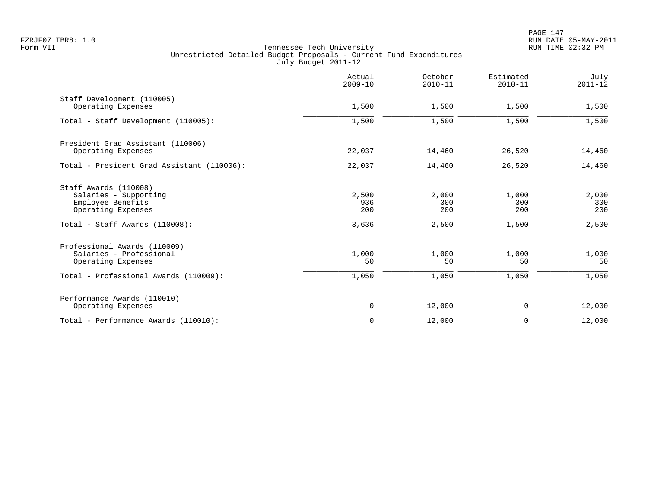|                                                                                                                             | Actual<br>$2009 - 10$        | October<br>$2010 - 11$       | Estimated<br>$2010 - 11$     | July<br>$2011 - 12$          |
|-----------------------------------------------------------------------------------------------------------------------------|------------------------------|------------------------------|------------------------------|------------------------------|
| Staff Development (110005)<br>Operating Expenses                                                                            | 1,500                        | 1,500                        | 1,500                        | 1,500                        |
| Total - Staff Development (110005):                                                                                         | 1,500                        | 1,500                        | 1,500                        | 1,500                        |
| President Grad Assistant (110006)<br>Operating Expenses                                                                     | 22,037                       | 14,460                       | 26,520                       | 14,460                       |
| Total - President Grad Assistant (110006):                                                                                  | 22,037                       | 14,460                       | 26,520                       | 14,460                       |
| Staff Awards (110008)<br>Salaries - Supporting<br>Employee Benefits<br>Operating Expenses<br>Total - Staff Awards (110008): | 2,500<br>936<br>200<br>3,636 | 2,000<br>300<br>200<br>2,500 | 1,000<br>300<br>200<br>1,500 | 2,000<br>300<br>200<br>2,500 |
| Professional Awards (110009)<br>Salaries - Professional<br>Operating Expenses                                               | 1,000<br>50                  | 1,000<br>50                  | 1,000<br>50                  | 1,000<br>50                  |
| Total - Professional Awards (110009):                                                                                       | 1,050                        | 1,050                        | 1,050                        | 1,050                        |
| Performance Awards (110010)<br>Operating Expenses                                                                           | $\mathsf{O}$                 | 12,000                       | 0                            | 12,000                       |
| Total - Performance Awards (110010):                                                                                        | $\Omega$                     | 12,000                       | $\mathbf 0$                  | 12,000                       |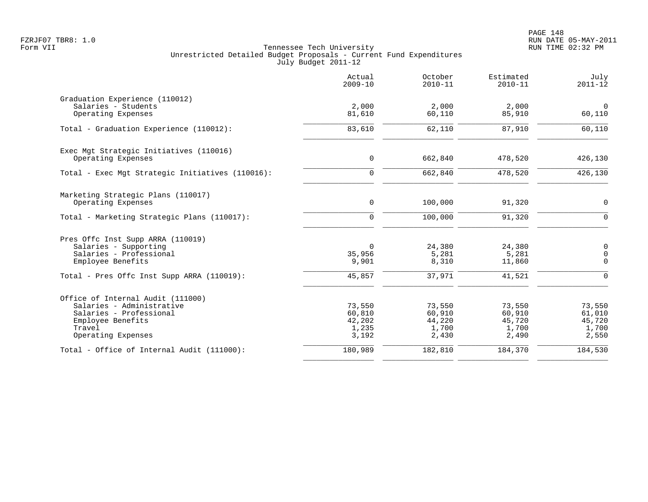|                                                                                                                                                | Actual<br>$2009 - 10$                        | October<br>$2010 - 11$                       | Estimated<br>$2010 - 11$                     | July<br>$2011 - 12$                          |
|------------------------------------------------------------------------------------------------------------------------------------------------|----------------------------------------------|----------------------------------------------|----------------------------------------------|----------------------------------------------|
| Graduation Experience (110012)<br>Salaries - Students<br>Operating Expenses                                                                    | 2,000<br>81,610                              | 2,000<br>60,110                              | 2,000<br>85,910                              | $\mathbf 0$<br>60,110                        |
| Total - Graduation Experience (110012):                                                                                                        | 83,610                                       | 62,110                                       | 87,910                                       | 60,110                                       |
| Exec Mgt Strategic Initiatives (110016)<br>Operating Expenses                                                                                  | $\mathbf 0$                                  | 662,840                                      | 478,520                                      | 426,130                                      |
| Total - Exec Mgt Strategic Initiatives (110016):                                                                                               | $\mathbf 0$                                  | 662,840                                      | 478,520                                      | 426,130                                      |
| Marketing Strategic Plans (110017)<br>Operating Expenses<br>Total - Marketing Strategic Plans (110017):                                        | $\mathbf 0$<br>$\mathbf 0$                   | 100,000<br>100,000                           | 91,320<br>91,320                             | 0<br>$\mathbf 0$                             |
| Pres Offc Inst Supp ARRA (110019)<br>Salaries - Supporting<br>Salaries - Professional<br>Employee Benefits                                     | 0<br>35,956<br>9,901                         | 24,380<br>5,281<br>8,310                     | 24,380<br>5,281<br>11,860                    | 0<br>0<br>$\Omega$                           |
| Total - Pres Offc Inst Supp ARRA (110019):                                                                                                     | 45,857                                       | 37,971                                       | 41,521                                       | $\Omega$                                     |
| Office of Internal Audit (111000)<br>Salaries - Administrative<br>Salaries - Professional<br>Employee Benefits<br>Travel<br>Operating Expenses | 73,550<br>60,810<br>42,202<br>1,235<br>3,192 | 73,550<br>60,910<br>44,220<br>1,700<br>2,430 | 73,550<br>60,910<br>45,720<br>1,700<br>2,490 | 73,550<br>61,010<br>45,720<br>1,700<br>2,550 |
| Total - Office of Internal Audit (111000):                                                                                                     | 180,989                                      | 182,810                                      | 184,370                                      | 184,530                                      |
|                                                                                                                                                |                                              |                                              |                                              |                                              |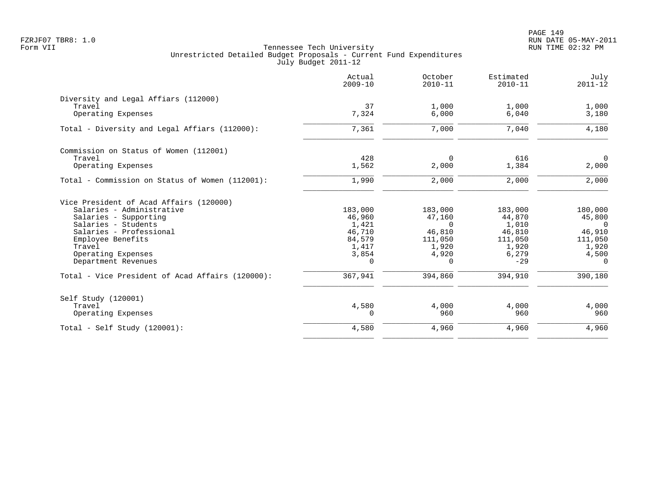|                                                  | Actual<br>$2009 - 10$ | October<br>$2010 - 11$ | Estimated<br>$2010 - 11$ | July<br>$2011 - 12$ |
|--------------------------------------------------|-----------------------|------------------------|--------------------------|---------------------|
| Diversity and Legal Affiars (112000)             |                       |                        |                          |                     |
| Travel                                           | 37                    | 1,000                  | 1,000                    | 1,000               |
| Operating Expenses                               | 7,324                 | 6,000                  | 6,040                    | 3,180               |
| Total - Diversity and Legal Affiars (112000):    | 7,361                 | 7,000                  | 7,040                    | 4,180               |
| Commission on Status of Women (112001)           |                       |                        |                          |                     |
| Travel                                           | 428                   | 0                      | 616                      | $\overline{0}$      |
| Operating Expenses                               | 1,562                 | 2,000                  | 1,384                    | 2,000               |
| Total - Commission on Status of Women (112001):  | 1,990                 | 2,000                  | 2,000                    | 2,000               |
| Vice President of Acad Affairs (120000)          |                       |                        |                          |                     |
| Salaries - Administrative                        | 183,000               | 183,000                | 183,000                  | 180,000             |
| Salaries - Supporting                            | 46,960                | 47,160                 | 44,870                   | 45,800              |
| Salaries - Students                              | 1,421                 | $\Omega$               | 1,010                    | $\Omega$            |
| Salaries - Professional                          | 46,710                | 46,810                 | 46,810                   | 46,910              |
| Employee Benefits                                | 84,579                | 111,050                | 111,050                  | 111,050             |
| Travel                                           | 1,417                 | 1,920                  | 1,920                    | 1,920               |
| Operating Expenses<br>Department Revenues        | 3,854<br>$\Omega$     | 4,920<br>$\Omega$      | 6,279<br>$-29$           | 4,500<br>$\Omega$   |
|                                                  |                       |                        |                          |                     |
| Total - Vice President of Acad Affairs (120000): | 367,941               | 394,860                | 394,910                  | 390,180             |
| Self Study (120001)                              |                       |                        |                          |                     |
| Travel                                           | 4,580                 | 4,000                  | 4,000                    | 4,000               |
| Operating Expenses                               | $\Omega$              | 960                    | 960                      | 960                 |
| Total - Self Study $(120001)$ :                  | 4,580                 | 4,960                  | 4,960                    | 4,960               |
|                                                  |                       |                        |                          |                     |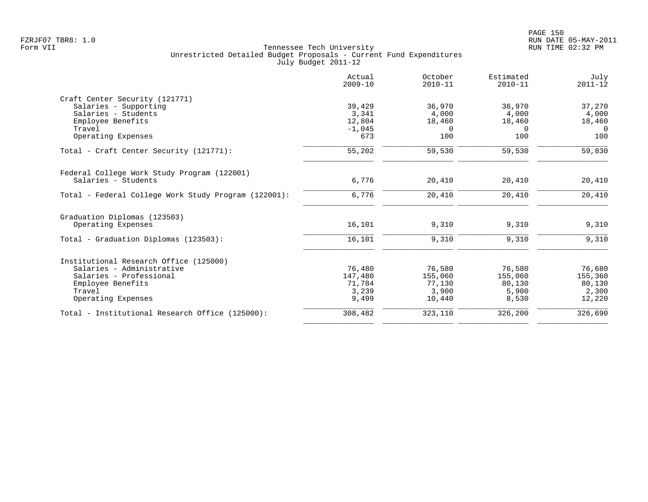|                                                      | Actual<br>$2009 - 10$ | October<br>$2010 - 11$ | Estimated<br>$2010 - 11$ | July<br>$2011 - 12$ |
|------------------------------------------------------|-----------------------|------------------------|--------------------------|---------------------|
| Craft Center Security (121771)                       |                       |                        |                          |                     |
| Salaries - Supporting                                | 39,429                | 36,970                 | 36,970                   | 37,270              |
| Salaries - Students                                  | 3,341                 | 4,000                  | 4,000                    | 4,000               |
| Employee Benefits                                    | 12,804                | 18,460                 | 18,460                   | 18,460              |
| Travel                                               | $-1,045$              | $\Omega$               | $\Omega$                 | $\Omega$            |
| Operating Expenses                                   | 673                   | 100                    | 100                      | 100                 |
| Total - Craft Center Security (121771):              | 55,202                | 59,530                 | 59,530                   | 59,830              |
| Federal College Work Study Program (122001)          |                       |                        |                          |                     |
| Salaries - Students                                  | 6,776                 | 20,410                 | 20,410                   | 20,410              |
| Total - Federal College Work Study Program (122001): | 6,776                 | 20,410                 | 20,410                   | 20,410              |
| Graduation Diplomas (123503)                         |                       |                        |                          |                     |
| Operating Expenses                                   | 16,101                | 9,310                  | 9,310                    | 9,310               |
| Total - Graduation Diplomas (123503):                | 16,101                | 9,310                  | 9,310                    | 9,310               |
| Institutional Research Office (125000)               |                       |                        |                          |                     |
| Salaries - Administrative                            | 76,480                | 76,580                 | 76,580                   | 76,680              |
| Salaries - Professional                              | 147,480               | 155,060                | 155,060                  | 155,360             |
| Employee Benefits                                    | 71,784                | 77,130                 | 80,130                   | 80,130              |
| Travel                                               | 3,239                 | 3,900                  | 5,900                    | 2,300               |
| Operating Expenses                                   | 9,499                 | 10,440                 | 8,530                    | 12,220              |
| Total - Institutional Research Office (125000):      | 308,482               | 323,110                | 326,200                  | 326,690             |
|                                                      |                       |                        |                          |                     |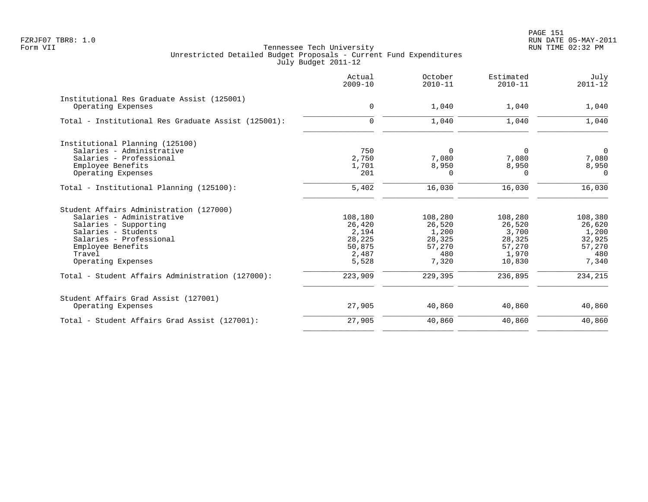| Actual<br>$2009 - 10$ | October<br>$2010 - 11$                  | Estimated<br>$2010 - 11$ | July<br>$2011 - 12$                |
|-----------------------|-----------------------------------------|--------------------------|------------------------------------|
|                       |                                         |                          | 1,040                              |
|                       |                                         |                          |                                    |
| $\Omega$              | 1,040                                   | 1,040                    | 1,040                              |
|                       |                                         |                          |                                    |
| 750                   | $\Omega$                                | 0                        | $\overline{0}$                     |
| 2,750                 | 7,080                                   | 7,080                    | 7,080                              |
| 1,701                 | 8,950                                   | 8,950                    | 8,950                              |
| 201                   | $\Omega$                                | $\Omega$                 | $\Omega$                           |
| 5,402                 | 16,030                                  | 16,030                   | 16,030                             |
|                       |                                         |                          |                                    |
| 108,180               | 108,280                                 | 108,280                  | 108,380                            |
| 26,420                | 26,520                                  | 26,520                   | 26,620                             |
| 2,194                 | 1,200                                   | 3,700                    | 1,200                              |
| 28,225                | 28,325                                  | 28,325                   | 32,925                             |
|                       | 57,270                                  |                          | 57,270                             |
|                       |                                         |                          | 480                                |
|                       |                                         |                          | 7,340                              |
| 223,909               | 229,395                                 | 236,895                  | 234,215                            |
|                       |                                         |                          |                                    |
| 27,905                | 40,860                                  | 40,860                   | 40,860                             |
| 27,905                | 40,860                                  | 40,860                   | 40,860                             |
|                       | $\mathbf 0$<br>50,875<br>2,487<br>5,528 | 1,040<br>480<br>7,320    | 1,040<br>57,270<br>1,970<br>10,830 |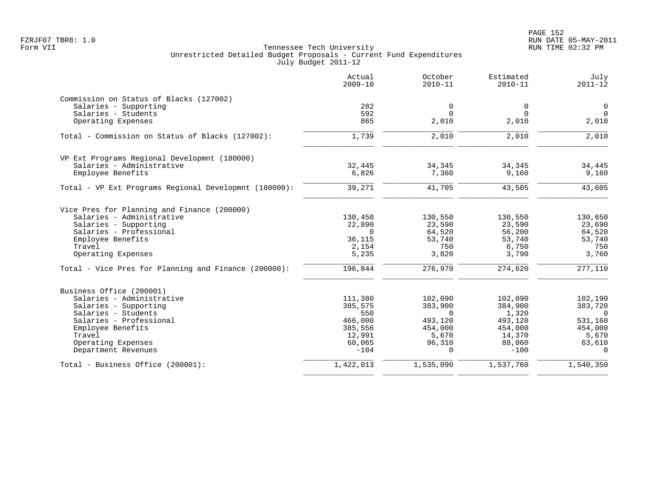|                                                       | Actual<br>$2009 - 10$ | October<br>$2010 - 11$ | Estimated<br>$2010 - 11$ | July<br>$2011 - 12$ |
|-------------------------------------------------------|-----------------------|------------------------|--------------------------|---------------------|
| Commission on Status of Blacks (127002)               |                       |                        |                          |                     |
| Salaries - Supporting                                 | 282                   | $\mathbf 0$            | $\mathbf 0$              | $\mathbf 0$         |
| Salaries - Students                                   | 592                   | $\Omega$               | $\Omega$                 | $\Omega$            |
| Operating Expenses                                    | 865                   | 2,010                  | 2,010                    | 2,010               |
| Total - Commission on Status of Blacks (127002):      | 1,739                 | 2,010                  | 2,010                    | 2,010               |
| VP Ext Programs Regional Developmnt (180000)          |                       |                        |                          |                     |
| Salaries - Administrative                             | 32,445                | 34,345                 | 34,345                   | 34,445              |
| Employee Benefits                                     | 6,826                 | 7,360                  | 9,160                    | 9,160               |
| Total - VP Ext Programs Regional Developmnt (180000): | 39,271                | 41,705                 | 43,505                   | 43,605              |
| Vice Pres for Planning and Finance (200000)           |                       |                        |                          |                     |
| Salaries - Administrative                             | 130,450               | 130,550                | 130,550                  | 130,650             |
| Salaries - Supporting                                 | 22,890                | 23,590                 | 23,590                   | 23,690              |
| Salaries - Professional                               | $\Omega$              | 64,520                 | 56,200                   | 64,520              |
| Employee Benefits                                     | 36,115                | 53,740                 | 53,740                   | 53,740              |
| Travel                                                | 2,154                 | 750                    | 6,750                    | 750                 |
| Operating Expenses                                    | 5,235                 | 3,820                  | 3,790                    | 3,760               |
| Total - Vice Pres for Planning and Finance (200000):  | 196,844               | 276,970                | 274,620                  | 277,110             |
| Business Office (200001)                              |                       |                        |                          |                     |
| Salaries - Administrative                             | 111,380               | 102,090                | 102,090                  | 102,190             |
| Salaries - Supporting                                 | 385,575               | 383,900                | 384,900                  | 383,720             |
| Salaries - Students                                   | 550                   | $\Omega$               | 1,320                    | $\Omega$            |
| Salaries - Professional                               | 466,000               | 493,120                | 493,120                  | 531,160             |
| Employee Benefits                                     | 385,556               | 454,000                | 454,000                  | 454,000             |
| Travel                                                | 12,991                | 5,670                  | 14,370                   | 5,670               |
| Operating Expenses<br>Department Revenues             | 60,065<br>$-104$      | 96,310<br>$\Omega$     | 88,060<br>$-100$         | 63,610<br>$\Omega$  |
| Total - Business Office (200001):                     | 1,422,013             | 1,535,090              | 1,537,760                | 1,540,350           |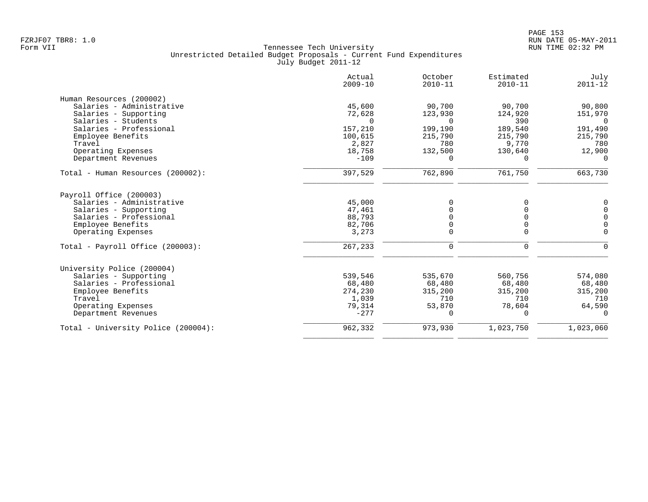|                                     | Actual<br>$2009 - 10$ | October<br>$2010 - 11$ | Estimated<br>$2010 - 11$ | July<br>$2011 - 12$ |
|-------------------------------------|-----------------------|------------------------|--------------------------|---------------------|
| Human Resources (200002)            |                       |                        |                          |                     |
| Salaries - Administrative           | 45,600                | 90,700                 | 90,700                   | 90,800              |
| Salaries - Supporting               | 72,628                | 123,930                | 124,920                  | 151,970             |
| Salaries - Students                 | $\Omega$              | $\Omega$               | 390                      | $\Omega$            |
| Salaries - Professional             | 157,210               | 199,190                | 189,540                  | 191,490             |
| Employee Benefits                   | 100,615               | 215,790                | 215,790                  | 215,790             |
| Travel                              | 2,827                 | 780                    | 9,770                    | 780                 |
| Operating Expenses                  | 18,758                | 132,500                | 130,640                  | 12,900              |
| Department Revenues                 | $-109$                | $\Omega$               | $\Omega$                 | $\Omega$            |
| Total - Human Resources (200002):   | 397,529               | 762,890                | 761,750                  | 663,730             |
| Payroll Office (200003)             |                       |                        |                          |                     |
| Salaries - Administrative           | 45,000                |                        | O                        | 0                   |
| Salaries - Supporting               | 47,461                |                        |                          | $\mathbf 0$         |
| Salaries - Professional             | 88,793                |                        | $\Omega$                 | $\mathbf 0$         |
| Employee Benefits                   | 82,706                |                        | 0                        | $\overline{0}$      |
| Operating Expenses                  | 3,273                 | 0                      | $\mathbf 0$              | $\Omega$            |
| Total - Payroll Office (200003):    | 267,233               | 0                      | 0                        | n                   |
| University Police (200004)          |                       |                        |                          |                     |
| Salaries - Supporting               | 539,546               | 535,670                | 560,756                  | 574,080             |
| Salaries - Professional             | 68,480                | 68,480                 | 68,480                   | 68,480              |
| Employee Benefits                   | 274,230               | 315,200                | 315,200                  | 315,200             |
| Travel                              | 1,039                 | 710                    | 710                      | 710                 |
| Operating Expenses                  | 79,314                | 53,870                 | 78,604                   | 64,590              |
| Department Revenues                 | $-277$                | 0                      | $\Omega$                 | $\Omega$            |
| Total - University Police (200004): | 962,332               | 973,930                | 1,023,750                | 1,023,060           |
|                                     |                       |                        |                          |                     |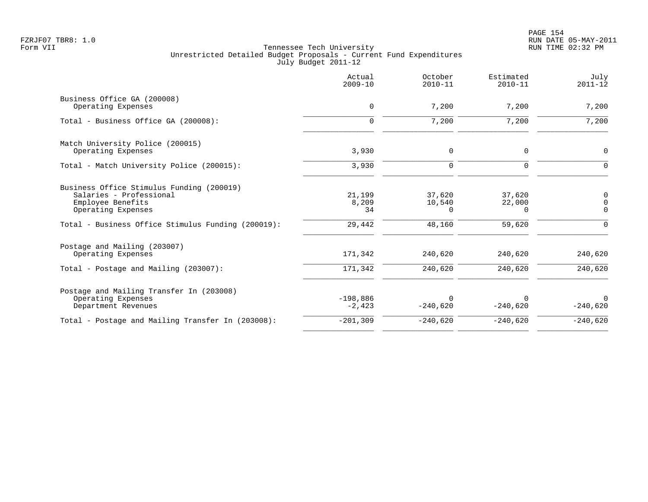|                                                                                                                                                                       | Actual<br>$2009 - 10$           | October<br>$2010 - 11$          | Estimated<br>$2010 - 11$        | July<br>$2011 - 12$                      |
|-----------------------------------------------------------------------------------------------------------------------------------------------------------------------|---------------------------------|---------------------------------|---------------------------------|------------------------------------------|
| Business Office GA (200008)<br>Operating Expenses                                                                                                                     | 0                               | 7,200                           | 7,200                           | 7,200                                    |
| Total - Business Office GA (200008):                                                                                                                                  | $\Omega$                        | 7,200                           | 7,200                           | 7,200                                    |
| Match University Police (200015)<br>Operating Expenses                                                                                                                | 3,930                           | 0                               | $\mathbf 0$                     | $\mathbf 0$                              |
| Total - Match University Police (200015):                                                                                                                             | 3,930                           | $\mathbf 0$                     | $\Omega$                        | ∩                                        |
| Business Office Stimulus Funding (200019)<br>Salaries - Professional<br>Employee Benefits<br>Operating Expenses<br>Total - Business Office Stimulus Funding (200019): | 21,199<br>8,209<br>34<br>29,442 | 37,620<br>10,540<br>0<br>48,160 | 37,620<br>22,000<br>0<br>59,620 | 0<br>$\Omega$<br>$\mathbf 0$<br>$\Omega$ |
| Postage and Mailing (203007)<br>Operating Expenses                                                                                                                    | 171,342                         | 240,620                         | 240,620                         | 240,620                                  |
| Total - Postage and Mailing (203007):                                                                                                                                 | 171,342                         | 240,620                         | 240,620                         | 240,620                                  |
| Postage and Mailing Transfer In (203008)<br>Operating Expenses<br>Department Revenues                                                                                 | $-198,886$<br>$-2,423$          | $\Omega$<br>$-240,620$          | $\Omega$<br>$-240,620$          | $\Omega$<br>$-240,620$                   |
| Total - Postage and Mailing Transfer In (203008):                                                                                                                     | $-201, 309$                     | $-240,620$                      | $-240,620$                      | $-240,620$                               |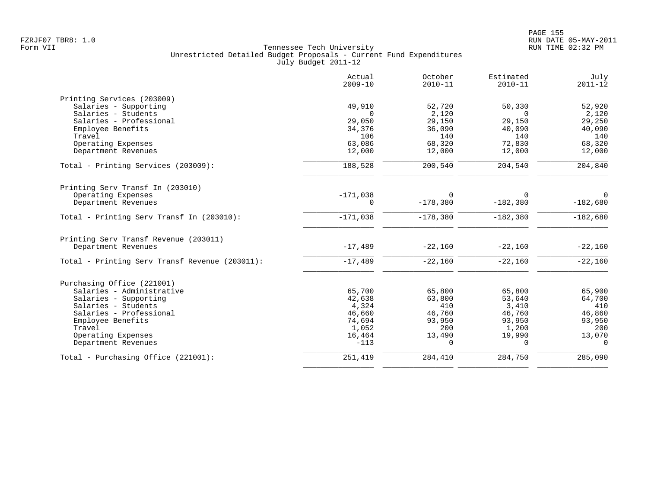|                                                | Actual<br>$2009 - 10$ | October<br>$2010 - 11$ | Estimated<br>$2010 - 11$ | July<br>$2011 - 12$ |
|------------------------------------------------|-----------------------|------------------------|--------------------------|---------------------|
| Printing Services (203009)                     |                       |                        |                          |                     |
| Salaries - Supporting                          | 49,910                | 52,720                 | 50,330                   | 52,920              |
| Salaries - Students                            | $\Omega$              | 2,120                  | $\Omega$                 | 2,120               |
| Salaries - Professional                        | 29,050                | 29,150                 | 29,150                   | 29,250              |
| Employee Benefits                              | 34,376                | 36,090                 | 40,090                   | 40,090              |
| Travel                                         | 106                   | 140                    | 140                      | 140                 |
| Operating Expenses                             | 63,086                | 68,320                 | 72,830                   | 68,320              |
| Department Revenues                            | 12,000                | 12,000                 | 12,000                   | 12,000              |
| Total - Printing Services (203009):            | 188,528               | 200,540                | 204,540                  | 204,840             |
| Printing Serv Transf In (203010)               |                       |                        |                          |                     |
| Operating Expenses                             | $-171,038$            | $\Omega$               | $\Omega$                 | $\Omega$            |
| Department Revenues                            | $\Omega$              | $-178,380$             | $-182,380$               | $-182,680$          |
| Total - Printing Serv Transf In (203010):      | $-171,038$            | $-178,380$             | $-182,380$               | $-182,680$          |
|                                                |                       |                        |                          |                     |
| Printing Serv Transf Revenue (203011)          |                       |                        |                          |                     |
| Department Revenues                            | $-17,489$             | $-22,160$              | $-22,160$                | $-22,160$           |
| Total - Printing Serv Transf Revenue (203011): | $-17,489$             | $-22,160$              | $-22,160$                | $-22,160$           |
| Purchasing Office (221001)                     |                       |                        |                          |                     |
| Salaries - Administrative                      | 65,700                | 65,800                 | 65,800                   | 65,900              |
| Salaries - Supporting                          | 42,638                | 63,800                 | 53,640                   | 64,700              |
| Salaries - Students                            | 4,324                 | 410                    | 3,410                    | 410                 |
| Salaries - Professional                        | 46,660                | 46,760                 | 46,760                   | 46,860              |
| Employee Benefits                              | 74,694                | 93,950                 | 93,950                   | 93,950              |
| Travel                                         | 1,052                 | 200                    | 1,200                    | 200                 |
| Operating Expenses                             | 16,464                | 13,490                 | 19,990                   | 13,070              |
| Department Revenues                            | $-113$                | $\Omega$               | $\Omega$                 | $\Omega$            |
| Total - Purchasing Office (221001):            | 251,419               | 284,410                | 284,750                  | 285,090             |
|                                                |                       |                        |                          |                     |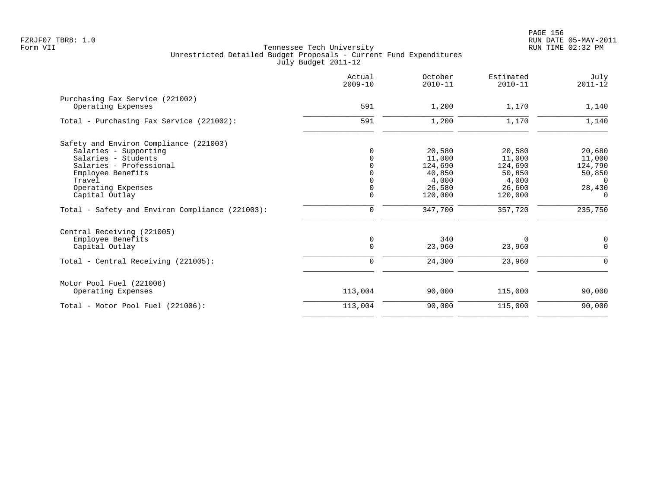| Actual<br>$2009 - 10$ | October<br>$2010 - 11$       | Estimated<br>$2010 - 11$                                                   | July<br>$2011 - 12$                                                      |
|-----------------------|------------------------------|----------------------------------------------------------------------------|--------------------------------------------------------------------------|
|                       |                              |                                                                            |                                                                          |
| 591                   | 1,200                        | 1,170                                                                      | 1,140                                                                    |
| 591                   | 1,200                        | 1,170                                                                      | 1,140                                                                    |
|                       |                              |                                                                            |                                                                          |
|                       |                              |                                                                            | 20,680                                                                   |
|                       |                              |                                                                            | 11,000                                                                   |
|                       |                              |                                                                            |                                                                          |
|                       |                              |                                                                            | 124,790                                                                  |
|                       |                              |                                                                            | 50,850<br>$\Omega$                                                       |
|                       |                              |                                                                            |                                                                          |
|                       |                              |                                                                            | 28,430                                                                   |
|                       |                              |                                                                            | $\mathbf 0$                                                              |
| $\mathbf 0$           | 347,700                      | 357,720                                                                    | 235,750                                                                  |
|                       |                              |                                                                            |                                                                          |
|                       |                              |                                                                            | $\mathbf 0$                                                              |
| $\mathbf 0$           | 23,960                       | 23,960                                                                     | $\mathbf 0$                                                              |
| $\mathbf 0$           | 24,300                       | 23,960                                                                     | $\Omega$                                                                 |
|                       |                              |                                                                            |                                                                          |
| 113,004               | 90,000                       | 115,000                                                                    | 90,000                                                                   |
| 113,004               | 90,000                       | 115,000                                                                    | 90,000                                                                   |
|                       | $\Omega$<br>$\mathbf 0$<br>0 | 20,580<br>11,000<br>124,690<br>40,850<br>4,000<br>26,580<br>120,000<br>340 | 20,580<br>11,000<br>124,690<br>50,850<br>4,000<br>26,600<br>120,000<br>0 |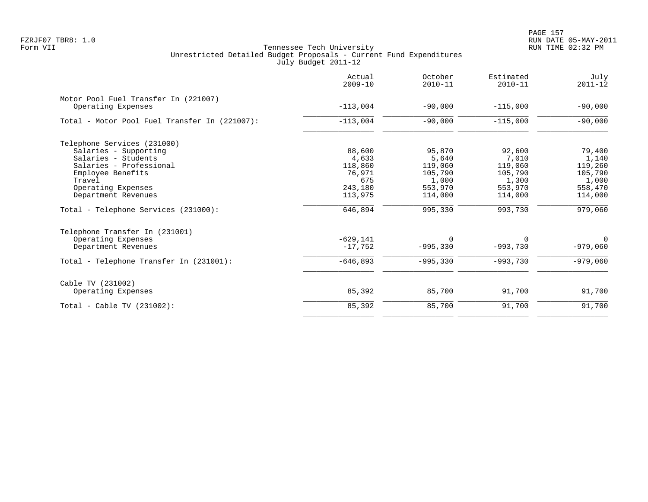PAGE 157 FZRJF07 TBR8: 1.0 RUN DATE 05-MAY-2011

|                                               | Actual<br>$2009 - 10$ | October<br>$2010 - 11$ | Estimated<br>$2010 - 11$ | July<br>$2011 - 12$ |
|-----------------------------------------------|-----------------------|------------------------|--------------------------|---------------------|
| Motor Pool Fuel Transfer In (221007)          |                       |                        |                          |                     |
| Operating Expenses                            | $-113,004$            | $-90,000$              | $-115,000$               | $-90,000$           |
| Total - Motor Pool Fuel Transfer In (221007): | $-113,004$            | $-90,000$              | $-115,000$               | $-90,000$           |
| Telephone Services (231000)                   |                       |                        |                          |                     |
| Salaries - Supporting                         | 88,600                | 95,870                 | 92,600                   | 79,400              |
| Salaries - Students                           | 4,633                 | 5,640                  | 7,010                    | 1,140               |
| Salaries - Professional                       | 118,860               | 119,060                | 119,060                  | 119,260             |
| Employee Benefits                             | 76,971                | 105,790                | 105,790                  | 105,790             |
| Travel                                        | 675                   | 1,000                  | 1,300                    | 1,000               |
| Operating Expenses                            | 243,180               | 553,970                | 553,970                  | 558,470             |
| Department Revenues                           | 113,975               | 114,000                | 114,000                  | 114,000             |
| Total - Telephone Services (231000):          | 646,894               | 995,330                | 993,730                  | 979,060             |
| Telephone Transfer In (231001)                |                       |                        |                          |                     |
| Operating Expenses                            | $-629,141$            | 0                      | 0                        | 0                   |
| Department Revenues                           | $-17,752$             | $-995,330$             | $-993,730$               | $-979,060$          |
| Total - Telephone Transfer In (231001):       | $-646,893$            | $-995,330$             | $-993,730$               | $-979,060$          |
| Cable TV (231002)                             |                       |                        |                          |                     |
| Operating Expenses                            | 85,392                | 85,700                 | 91,700                   | 91,700              |
| Total - Cable TV $(231002)$ :                 | 85,392                | 85,700                 | 91,700                   | 91,700              |
|                                               |                       |                        |                          |                     |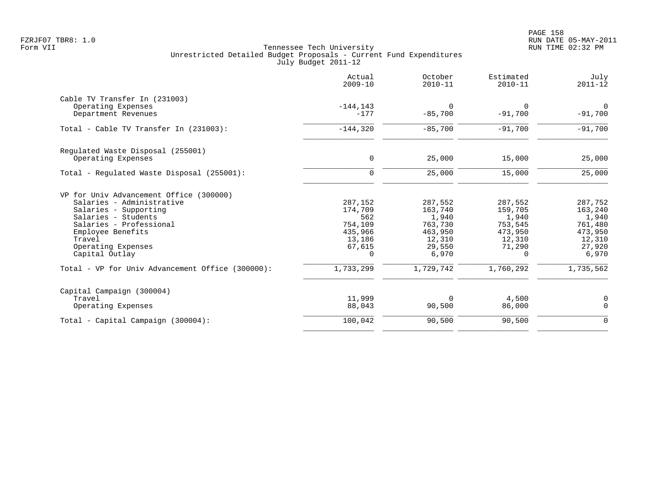|                                                         | Actual<br>$2009 - 10$ | October<br>$2010 - 11$ | Estimated<br>$2010 - 11$ | July<br>$2011 - 12$      |
|---------------------------------------------------------|-----------------------|------------------------|--------------------------|--------------------------|
| Cable TV Transfer In (231003)                           |                       |                        |                          |                          |
| Operating Expenses<br>Department Revenues               | $-144, 143$<br>$-177$ | 0<br>$-85,700$         | 0<br>$-91,700$           | $\mathbf 0$<br>$-91,700$ |
| Total - Cable TV Transfer In (231003):                  | $-144,320$            | $-85,700$              | $-91,700$                | $-91,700$                |
|                                                         |                       |                        |                          |                          |
| Regulated Waste Disposal (255001)<br>Operating Expenses | 0                     | 25,000                 | 15,000                   | 25,000                   |
| Total - Regulated Waste Disposal (255001):              | $\mathbf 0$           | 25,000                 | 15,000                   | 25,000                   |
| VP for Univ Advancement Office (300000)                 |                       |                        |                          |                          |
| Salaries - Administrative                               | 287,152               | 287,552                | 287,552                  | 287,752                  |
| Salaries - Supporting                                   | 174,709               | 163,740                | 159,705                  | 163,240                  |
| Salaries - Students                                     | 562                   | 1,940                  | 1,940                    | 1,940                    |
| Salaries - Professional                                 | 754,109               | 763,730                | 753,545                  | 761,480                  |
| Employee Benefits                                       | 435,966               | 463,950                | 473,950                  | 473,950                  |
| Travel                                                  | 13,186                | 12,310                 | 12,310                   | 12,310                   |
| Operating Expenses<br>Capital Outlay                    | 67,615<br>$\Omega$    | 29,550<br>6,970        | 71,290<br>$\Omega$       | 27,920<br>6,970          |
| Total - VP for Univ Advancement Office (300000):        | 1,733,299             | 1,729,742              | 1,760,292                | 1,735,562                |
| Capital Campaign (300004)                               |                       |                        |                          |                          |
| Travel                                                  | 11,999                | 0                      | 4,500                    | 0                        |
| Operating Expenses                                      | 88,043                | 90,500                 | 86,000                   | $\mathbf 0$              |
| Total - Capital Campaign (300004):                      | 100,042               | 90,500                 | 90,500                   | $\mathbf 0$              |
|                                                         |                       |                        |                          |                          |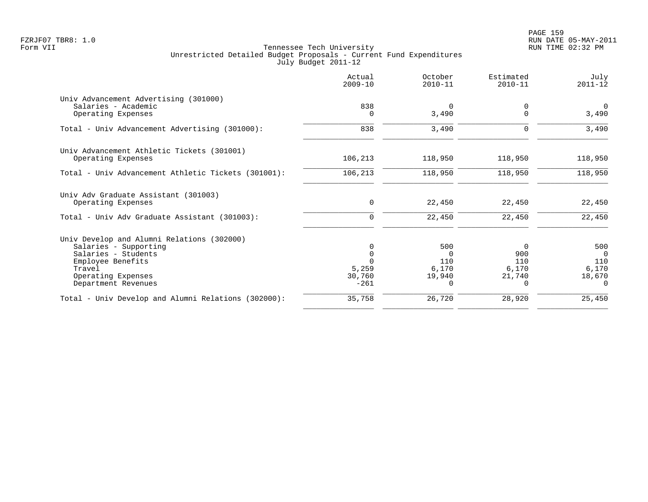PAGE 159 FZRJF07 TBR8: 1.0 RUN DATE 05-MAY-2011

|                                                              | Actual<br>$2009 - 10$ | October<br>$2010 - 11$ | Estimated<br>$2010 - 11$ | July<br>$2011 - 12$ |
|--------------------------------------------------------------|-----------------------|------------------------|--------------------------|---------------------|
| Univ Advancement Advertising (301000)<br>Salaries - Academic | 838                   | $\mathbf 0$            | $\Omega$                 | $\Omega$            |
| Operating Expenses                                           |                       | 3,490                  | O                        | 3,490               |
| Total - Univ Advancement Advertising (301000):               | 838                   | 3,490                  | 0                        | 3,490               |
| Univ Advancement Athletic Tickets (301001)                   |                       |                        |                          |                     |
| Operating Expenses                                           | 106,213               | 118,950                | 118,950                  | 118,950             |
| Total - Univ Advancement Athletic Tickets (301001):          | 106,213               | 118,950                | 118,950                  | 118,950             |
| Univ Adv Graduate Assistant (301003)<br>Operating Expenses   | $\mathbf 0$           | 22,450                 | 22,450                   | 22,450              |
|                                                              |                       |                        |                          |                     |
| Total - Univ Adv Graduate Assistant (301003):                | $\mathbf 0$           | 22,450                 | 22,450                   | 22,450              |
| Univ Develop and Alumni Relations (302000)                   |                       |                        |                          |                     |
| Salaries - Supporting                                        |                       | 500                    | $\Omega$                 | 500                 |
| Salaries - Students                                          |                       | $\Omega$<br>110        | 900<br>110               | $\Omega$<br>110     |
| Employee Benefits<br>Travel                                  | 5,259                 | 6,170                  | 6,170                    | 6,170               |
| Operating Expenses                                           | 30,760                | 19,940                 | 21,740                   | 18,670              |
| Department Revenues                                          | $-261$                | $\Omega$               | $\Omega$                 | $\Omega$            |
| Total - Univ Develop and Alumni Relations (302000):          | 35,758                | 26,720                 | 28,920                   | 25,450              |
|                                                              |                       |                        |                          |                     |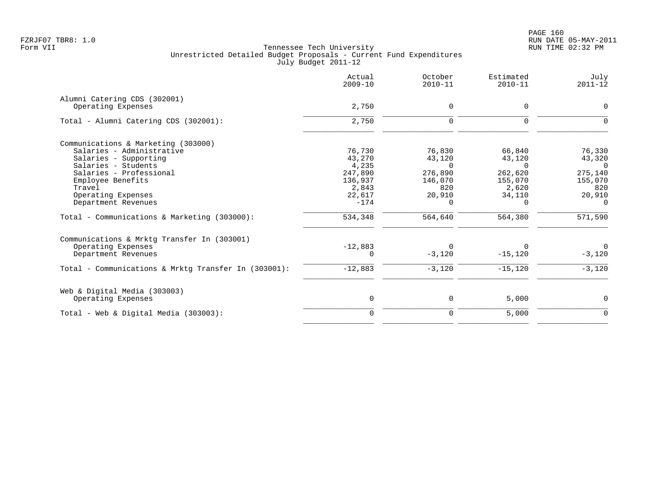|                                                      | Actual<br>$2009 - 10$ | October<br>$2010 - 11$ | Estimated<br>$2010 - 11$ | July<br>$2011 - 12$ |
|------------------------------------------------------|-----------------------|------------------------|--------------------------|---------------------|
| Alumni Catering CDS (302001)                         |                       |                        |                          |                     |
| Operating Expenses                                   | 2,750                 | 0                      | 0                        | $\Omega$            |
| Total - Alumni Catering CDS (302001):                | 2,750                 | $\mathbf 0$            | $\Omega$                 |                     |
| Communications & Marketing (303000)                  |                       |                        |                          |                     |
| Salaries - Administrative                            | 76,730                | 76,830                 | 66,840                   | 76,330              |
| Salaries - Supporting                                | 43,270                | 43,120                 | 43,120                   | 43,320              |
| Salaries - Students                                  | 4,235                 | $\Omega$               | $\Omega$                 | $\Omega$            |
| Salaries - Professional                              | 247,890               | 276,890                | 262,620                  | 275,140             |
| Employee Benefits                                    | 136,937               | 146,070                | 155,070                  | 155,070             |
| Travel                                               | 2,843                 | 820                    | 2,620                    | 820                 |
| Operating Expenses                                   | 22,617                | 20,910                 | 34,110                   | 20,910              |
| Department Revenues                                  | $-174$                | $\Omega$               | $\Omega$                 | $\Omega$            |
| Total - Communications & Marketing (303000):         | 534,348               | 564,640                | 564,380                  | 571,590             |
| Communications & Mrktg Transfer In (303001)          |                       |                        |                          |                     |
| Operating Expenses                                   | $-12,883$             | $\Omega$               |                          | $\mathbf{0}$        |
| Department Revenues                                  | $\Omega$              | $-3,120$               | $-15, 120$               | $-3,120$            |
| Total - Communications & Mrktq Transfer In (303001): | $-12,883$             | $-3,120$               | $-15, 120$               | $-3,120$            |
| Web & Digital Media (303003)                         |                       |                        |                          |                     |
| Operating Expenses                                   | $\mathbf 0$           | 0                      | 5,000                    | $\Omega$            |
| Total - Web & Digital Media $(303003)$ :             | $\mathbf 0$           | 0                      | 5,000                    | $\mathbf 0$         |
|                                                      |                       |                        |                          |                     |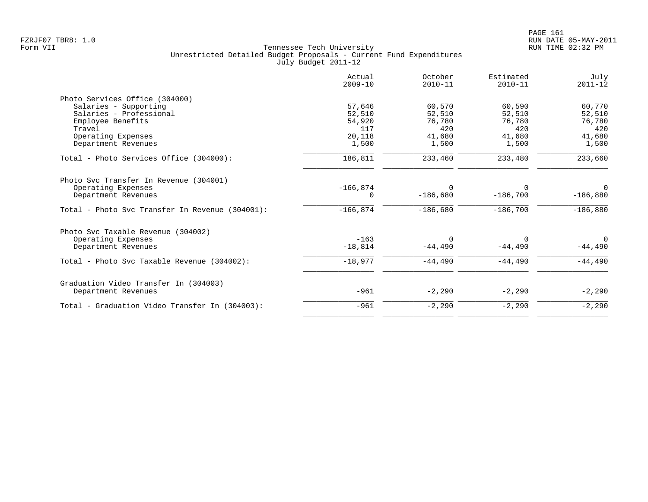|                                                 | Actual<br>$2009 - 10$ | October<br>$2010 - 11$ | Estimated<br>$2010 - 11$ | July<br>$2011 - 12$ |
|-------------------------------------------------|-----------------------|------------------------|--------------------------|---------------------|
| Photo Services Office (304000)                  |                       |                        |                          |                     |
| Salaries - Supporting                           | 57,646                | 60,570                 | 60,590                   | 60,770              |
| Salaries - Professional                         | 52,510                | 52,510                 | 52,510                   | 52,510              |
| Employee Benefits                               | 54,920                | 76,780                 | 76,780                   | 76,780              |
| Travel                                          | 117                   | 420                    | 420                      | 420                 |
| Operating Expenses                              | 20,118                | 41,680                 | 41,680                   | 41,680              |
| Department Revenues                             | 1,500                 | 1,500                  | 1,500                    | 1,500               |
| Total - Photo Services Office (304000):         | 186,811               | 233,460                | 233,480                  | 233,660             |
| Photo Svc Transfer In Revenue (304001)          |                       |                        |                          |                     |
| Operating Expenses                              | $-166,874$            | $\Omega$               | $\Omega$                 | $\Omega$            |
| Department Revenues                             | 0                     | $-186,680$             | $-186,700$               | $-186,880$          |
| Total - Photo Svc Transfer In Revenue (304001): | $-166,874$            | $-186,680$             | $-186,700$               | $-186,880$          |
| Photo Svc Taxable Revenue (304002)              |                       |                        |                          |                     |
| Operating Expenses                              | $-163$                | $\Omega$               | $\Omega$                 | $\Omega$            |
| Department Revenues                             | $-18,814$             | $-44,490$              | $-44,490$                | $-44,490$           |
| Total - Photo Svc Taxable Revenue (304002):     | $-18,977$             | $-44,490$              | $-44,490$                | $-44,490$           |
| Graduation Video Transfer In (304003)           |                       |                        |                          |                     |
| Department Revenues                             | $-961$                | $-2,290$               | $-2,290$                 | $-2,290$            |
| Total - Graduation Video Transfer In (304003):  | $-961$                | $-2,290$               | $-2,290$                 | $-2,290$            |
|                                                 |                       |                        |                          |                     |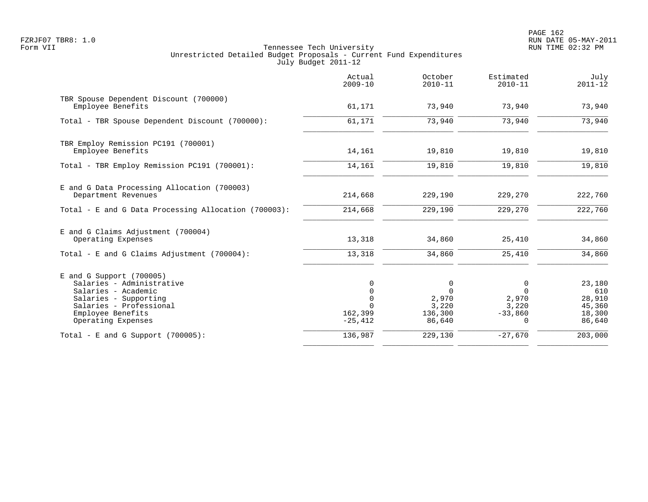|                                                                                                                                                                               | Actual<br>$2009 - 10$                                                      | October<br>$2010 - 11$                               | Estimated<br>$2010 - 11$                          | July<br>$2011 - 12$                                   |
|-------------------------------------------------------------------------------------------------------------------------------------------------------------------------------|----------------------------------------------------------------------------|------------------------------------------------------|---------------------------------------------------|-------------------------------------------------------|
| TBR Spouse Dependent Discount (700000)<br>Employee Benefits                                                                                                                   | 61,171                                                                     | 73,940                                               | 73,940                                            | 73,940                                                |
| Total - TBR Spouse Dependent Discount (700000):                                                                                                                               | 61,171                                                                     | 73,940                                               | 73,940                                            | 73,940                                                |
| TBR Employ Remission PC191 (700001)<br>Employee Benefits                                                                                                                      | 14,161                                                                     | 19,810                                               | 19,810                                            | 19,810                                                |
| Total - TBR Employ Remission PC191 (700001):                                                                                                                                  | 14,161                                                                     | 19,810                                               | 19,810                                            | 19,810                                                |
| E and G Data Processing Allocation (700003)<br>Department Revenues                                                                                                            | 214,668                                                                    | 229,190                                              | 229,270                                           | 222,760                                               |
| Total - E and G Data Processing Allocation (700003):                                                                                                                          | 214,668                                                                    | 229,190                                              | 229,270                                           | 222,760                                               |
| E and G Claims Adjustment (700004)<br>Operating Expenses                                                                                                                      | 13,318                                                                     | 34,860                                               | 25,410                                            | 34,860                                                |
| Total - E and G Claims Adjustment $(700004)$ :                                                                                                                                | 13,318                                                                     | 34,860                                               | 25,410                                            | 34,860                                                |
| $E$ and G Support (700005)<br>Salaries - Administrative<br>Salaries - Academic<br>Salaries - Supporting<br>Salaries - Professional<br>Employee Benefits<br>Operating Expenses | $\Omega$<br>$\mathbf 0$<br>$\mathbf 0$<br>$\Omega$<br>162,399<br>$-25,412$ | 0<br>$\Omega$<br>2,970<br>3,220<br>136,300<br>86,640 | 0<br>$\Omega$<br>2,970<br>3,220<br>$-33,860$<br>0 | 23,180<br>610<br>28,910<br>45,360<br>18,300<br>86,640 |
| Total - E and G Support $(700005)$ :                                                                                                                                          | 136,987                                                                    | 229,130                                              | $-27,670$                                         | 203,000                                               |
|                                                                                                                                                                               |                                                                            |                                                      |                                                   |                                                       |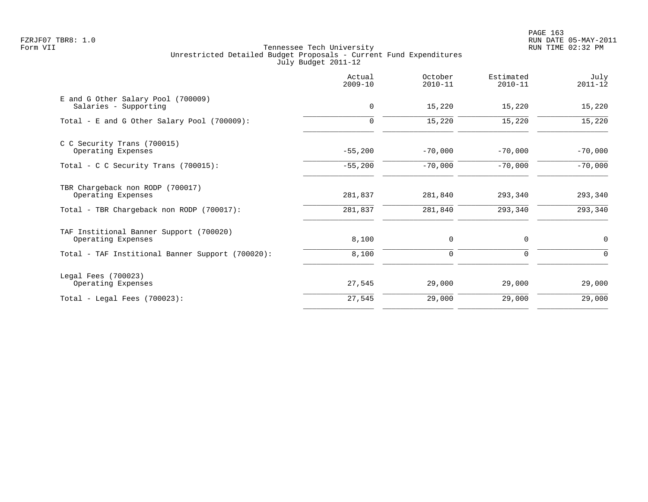|                                                               | Actual<br>$2009 - 10$ | October<br>$2010 - 11$ | Estimated<br>$2010 - 11$ | July<br>$2011 - 12$ |
|---------------------------------------------------------------|-----------------------|------------------------|--------------------------|---------------------|
| E and G Other Salary Pool (700009)<br>Salaries - Supporting   | $\mathbf 0$           | 15,220                 | 15,220                   | 15,220              |
| Total - E and G Other Salary Pool (700009):                   | $\Omega$              | 15,220                 | 15,220                   | 15,220              |
| C C Security Trans (700015)<br>Operating Expenses             | $-55,200$             | $-70,000$              | $-70,000$                | $-70,000$           |
| Total - C C Security Trans (700015):                          | $-55,200$             | $-70,000$              | $-70,000$                | $-70,000$           |
| TBR Chargeback non RODP (700017)<br>Operating Expenses        | 281,837               | 281,840                | 293,340                  | 293,340             |
| Total - TBR Chargeback non RODP (700017):                     | 281,837               | 281,840                | 293,340                  | 293,340             |
| TAF Institional Banner Support (700020)<br>Operating Expenses | 8,100                 | 0                      | 0                        | $\mathbf 0$         |
| Total - TAF Institional Banner Support (700020):              | 8,100                 | 0                      | 0                        | 0                   |
| Legal Fees (700023)<br>Operating Expenses                     | 27,545                | 29,000                 | 29,000                   | 29,000              |
| $Total - Local$ Fees $(700023)$ :                             | 27,545                | 29,000                 | 29,000                   | 29,000              |
|                                                               |                       |                        |                          |                     |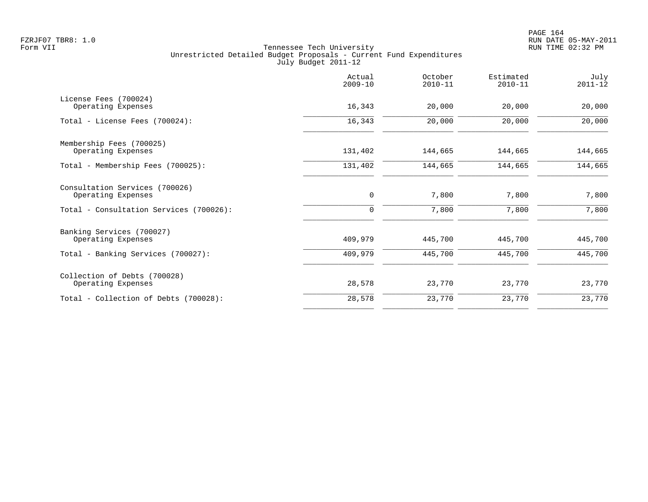|                                                             | Actual<br>$2009 - 10$ | October<br>$2010 - 11$ | Estimated<br>$2010 - 11$ | July<br>$2011 - 12$ |
|-------------------------------------------------------------|-----------------------|------------------------|--------------------------|---------------------|
| License Fees (700024)<br>Operating Expenses                 | 16,343                | 20,000                 | 20,000                   | 20,000              |
| Total - License Fees (700024):                              | 16,343                | 20,000                 | 20,000                   | 20,000              |
| Membership Fees (700025)                                    | 131,402               | 144,665                | 144,665                  | 144,665             |
| Operating Expenses<br>Total - Membership Fees (700025):     | 131,402               | 144,665                | 144,665                  | 144,665             |
| Consultation Services (700026)                              |                       |                        |                          |                     |
| Operating Expenses                                          | 0                     | 7,800                  | 7,800                    | 7,800               |
| Total - Consultation Services (700026):                     | 0                     | 7,800                  | 7,800                    | 7,800               |
| Banking Services (700027)<br>Operating Expenses             | 409,979               | 445,700                | 445,700                  | 445,700             |
| Total - Banking Services (700027):                          | 409,979               | 445,700                | 445,700                  | 445,700             |
| Collection of Debts (700028)                                |                       |                        |                          |                     |
| Operating Expenses<br>Total - Collection of Debts (700028): | 28,578<br>28,578      | 23,770<br>23,770       | 23,770<br>23,770         | 23,770<br>23,770    |
|                                                             |                       |                        |                          |                     |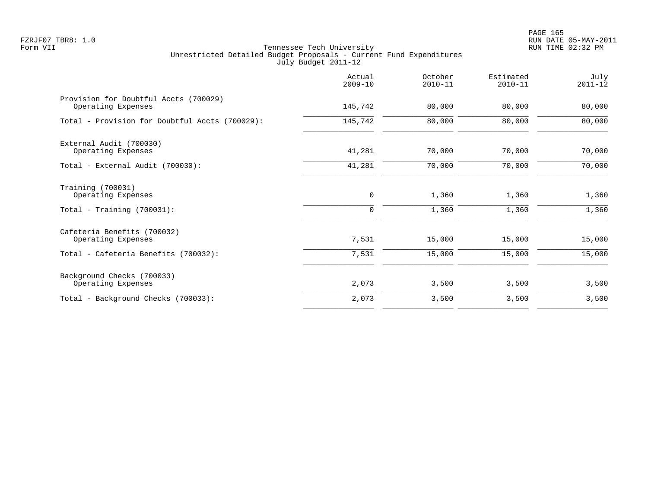|                                                             | Actual<br>$2009 - 10$ | October<br>$2010 - 11$ | Estimated<br>$2010 - 11$ | July<br>$2011 - 12$ |
|-------------------------------------------------------------|-----------------------|------------------------|--------------------------|---------------------|
| Provision for Doubtful Accts (700029)<br>Operating Expenses | 145,742               | 80,000                 | 80,000                   | 80,000              |
| Total - Provision for Doubtful Accts (700029):              | 145,742               | 80,000                 | 80,000                   | 80,000              |
| External Audit (700030)<br>Operating Expenses               | 41,281                | 70,000                 | 70,000                   | 70,000              |
| Total - External Audit (700030):                            | 41,281                | 70,000                 | 70,000                   | 70,000              |
| Training (700031)<br>Operating Expenses                     | 0                     | 1,360                  | 1,360                    | 1,360               |
| Total - Training $(700031)$ :                               | $\mathbf 0$           | 1,360                  | 1,360                    | 1,360               |
| Cafeteria Benefits (700032)<br>Operating Expenses           | 7,531                 | 15,000                 | 15,000                   | 15,000              |
| Total - Cafeteria Benefits (700032):                        | 7,531                 | 15,000                 | 15,000                   | 15,000              |
| Background Checks (700033)<br>Operating Expenses            | 2,073                 | 3,500                  | 3,500                    | 3,500               |
| Total - Background Checks (700033):                         | 2,073                 | 3,500                  | 3,500                    | 3,500               |
|                                                             |                       |                        |                          |                     |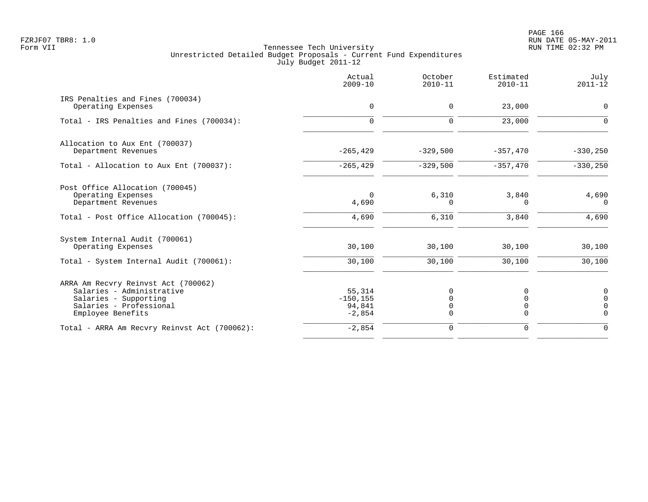PAGE 166 FZRJF07 TBR8: 1.0 RUN DATE 05-MAY-2011

|                                                                                                                                           | Actual<br>$2009 - 10$                       | October<br>$2010 - 11$ | Estimated<br>$2010 - 11$ | July<br>$2011 - 12$                                    |
|-------------------------------------------------------------------------------------------------------------------------------------------|---------------------------------------------|------------------------|--------------------------|--------------------------------------------------------|
| IRS Penalties and Fines (700034)<br>Operating Expenses                                                                                    | $\mathbf 0$                                 | $\mathbf 0$            | 23,000                   | $\mathbf 0$                                            |
| Total - IRS Penalties and Fines (700034):                                                                                                 | $\mathbf 0$                                 | $\mathbf 0$            | 23,000                   | $\Omega$                                               |
| Allocation to Aux Ent (700037)<br>Department Revenues                                                                                     | $-265, 429$                                 | $-329,500$             | $-357,470$               | $-330, 250$                                            |
| Total - Allocation to Aux Ent (700037):                                                                                                   | $-265, 429$                                 | $-329,500$             | $-357,470$               | $-330, 250$                                            |
| Post Office Allocation (700045)<br>Operating Expenses<br>Department Revenues                                                              | $\Omega$<br>4,690                           | 6,310<br>$\Omega$      | 3,840<br>n               | 4,690<br>$\Omega$                                      |
| Total - Post Office Allocation (700045):                                                                                                  | 4,690                                       | 6,310                  | 3,840                    | 4,690                                                  |
| System Internal Audit (700061)<br>Operating Expenses                                                                                      | 30,100                                      | 30,100                 | 30,100                   | 30,100                                                 |
| Total - System Internal Audit (700061):                                                                                                   | 30,100                                      | 30,100                 | 30,100                   | 30,100                                                 |
| ARRA Am Recvry Reinvst Act (700062)<br>Salaries - Administrative<br>Salaries - Supporting<br>Salaries - Professional<br>Employee Benefits | 55,314<br>$-150, 155$<br>94,841<br>$-2,854$ | 0<br>$\Omega$          |                          | 0<br>$\mathsf{O}\xspace$<br>$\overline{0}$<br>$\Omega$ |
| Total - ARRA Am Recvry Reinvst Act (700062):                                                                                              | $-2,854$                                    | $\mathbf 0$            | 0                        | $\Omega$                                               |
|                                                                                                                                           |                                             |                        |                          |                                                        |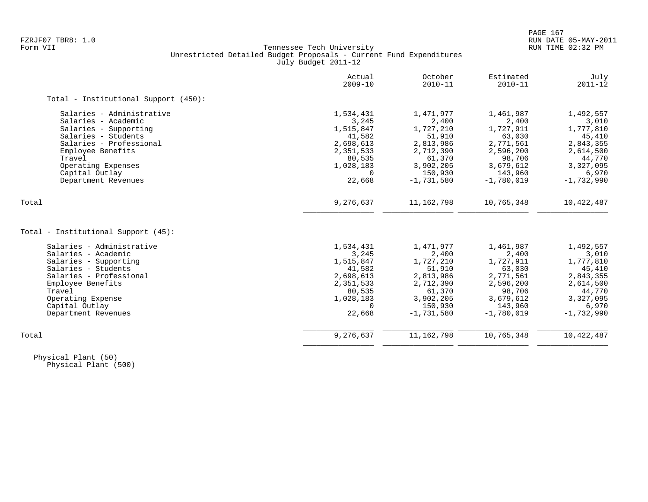# FZRJF07 TBR8: 1.0 RUN DATE 05-MAY-2011 Tennessee Tech University Unrestricted Detailed Budget Proposals - Current Fund Expenditures July Budget 2011-12

|                                      | Actual<br>$2009 - 10$ | October<br>$2010 - 11$ | Estimated<br>$2010 - 11$ | July<br>$2011 - 12$ |
|--------------------------------------|-----------------------|------------------------|--------------------------|---------------------|
| Total - Institutional Support (450): |                       |                        |                          |                     |
| Salaries - Administrative            | 1,534,431             | 1,471,977              | 1,461,987                | 1,492,557           |
| Salaries - Academic                  | 3,245                 | 2,400                  | 2,400                    | 3,010               |
| Salaries - Supporting                | 1,515,847             | 1,727,210              | 1,727,911                | 1,777,810           |
| Salaries - Students                  | 41,582                | 51,910                 | 63,030                   | 45,410              |
| Salaries - Professional              | 2,698,613             | 2,813,986              | 2,771,561                | 2,843,355           |
| Employee Benefits                    | 2,351,533             | 2,712,390              | 2,596,200                | 2,614,500           |
| Travel                               | 80,535                | 61,370                 | 98,706                   | 44,770              |
| Operating Expenses                   | 1,028,183             | 3,902,205              | 3,679,612                | 3,327,095           |
| Capital Outlay                       | $\Omega$              | 150,930                | 143,960                  | 6,970               |
| Department Revenues                  | 22,668                | $-1,731,580$           | $-1,780,019$             | $-1,732,990$        |
| Total                                | 9,276,637             | 11, 162, 798           | 10,765,348               | 10,422,487          |
|                                      |                       |                        |                          |                     |
| Total - Institutional Support (45):  |                       |                        |                          |                     |
| Salaries - Administrative            | 1,534,431             | 1,471,977              | 1,461,987                | 1,492,557           |
| Salaries - Academic                  | 3,245                 | 2,400                  | 2,400                    | 3,010               |
| Salaries - Supporting                | 1,515,847             | 1,727,210              | 1,727,911                | 1,777,810           |
| Salaries - Students                  | 41,582                | 51,910                 | 63,030                   | 45,410              |
| Salaries - Professional              | 2,698,613             | 2,813,986              | 2,771,561                | 2,843,355           |
| Employee Benefits                    | 2,351,533             | 2,712,390              | 2,596,200                | 2,614,500           |
| Travel                               | 80,535                | 61,370                 | 98,706                   | 44,770              |
| Operating Expense                    | 1,028,183             | 3,902,205              | 3,679,612                | 3,327,095           |
| Capital Outlay                       | $\Omega$              | 150,930                | 143,960                  | 6,970               |
| Department Revenues                  | 22,668                | $-1,731,580$           | $-1,780,019$             | $-1,732,990$        |
| Total                                | 9,276,637             | 11, 162, 798           | 10,765,348               | 10,422,487          |
|                                      |                       |                        |                          |                     |

 Physical Plant (50) Physical Plant (500)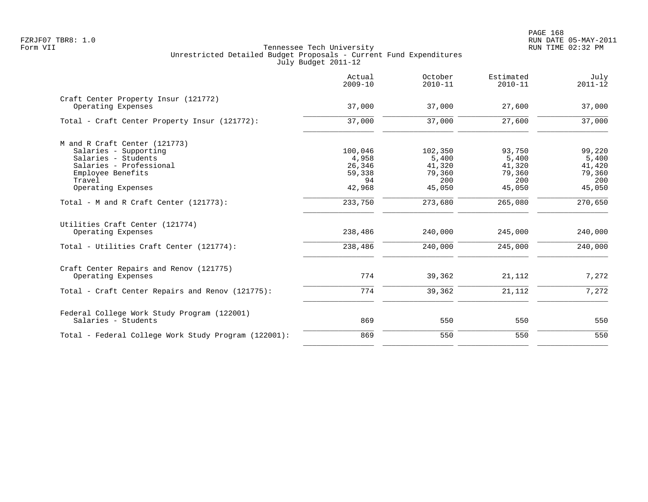|                                                            | Actual<br>$2009 - 10$ | October<br>$2010 - 11$ | Estimated<br>$2010 - 11$ | July<br>$2011 - 12$ |
|------------------------------------------------------------|-----------------------|------------------------|--------------------------|---------------------|
| Craft Center Property Insur (121772)<br>Operating Expenses | 37,000                | 37,000                 | 27,600                   | 37,000              |
| Total - Craft Center Property Insur (121772):              | 37,000                | 37,000                 | 27,600                   | 37,000              |
| M and R Craft Center (121773)                              |                       |                        |                          |                     |
| Salaries - Supporting                                      | 100,046               | 102,350                | 93,750                   | 99,220              |
| Salaries - Students                                        | 4,958                 | 5,400                  | 5,400                    | 5,400               |
| Salaries - Professional                                    | 26,346                | 41,320                 | 41,320                   | 41,420              |
| Employee Benefits                                          | 59,338                | 79,360                 | 79,360                   | 79,360              |
| Travel                                                     | 94                    | 200                    | 200                      | 200                 |
| Operating Expenses                                         | 42,968                | 45,050                 | 45,050                   | 45,050              |
| Total - M and R Craft Center (121773):                     | 233,750               | 273,680                | 265,080                  | 270,650             |
| Utilities Craft Center (121774)                            |                       |                        |                          |                     |
| Operating Expenses                                         | 238,486               | 240,000                | 245,000                  | 240,000             |
| Total - Utilities Craft Center (121774):                   | 238,486               | 240,000                | 245,000                  | 240,000             |
| Craft Center Repairs and Renov (121775)                    |                       |                        |                          |                     |
| Operating Expenses                                         | 774                   | 39,362                 | 21,112                   | 7,272               |
| Total - Craft Center Repairs and Renov (121775):           | 774                   | 39,362                 | 21,112                   | 7,272               |
| Federal College Work Study Program (122001)                |                       |                        |                          |                     |
| Salaries - Students                                        | 869                   | 550                    | 550                      | 550                 |
| Total - Federal College Work Study Program (122001):       | 869                   | 550                    | 550                      | 550                 |
|                                                            |                       |                        |                          |                     |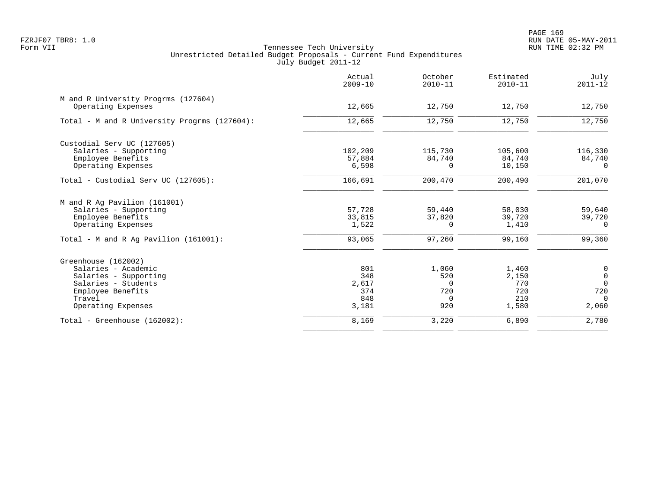|                                              | Actual<br>$2009 - 10$ | October<br>$2010 - 11$ | Estimated<br>$2010 - 11$ | July<br>$2011 - 12$ |
|----------------------------------------------|-----------------------|------------------------|--------------------------|---------------------|
| M and R University Progrms (127604)          |                       |                        |                          |                     |
| Operating Expenses                           | 12,665                | 12,750                 | 12,750                   | 12,750              |
| Total - M and R University Progrms (127604): | 12,665                | 12,750                 | 12,750                   | 12,750              |
| Custodial Serv UC (127605)                   |                       |                        |                          |                     |
| Salaries - Supporting                        | 102,209               | 115,730                | 105,600                  | 116,330             |
| Employee Benefits                            | 57,884                | 84,740                 | 84,740                   | 84,740              |
| Operating Expenses                           | 6,598                 | $\Omega$               | 10,150                   | $\Omega$            |
| Total - Custodial Serv UC (127605):          | 166,691               | 200,470                | 200,490                  | 201,070             |
| M and R Ag Pavilion (161001)                 |                       |                        |                          |                     |
| Salaries - Supporting                        | 57,728                | 59,440                 | 58,030                   | 59,640              |
| Employee Benefits                            | 33,815                | 37,820                 | 39,720                   | 39,720              |
| Operating Expenses                           | 1,522                 | $\Omega$               | 1,410                    | $\Omega$            |
| Total - M and R Ag Pavilion $(161001)$ :     | 93,065                | 97,260                 | 99,160                   | 99,360              |
| Greenhouse (162002)                          |                       |                        |                          |                     |
| Salaries - Academic                          | 801                   | 1,060                  | 1,460                    | $\mathsf{O}\xspace$ |
| Salaries - Supporting                        | 348                   | 520                    | 2,150                    | $\overline{0}$      |
| Salaries - Students                          | 2,617                 | $\Omega$               | 770                      | $\Omega$            |
| Employee Benefits                            | 374                   | 720                    | 720                      | 720                 |
| Travel                                       | 848                   | $\Omega$               | 210                      | $\Omega$            |
| Operating Expenses                           | 3,181                 | 920                    | 1,580                    | 2,060               |
| Total - Greenhouse $(162002)$ :              | 8,169                 | 3,220                  | 6,890                    | 2,780               |
|                                              |                       |                        |                          |                     |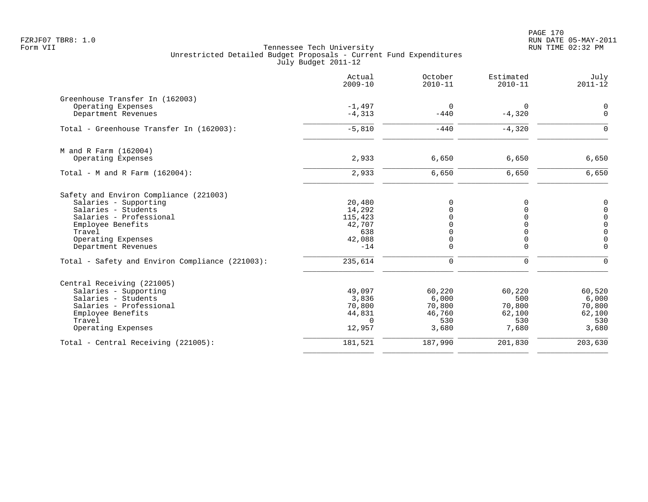| Actual<br>$2009 - 10$ | October<br>$2010 - 11$                                                                   | Estimated<br>$2010 - 11$                                       | July<br>$2011 - 12$                                                        |
|-----------------------|------------------------------------------------------------------------------------------|----------------------------------------------------------------|----------------------------------------------------------------------------|
|                       |                                                                                          |                                                                |                                                                            |
| $-1,497$              | $\overline{0}$                                                                           | 0                                                              | 0                                                                          |
|                       |                                                                                          |                                                                | $\mathbf{0}$                                                               |
| $-5,810$              | $-440$                                                                                   | $-4,320$                                                       | $\Omega$                                                                   |
|                       |                                                                                          |                                                                |                                                                            |
| 2,933                 | 6,650                                                                                    | 6,650                                                          | 6,650                                                                      |
| 2,933                 | 6,650                                                                                    | 6,650                                                          | 6,650                                                                      |
|                       |                                                                                          |                                                                |                                                                            |
| 20,480                | $\mathbf 0$                                                                              | $\Omega$                                                       | $\mathbf 0$                                                                |
|                       |                                                                                          |                                                                | $\mathbf 0$                                                                |
|                       |                                                                                          |                                                                | $\mathsf{O}$                                                               |
|                       |                                                                                          |                                                                | $\mathbf 0$<br>$\mathbf 0$                                                 |
|                       |                                                                                          |                                                                | $\mathbf 0$                                                                |
| $-14$                 | $\Omega$                                                                                 | $\Omega$                                                       | $\Omega$                                                                   |
| 235,614               | $\Omega$                                                                                 | $\Omega$                                                       | $\Omega$                                                                   |
|                       |                                                                                          |                                                                |                                                                            |
| 49,097                | 60,220                                                                                   | 60,220                                                         | 60,520                                                                     |
| 3,836                 | 6,000                                                                                    | 500                                                            | 6,000                                                                      |
|                       |                                                                                          |                                                                | 70,800                                                                     |
|                       |                                                                                          |                                                                | 62,100                                                                     |
| 12,957                | 3,680                                                                                    | 7,680                                                          | 530<br>3,680                                                               |
| 181,521               | 187,990                                                                                  | 201,830                                                        | 203,630                                                                    |
|                       | $-4,313$<br>14,292<br>115,423<br>42,707<br>638<br>42,088<br>70,800<br>44,831<br>$\Omega$ | $-440$<br>$\Omega$<br>$\Omega$<br>0<br>70,800<br>46,760<br>530 | $-4,320$<br>$\Omega$<br>$\Omega$<br>$\mathbf 0$<br>70,800<br>62,100<br>530 |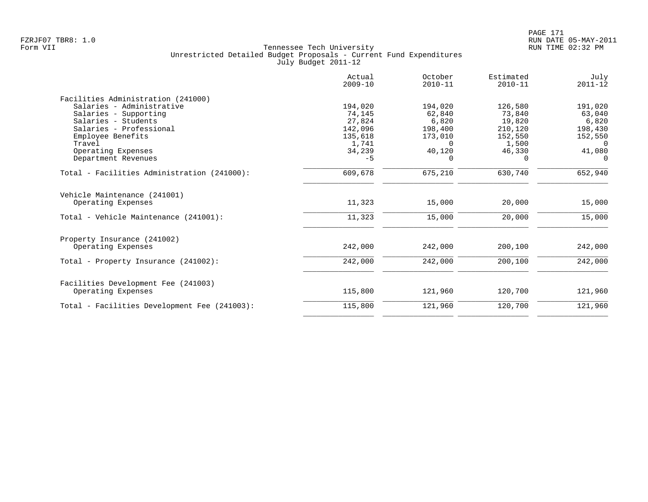|                                              | Actual<br>$2009 - 10$ | October<br>$2010 - 11$ | Estimated<br>$2010 - 11$ | July<br>$2011 - 12$ |
|----------------------------------------------|-----------------------|------------------------|--------------------------|---------------------|
| Facilities Administration (241000)           |                       |                        |                          |                     |
| Salaries - Administrative                    | 194,020               | 194,020                | 126,580                  | 191,020             |
| Salaries - Supporting                        | 74,145                | 62,840                 | 73,840                   | 63,040              |
| Salaries - Students                          | 27,824                | 6,820                  | 19,820                   | 6,820               |
| Salaries - Professional                      | 142,096               | 198,400                | 210,120                  | 198,430             |
| Employee Benefits                            | 135,618               | 173,010                | 152,550                  | 152,550             |
| Travel                                       | 1,741                 | $\Omega$               | 1,500                    | 0                   |
| Operating Expenses                           | 34,239                | 40,120                 | 46,330                   | 41,080              |
| Department Revenues                          | $-5$                  | $\Omega$               | $\Omega$                 | $\Omega$            |
| Total - Facilities Administration (241000):  | 609,678               | 675,210                | 630,740                  | 652,940             |
| Vehicle Maintenance (241001)                 |                       |                        |                          |                     |
| Operating Expenses                           | 11,323                | 15,000                 | 20,000                   | 15,000              |
| Total - Vehicle Maintenance (241001):        | 11,323                | 15,000                 | 20,000                   | 15,000              |
| Property Insurance (241002)                  |                       |                        |                          |                     |
| Operating Expenses                           | 242,000               | 242,000                | 200,100                  | 242,000             |
| Total - Property Insurance (241002):         | 242,000               | 242,000                | 200,100                  | 242,000             |
| Facilities Development Fee (241003)          |                       |                        |                          |                     |
| Operating Expenses                           | 115,800               | 121,960                | 120,700                  | 121,960             |
| Total - Facilities Development Fee (241003): | 115,800               | 121,960                | 120,700                  | 121,960             |
|                                              |                       |                        |                          |                     |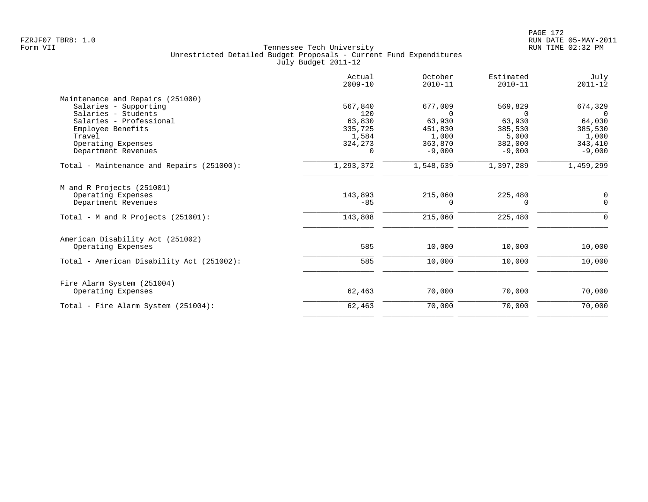|                                           | Actual<br>$2009 - 10$ | October<br>$2010 - 11$ | Estimated<br>$2010 - 11$ | July<br>$2011 - 12$ |
|-------------------------------------------|-----------------------|------------------------|--------------------------|---------------------|
| Maintenance and Repairs (251000)          |                       |                        |                          |                     |
| Salaries - Supporting                     | 567,840               | 677,009                | 569,829                  | 674,329             |
| Salaries - Students                       | 120                   | $\Omega$               | $\Omega$                 | $\Omega$            |
| Salaries - Professional                   | 63,830                | 63,930                 | 63,930                   | 64,030              |
| Employee Benefits                         | 335,725               | 451,830                | 385,530                  | 385,530             |
| Travel                                    | 1,584                 | 1,000                  | 5,000                    | 1,000               |
| Operating Expenses                        | 324,273               | 363,870                | 382,000                  | 343,410             |
| Department Revenues                       | $\Omega$              | $-9.000$               | $-9,000$                 | $-9,000$            |
| Total - Maintenance and Repairs (251000): | 1,293,372             | 1,548,639              | 1,397,289                | 1,459,299           |
| M and R Projects (251001)                 |                       |                        |                          |                     |
| Operating Expenses                        | 143,893               | 215,060                | 225,480                  | 0                   |
| Department Revenues                       | $-85$                 | 0                      | 0                        | $\mathbf 0$         |
| Total - M and R Projects (251001):        | 143,808               | 215,060                | 225,480                  | 0                   |
| American Disability Act (251002)          |                       |                        |                          |                     |
| Operating Expenses                        | 585                   | 10,000                 | 10,000                   | 10,000              |
| Total - American Disability Act (251002): | 585                   | 10,000                 | 10,000                   | 10,000              |
| Fire Alarm System (251004)                |                       |                        |                          |                     |
| Operating Expenses                        | 62,463                | 70,000                 | 70,000                   | 70,000              |
| Total - Fire Alarm System (251004):       | 62,463                | 70,000                 | 70,000                   | 70,000              |
|                                           |                       |                        |                          |                     |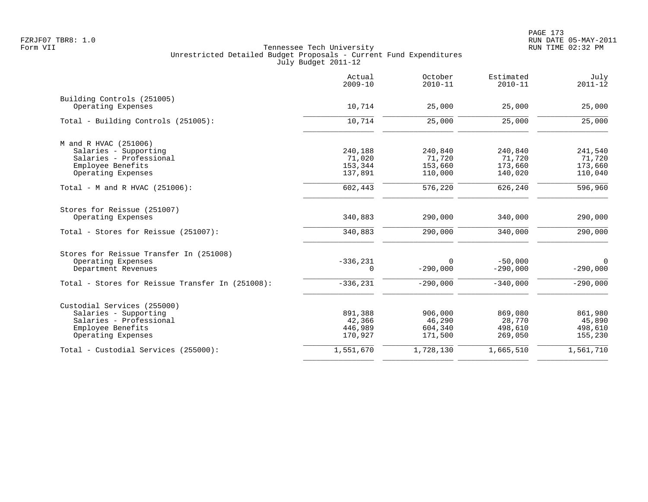|                                                  | Actual<br>$2009 - 10$ | October<br>$2010 - 11$ | Estimated<br>$2010 - 11$ | July<br>$2011 - 12$ |
|--------------------------------------------------|-----------------------|------------------------|--------------------------|---------------------|
| Building Controls (251005)                       |                       |                        |                          |                     |
| Operating Expenses                               | 10,714                | 25,000                 | 25,000                   | 25,000              |
| Total - Building Controls (251005):              | 10,714                | 25,000                 | 25,000                   | 25,000              |
| M and R HVAC (251006)                            |                       |                        |                          |                     |
| Salaries - Supporting                            | 240,188               | 240,840                | 240,840                  | 241,540             |
| Salaries - Professional                          | 71,020                | 71,720                 | 71,720                   | 71,720              |
| Employee Benefits                                | 153,344               | 153,660                | 173,660                  | 173,660             |
| Operating Expenses                               | 137,891               | 110,000                | 140,020                  | 110,040             |
| Total - M and R HVAC $(251006)$ :                | 602,443               | 576,220                | 626,240                  | 596,960             |
| Stores for Reissue (251007)                      |                       |                        |                          |                     |
| Operating Expenses                               | 340,883               | 290,000                | 340,000                  | 290,000             |
| Total - Stores for Reissue (251007):             | 340,883               | 290,000                | 340,000                  | 290,000             |
| Stores for Reissue Transfer In (251008)          |                       |                        |                          |                     |
| Operating Expenses                               | $-336, 231$           | 0                      | $-50,000$                | 0                   |
| Department Revenues                              | 0                     | $-290,000$             | $-290,000$               | $-290,000$          |
| Total - Stores for Reissue Transfer In (251008): | $-336, 231$           | $-290,000$             | $-340.000$               | $-290,000$          |
| Custodial Services (255000)                      |                       |                        |                          |                     |
| Salaries - Supporting                            | 891,388               | 906,000                | 869,080                  | 861,980             |
| Salaries - Professional                          | 42,366                | 46,290                 | 28,770                   | 45,890              |
| Employee Benefits                                | 446,989               | 604,340                | 498,610                  | 498,610             |
| Operating Expenses                               | 170,927               | 171,500                | 269,050                  | 155,230             |
| Total - Custodial Services (255000):             | 1,551,670             | 1,728,130              | 1,665,510                | 1,561,710           |
|                                                  |                       |                        |                          |                     |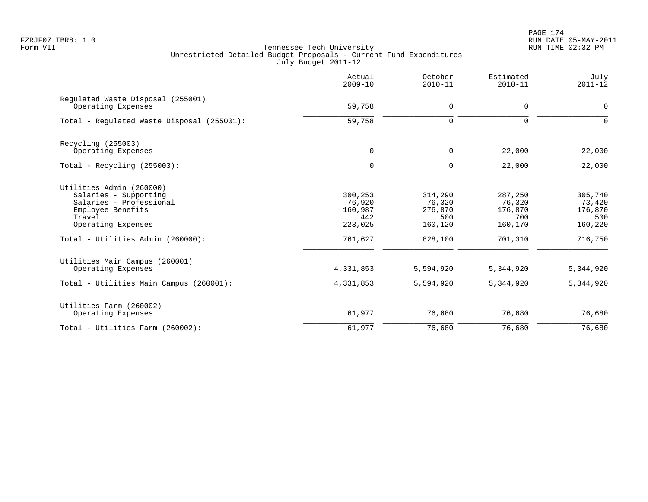PAGE 174 FZRJF07 TBR8: 1.0 RUN DATE 05-MAY-2011

|                                                                                                                                                                        | Actual<br>$2009 - 10$                                     | October<br>$2010 - 11$                                    | Estimated<br>$2010 - 11$                                  | July<br>$2011 - 12$                                       |
|------------------------------------------------------------------------------------------------------------------------------------------------------------------------|-----------------------------------------------------------|-----------------------------------------------------------|-----------------------------------------------------------|-----------------------------------------------------------|
| Regulated Waste Disposal (255001)<br>Operating Expenses                                                                                                                | 59,758                                                    | 0                                                         | 0                                                         | $\mathbf 0$                                               |
| Total - Regulated Waste Disposal (255001):                                                                                                                             | 59,758                                                    | 0                                                         | 0                                                         | $\mathbf 0$                                               |
| Recycling (255003)<br>Operating Expenses                                                                                                                               | $\mathbf 0$                                               | 0                                                         | 22,000                                                    | 22,000                                                    |
| Total - Recycling $(255003)$ :                                                                                                                                         | $\Omega$                                                  | $\mathbf 0$                                               | 22,000                                                    | 22,000                                                    |
| Utilities Admin (260000)<br>Salaries - Supporting<br>Salaries - Professional<br>Employee Benefits<br>Travel<br>Operating Expenses<br>Total - Utilities Admin (260000): | 300,253<br>76,920<br>160,987<br>442<br>223,025<br>761,627 | 314,290<br>76,320<br>276,870<br>500<br>160,120<br>828,100 | 287,250<br>76,320<br>176,870<br>700<br>160,170<br>701,310 | 305,740<br>73,420<br>176,870<br>500<br>160,220<br>716,750 |
| Utilities Main Campus (260001)<br>Operating Expenses<br>Total - Utilities Main Campus (260001):                                                                        | 4,331,853<br>4,331,853                                    | 5,594,920<br>5,594,920                                    | 5,344,920<br>5,344,920                                    | 5,344,920<br>5,344,920                                    |
| Utilities Farm (260002)<br>Operating Expenses                                                                                                                          | 61,977                                                    | 76,680                                                    | 76,680                                                    | 76,680                                                    |
| Total - Utilities Farm (260002):                                                                                                                                       | 61,977                                                    | 76,680                                                    | 76,680                                                    | 76,680                                                    |
|                                                                                                                                                                        |                                                           |                                                           |                                                           |                                                           |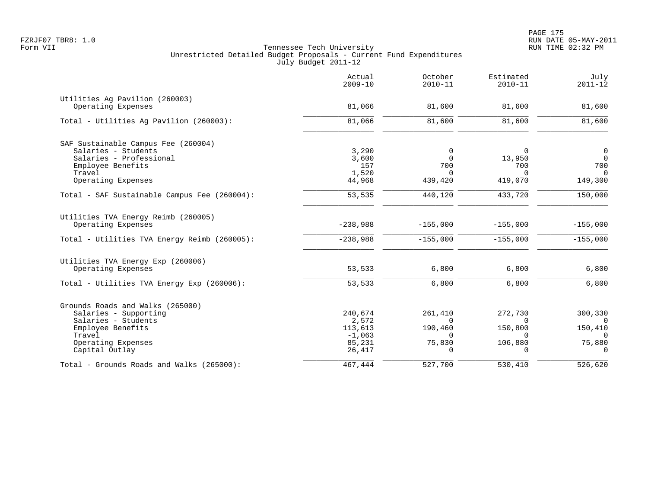|                                              | Actual<br>$2009 - 10$ | October<br>$2010 - 11$ | Estimated<br>$2010 - 11$ | July<br>$2011 - 12$ |
|----------------------------------------------|-----------------------|------------------------|--------------------------|---------------------|
| Utilities Ag Pavilion (260003)               |                       |                        |                          |                     |
| Operating Expenses                           | 81,066                | 81,600                 | 81,600                   | 81,600              |
| Total - Utilities Ag Pavilion (260003):      | 81,066                | 81,600                 | 81,600                   | 81,600              |
| SAF Sustainable Campus Fee (260004)          |                       |                        |                          |                     |
| Salaries - Students                          | 3,290                 | 0                      | $\Omega$                 | $\mathsf{O}$        |
| Salaries - Professional                      | 3,600                 | $\Omega$               | 13,950                   | $\overline{0}$      |
| Employee Benefits                            | 157                   | 700                    | 700                      | 700                 |
| Travel                                       | 1,520                 | $\Omega$               | $\Omega$                 | $\Omega$            |
| Operating Expenses                           | 44,968                | 439,420                | 419,070                  | 149,300             |
| Total - SAF Sustainable Campus Fee (260004): | 53,535                | 440,120                | 433,720                  | 150,000             |
| Utilities TVA Energy Reimb (260005)          |                       |                        |                          |                     |
| Operating Expenses                           | $-238,988$            | $-155,000$             | $-155,000$               | $-155,000$          |
| Total - Utilities TVA Energy Reimb (260005): | $-238,988$            | $-155,000$             | $-155,000$               | $-155,000$          |
| Utilities TVA Energy Exp (260006)            |                       |                        |                          |                     |
| Operating Expenses                           | 53,533                | 6,800                  | 6,800                    | 6,800               |
| Total - Utilities TVA Energy Exp (260006):   | 53,533                | 6,800                  | 6,800                    | 6,800               |
| Grounds Roads and Walks (265000)             |                       |                        |                          |                     |
| Salaries - Supporting                        | 240,674               | 261,410                | 272,730                  | 300,330             |
| Salaries - Students                          | 2,572                 | $\Omega$               | $\cap$                   | $\Omega$            |
| Employee Benefits                            | 113,613               | 190,460                | 150,800                  | 150,410             |
| Travel                                       | $-1,063$              | $\Omega$               | $\Omega$                 | $\Omega$            |
| Operating Expenses                           | 85,231                | 75,830                 | 106,880                  | 75,880              |
| Capital Outlay                               | 26,417                | $\Omega$               |                          | $\Omega$            |
| Total - Grounds Roads and Walks (265000):    | 467,444               | 527,700                | 530,410                  | 526,620             |
|                                              |                       |                        |                          |                     |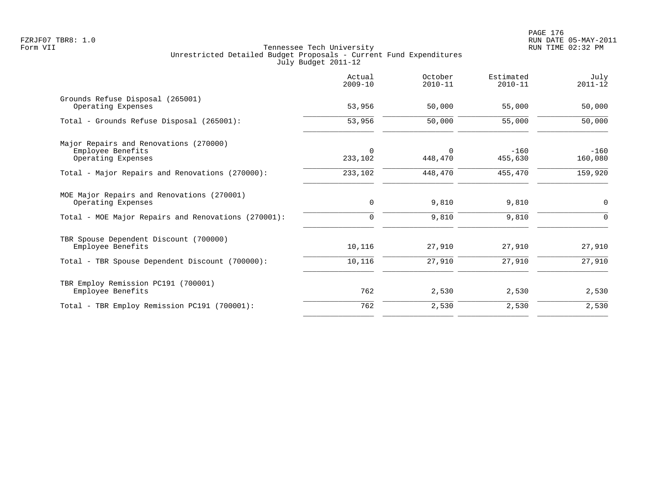|                                                        | Actual<br>$2009 - 10$  | October<br>$2010 - 11$ | Estimated<br>$2010 - 11$ | July<br>$2011 - 12$ |
|--------------------------------------------------------|------------------------|------------------------|--------------------------|---------------------|
| Grounds Refuse Disposal (265001)<br>Operating Expenses | 53,956                 | 50,000                 | 55,000                   | 50,000              |
|                                                        |                        |                        |                          |                     |
| Total - Grounds Refuse Disposal (265001):              | 53,956                 | 50,000                 | 55,000                   | 50,000              |
| Major Repairs and Renovations (270000)                 |                        |                        |                          |                     |
| Employee Benefits<br>Operating Expenses                | $\mathbf 0$<br>233,102 | $\mathbf 0$<br>448,470 | $-160$<br>455,630        | $-160$<br>160,080   |
|                                                        |                        |                        |                          |                     |
| Total - Major Repairs and Renovations (270000):        | 233,102                | 448,470                | 455,470                  | 159,920             |
| MOE Major Repairs and Renovations (270001)             |                        |                        |                          |                     |
| Operating Expenses                                     | $\mathbf 0$            | 9,810                  | 9,810                    | 0                   |
| Total - MOE Major Repairs and Renovations (270001):    | $\mathbf 0$            | 9,810                  | 9,810                    | $\Omega$            |
| TBR Spouse Dependent Discount (700000)                 |                        |                        |                          |                     |
| Employee Benefits                                      | 10,116                 | 27,910                 | 27,910                   | 27,910              |
| Total - TBR Spouse Dependent Discount (700000):        | 10,116                 | 27,910                 | 27,910                   | 27,910              |
| TBR Employ Remission PC191 (700001)                    |                        |                        |                          |                     |
| Employee Benefits                                      | 762                    | 2,530                  | 2,530                    | 2,530               |
| Total - TBR Employ Remission PC191 (700001):           | 762                    | 2,530                  | 2,530                    | 2,530               |
|                                                        |                        |                        |                          |                     |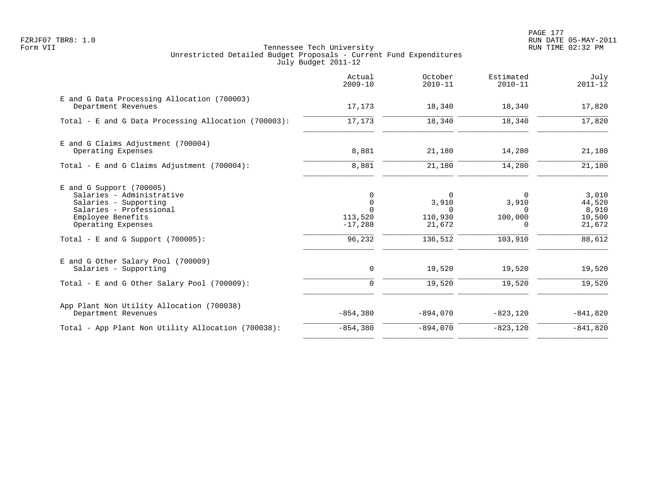PAGE 177 FZRJF07 TBR8: 1.0 RUN DATE 05-MAY-2011

|                                                                                                                                                                                                | Actual<br>$2009 - 10$                                          | October<br>$2010 - 11$                                        | Estimated<br>$2010 - 11$                                        | July<br>$2011 - 12$                                    |
|------------------------------------------------------------------------------------------------------------------------------------------------------------------------------------------------|----------------------------------------------------------------|---------------------------------------------------------------|-----------------------------------------------------------------|--------------------------------------------------------|
| E and G Data Processing Allocation (700003)<br>Department Revenues                                                                                                                             | 17,173                                                         | 18,340                                                        | 18,340                                                          | 17,820                                                 |
| Total - E and G Data Processing Allocation (700003):                                                                                                                                           | 17,173                                                         | 18,340                                                        | 18,340                                                          | 17,820                                                 |
| E and G Claims Adjustment (700004)<br>Operating Expenses                                                                                                                                       | 8,881                                                          | 21,180                                                        | 14,280                                                          | 21,180                                                 |
| Total - E and G Claims Adjustment $(700004)$ :                                                                                                                                                 | 8,881                                                          | 21,180                                                        | 14,280                                                          | 21,180                                                 |
| $E$ and G Support (700005)<br>Salaries - Administrative<br>Salaries - Supporting<br>Salaries - Professional<br>Employee Benefits<br>Operating Expenses<br>Total - E and G Support $(700005)$ : | 0<br>$\mathbf 0$<br>$\Omega$<br>113,520<br>$-17,288$<br>96,232 | $\Omega$<br>3,910<br>$\Omega$<br>110,930<br>21,672<br>136,512 | $\Omega$<br>3,910<br>$\Omega$<br>100,000<br>$\Omega$<br>103,910 | 3,010<br>44,520<br>8,910<br>10,500<br>21,672<br>88,612 |
| E and G Other Salary Pool (700009)<br>Salaries - Supporting                                                                                                                                    | 0                                                              | 19,520                                                        | 19,520                                                          | 19,520                                                 |
| Total - E and G Other Salary Pool (700009):                                                                                                                                                    | $\mathbf 0$                                                    | 19,520                                                        | 19,520                                                          | 19,520                                                 |
| App Plant Non Utility Allocation (700038)<br>Department Revenues                                                                                                                               | $-854,380$                                                     | $-894,070$                                                    | $-823,120$                                                      | $-841,820$                                             |
| Total - App Plant Non Utility Allocation (700038):                                                                                                                                             | $-854,380$                                                     | $-894,070$                                                    | $-823, 120$                                                     | $-841,820$                                             |
|                                                                                                                                                                                                |                                                                |                                                               |                                                                 |                                                        |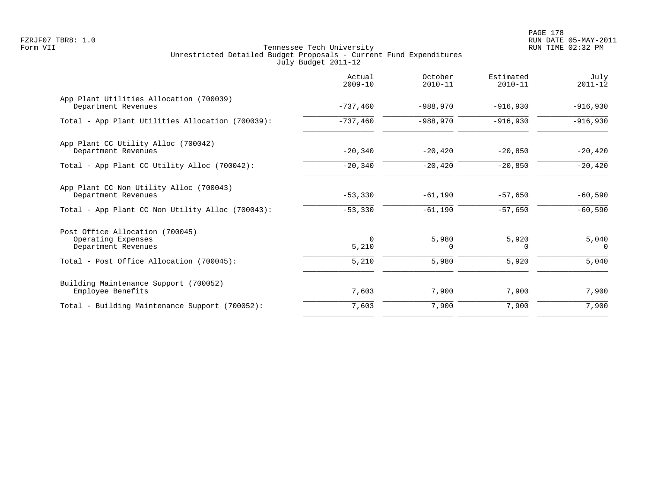PAGE 178 FZRJF07 TBR8: 1.0 RUN DATE 05-MAY-2011

|                                                                              | Actual<br>$2009 - 10$ | October<br>$2010 - 11$ | Estimated<br>$2010 - 11$ | July<br>$2011 - 12$ |
|------------------------------------------------------------------------------|-----------------------|------------------------|--------------------------|---------------------|
| App Plant Utilities Allocation (700039)<br>Department Revenues               | $-737,460$            | $-988,970$             | $-916,930$               | $-916,930$          |
| Total - App Plant Utilities Allocation (700039):                             | $-737,460$            | $-988,970$             | $-916,930$               | $-916,930$          |
| App Plant CC Utility Alloc (700042)<br>Department Revenues                   | $-20,340$             | $-20, 420$             | $-20,850$                | $-20,420$           |
| Total - App Plant CC Utility Alloc (700042):                                 | $-20,340$             | $-20,420$              | $-20,850$                | $-20,420$           |
| App Plant CC Non Utility Alloc (700043)<br>Department Revenues               | $-53,330$             | $-61,190$              | $-57,650$                | $-60,590$           |
| Total - App Plant CC Non Utility Alloc (700043):                             | $-53,330$             | $-61,190$              | $-57,650$                | $-60,590$           |
| Post Office Allocation (700045)<br>Operating Expenses<br>Department Revenues | $\Omega$<br>5,210     | 5,980<br>0             | 5,920<br>$\Omega$        | 5,040<br>$\Omega$   |
| Total - Post Office Allocation (700045):                                     | 5,210                 | 5,980                  | 5,920                    | 5,040               |
| Building Maintenance Support (700052)<br>Employee Benefits                   | 7,603                 | 7,900                  | 7,900                    | 7,900               |
| Total - Building Maintenance Support (700052):                               | 7,603                 | 7,900                  | 7,900                    | 7,900               |
|                                                                              |                       |                        |                          |                     |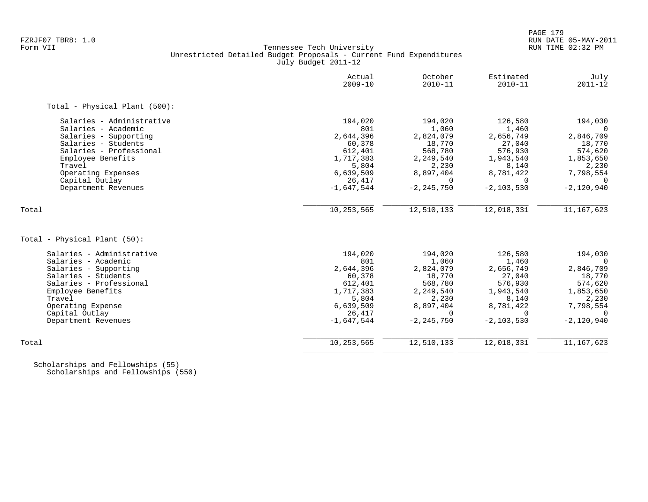### FZRJF07 TBR8: 1.0 RUN DATE 05-MAY-2011 Tennessee Tech University Unrestricted Detailed Budget Proposals - Current Fund Expenditures July Budget 2011-12

|                               | Actual<br>$2009 - 10$ | October<br>$2010 - 11$ | Estimated<br>$2010 - 11$ | July<br>$2011 - 12$ |
|-------------------------------|-----------------------|------------------------|--------------------------|---------------------|
| Total - Physical Plant (500): |                       |                        |                          |                     |
| Salaries - Administrative     | 194,020               | 194,020                | 126,580                  | 194,030             |
| Salaries - Academic           | 801                   | 1,060                  | 1,460                    | $\Omega$            |
| Salaries - Supporting         | 2,644,396             | 2,824,079              | 2,656,749                | 2,846,709           |
| Salaries - Students           | 60,378                | 18,770                 | 27,040                   | 18,770              |
| Salaries - Professional       | 612,401               | 568,780                | 576,930                  | 574,620             |
| Employee Benefits             | 1,717,383             | 2,249,540              | 1,943,540                | 1,853,650           |
| Travel                        | 5,804                 | 2,230                  | 8,140                    | 2,230               |
| Operating Expenses            | 6,639,509             | 8,897,404              | 8,781,422                | 7,798,554           |
| Capital Outlay                | 26,417                | $\Omega$               | $\Omega$                 | $\Omega$            |
| Department Revenues           | $-1,647,544$          | $-2, 245, 750$         | $-2, 103, 530$           | $-2,120,940$        |
| Total                         | 10,253,565            | 12,510,133             | 12,018,331               | 11, 167, 623        |
|                               |                       |                        |                          |                     |
| Total - Physical Plant (50):  |                       |                        |                          |                     |
| Salaries - Administrative     | 194,020               | 194,020                | 126,580                  | 194,030             |
| Salaries - Academic           | 801                   | 1,060                  | 1,460                    | $\Omega$            |
| Salaries - Supporting         | 2,644,396             | 2,824,079              | 2,656,749                | 2,846,709           |
| Salaries - Students           | 60,378                | 18,770                 | 27,040                   | 18,770              |
| Salaries - Professional       | 612,401               | 568,780                | 576,930                  | 574,620             |
| Employee Benefits             | 1,717,383             | 2,249,540              | 1,943,540                | 1,853,650           |
| Travel                        | 5,804                 | 2,230                  | 8,140                    | 2,230               |
| Operating Expense             | 6,639,509             | 8,897,404              | 8,781,422                | 7,798,554           |
| Capital Outlay                | 26,417                | $\Omega$               | $\Omega$                 | $\Omega$            |
| Department Revenues           | $-1,647,544$          | $-2, 245, 750$         | $-2, 103, 530$           | $-2,120,940$        |
| Total                         | 10,253,565            | 12,510,133             | 12,018,331               | 11, 167, 623        |
|                               |                       |                        |                          |                     |

 Scholarships and Fellowships (55) Scholarships and Fellowships (550)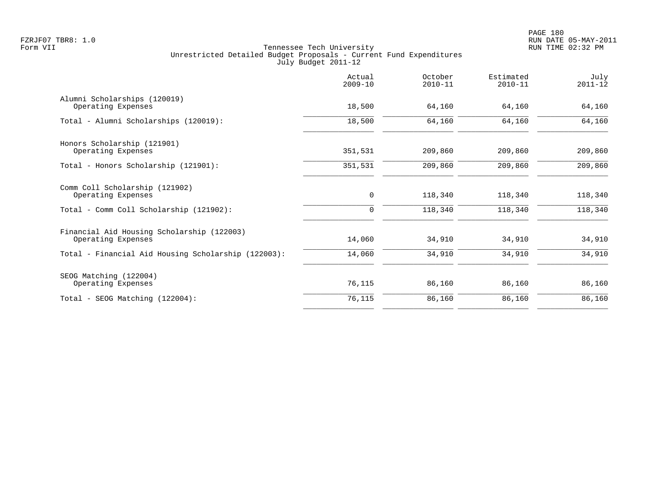|                                                                  | Actual<br>$2009 - 10$ | October<br>$2010 - 11$ | Estimated<br>$2010 - 11$ | July<br>$2011 - 12$ |
|------------------------------------------------------------------|-----------------------|------------------------|--------------------------|---------------------|
| Alumni Scholarships (120019)<br>Operating Expenses               | 18,500                | 64,160                 | 64,160                   | 64,160              |
| Total - Alumni Scholarships (120019):                            | 18,500                | 64,160                 | 64,160                   | 64,160              |
| Honors Scholarship (121901)                                      |                       |                        |                          |                     |
| Operating Expenses<br>Total - Honors Scholarship (121901):       | 351,531<br>351,531    | 209,860<br>209,860     | 209,860<br>209,860       | 209,860<br>209,860  |
|                                                                  |                       |                        |                          |                     |
| Comm Coll Scholarship (121902)<br>Operating Expenses             | 0                     | 118,340                | 118,340                  | 118,340             |
| Total - Comm Coll Scholarship (121902):                          | 0                     | 118,340                | 118,340                  | 118,340             |
| Financial Aid Housing Scholarship (122003)<br>Operating Expenses | 14,060                | 34,910                 | 34,910                   | 34,910              |
| Total - Financial Aid Housing Scholarship (122003):              | 14,060                | 34,910                 | 34,910                   | 34,910              |
| SEOG Matching (122004)                                           |                       |                        |                          |                     |
| Operating Expenses                                               | 76,115                | 86,160                 | 86,160                   | 86,160              |
| Total - SEOG Matching (122004):                                  | 76,115                | 86,160                 | 86,160                   | 86,160              |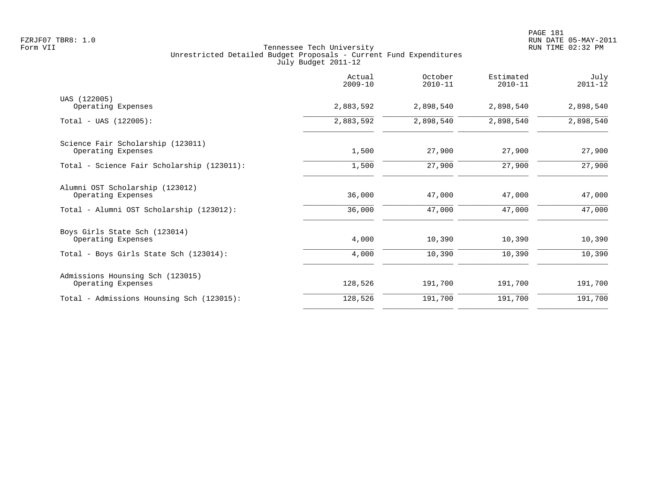|                                            | Actual<br>$2009 - 10$ | October<br>$2010 - 11$ | Estimated<br>$2010 - 11$ | July<br>$2011 - 12$ |
|--------------------------------------------|-----------------------|------------------------|--------------------------|---------------------|
| UAS (122005)                               |                       |                        |                          |                     |
| Operating Expenses                         | 2,883,592             | 2,898,540              | 2,898,540                | 2,898,540           |
| $Total - UAS (122005):$                    | 2,883,592             | 2,898,540              | 2,898,540                | 2,898,540           |
| Science Fair Scholarship (123011)          |                       |                        |                          |                     |
| Operating Expenses                         | 1,500                 | 27,900                 | 27,900                   | 27,900              |
| Total - Science Fair Scholarship (123011): | 1,500                 | 27,900                 | 27,900                   | 27,900              |
| Alumni OST Scholarship (123012)            |                       |                        |                          |                     |
| Operating Expenses                         | 36,000                | 47,000                 | 47,000                   | 47,000              |
| Total - Alumni OST Scholarship (123012):   | 36,000                | 47,000                 | 47,000                   | 47,000              |
| Boys Girls State Sch (123014)              |                       |                        |                          |                     |
| Operating Expenses                         | 4,000                 | 10,390                 | 10,390                   | 10,390              |
| Total - Boys Girls State Sch (123014):     | 4,000                 | 10,390                 | 10,390                   | 10,390              |
| Admissions Hounsing Sch (123015)           |                       |                        |                          |                     |
| Operating Expenses                         | 128,526               | 191,700                | 191,700                  | 191,700             |
| Total - Admissions Hounsing Sch (123015):  | 128,526               | 191,700                | 191,700                  | 191,700             |
|                                            |                       |                        |                          |                     |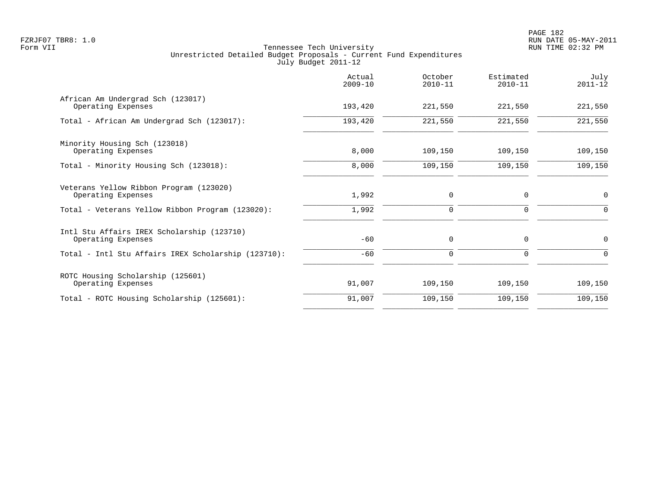|                                                                  | Actual<br>$2009 - 10$ | October<br>$2010 - 11$ | Estimated<br>$2010 - 11$ | July<br>$2011 - 12$ |
|------------------------------------------------------------------|-----------------------|------------------------|--------------------------|---------------------|
| African Am Undergrad Sch (123017)<br>Operating Expenses          | 193,420               | 221,550                | 221,550                  | 221,550             |
| Total - African Am Undergrad Sch (123017):                       | 193,420               | 221,550                | 221,550                  | 221,550             |
| Minority Housing Sch (123018)<br>Operating Expenses              | 8,000                 | 109,150                | 109,150                  | 109,150             |
| Total - Minority Housing Sch (123018):                           | 8,000                 | 109,150                | 109,150                  | 109,150             |
| Veterans Yellow Ribbon Program (123020)<br>Operating Expenses    | 1,992                 | 0                      | $\mathbf 0$              | $\mathbf 0$         |
| Total - Veterans Yellow Ribbon Program (123020):                 | 1,992                 | 0                      | 0                        | $\Omega$            |
| Intl Stu Affairs IREX Scholarship (123710)<br>Operating Expenses | $-60$                 | 0                      | 0                        | $\mathbf 0$         |
| Total - Intl Stu Affairs IREX Scholarship (123710):              | $-60$                 | 0                      | $\Omega$                 | $\Omega$            |
| ROTC Housing Scholarship (125601)<br>Operating Expenses          | 91,007                | 109,150                | 109,150                  | 109,150             |
| Total - ROTC Housing Scholarship (125601):                       | 91,007                | 109,150                | 109,150                  | 109,150             |
|                                                                  |                       |                        |                          |                     |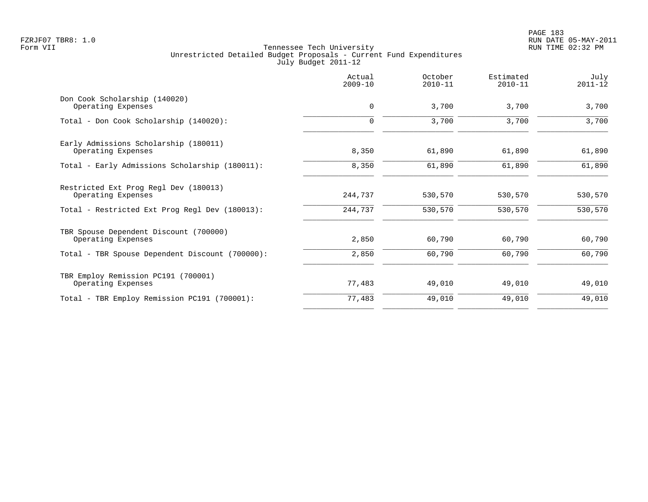|                                                              | Actual<br>$2009 - 10$ | October<br>$2010 - 11$ | Estimated<br>$2010 - 11$ | July<br>$2011 - 12$ |
|--------------------------------------------------------------|-----------------------|------------------------|--------------------------|---------------------|
| Don Cook Scholarship (140020)<br>Operating Expenses          | $\mathbf 0$           | 3,700                  | 3,700                    | 3,700               |
| Total - Don Cook Scholarship (140020):                       | $\mathbf 0$           | 3,700                  | 3,700                    | 3,700               |
| Early Admissions Scholarship (180011)<br>Operating Expenses  | 8,350                 | 61,890                 | 61,890                   | 61,890              |
| Total - Early Admissions Scholarship (180011):               | 8,350                 | 61,890                 | 61,890                   | 61,890              |
| Restricted Ext Prog Regl Dev (180013)<br>Operating Expenses  | 244,737               | 530,570                | 530,570                  | 530,570             |
| Total - Restricted Ext Prog Regl Dev (180013):               | 244,737               | 530,570                | 530,570                  | 530,570             |
| TBR Spouse Dependent Discount (700000)<br>Operating Expenses | 2,850                 | 60,790                 | 60,790                   | 60,790              |
| Total - TBR Spouse Dependent Discount (700000):              | 2,850                 | 60,790                 | 60,790                   | 60,790              |
| TBR Employ Remission PC191 (700001)<br>Operating Expenses    | 77,483                | 49,010                 | 49,010                   | 49,010              |
| Total - TBR Employ Remission PC191 (700001):                 | 77,483                | 49,010                 | 49,010                   | 49,010              |
|                                                              |                       |                        |                          |                     |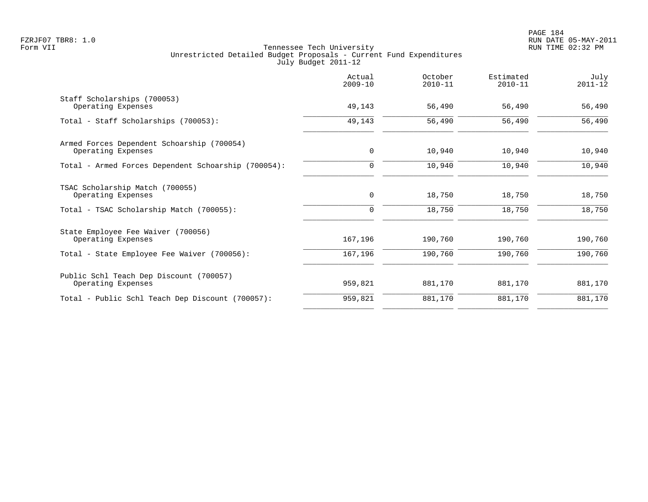|                                                                  | Actual<br>$2009 - 10$ | October<br>$2010 - 11$ | Estimated<br>$2010 - 11$ | July<br>$2011 - 12$ |
|------------------------------------------------------------------|-----------------------|------------------------|--------------------------|---------------------|
| Staff Scholarships (700053)<br>Operating Expenses                | 49,143                | 56,490                 | 56,490                   | 56,490              |
| Total - Staff Scholarships (700053):                             | 49,143                | 56,490                 | 56,490                   | 56,490              |
| Armed Forces Dependent Schoarship (700054)<br>Operating Expenses | 0                     | 10,940                 | 10,940                   | 10,940              |
| Total - Armed Forces Dependent Schoarship (700054):              | 0                     | 10,940                 | 10,940                   | 10,940              |
| TSAC Scholarship Match (700055)<br>Operating Expenses            | 0                     | 18,750                 | 18,750                   | 18,750              |
| Total - TSAC Scholarship Match (700055):                         | $\mathbf 0$           | 18,750                 | 18,750                   | 18,750              |
| State Employee Fee Waiver (700056)<br>Operating Expenses         | 167,196               | 190,760                | 190,760                  | 190,760             |
| Total - State Employee Fee Waiver (700056):                      | 167,196               | 190,760                | 190,760                  | 190,760             |
| Public Schl Teach Dep Discount (700057)<br>Operating Expenses    | 959,821               | 881,170                | 881,170                  | 881,170             |
| Total - Public Schl Teach Dep Discount (700057):                 | 959,821               | 881,170                | 881,170                  | 881,170             |
|                                                                  |                       |                        |                          |                     |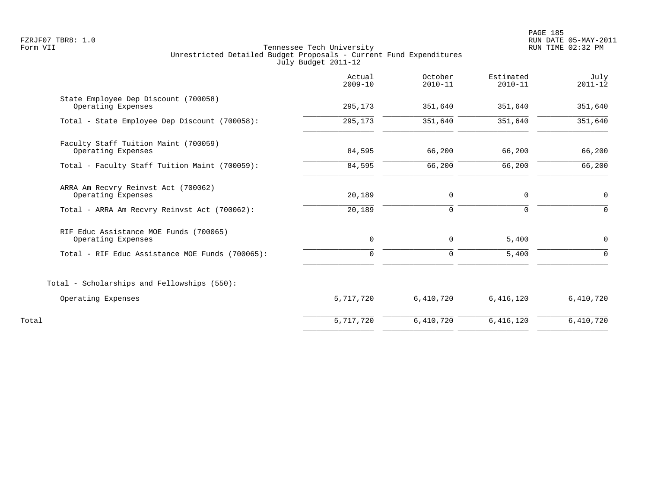PAGE 185 FZRJF07 TBR8: 1.0 RUN DATE 05-MAY-2011

|                                                              | Actual<br>$2009 - 10$ | October<br>$2010 - 11$ | Estimated<br>$2010 - 11$ | July<br>$2011 - 12$ |
|--------------------------------------------------------------|-----------------------|------------------------|--------------------------|---------------------|
| State Employee Dep Discount (700058)<br>Operating Expenses   | 295,173               | 351,640                | 351,640                  | 351,640             |
| Total - State Employee Dep Discount (700058):                | 295,173               | 351,640                | 351,640                  | 351,640             |
| Faculty Staff Tuition Maint (700059)<br>Operating Expenses   | 84,595                | 66,200                 | 66,200                   | 66,200              |
| Total - Faculty Staff Tuition Maint (700059):                | 84,595                | 66,200                 | 66,200                   | 66,200              |
| ARRA Am Recvry Reinvst Act (700062)<br>Operating Expenses    | 20,189                | 0                      | 0                        | $\mathbf 0$         |
| Total - ARRA Am Recvry Reinvst Act (700062):                 | 20,189                | $\mathbf 0$            | 0                        | $\Omega$            |
| RIF Educ Assistance MOE Funds (700065)<br>Operating Expenses | 0                     | $\mathbf 0$            | 5,400                    | $\mathbf 0$         |
| Total - RIF Educ Assistance MOE Funds (700065):              | $\mathbf 0$           | $\mathbf 0$            | 5,400                    | $\Omega$            |
| Total - Scholarships and Fellowships (550):                  |                       |                        |                          |                     |
| Operating Expenses                                           | 5,717,720             | 6,410,720              | 6,416,120                | 6,410,720           |
| Total                                                        | 5,717,720             | 6,410,720              | 6,416,120                | 6,410,720           |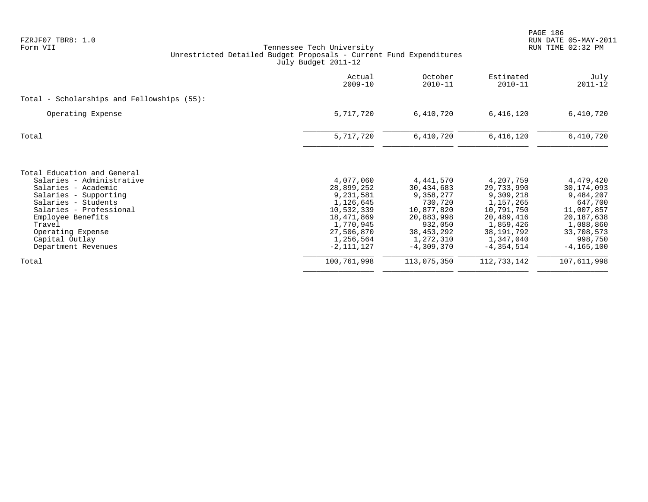|                                                                                                                             | Actual<br>$2009 - 10$                                                         | October<br>$2010 - 11$                                                      | Estimated<br>$2010 - 11$                                                      | July<br>$2011 - 12$                                                         |
|-----------------------------------------------------------------------------------------------------------------------------|-------------------------------------------------------------------------------|-----------------------------------------------------------------------------|-------------------------------------------------------------------------------|-----------------------------------------------------------------------------|
| Total - Scholarships and Fellowships $(55)$ :                                                                               |                                                                               |                                                                             |                                                                               |                                                                             |
| Operating Expense                                                                                                           | 5,717,720                                                                     | 6,410,720                                                                   | 6,416,120                                                                     | 6,410,720                                                                   |
| Total                                                                                                                       | 5,717,720                                                                     | 6,410,720                                                                   | 6,416,120                                                                     | 6,410,720                                                                   |
| Total Education and General<br>Salaries - Administrative<br>Salaries - Academic                                             | 4,077,060<br>28,899,252                                                       | 4,441,570<br>30,434,683                                                     | 4,207,759<br>29,733,990                                                       | 4,479,420<br>30, 174, 093                                                   |
| Salaries - Supporting<br>Salaries - Students<br>Salaries - Professional<br>Employee Benefits<br>Travel<br>Operating Expense | 9,231,581<br>1,126,645<br>10,532,339<br>18,471,869<br>1,770,945<br>27,506,870 | 9,358,277<br>730,720<br>10,877,820<br>20,883,998<br>932,050<br>38, 453, 292 | 9,309,218<br>1,157,265<br>10,791,750<br>20,489,416<br>1,859,426<br>38,191,792 | 9,484,207<br>647,700<br>11,007,857<br>20,187,638<br>1,088,860<br>33,708,573 |
| Capital Outlay<br>Department Revenues                                                                                       | 1,256,564<br>$-2, 111, 127$                                                   | 1,272,310<br>$-4,309,370$                                                   | 1,347,040<br>$-4,354,514$                                                     | 998,750<br>$-4, 165, 100$                                                   |
| Total                                                                                                                       | 100,761,998                                                                   | 113,075,350                                                                 | 112,733,142                                                                   | 107,611,998                                                                 |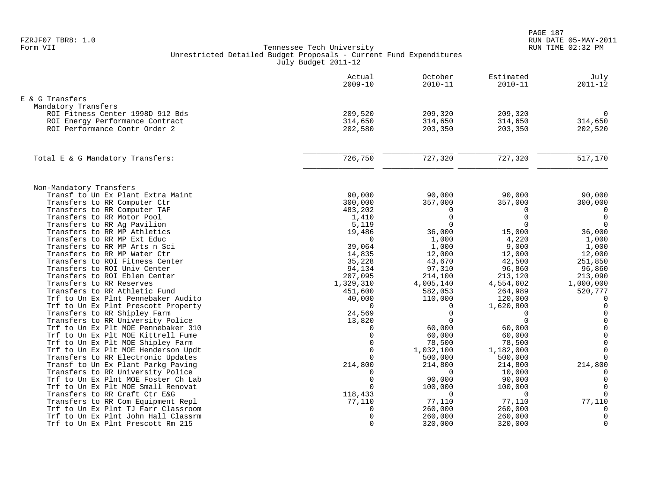|                                                               | Actual<br>$2009 - 10$ | October<br>$2010 - 11$ | Estimated<br>$2010 - 11$ | July<br>$2011 - 12$ |
|---------------------------------------------------------------|-----------------------|------------------------|--------------------------|---------------------|
| E & G Transfers                                               |                       |                        |                          |                     |
| Mandatory Transfers                                           |                       |                        |                          |                     |
| ROI Fitness Center 1998D 912 Bds                              | 209,520               | 209,320                | 209,320                  | $\Omega$            |
| ROI Energy Performance Contract                               | 314,650               | 314,650                | 314,650                  | 314,650             |
| ROI Performance Contr Order 2                                 | 202,580               | 203,350                | 203,350                  | 202,520             |
| Total E & G Mandatory Transfers:                              | 726,750               | 727,320                | 727,320                  | 517,170             |
|                                                               |                       |                        |                          |                     |
| Non-Mandatory Transfers                                       |                       |                        |                          |                     |
| Transf to Un Ex Plant Extra Maint                             | 90,000                | 90,000                 | 90,000                   | 90,000              |
| Transfers to RR Computer Ctr                                  | 300,000               | 357,000                | 357,000                  | 300,000             |
| Transfers to RR Computer TAF                                  | 483,202               | $\Omega$               | $\Omega$                 | $\mathbf 0$         |
| Transfers to RR Motor Pool                                    | 1,410                 | $\Omega$               | $\Omega$                 | $\overline{0}$      |
| Transfers to RR Ag Pavilion                                   | 5,119                 | $\Omega$               | $\Omega$                 | $\overline{0}$      |
| Transfers to RR MP Athletics                                  | 19,486                | 36,000                 | 15,000                   | 36,000              |
| Transfers to RR MP Ext Educ                                   | $\Omega$              | 1,000                  | 4,220                    | 1,000               |
| Transfers to RR MP Arts n Sci<br>Transfers to RR MP Water Ctr | 39,064                | 1,000                  | 9,000                    | 1,000               |
| Transfers to ROI Fitness Center                               | 14,835<br>35,228      | 12,000<br>43,670       | 12,000<br>42,500         | 12,000<br>251,850   |
| Transfers to ROI Univ Center                                  | 94,134                | 97,310                 | 96,860                   | 96,860              |
| Transfers to ROI Eblen Center                                 | 207,095               | 214,100                | 213,120                  | 213,090             |
| Transfers to RR Reserves                                      | 1,329,310             | 4,005,140              | 4,554,602                | 1,000,000           |
| Transfers to RR Athletic Fund                                 | 451,600               | 582,053                | 264,989                  | 520,777             |
| Trf to Un Ex Plnt Pennebaker Audito                           | 40,000                | 110,000                | 120,000                  | $\overline{0}$      |
| Trf to Un Ex Plnt Prescott Property                           | $\Omega$              | $\Omega$               | 1,620,800                | $\mathbf 0$         |
| Transfers to RR Shipley Farm                                  | 24,569                | $\Omega$               | $\Omega$                 | $\mathbf 0$         |
| Transfers to RR University Police                             | 13,820                |                        | $\Omega$                 | $\mathbf 0$         |
| Trf to Un Ex Plt MOE Pennebaker 310                           | 0                     | 60,000                 | 60,000                   | $\Omega$            |
| Trf to Un Ex Plt MOE Kittrell Fume                            | $\mathbf 0$           | 60,000                 | 60,000                   | $\mathsf 0$         |
| Trf to Un Ex Plt MOE Shipley Farm                             | $\mathbf 0$           | 78,500                 | 78,500                   | $\mathbf 0$         |
| Trf to Un Ex Plt MOE Henderson Updt                           | $\Omega$              | 1,032,100              | 1,182,000                | $\mathbf 0$         |
| Transfers to RR Electronic Updates                            | $\cap$                | 500,000                | 500,000                  | $\Omega$            |
| Transf to Un Ex Plant Parkg Paving                            | 214,800               | 214,800                | 214,800                  | 214,800             |
| Transfers to RR University Police                             | $\mathbf 0$           | $\Omega$               | 10,000                   | 0                   |
| Trf to Un Ex Plnt MOE Foster Ch Lab                           | $\mathbf 0$           | 90,000                 | 90,000                   | $\mathbf 0$         |
| Trf to Un Ex Plt MOE Small Renovat                            | $\Omega$              | 100,000                | 100,000                  | $\Omega$            |
| Transfers to RR Craft Ctr E&G                                 | 118,433               | $\Omega$               | $\Omega$                 | $\Omega$            |
| Transfers to RR Com Equipment Repl                            | 77,110                | 77,110                 | 77,110                   | 77,110              |
| Trf to Un Ex Plnt TJ Farr Classroom                           | 0                     | 260,000                | 260,000                  | $\Omega$            |
| Trf to Un Ex Plnt John Hall Classrm                           | $\mathbf 0$           | 260,000                | 260,000                  | $\mathbf 0$         |
| Trf to Un Ex Plnt Prescott Rm 215                             | $\mathbf 0$           | 320,000                | 320,000                  | $\mathbf 0$         |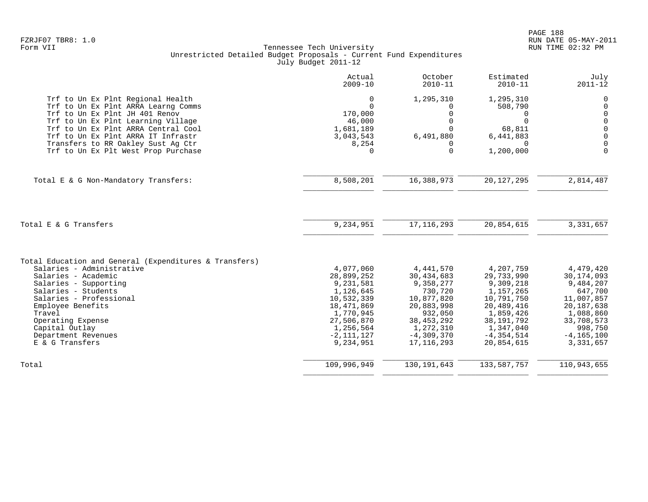|                                                                                                                                                                                                                                                                                                            | Actual<br>$2009 - 10$                                                                                                                                | October<br>$2010 - 11$                                                                                                                                | Estimated<br>$2010 - 11$                                                                                                                                | July<br>$2011 - 12$                                                                                                                                  |
|------------------------------------------------------------------------------------------------------------------------------------------------------------------------------------------------------------------------------------------------------------------------------------------------------------|------------------------------------------------------------------------------------------------------------------------------------------------------|-------------------------------------------------------------------------------------------------------------------------------------------------------|---------------------------------------------------------------------------------------------------------------------------------------------------------|------------------------------------------------------------------------------------------------------------------------------------------------------|
| Trf to Un Ex Plnt Regional Health<br>Trf to Un Ex Plnt ARRA Learng Comms<br>Trf to Un Ex Plnt JH 401 Renov<br>Trf to Un Ex Plnt Learning Village<br>Trf to Un Ex Plnt ARRA Central Cool<br>Trf to Un Ex Plnt ARRA IT Infrastr<br>Transfers to RR Oakley Sust Aq Ctr<br>Trf to Un Ex Plt West Prop Purchase | $\mathbf 0$<br>$\Omega$<br>170,000<br>46,000<br>1,681,189<br>3,043,543<br>8,254<br>$\Omega$                                                          | 1,295,310<br>0<br>0<br>$\mathbf 0$<br>$\Omega$<br>6,491,880<br>0<br>$\Omega$                                                                          | 1,295,310<br>508,790<br>0<br>U<br>68,811<br>6,441,883<br>$\Omega$<br>1,200,000                                                                          | 0<br>$\mathbf 0$<br>$\mathbf 0$<br>$\mathbf 0$<br>$\mathbf 0$<br>$\mathbf 0$<br>$\Omega$<br>$\Omega$                                                 |
| Total E & G Non-Mandatory Transfers:                                                                                                                                                                                                                                                                       | 8,508,201                                                                                                                                            | 16,388,973                                                                                                                                            | 20, 127, 295                                                                                                                                            | 2,814,487                                                                                                                                            |
| Total E & G Transfers                                                                                                                                                                                                                                                                                      | 9,234,951                                                                                                                                            | 17, 116, 293                                                                                                                                          | 20,854,615                                                                                                                                              | 3,331,657                                                                                                                                            |
| Total Education and General (Expenditures & Transfers)<br>Salaries - Administrative<br>Salaries - Academic<br>Salaries - Supporting<br>Salaries - Students<br>Salaries - Professional<br>Employee Benefits<br>Travel<br>Operating Expense<br>Capital Outlay<br>Department Revenues<br>E & G Transfers      | 4,077,060<br>28,899,252<br>9,231,581<br>1,126,645<br>10,532,339<br>18,471,869<br>1,770,945<br>27,506,870<br>1,256,564<br>$-2, 111, 127$<br>9,234,951 | 4, 441, 570<br>30,434,683<br>9,358,277<br>730,720<br>10,877,820<br>20,883,998<br>932,050<br>38, 453, 292<br>1,272,310<br>$-4,309,370$<br>17, 116, 293 | 4,207,759<br>29,733,990<br>9,309,218<br>1,157,265<br>10,791,750<br>20,489,416<br>1,859,426<br>38, 191, 792<br>1,347,040<br>$-4, 354, 514$<br>20,854,615 | 4,479,420<br>30, 174, 093<br>9,484,207<br>647,700<br>11,007,857<br>20, 187, 638<br>1,088,860<br>33,708,573<br>998,750<br>$-4, 165, 100$<br>3,331,657 |
| Total                                                                                                                                                                                                                                                                                                      | 109,996,949                                                                                                                                          | 130, 191, 643                                                                                                                                         | 133,587,757                                                                                                                                             | 110,943,655                                                                                                                                          |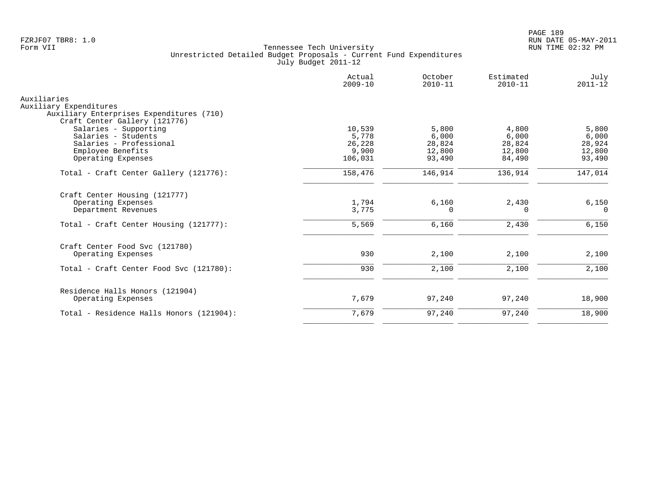|                                                                    | Actual<br>$2009 - 10$ | October<br>$2010 - 11$ | Estimated<br>$2010 - 11$ | July<br>$2011 - 12$ |
|--------------------------------------------------------------------|-----------------------|------------------------|--------------------------|---------------------|
| Auxiliaries                                                        |                       |                        |                          |                     |
| Auxiliary Expenditures<br>Auxiliary Enterprises Expenditures (710) |                       |                        |                          |                     |
| Craft Center Gallery (121776)                                      |                       |                        |                          |                     |
| Salaries - Supporting                                              | 10,539                | 5,800                  | 4,800                    | 5,800               |
| Salaries - Students                                                | 5,778                 | 6,000                  | 6,000                    | 6,000               |
| Salaries - Professional                                            | 26,228                | 28,824                 | 28,824                   | 28,924              |
| Employee Benefits                                                  | 9,900                 | 12,800                 | 12,800                   | 12,800              |
| Operating Expenses                                                 | 106,031               | 93,490                 | 84,490                   | 93,490              |
| Total - Craft Center Gallery (121776):                             | 158,476               | 146,914                | 136,914                  | 147,014             |
| Craft Center Housing (121777)                                      |                       |                        |                          |                     |
| Operating Expenses                                                 | 1,794                 | 6,160                  | 2,430                    | 6,150               |
| Department Revenues                                                | 3,775                 | $\Omega$               | $\Omega$                 | $\Omega$            |
| Total - Craft Center Housing (121777):                             | 5,569                 | 6,160                  | 2,430                    | 6,150               |
| Craft Center Food Svc (121780)                                     |                       |                        |                          |                     |
| Operating Expenses                                                 | 930                   | 2,100                  | 2,100                    | 2,100               |
| Total - Craft Center Food Svc (121780):                            | 930                   | 2,100                  | 2,100                    | 2,100               |
|                                                                    |                       |                        |                          |                     |
| Residence Halls Honors (121904)<br>Operating Expenses              | 7,679                 | 97,240                 | 97,240                   | 18,900              |
| Total - Residence Halls Honors (121904):                           | 7,679                 | 97,240                 | 97,240                   | 18,900              |
|                                                                    |                       |                        |                          |                     |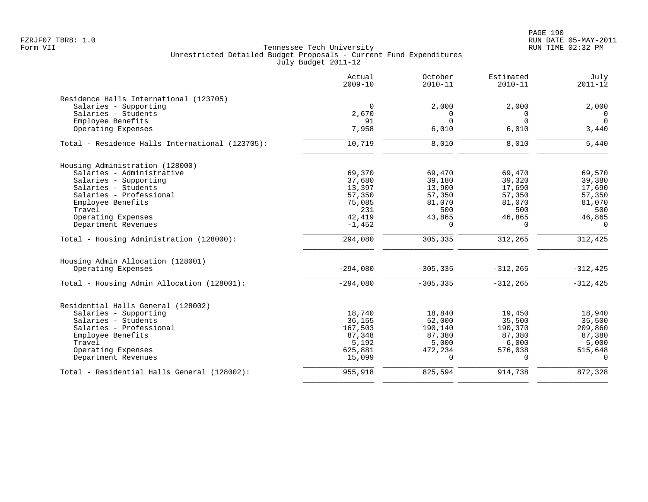PAGE 190 FZRJF07 TBR8: 1.0 RUN DATE 05-MAY-2011

|                                                 | Actual<br>$2009 - 10$ | October<br>$2010 - 11$ | Estimated<br>$2010 - 11$ | July<br>$2011 - 12$ |
|-------------------------------------------------|-----------------------|------------------------|--------------------------|---------------------|
| Residence Halls International (123705)          |                       |                        |                          |                     |
| Salaries - Supporting                           | $\mathbf 0$           | 2,000                  | 2,000                    | 2,000               |
| Salaries - Students                             | 2,670                 | $\Omega$               | 0                        | $\mathbf 0$         |
| Employee Benefits                               | 91                    | $\Omega$               | $\Omega$                 | $\Omega$            |
| Operating Expenses                              | 7,958                 | 6,010                  | 6,010                    | 3,440               |
| Total - Residence Halls International (123705): | 10,719                | 8,010                  | 8,010                    | 5,440               |
| Housing Administration (128000)                 |                       |                        |                          |                     |
| Salaries - Administrative                       | 69,370                | 69,470                 | 69,470                   | 69,570              |
| Salaries - Supporting                           | 37,680                | 39,180                 | 39,320                   | 39,380              |
| Salaries - Students                             | 13,397                | 13,900                 | 17,690                   | 17,690              |
| Salaries - Professional                         | 57,350                | 57,350                 | 57,350                   | 57,350              |
| Employee Benefits                               | 75,085                | 81,070                 | 81,070                   | 81,070              |
| Travel                                          | 231                   | 500                    | 500                      | 500                 |
| Operating Expenses                              | 42,419                | 43,865                 | 46,865                   | 46,865              |
| Department Revenues                             | $-1,452$              | $\Omega$               | $\Omega$                 | $\Omega$            |
| Total - Housing Administration (128000):        | 294,080               | 305,335                | 312,265                  | 312,425             |
| Housing Admin Allocation (128001)               |                       |                        |                          |                     |
| Operating Expenses                              | $-294,080$            | $-305, 335$            | $-312, 265$              | $-312, 425$         |
| Total - Housing Admin Allocation (128001):      | $-294,080$            | $-305, 335$            | $-312, 265$              | $-312, 425$         |
| Residential Halls General (128002)              |                       |                        |                          |                     |
| Salaries - Supporting                           | 18,740                | 18,840                 | 19,450                   | 18,940              |
| Salaries - Students                             | 36,155                | 52,000                 | 35,500                   | 35,500              |
| Salaries - Professional                         | 167,503               | 190,140                | 190,370                  | 209,860             |
| Employee Benefits                               | 87,348                | 87,380                 | 87,380                   | 87,380              |
| Travel                                          | 5,192                 | 5,000                  | 6,000                    | 5,000               |
| Operating Expenses                              | 625,881               | 472,234                | 576,038                  | 515,648             |
| Department Revenues                             | 15,099                | $\Omega$               | $\cap$                   | $\Omega$            |
| Total - Residential Halls General (128002):     | 955,918               | 825,594                | 914,738                  | 872,328             |
|                                                 |                       |                        |                          |                     |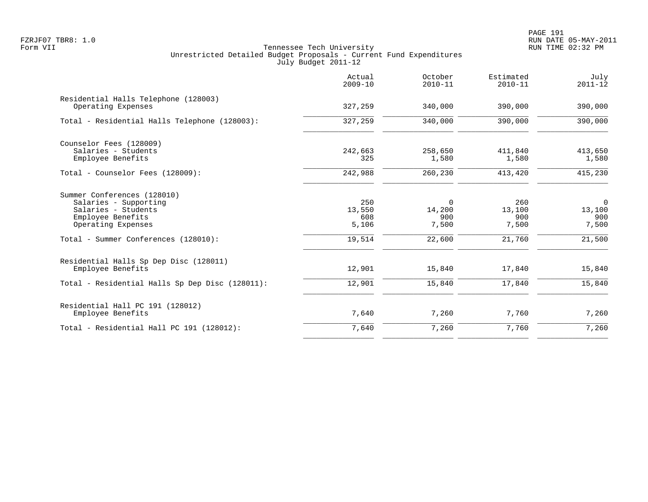|                                                            | Actual<br>$2009 - 10$ | October<br>$2010 - 11$   | Estimated<br>$2010 - 11$ | July<br>$2011 - 12$      |
|------------------------------------------------------------|-----------------------|--------------------------|--------------------------|--------------------------|
| Residential Halls Telephone (128003)<br>Operating Expenses | 327,259               | 340,000                  | 390,000                  | 390,000                  |
| Total - Residential Halls Telephone (128003):              | 327,259               | 340,000                  | 390,000                  | 390,000                  |
| Counselor Fees (128009)                                    |                       |                          |                          |                          |
| Salaries - Students<br>Employee Benefits                   | 242,663<br>325        | 258,650<br>1,580         | 411,840<br>1,580         | 413,650<br>1,580         |
| Total - Counselor Fees (128009):                           | 242,988               | 260,230                  | 413,420                  | 415,230                  |
| Summer Conferences (128010)                                |                       |                          |                          |                          |
| Salaries - Supporting<br>Salaries - Students               | 250<br>13,550         | $\overline{0}$<br>14,200 | 260<br>13,100            | $\overline{0}$<br>13,100 |
| Employee Benefits                                          | 608                   | 900                      | 900                      | 900                      |
| Operating Expenses                                         | 5,106                 | 7,500                    | 7,500                    | 7,500                    |
| Total - Summer Conferences (128010):                       | 19,514                | 22,600                   | 21,760                   | 21,500                   |
| Residential Halls Sp Dep Disc (128011)                     |                       |                          |                          |                          |
| Employee Benefits                                          | 12,901                | 15,840                   | 17,840                   | 15,840                   |
| Total - Residential Halls Sp Dep Disc (128011):            | 12,901                | 15,840                   | 17,840                   | 15,840                   |
| Residential Hall PC 191 (128012)                           |                       |                          |                          |                          |
| Employee Benefits                                          | 7,640                 | 7,260                    | 7,760                    | 7,260                    |
| Total - Residential Hall PC 191 (128012):                  | 7,640                 | 7,260                    | 7,760                    | 7,260                    |
|                                                            |                       |                          |                          |                          |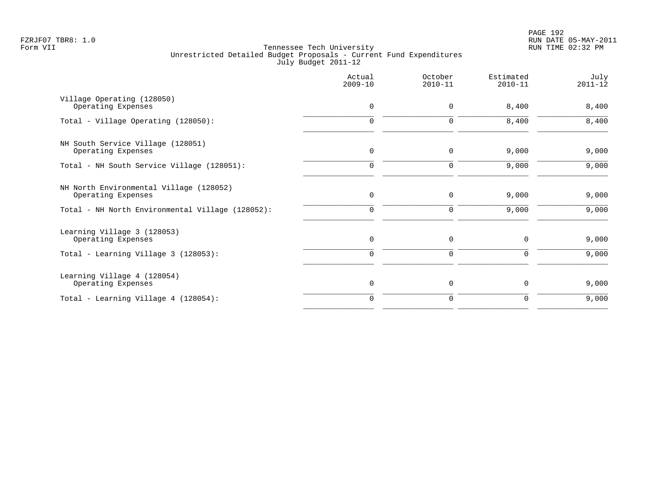|                                                               | Actual<br>$2009 - 10$ | October<br>$2010 - 11$ | Estimated<br>$2010 - 11$ | July<br>$2011 - 12$ |
|---------------------------------------------------------------|-----------------------|------------------------|--------------------------|---------------------|
| Village Operating (128050)<br>Operating Expenses              | $\mathbf 0$           | 0                      | 8,400                    | 8,400               |
| Total - Village Operating (128050):                           | 0                     | 0                      | 8,400                    | 8,400               |
| NH South Service Village (128051)<br>Operating Expenses       | $\mathbf 0$           | $\mathbf 0$            | 9,000                    | 9,000               |
| Total - NH South Service Village (128051):                    | 0                     | 0                      | 9,000                    | 9,000               |
| NH North Environmental Village (128052)<br>Operating Expenses | 0                     | 0                      | 9,000                    | 9,000               |
| Total - NH North Environmental Village (128052):              | $\mathbf 0$           | 0                      | 9,000                    | 9,000               |
| Learning Village 3 (128053)<br>Operating Expenses             | $\mathbf 0$           | 0                      | 0                        | 9,000               |
| Total - Learning Village 3 (128053):                          | $\mathbf 0$           | 0                      | 0                        | 9,000               |
| Learning Village 4 (128054)<br>Operating Expenses             | $\mathbf 0$           | 0                      | $\mathbf 0$              | 9,000               |
| Total - Learning Village 4 (128054):                          | $\Omega$              | 0                      | 0                        | 9,000               |
|                                                               |                       |                        |                          |                     |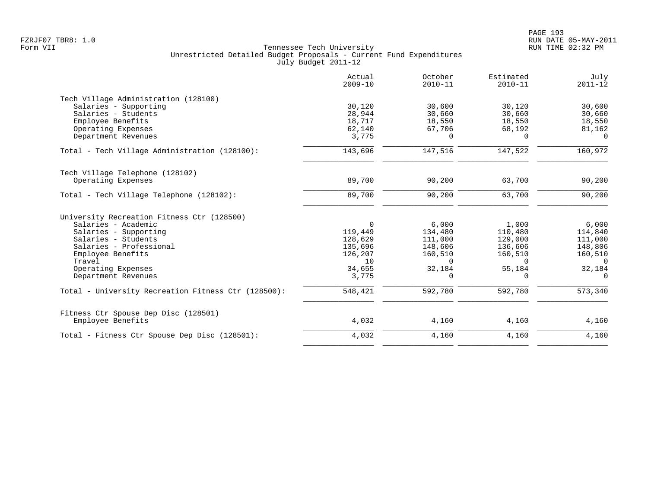|                                                     | Actual<br>$2009 - 10$ | October<br>$2010 - 11$ | Estimated<br>$2010 - 11$ | July<br>$2011 - 12$ |
|-----------------------------------------------------|-----------------------|------------------------|--------------------------|---------------------|
| Tech Village Administration (128100)                |                       |                        |                          |                     |
| Salaries - Supporting                               | 30,120                | 30,600                 | 30,120                   | 30,600              |
| Salaries - Students                                 | 28,944                | 30,660                 | 30,660                   | 30,660              |
| Employee Benefits                                   | 18,717                | 18,550                 | 18,550                   | 18,550              |
| Operating Expenses                                  | 62,140                | 67,706                 | 68,192                   | 81,162              |
| Department Revenues                                 | 3,775                 | 0                      | $\Omega$                 | $\Omega$            |
| Total - Tech Village Administration (128100):       | 143,696               | 147,516                | 147,522                  | 160,972             |
| Tech Village Telephone (128102)                     |                       |                        |                          |                     |
| Operating Expenses                                  | 89,700                | 90,200                 | 63,700                   | 90,200              |
| Total - Tech Village Telephone (128102):            | 89,700                | 90,200                 | 63,700                   | 90,200              |
| University Recreation Fitness Ctr (128500)          |                       |                        |                          |                     |
| Salaries - Academic                                 | $\Omega$              | 6,000                  | 1,000                    | 6,000               |
| Salaries - Supporting                               | 119,449               | 134,480                | 110,480                  | 114,840             |
| Salaries - Students                                 | 128,629               | 111,000                | 129,000                  | 111,000             |
| Salaries - Professional                             | 135,696               | 148,606                | 136,606                  | 148,806             |
| Employee Benefits                                   | 126,207               | 160,510                | 160,510                  | 160,510             |
| Travel                                              | 10                    | $\Omega$               | $\Omega$                 | $\overline{0}$      |
| Operating Expenses                                  | 34,655                | 32,184                 | 55,184                   | 32,184              |
| Department Revenues                                 | 3,775                 | 0                      | 0                        | $\mathbf 0$         |
| Total - University Recreation Fitness Ctr (128500): | 548,421               | 592,780                | 592,780                  | 573,340             |
| Fitness Ctr Spouse Dep Disc (128501)                |                       |                        |                          |                     |
| Employee Benefits                                   | 4,032                 | 4,160                  | 4,160                    | 4,160               |
| Total - Fitness Ctr Spouse Dep Disc (128501):       | 4,032                 | 4,160                  | 4,160                    | 4,160               |
|                                                     |                       |                        |                          |                     |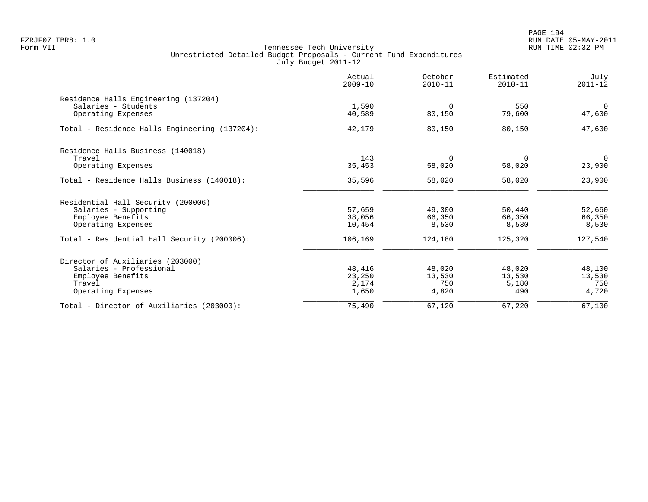PAGE 194 FZRJF07 TBR8: 1.0 RUN DATE 05-MAY-2011

|                                               | Actual<br>$2009 - 10$ | October<br>$2010 - 11$ | Estimated<br>$2010 - 11$ | July<br>$2011 - 12$      |
|-----------------------------------------------|-----------------------|------------------------|--------------------------|--------------------------|
| Residence Halls Engineering (137204)          |                       |                        |                          |                          |
| Salaries - Students<br>Operating Expenses     | 1,590<br>40,589       | $\mathbf 0$<br>80,150  | 550<br>79,600            | $\overline{0}$<br>47,600 |
| Total - Residence Halls Engineering (137204): | 42,179                | 80,150                 | 80,150                   | 47,600                   |
| Residence Halls Business (140018)             |                       |                        |                          |                          |
| Travel<br>Operating Expenses                  | 143<br>35,453         | $\Omega$<br>58,020     | $\Omega$<br>58,020       | $\overline{0}$<br>23,900 |
| Total - Residence Halls Business (140018):    | 35,596                | 58,020                 | 58,020                   | 23,900                   |
| Residential Hall Security (200006)            |                       |                        |                          |                          |
| Salaries - Supporting                         | 57,659                | 49,300                 | 50,440                   | 52,660                   |
| Employee Benefits                             | 38,056                | 66,350                 | 66,350                   | 66,350                   |
| Operating Expenses                            | 10,454                | 8,530                  | 8,530                    | 8,530                    |
| Total - Residential Hall Security (200006):   | 106,169               | 124,180                | 125,320                  | 127,540                  |
| Director of Auxiliaries (203000)              |                       |                        |                          |                          |
| Salaries - Professional                       | 48,416                | 48,020                 | 48,020                   | 48,100                   |
| Employee Benefits                             | 23,250                | 13,530                 | 13,530                   | 13,530                   |
| Travel                                        | 2,174                 | 750                    | 5,180                    | 750                      |
| Operating Expenses                            | 1,650                 | 4,820                  | 490                      | 4,720                    |
| Total - Director of Auxiliaries (203000):     | 75,490                | 67,120                 | 67,220                   | 67,100                   |
|                                               |                       |                        |                          |                          |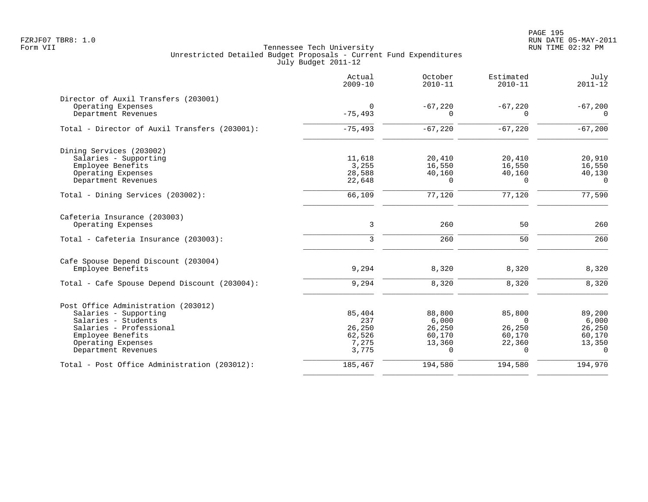PAGE 195 FZRJF07 TBR8: 1.0 RUN DATE 05-MAY-2011

|                                               | Actual<br>$2009 - 10$ | October<br>$2010 - 11$ | Estimated<br>$2010 - 11$ | July<br>$2011 - 12$ |
|-----------------------------------------------|-----------------------|------------------------|--------------------------|---------------------|
| Director of Auxil Transfers (203001)          |                       |                        |                          |                     |
| Operating Expenses                            | 0                     | $-67,220$              | $-67,220$                | $-67,200$           |
| Department Revenues                           | $-75, 493$            | O                      | O                        | 0                   |
| Total - Director of Auxil Transfers (203001): | $-75,493$             | $-67,220$              | $-67,220$                | $-67,200$           |
| Dining Services (203002)                      |                       |                        |                          |                     |
| Salaries - Supporting                         | 11,618                | 20,410                 | 20,410                   | 20,910              |
| Employee Benefits                             | 3,255                 | 16,550                 | 16,550                   | 16,550              |
| Operating Expenses                            | 28,588                | 40,160                 | 40,160                   | 40,130              |
| Department Revenues                           | 22,648                | $\Omega$               | $\Omega$                 | $\Omega$            |
| Total - Dining Services (203002):             | 66,109                | 77,120                 | 77,120                   | 77,590              |
| Cafeteria Insurance (203003)                  |                       |                        |                          |                     |
| Operating Expenses                            | 3                     | 260                    | 50                       | 260                 |
| Total - Cafeteria Insurance (203003):         | $\overline{3}$        | 260                    | 50                       | 260                 |
| Cafe Spouse Depend Discount (203004)          |                       |                        |                          |                     |
| Employee Benefits                             | 9,294                 | 8,320                  | 8,320                    | 8,320               |
| Total - Cafe Spouse Depend Discount (203004): | 9,294                 | 8,320                  | 8,320                    | 8,320               |
| Post Office Administration (203012)           |                       |                        |                          |                     |
| Salaries - Supporting                         | 85,404                | 88,800                 | 85,800                   | 89,200              |
| Salaries - Students                           | 237                   | 6,000                  | $\Omega$                 | 6,000               |
| Salaries - Professional                       | 26,250                | 26,250                 | 26,250                   | 26,250              |
| Employee Benefits                             | 62,526                | 60,170                 | 60,170                   | 60,170              |
| Operating Expenses                            | 7,275                 | 13,360                 | 22,360                   | 13,350              |
| Department Revenues                           | 3,775                 | $\Omega$               | $\Omega$                 | $\Omega$            |
| Total - Post Office Administration (203012):  | 185,467               | 194,580                | 194,580                  | 194,970             |
|                                               |                       |                        |                          |                     |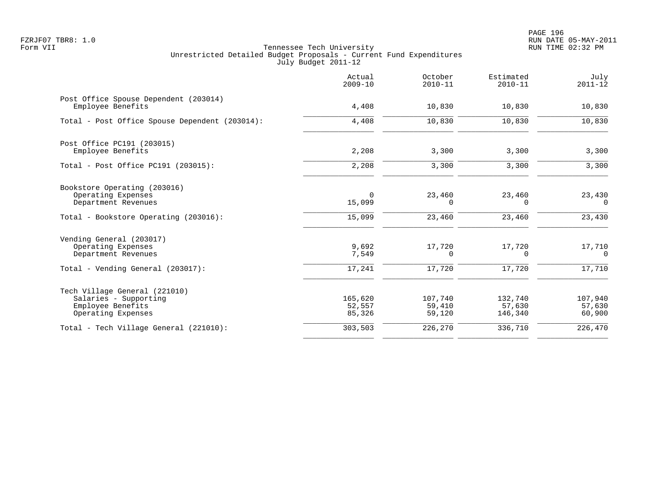PAGE 196 FZRJF07 TBR8: 1.0 RUN DATE 05-MAY-2011

|                                                                                                            | Actual<br>$2009 - 10$       | October<br>$2010 - 11$      | Estimated<br>$2010 - 11$     | July<br>$2011 - 12$          |
|------------------------------------------------------------------------------------------------------------|-----------------------------|-----------------------------|------------------------------|------------------------------|
| Post Office Spouse Dependent (203014)<br>Employee Benefits                                                 | 4,408                       | 10,830                      | 10,830                       | 10,830                       |
| Total - Post Office Spouse Dependent (203014):                                                             | 4,408                       | 10,830                      | 10,830                       | 10,830                       |
| Post Office PC191 (203015)<br>Employee Benefits                                                            | 2,208                       | 3,300                       | 3,300                        | 3,300                        |
| Total - Post Office PC191 (203015):                                                                        | 2,208                       | 3,300                       | 3,300                        | 3,300                        |
| Bookstore Operating (203016)<br>Operating Expenses<br>Department Revenues                                  | $\Omega$<br>15,099          | 23,460<br>0                 | 23,460<br>$\Omega$           | 23,430<br>$\Omega$           |
| Total - Bookstore Operating (203016):                                                                      | 15,099                      | 23,460                      | 23,460                       | 23,430                       |
| Vending General (203017)<br>Operating Expenses<br>Department Revenues<br>Total - Vending General (203017): | 9,692<br>7,549<br>17,241    | 17,720<br>0<br>17,720       | 17,720<br>$\Omega$<br>17,720 | 17,710<br>$\Omega$<br>17,710 |
|                                                                                                            |                             |                             |                              |                              |
| Tech Village General (221010)<br>Salaries - Supporting<br>Employee Benefits<br>Operating Expenses          | 165,620<br>52,557<br>85,326 | 107,740<br>59,410<br>59,120 | 132,740<br>57,630<br>146,340 | 107,940<br>57,630<br>60,900  |
| Total - Tech Village General (221010):                                                                     | 303,503                     | 226,270                     | 336,710                      | 226,470                      |
|                                                                                                            |                             |                             |                              |                              |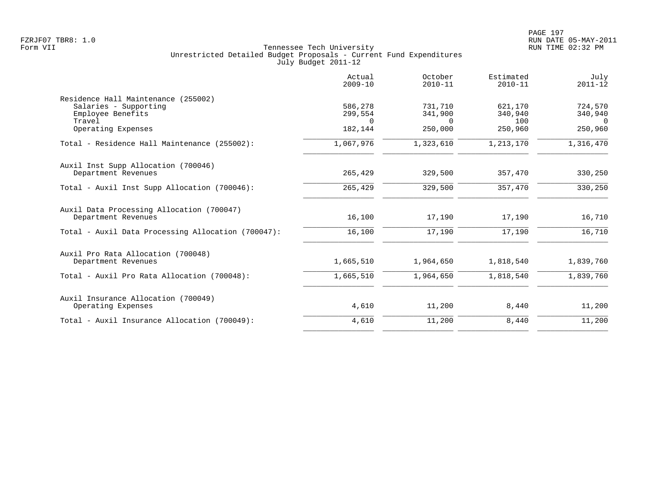|                                                                                   | Actual<br>$2009 - 10$ | October<br>$2010 - 11$ | Estimated<br>$2010 - 11$ | July<br>$2011 - 12$ |
|-----------------------------------------------------------------------------------|-----------------------|------------------------|--------------------------|---------------------|
| Residence Hall Maintenance (255002)<br>Salaries - Supporting<br>Employee Benefits | 586,278<br>299,554    | 731,710<br>341,900     | 621,170<br>340,940       | 724,570<br>340,940  |
| Travel<br>Operating Expenses                                                      | $\Omega$<br>182,144   | $\Omega$<br>250,000    | 100<br>250,960           | $\Omega$<br>250,960 |
| Total - Residence Hall Maintenance (255002):                                      | 1,067,976             | 1,323,610              | 1,213,170                | 1,316,470           |
| Auxil Inst Supp Allocation (700046)<br>Department Revenues                        | 265,429               | 329,500                | 357,470                  | 330,250             |
| Total - Auxil Inst Supp Allocation (700046):                                      | 265,429               | 329,500                | 357,470                  | 330,250             |
| Auxil Data Processing Allocation (700047)<br>Department Revenues                  | 16,100                | 17,190                 | 17,190                   | 16,710              |
| Total - Auxil Data Processing Allocation (700047):                                | 16,100                | 17,190                 | 17,190                   | 16,710              |
| Auxil Pro Rata Allocation (700048)<br>Department Revenues                         | 1,665,510             | 1,964,650              | 1,818,540                | 1,839,760           |
| Total - Auxil Pro Rata Allocation (700048):                                       | 1,665,510             | 1,964,650              | 1,818,540                | 1,839,760           |
| Auxil Insurance Allocation (700049)<br>Operating Expenses                         | 4,610                 | 11,200                 | 8,440                    | 11,200              |
| Total - Auxil Insurance Allocation (700049):                                      | 4,610                 | 11,200                 | 8,440                    | 11,200              |
|                                                                                   |                       |                        |                          |                     |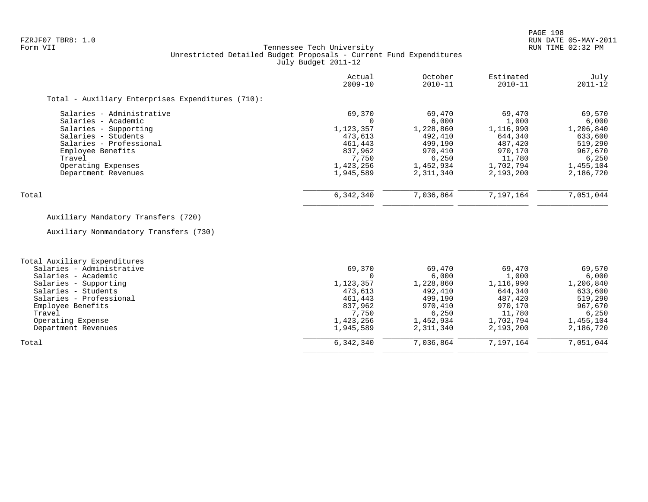### FZRJF07 TBR8: 1.0 RUN DATE 05-MAY-2011 Tennessee Tech University Unrestricted Detailed Budget Proposals - Current Fund Expenditures July Budget 2011-12

|                                                   | Actual<br>$2009 - 10$ | October<br>$2010 - 11$ | Estimated<br>$2010 - 11$ | July<br>$2011 - 12$ |
|---------------------------------------------------|-----------------------|------------------------|--------------------------|---------------------|
| Total - Auxiliary Enterprises Expenditures (710): |                       |                        |                          |                     |
| Salaries - Administrative                         | 69,370                | 69,470                 | 69,470                   | 69,570              |
| Salaries - Academic                               | $\Omega$              | 6.000                  | 1,000                    | 6,000               |
| Salaries - Supporting                             | 1,123,357             | 1,228,860              | 1,116,990                | 1,206,840           |
| Salaries - Students                               | 473,613               | 492,410                | 644,340                  | 633,600             |
| Salaries - Professional                           | 461,443               | 499,190                | 487,420                  | 519,290             |
| Employee Benefits                                 | 837,962               | 970,410                | 970,170                  | 967,670             |
| Travel                                            | 7,750                 | 6,250                  | 11,780                   | 6,250               |
| Operating Expenses                                | 1,423,256             | 1,452,934              | 1,702,794                | 1,455,104           |
| Department Revenues                               | 1,945,589             | 2,311,340              | 2,193,200                | 2,186,720           |
| Total                                             | 6,342,340             | 7,036,864              | 7,197,164                | 7,051,044           |

# Auxiliary Mandatory Transfers (720)

Auxiliary Nonmandatory Transfers (730)

| Total Auxiliary Expenditures |           |           |           |           |
|------------------------------|-----------|-----------|-----------|-----------|
| Salaries - Administrative    | 69,370    | 69,470    | 69,470    | 69,570    |
| Salaries - Academic          |           | 6,000     | 1,000     | 6,000     |
| Salaries - Supporting        | 1,123,357 | 1,228,860 | 1,116,990 | 1,206,840 |
| Salaries - Students          | 473,613   | 492,410   | 644,340   | 633,600   |
| Salaries - Professional      | 461,443   | 499,190   | 487,420   | 519,290   |
| Employee Benefits            | 837,962   | 970,410   | 970,170   | 967,670   |
| Travel                       | 7,750     | 6.250     | 11,780    | 6,250     |
| Operating Expense            | 1,423,256 | 1,452,934 | 1,702,794 | 1,455,104 |
| Department Revenues          | 1,945,589 | 2,311,340 | 2,193,200 | 2,186,720 |
| Total                        | 6,342,340 | 7,036,864 | 7,197,164 | 7,051,044 |
|                              |           |           |           |           |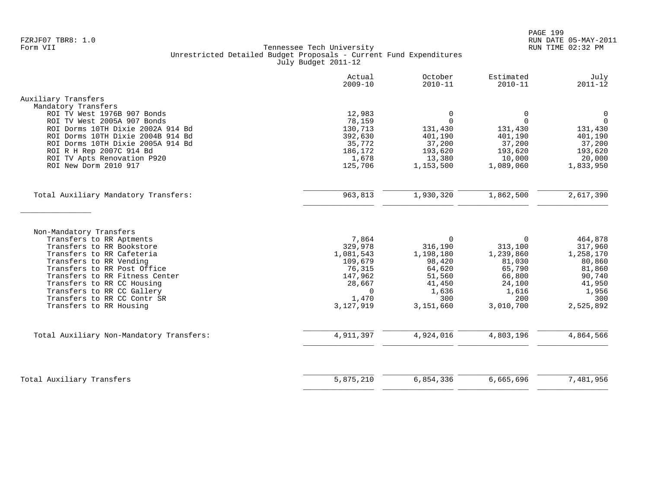|                                                           | Actual<br>$2009 - 10$ | October<br>$2010 - 11$ | Estimated<br>$2010 - 11$ | July<br>$2011 - 12$ |
|-----------------------------------------------------------|-----------------------|------------------------|--------------------------|---------------------|
| Auxiliary Transfers                                       |                       |                        |                          |                     |
| Mandatory Transfers<br>ROI TV West 1976B 907 Bonds        | 12,983                | 0                      | 0                        | $\mathbf 0$         |
| ROI TV West 2005A 907 Bonds                               | 78,159                | $\Omega$               | $\Omega$                 | $\Omega$            |
| ROI Dorms 10TH Dixie 2002A 914 Bd                         | 130,713               | 131,430                | 131,430                  | 131,430             |
| ROI Dorms 10TH Dixie 2004B 914 Bd                         | 392,630               | 401,190                | 401,190                  | 401,190             |
| ROI Dorms 10TH Dixie 2005A 914 Bd                         | 35,772                | 37,200                 | 37,200                   | 37,200              |
| ROI R H Rep 2007C 914 Bd                                  | 186,172               | 193,620                | 193,620                  | 193,620             |
| ROI TV Apts Renovation P920                               | 1,678                 | 13,380                 | 10,000                   | 20,000              |
| ROI New Dorm 2010 917                                     | 125,706               | 1,153,500              | 1,089,060                | 1,833,950           |
| Total Auxiliary Mandatory Transfers:                      | 963,813               | 1,930,320              | 1,862,500                | 2,617,390           |
|                                                           |                       |                        |                          |                     |
|                                                           |                       |                        |                          |                     |
| Non-Mandatory Transfers<br>Transfers to RR Aptments       | 7,864                 | $\Omega$               | $\Omega$                 | 464,878             |
| Transfers to RR Bookstore                                 | 329,978               | 316,190                | 313,100                  | 317,960             |
| Transfers to RR Cafeteria                                 | 1,081,543             | 1,198,180              | 1,239,860                | 1,258,170           |
| Transfers to RR Vending                                   | 109,679               | 98,420                 | 81,030                   | 80,860              |
| Transfers to RR Post Office                               | 76,315                | 64,620                 | 65,790                   | 81,860              |
| Transfers to RR Fitness Center                            | 147,962               | 51,560                 | 66,800                   | 90,740              |
| Transfers to RR CC Housing                                | 28,667                | 41,450                 | 24,100                   | 41,950              |
| Transfers to RR CC Gallery<br>Transfers to RR CC Contr SR | $\Omega$<br>1,470     | 1,636<br>300           | 1,616<br>200             | 1,956<br>300        |
| Transfers to RR Housing                                   | 3,127,919             | 3,151,660              | 3,010,700                | 2,525,892           |
|                                                           |                       |                        |                          |                     |
| Total Auxiliary Non-Mandatory Transfers:                  | 4,911,397             | 4,924,016              | 4,803,196                | 4,864,566           |
|                                                           |                       |                        |                          |                     |
| Total Auxiliary Transfers                                 | 5,875,210             | 6,854,336              | 6,665,696                | 7,481,956           |
|                                                           |                       |                        |                          |                     |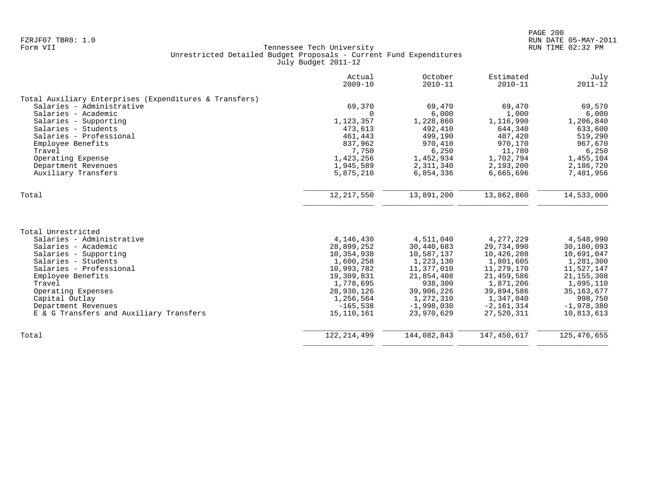|                                                        | Actual<br>$2009 - 10$ | October<br>$2010 - 11$ | Estimated<br>$2010 - 11$ | July<br>$2011 - 12$ |
|--------------------------------------------------------|-----------------------|------------------------|--------------------------|---------------------|
| Total Auxiliary Enterprises (Expenditures & Transfers) |                       |                        |                          |                     |
| Salaries - Administrative                              | 69,370                | 69,470                 | 69,470                   | 69,570              |
| Salaries - Academic                                    | $\Omega$              | 6,000                  | 1,000                    | 6,000               |
| Salaries - Supporting                                  | 1,123,357             | 1,228,860              | 1,116,990                | 1,206,840           |
| Salaries - Students                                    | 473,613               | 492,410                | 644,340                  | 633,600             |
| Salaries - Professional                                | 461,443               | 499,190                | 487,420                  | 519,290             |
| Employee Benefits                                      | 837,962               | 970,410                | 970,170                  | 967,670             |
| Travel                                                 | 7,750                 | 6,250                  | 11,780                   | 6,250               |
| Operating Expense                                      | 1,423,256             | 1,452,934              | 1,702,794                | 1,455,104           |
| Department Revenues                                    | 1,945,589             | 2,311,340              | 2,193,200                | 2,186,720           |
| Auxiliary Transfers                                    | 5,875,210             | 6,854,336              | 6,665,696                | 7,481,956           |
| Total                                                  | 12, 217, 550          | 13,891,200             | 13,862,860               | 14,533,000          |
|                                                        |                       |                        |                          |                     |
| Total Unrestricted                                     |                       |                        |                          |                     |
| Salaries - Administrative                              | 4,146,430             | 4,511,040              | 4, 277, 229              | 4,548,990           |
| Salaries - Academic                                    | 28,899,252            | 30,440,683             | 29,734,990               | 30,180,093          |
| Salaries - Supporting                                  | 10,354,938            | 10,587,137             | 10,426,208               | 10,691,047          |
| Salaries - Students                                    | 1,600,258             | 1,223,130              | 1,801,605                | 1,281,300           |
| Salaries - Professional                                | 10,993,782            | 11,377,010             | 11,279,170               | 11,527,147          |
| Employee Benefits                                      | 19,309,831            | 21,854,408             | 21,459,586               | 21, 155, 308        |
| Travel                                                 | 1,778,695             | 938,300                | 1,871,206                | 1,095,110           |
| Operating Expenses                                     | 28,930,126            | 39,906,226             | 39,894,586               | 35, 163, 677        |
| Capital Outlay                                         | 1,256,564             | 1,272,310              | 1,347,040                | 998,750             |
| Department Revenues                                    | $-165,538$            | $-1,998,030$           | $-2,161,314$             | $-1,978,380$        |
| E & G Transfers and Auxiliary Transfers                | 15,110,161            | 23,970,629             | 27,520,311               | 10,813,613          |
| Total                                                  | 122, 214, 499         | 144,082,843            | 147,450,617              | 125, 476, 655       |
|                                                        |                       |                        |                          |                     |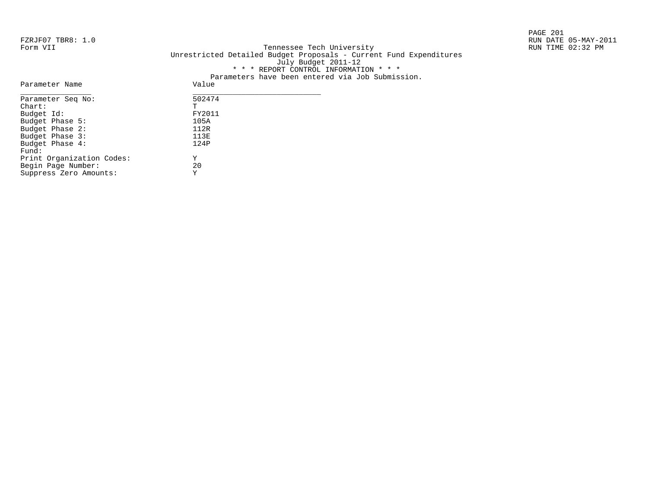PAGE 201

#### FZRJF07 TBR8: 1.0 RUN DATE 05-MAY-2011 Tennessee Tech University Unrestricted Detailed Budget Proposals - Current Fund Expenditures July Budget 2011-12 \* \* \* REPORT CONTROL INFORMATION \* \* \* Parameters have been entered via Job Submission.

| Parameter Name            | Value  |
|---------------------------|--------|
| Parameter Seq No:         | 502474 |
| $chart$ :                 | т      |
| Budget Id:                | FY2011 |
| Budget Phase 5:           | 105A   |
| Budget Phase 2:           | 112R   |
| Budget Phase 3:           | 113E   |
| Budget Phase 4:           | 124P   |
| Fund:                     |        |
| Print Organization Codes: | Y      |
| Begin Page Number:        | 20     |
| Suppress Zero Amounts:    | Y      |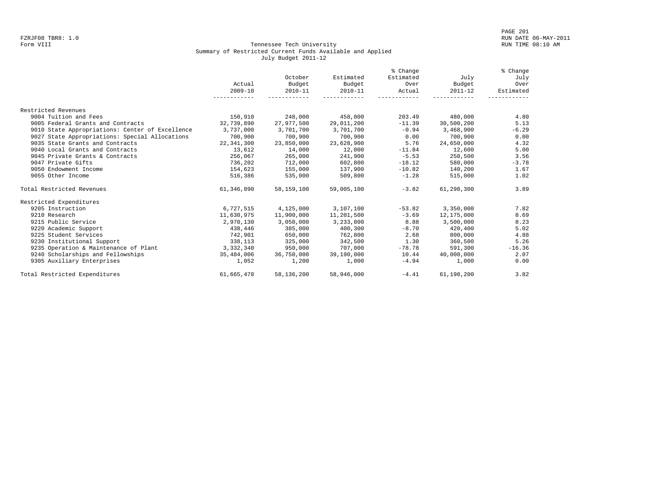#### Form VIII Tennessee Tech University RUN TIME 08:10 AM Summary of Restricted Current Funds Available and Applied July Budget 2011-12

|                                                 |              |             |             | % Change  |             | % Change  |
|-------------------------------------------------|--------------|-------------|-------------|-----------|-------------|-----------|
|                                                 |              | October     | Estimated   | Estimated | July        | July      |
|                                                 | Actual       | Budget      | Budget      | Over      | Budget      | Over      |
|                                                 | $2009 - 10$  | $2010 - 11$ | $2010 - 11$ | Actual    | $2011 - 12$ | Estimated |
|                                                 | . <u>.</u> . |             |             |           |             |           |
| Restricted Revenues                             |              |             |             |           |             |           |
| 9004 Tuition and Fees                           | 150,910      | 248,000     | 458,000     | 203.49    | 480,000     | 4.80      |
| 9005 Federal Grants and Contracts               | 32,739,890   | 27,977,500  | 29,011,200  | $-11.39$  | 30,500,200  | 5.13      |
| 9010 State Appropriations: Center of Excellence | 3,737,000    | 3,701,700   | 3,701,700   | $-0.94$   | 3,468,900   | $-6.29$   |
| 9027 State Appropriations: Special Allocations  | 700,900      | 700,900     | 700,900     | 0.00      | 700,900     | 0.00      |
| 9035 State Grants and Contracts                 | 22,341,300   | 23,850,000  | 23,628,900  | 5.76      | 24,650,000  | 4.32      |
| 9040 Local Grants and Contracts                 | 13,612       | 14,000      | 12,000      | $-11.84$  | 12,600      | 5.00      |
| 9045 Private Grants & Contracts                 | 256,067      | 265,000     | 241,900     | $-5.53$   | 250,500     | 3.56      |
| 9047 Private Gifts                              | 736,202      | 712,000     | 602,800     | $-18.12$  | 580,000     | $-3.78$   |
| 9050 Endowment Income                           | 154,623      | 155,000     | 137,900     | $-10.82$  | 140,200     | 1.67      |
| 9055 Other Income                               | 516,386      | 535,000     | 509,800     | $-1.28$   | 515,000     | 1.02      |
| Total Restricted Revenues                       | 61,346,890   | 58,159,100  | 59,005,100  | $-3.82$   | 61,298,300  | 3.89      |
| Restricted Expenditures                         |              |             |             |           |             |           |
| 9205 Instruction                                | 6,727,515    | 4,125,000   | 3,107,100   | $-53.82$  | 3,350,000   | 7.82      |
| 9210 Research                                   | 11,630,975   | 11,900,000  | 11,201,500  | $-3.69$   | 12,175,000  | 8.69      |
| 9215 Public Service                             | 2,970,130    | 3,050,000   | 3,233,800   | 8.88      | 3,500,000   | 8.23      |
| 9220 Academic Support                           | 438,446      | 385,000     | 400,300     | $-8.70$   | 420,400     | 5.02      |
| 9225 Student Services                           | 742,901      | 650,000     | 762,800     | 2.68      | 800,000     | 4.88      |
| 9230 Institutional Support                      | 338,113      | 325,000     | 342,500     | 1.30      | 360,500     | 5.26      |
| 9235 Operation & Maintenance of Plant           | 3,332,340    | 950,000     | 707,000     | $-78.78$  | 591,300     | $-16.36$  |
| 9240 Scholarships and Fellowships               | 35,484,006   | 36,750,000  | 39,190,000  | 10.44     | 40,000,000  | 2.07      |
| 9305 Auxiliary Enterprises                      | 1,052        | 1,200       | 1,000       | $-4.94$   | 1,000       | 0.00      |
| Total Restricted Expenditures                   | 61,665,478   | 58,136,200  | 58,946,000  | $-4.41$   | 61,198,200  | 3.82      |